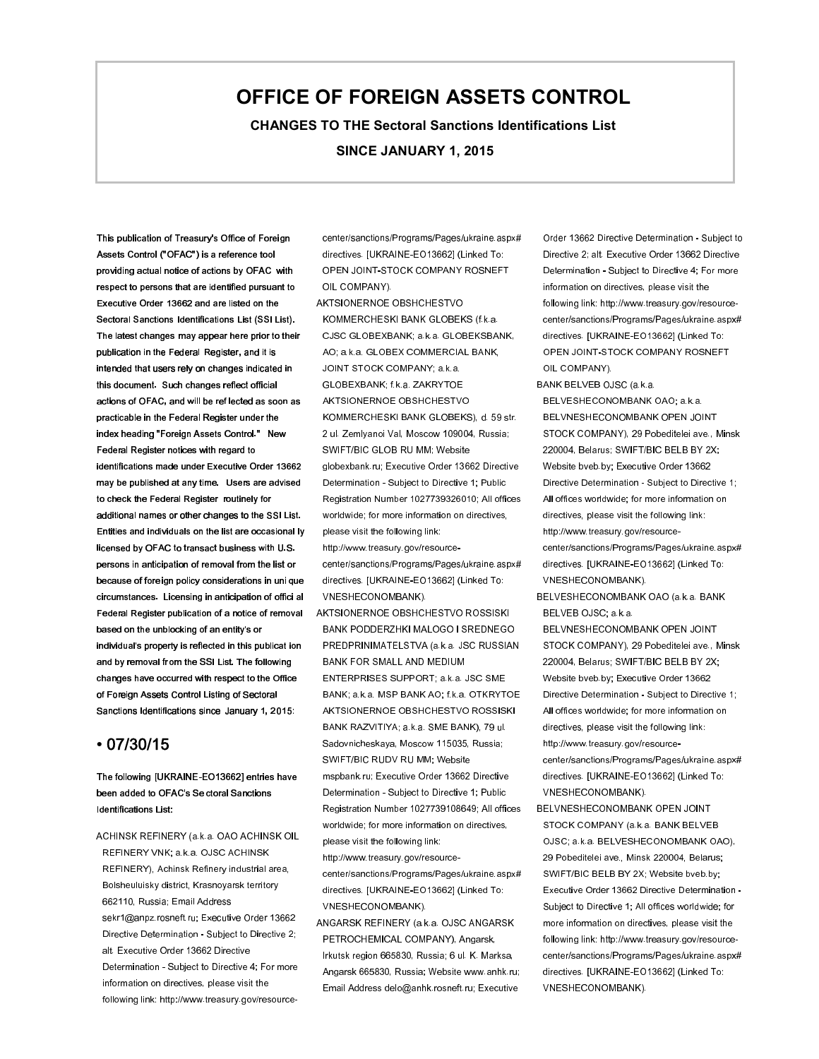## **OFFICE OF FOREIGN ASSETS CONTROL**

**CHANGES TO THE Sectoral Sanctions Identifications List SINCE JANUARY 1, 2015**

This publication of Treasury's Office of Foreign Assets Control ("OFAC") is a reference tool providing actual notice of actions by OFAC with respect to persons that are identified pursuant to Executive Order 13662 and are listed on the Sectoral Sanctions Identifications List (SSI List). The latest changes may appear here prior to their publication in the Federal Register, and it is intended that users rely on changes indicated in this document. Such changes reflect official actions of OFAC, and will be ref lected as soon as practicable in the Federal Register under the index heading "Foreign Assets Control." New Federal Register notices with regard to identifications made under Executive Order 13662 may be published at any time. Users are advised to check the Federal Register routinely for additional names or other changes to the SSI List. Entities and individuals on the list are occasional ly licensed by OFAC to transact business with U.S. persons in anticipation of removal from the list or because of foreign policy considerations in uni que circumstances. Licensing in anticipation of offici al Federal Register publication of a notice of removal based on the unblocking of an entity's or individual's property is reflected in this publicat ion and by removal from the SSI List. The following changes have occurred with respect to the Office of Foreign Assets Control Listing of Sectoral Sanctions Identifications since January 1, 2015:

## • 07/30/15

The following [UKRAINE-EO13662] entries have been added to OFAC's Se ctoral Sanctions Identifications List:

ACHINSK REFINERY (a.k.a. OAO ACHINSK OIL REFINERY VNK; a.k.a. OJSC ACHINSK REFINERY), Achinsk Refinery industrial area, Bolsheuluisky district, Krasnoyarsk territory 662110, Russia; Email Address sekr1@anpz.rosneft.ru; Executive Order 13662 Directive Determination - Subject to Directive 2; alt. Executive Order 13662 Directive Determination - Subject to Directive 4; For more information on directives, please visit the following link: http://www.treasury.gov/resourcecenter/sanctions/Programs/Pages/ukraine.aspx# directives. [UKRAINE-EO13662] (Linked To: OPEN JOINT-STOCK COMPANY ROSNEFT OIL COMPANY).

AKTSIONERNOE OBSHCHESTVO KOMMERCHESKI BANK GLOBEKS (f.k.a. CJSC GLOBEXBANK; a.k.a. GLOBEKSBANK, AO; a.k.a. GLOBEX COMMERCIAL BANK, JOINT STOCK COMPANY; a.k.a. GLOBEXBANK; f.k.a. ZAKRYTOE AKTSIONERNOE OBSHCHESTVO KOMMERCHESKI BANK GLOBEKS), d. 59 str. 2 ul. Zemlyanoi Val, Moscow 109004, Russia; SWIFT/BIC GLOB RU MM; Website globexbank.ru; Executive Order 13662 Directive Determination - Subject to Directive 1; Public Registration Number 1027739326010; All offices worldwide; for more information on directives, please visit the following link: http://www.treasury.gov/resourcecenter/sanctions/Programs/Pages/ukraine.aspx# directives. [UKRAINE-EO13662] (Linked To: VNESHECONOMBANK).

AKTSIONERNOE OBSHCHESTVO ROSSISKI BANK PODDERZHKI MALOGO I SREDNEGO PREDPRINIMATELSTVA (a.k.a. JSC RUSSIAN BANK FOR SMALL AND MEDIUM ENTERPRISES SUPPORT; a.k.a. JSC SME BANK; a.k.a. MSP BANK AO; f.k.a. OTKRYTOE AKTSIONERNOE OBSHCHESTVO ROSSISKI BANK RAZVITIYA; a.k.a. SME BANK), 79 ul. Sadovnicheskaya, Moscow 115035, Russia; SWIFT/BIC RUDV RU MM; Website mspbank.ru; Executive Order 13662 Directive Determination - Subject to Directive 1; Public Registration Number 1027739108649; All offices worldwide; for more information on directives, please visit the following link:

http://www.treasury.gov/resourcecenter/sanctions/Programs/Pages/ukraine.aspx# directives. [UKRAINE-EO13662] (Linked To: VNESHECONOMBANK).

ANGARSK REFINERY (a.k.a. OJSC ANGARSK PETROCHEMICAL COMPANY), Angarsk, Irkutsk region 665830, Russia; 6 ul. K. Marksa, Angarsk 665830, Russia; Website www.anhk.ru; Email Address delo@anhk.rosneft.ru; Executive

Order 13662 Directive Determination - Subject to Directive 2; alt. Executive Order 13662 Directive Determination - Subject to Directive 4; For more information on directives, please visit the following link: http://www.treasury.gov/resourcecenter/sanctions/Programs/Pages/ukraine.aspx# directives. [UKRAINE-EO13662] (Linked To: OPEN JOINT-STOCK COMPANY ROSNEFT OIL COMPANY).

BANK BELVEB OJSC (a.k.a. BELVESHECONOMBANK OAO; a.k.a. BELVNESHECONOMBANK OPEN JOINT STOCK COMPANY), 29 Pobeditelei ave., Minsk 220004, Belarus; SWIFT/BIC BELB BY 2X; Website bveb.by; Executive Order 13662 Directive Determination - Subject to Directive 1; All offices worldwide; for more information on directives, please visit the following link: http://www.treasury.gov/resourcecenter/sanctions/Programs/Pages/ukraine.aspx# directives. [UKRAINE-EO13662] (Linked To: VNESHECONOMBANK).

BELVESHECONOMBANK OAO (a.k.a. BANK BELVEB OJSC; a.k.a.

BELVNESHECONOMBANK OPEN JOINT STOCK COMPANY), 29 Pobeditelei ave., Minsk 220004, Belarus; SWIFT/BIC BELB BY 2X; Website bveb.by; Executive Order 13662 Directive Determination - Subject to Directive 1; All offices worldwide; for more information on directives, please visit the following link: http://www.treasury.gov/resourcecenter/sanctions/Programs/Pages/ukraine.aspx# directives. [UKRAINE-EO13662] (Linked To: VNESHECONOMBANK).

BELVNESHECONOMBANK OPEN JOINT STOCK COMPANY (a.k.a. BANK BELVEB OJSC; a.k.a. BELVESHECONOMBANK OAO), 29 Pobeditelei ave., Minsk 220004, Belarus; SWIFT/BIC BELB BY 2X; Website bveb.by; Executive Order 13662 Directive Determination - Subject to Directive 1; All offices worldwide; for more information on directives, please visit the following link: http://www.treasury.gov/resourcecenter/sanctions/Programs/Pages/ukraine.aspx# directives. [UKRAINE-EO13662] (Linked To: VNESHECONOMBANK).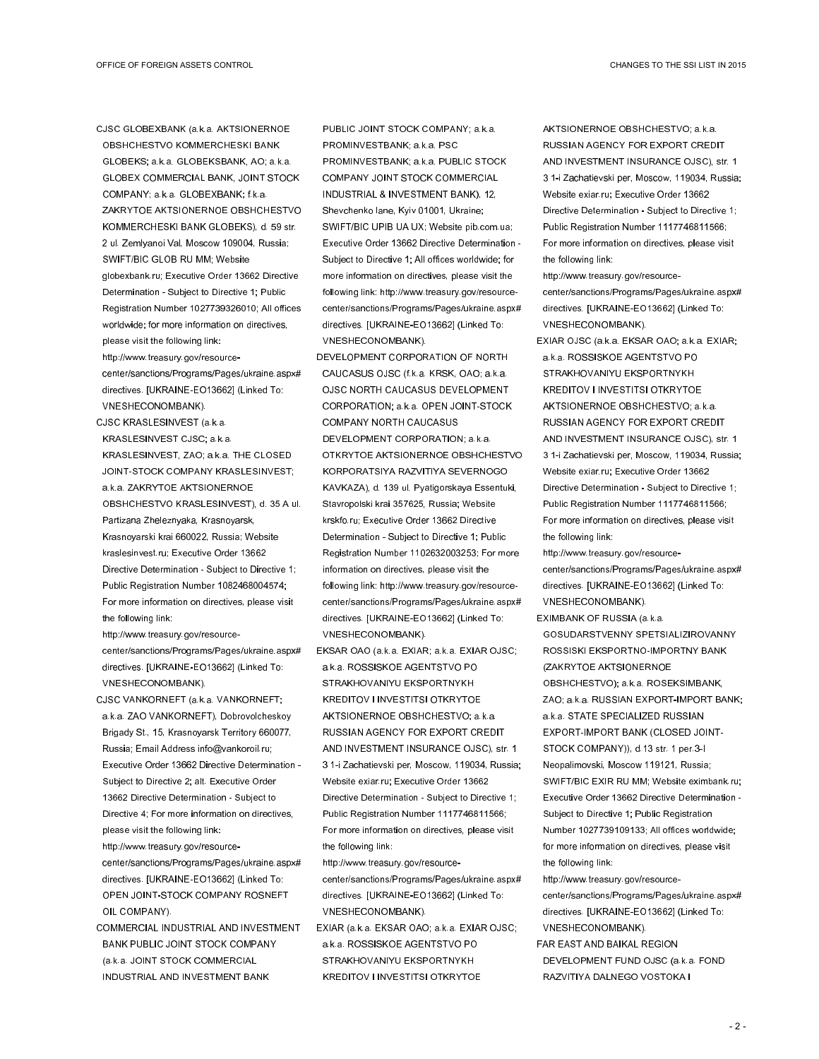- CJSC GLOBEXBANK (a.k.a. AKTSIONERNOE OBSHCHESTVO KOMMERCHESKI BANK GLOBEKS; a.k.a. GLOBEKSBANK, AO; a.k.a. GLOBEX COMMERCIAL BANK, JOINT STOCK COMPANY; a.k.a. GLOBEXBANK; f.k.a. ZAKRYTOE AKTSIONERNOE OBSHCHESTVO KOMMERCHESKI BANK GLOBEKS), d. 59 str. 2 ul. Zemlyanoi Val, Moscow 109004, Russia; SWIFT/BIC GLOB RU MM; Website globexbank.ru; Executive Order 13662 Directive Determination - Subject to Directive 1; Public Registration Number 1027739326010; All offices worldwide; for more information on directives, please visit the following link: http://www.treasury.gov/resourcecenter/sanctions/Programs/Pages/ukraine.aspx# directives. [UKRAINE-EO13662] (Linked To:
- VNESHECONOMBANK). CJSC KRASLESINVEST (a.k.a. KRASLESINVEST CJSC; a.k.a. KRASLESINVEST, ZAO; a.k.a. THE CLOSED JOINT-STOCK COMPANY KRASLESINVEST; a.k.a. ZAKRYTOE AKTSIONERNOE OBSHCHESTVO KRASLESINVEST), d. 35 A ul. Partizana Zheleznyaka, Krasnoyarsk, Krasnoyarski krai 660022, Russia; Website kraslesinvest.ru; Executive Order 13662 Directive Determination - Subject to Directive 1; Public Registration Number 1082468004574; For more information on directives, please visit the following link:

http://www.treasury.gov/resourcecenter/sanctions/Programs/Pages/ukraine.aspx# directives. [UKRAINE-EO13662] (Linked To: VNESHECONOMBANK).

CJSC VANKORNEFT (a.k.a. VANKORNEFT; a.k.a. ZAO VANKORNEFT), Dobrovolcheskoy Brigady St., 15, Krasnoyarsk Territory 660077, Russia; Email Address info@vankoroil.ru; Executive Order 13662 Directive Determination - Subject to Directive 2; alt. Executive Order 13662 Directive Determination - Subject to Directive 4; For more information on directives, please visit the following link:

http://www.treasury.gov/resourcecenter/sanctions/Programs/Pages/ukraine.aspx# directives. [UKRAINE-EO13662] (Linked To: OPEN JOINT-STOCK COMPANY ROSNEFT OIL COMPANY).

COMMERCIAL INDUSTRIAL AND INVESTMENT BANK PUBLIC JOINT STOCK COMPANY (a.k.a. JOINT STOCK COMMERCIAL INDUSTRIAL AND INVESTMENT BANK

PUBLIC JOINT STOCK COMPANY; a.k.a. PROMINVESTBANK; a.k.a. PSC PROMINVESTBANK; a.k.a. PUBLIC STOCK COMPANY JOINT STOCK COMMERCIAL INDUSTRIAL & INVESTMENT BANK), 12, Shevchenko lane, Kyiv 01001, Ukraine; SWIFT/BIC UPIB UA UX; Website pib.com.ua; Executive Order 13662 Directive Determination - Subject to Directive 1; All offices worldwide; for more information on directives, please visit the following link: http://www.treasury.gov/resourcecenter/sanctions/Programs/Pages/ukraine.aspx# directives. [UKRAINE-EO13662] (Linked To: VNESHECONOMBANK).

- DEVELOPMENT CORPORATION OF NORTH CAUCASUS OJSC (f.k.a. KRSK, OAO; a.k.a. OJSC NORTH CAUCASUS DEVELOPMENT CORPORATION; a.k.a. OPEN JOINT-STOCK COMPANY NORTH CAUCASUS DEVELOPMENT CORPORATION; a.k.a. OTKRYTOE AKTSIONERNOE OBSHCHESTVO KORPORATSIYA RAZVITIYA SEVERNOGO KAVKAZA), d. 139 ul. Pyatigorskaya Essentuki, Stavropolski krai 357625, Russia; Website krskfo.ru; Executive Order 13662 Directive Determination - Subject to Directive 1; Public Registration Number 1102632003253; For more information on directives, please visit the following link: http://www.treasury.gov/resourcecenter/sanctions/Programs/Pages/ukraine.aspx# directives. [UKRAINE-EO13662] (Linked To: VNESHECONOMBANK).
- EKSAR OAO (a.k.a. EXIAR; a.k.a. EXIAR OJSC; a.k.a. ROSSISKOE AGENTSTVO PO STRAKHOVANIYU EKSPORTNYKH KREDITOV I INVESTITSI OTKRYTOE AKTSIONERNOE OBSHCHESTVO; a.k.a. RUSSIAN AGENCY FOR EXPORT CREDIT AND INVESTMENT INSURANCE OJSC), str. 1 3 1-i Zachatievski per, Moscow, 119034, Russia; Website exiar.ru; Executive Order 13662 Directive Determination - Subject to Directive 1; Public Registration Number 1117746811566; For more information on directives, please visit the following link:
- http://www.treasury.gov/resourcecenter/sanctions/Programs/Pages/ukraine.aspx# directives. [UKRAINE-EO13662] (Linked To: VNESHECONOMBANK).
- EXIAR (a.k.a. EKSAR OAO; a.k.a. EXIAR OJSC; a.k.a. ROSSISKOE AGENTSTVO PO STRAKHOVANIYU EKSPORTNYKH KREDITOV I INVESTITSI OTKRYTOE

AKTSIONERNOE OBSHCHESTVO; a.k.a. RUSSIAN AGENCY FOR EXPORT CREDIT AND INVESTMENT INSURANCE OJSC), str. 1 3 1-i Zachatievski per, Moscow, 119034, Russia; Website exiar.ru; Executive Order 13662 Directive Determination - Subject to Directive 1; Public Registration Number 1117746811566; For more information on directives, please visit the following link:

http://www.treasury.gov/resourcecenter/sanctions/Programs/Pages/ukraine.aspx# directives. [UKRAINE-EO13662] (Linked To: VNESHECONOMBANK).

EXIAR OJSC (a.k.a. EKSAR OAO; a.k.a. EXIAR; a.k.a. ROSSISKOE AGENTSTVO PO STRAKHOVANIYU EKSPORTNYKH KREDITOV I INVESTITSI OTKRYTOE AKTSIONERNOE OBSHCHESTVO; a.k.a. RUSSIAN AGENCY FOR EXPORT CREDIT AND INVESTMENT INSURANCE OJSC), str. 1 3 1-i Zachatievski per, Moscow, 119034, Russia; Website exiar.ru; Executive Order 13662 Directive Determination - Subject to Directive 1; Public Registration Number 1117746811566; For more information on directives, please visit the following link:

http://www.treasury.gov/resourcecenter/sanctions/Programs/Pages/ukraine.aspx# directives. [UKRAINE-EO13662] (Linked To: VNESHECONOMBANK).

EXIMBANK OF RUSSIA (a.k.a. GOSUDARSTVENNY SPETSIALIZIROVANNY ROSSISKI EKSPORTNO-IMPORTNY BANK (ZAKRYTOE AKTSIONERNOE OBSHCHESTVO); a.k.a. ROSEKSIMBANK, ZAO; a.k.a. RUSSIAN EXPORT-IMPORT BANK; a.k.a. STATE SPECIALIZED RUSSIAN EXPORT-IMPORT BANK (CLOSED JOINT-STOCK COMPANY)), d.13 str. 1 per.3-I Neopalimovski, Moscow 119121, Russia; SWIFT/BIC EXIR RU MM; Website eximbank.ru; Executive Order 13662 Directive Determination - Subject to Directive 1; Public Registration Number 1027739109133; All offices worldwide; for more information on directives, please visit the following link:

http://www.treasury.gov/resourcecenter/sanctions/Programs/Pages/ukraine.aspx# directives. [UKRAINE-EO13662] (Linked To: VNESHECONOMBANK).

FAR EAST AND BAIKAL REGION DEVELOPMENT FUND OJSC (a.k.a. FOND RAZVITIYA DALNEGO VOSTOKA I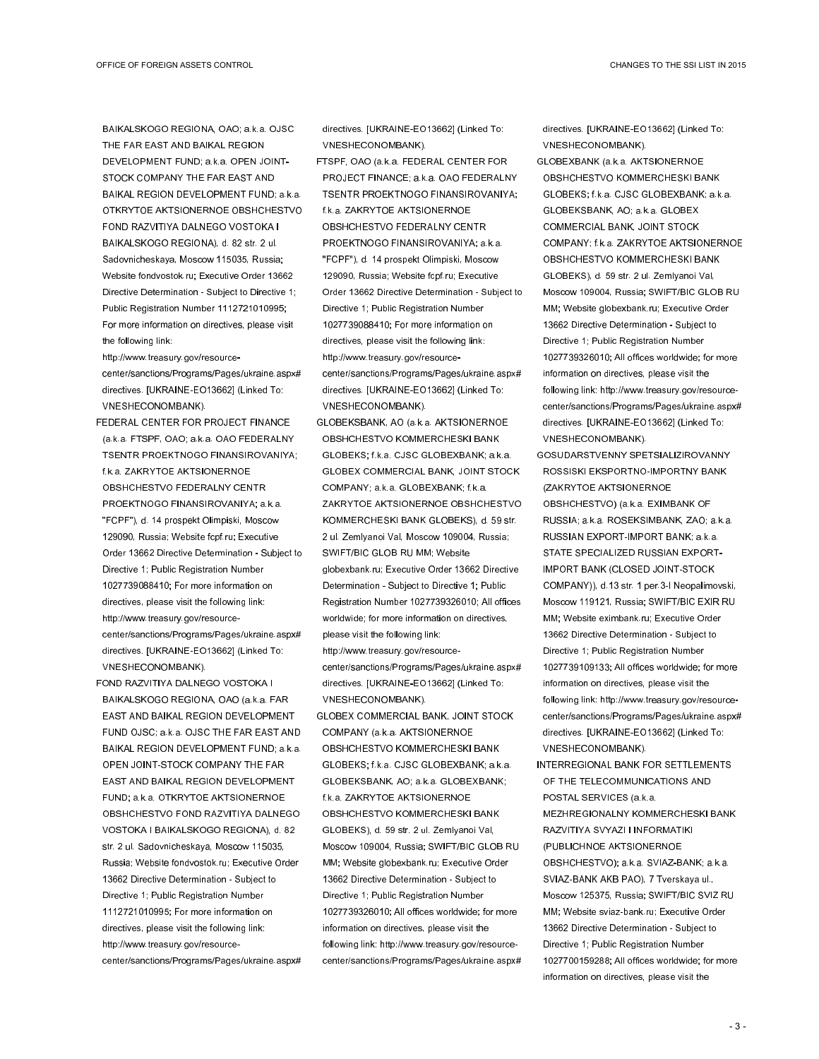BAIKALSKOGO REGIONA, OAO; a.k.a. OJSC THE FAR EAST AND BAIKAL REGION DEVELOPMENT FUND; a.k.a. OPEN JOINT-STOCK COMPANY THE FAR EAST AND BAIKAL REGION DEVELOPMENT FUND; a.k.a. OTKRYTOE AKTSIONERNOE OBSHCHESTVO FOND RAZVITIYA DALNEGO VOSTOKA I BAIKALSKOGO REGIONA), d. 82 str. 2 ul. Sadovnicheskaya, Moscow 115035, Russia; Website fondvostok.ru; Executive Order 13662 Directive Determination - Subject to Directive 1; Public Registration Number 1112721010995; For more information on directives, please visit the following link:

http://www.treasury.gov/resourcecenter/sanctions/Programs/Pages/ukraine.aspx# directives. [UKRAINE-EO13662] (Linked To: VNESHECONOMBANK).

- FEDERAL CENTER FOR PROJECT FINANCE (a.k.a. FTSPF, OAO; a.k.a. OAO FEDERALNY TSENTR PROEKTNOGO FINANSIROVANIYA; f.k.a. ZAKRYTOE AKTSIONERNOE OBSHCHESTVO FEDERALNY CENTR PROEKTNOGO FINANSIROVANIYA; a.k.a. "FCPF"), d. 14 prospekt Olimpiski, Moscow 129090, Russia; Website fcpf.ru; Executive Order 13662 Directive Determination - Subject to Directive 1; Public Registration Number 1027739088410; For more information on directives, please visit the following link: http://www.treasury.gov/resourcecenter/sanctions/Programs/Pages/ukraine.aspx# directives. [UKRAINE-EO13662] (Linked To: VNESHECONOMBANK).
- FOND RAZVITIYA DALNEGO VOSTOKA I BAIKALSKOGO REGIONA, OAO (a.k.a. FAR EAST AND BAIKAL REGION DEVELOPMENT FUND OJSC; a.k.a. OJSC THE FAR EAST AND BAIKAL REGION DEVELOPMENT FUND; a.k.a. OPEN JOINT-STOCK COMPANY THE FAR EAST AND BAIKAL REGION DEVELOPMENT FUND; a.k.a. OTKRYTOE AKTSIONERNOE OBSHCHESTVO FOND RAZVITIYA DALNEGO VOSTOKA I BAIKALSKOGO REGIONA), d. 82 str. 2 ul. Sadovnicheskaya, Moscow 115035, Russia; Website fondvostok.ru; Executive Order 13662 Directive Determination - Subject to Directive 1; Public Registration Number 1112721010995; For more information on directives, please visit the following link: http://www.treasury.gov/resourcecenter/sanctions/Programs/Pages/ukraine.aspx#

directives. [UKRAINE-EO13662] (Linked To: VNESHECONOMBANK).

- FTSPF, OAO (a.k.a. FEDERAL CENTER FOR PROJECT FINANCE; a.k.a. OAO FEDERALNY TSENTR PROEKTNOGO FINANSIROVANIYA; f.k.a. ZAKRYTOE AKTSIONERNOE OBSHCHESTVO FEDERALNY CENTR PROEKTNOGO FINANSIROVANIYA; a.k.a. "FCPF"), d. 14 prospekt Olimpiski, Moscow 129090, Russia; Website fcpf.ru; Executive Order 13662 Directive Determination - Subject to Directive 1; Public Registration Number 1027739088410; For more information on directives, please visit the following link: http://www.treasury.gov/resourcecenter/sanctions/Programs/Pages/ukraine.aspx# directives. [UKRAINE-EO13662] (Linked To: VNESHECONOMBANK).
- GLOBEKSBANK, AO (a.k.a. AKTSIONERNOE OBSHCHESTVO KOMMERCHESKI BANK GLOBEKS; f.k.a. CJSC GLOBEXBANK; a.k.a. GLOBEX COMMERCIAL BANK, JOINT STOCK COMPANY; a.k.a. GLOBEXBANK; f.k.a. ZAKRYTOE AKTSIONERNOE OBSHCHESTVO KOMMERCHESKI BANK GLOBEKS), d. 59 str. 2 ul. Zemlyanoi Val, Moscow 109004, Russia; SWIFT/BIC GLOB RU MM; Website globexbank.ru; Executive Order 13662 Directive Determination - Subject to Directive 1; Public Registration Number 1027739326010; All offices worldwide; for more information on directives, please visit the following link: http://www.treasury.gov/resourcecenter/sanctions/Programs/Pages/ukraine.aspx# directives. [UKRAINE-EO13662] (Linked To:
- VNESHECONOMBANK). GLOBEX COMMERCIAL BANK, JOINT STOCK COMPANY (a.k.a. AKTSIONERNOE OBSHCHESTVO KOMMERCHESKI BANK GLOBEKS; f.k.a. CJSC GLOBEXBANK; a.k.a. GLOBEKSBANK, AO; a.k.a. GLOBEXBANK; f.k.a. ZAKRYTOE AKTSIONERNOE OBSHCHESTVO KOMMERCHESKI BANK GLOBEKS), d. 59 str. 2 ul. Zemlyanoi Val, Moscow 109004, Russia; SWIFT/BIC GLOB RU MM; Website globexbank.ru; Executive Order 13662 Directive Determination - Subject to Directive 1; Public Registration Number 1027739326010; All offices worldwide; for more information on directives, please visit the following link: http://www.treasury.gov/resourcecenter/sanctions/Programs/Pages/ukraine.aspx#

directives. [UKRAINE-EO13662] (Linked To: VNESHECONOMBANK).

- GLOBEXBANK (a.k.a. AKTSIONERNOE OBSHCHESTVO KOMMERCHESKI BANK GLOBEKS; f.k.a. CJSC GLOBEXBANK; a.k.a. GLOBEKSBANK, AO; a.k.a. GLOBEX COMMERCIAL BANK, JOINT STOCK COMPANY; f.k.a. ZAKRYTOE AKTSIONERNOE OBSHCHESTVO KOMMERCHESKI BANK GLOBEKS), d. 59 str. 2 ul. Zemlyanoi Val, Moscow 109004, Russia; SWIFT/BIC GLOB RU MM; Website globexbank.ru; Executive Order 13662 Directive Determination - Subject to Directive 1; Public Registration Number 1027739326010; All offices worldwide; for more information on directives, please visit the following link: http://www.treasury.gov/resourcecenter/sanctions/Programs/Pages/ukraine.aspx# directives. [UKRAINE-EO13662] (Linked To: VNESHECONOMBANK).
- GOSUDARSTVENNY SPETSIALIZIROVANNY ROSSISKI EKSPORTNO-IMPORTNY BANK (ZAKRYTOE AKTSIONERNOE OBSHCHESTVO) (a.k.a. EXIMBANK OF RUSSIA; a.k.a. ROSEKSIMBANK, ZAO; a.k.a. RUSSIAN EXPORT-IMPORT BANK; a.k.a. STATE SPECIALIZED RUSSIAN EXPORT-IMPORT BANK (CLOSED JOINT-STOCK COMPANY)), d.13 str. 1 per.3-I Neopalimovski, Moscow 119121, Russia; SWIFT/BIC EXIR RU MM; Website eximbank.ru; Executive Order 13662 Directive Determination - Subject to Directive 1; Public Registration Number 1027739109133; All offices worldwide; for more information on directives, please visit the following link: http://www.treasury.gov/resourcecenter/sanctions/Programs/Pages/ukraine.aspx# directives. [UKRAINE-EO13662] (Linked To: VNESHECONOMBANK).
- INTERREGIONAL BANK FOR SETTLEMENTS OF THE TELECOMMUNICATIONS AND POSTAL SERVICES (a.k.a. MEZHREGIONALNY KOMMERCHESKI BANK RAZVITIYA SVYAZI I INFORMATIKI (PUBLICHNOE AKTSIONERNOE OBSHCHESTVO); a.k.a. SVIAZ-BANK; a.k.a. SVIAZ-BANK AKB PAO), 7 Tverskaya ul., Moscow 125375, Russia; SWIFT/BIC SVIZ RU MM; Website sviaz-bank.ru; Executive Order 13662 Directive Determination - Subject to Directive 1; Public Registration Number 1027700159288; All offices worldwide; for more information on directives, please visit the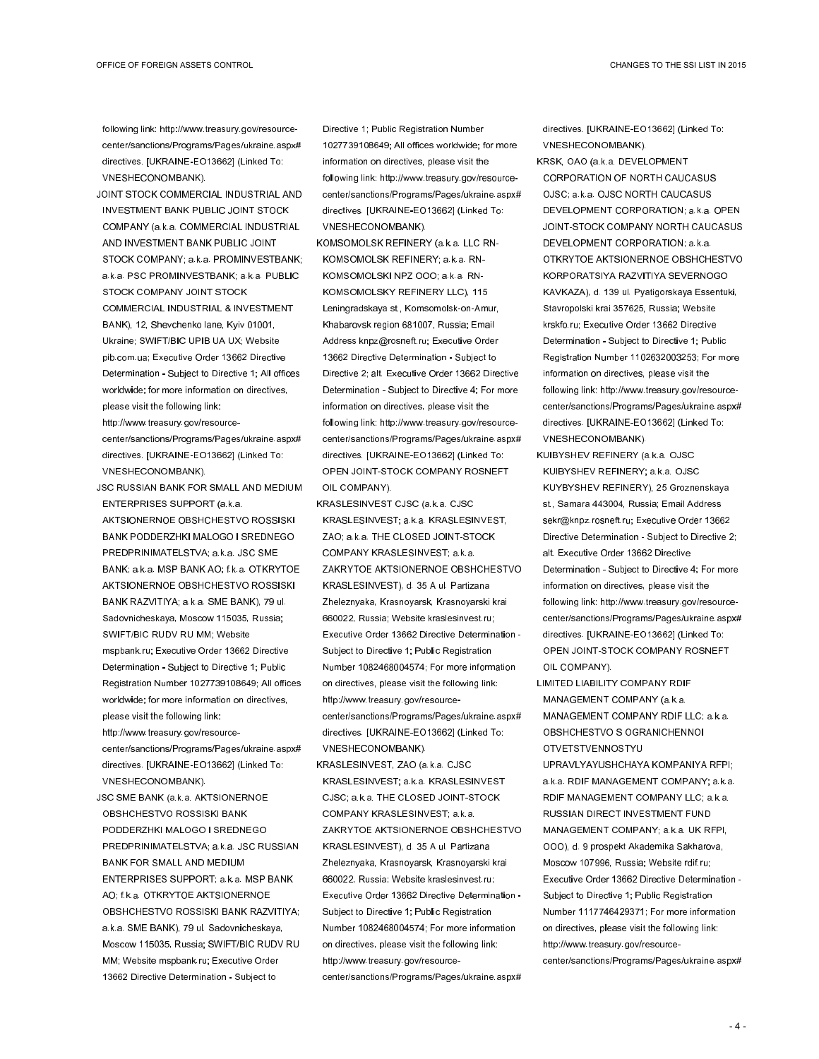following link: http://www.treasury.gov/resourcecenter/sanctions/Programs/Pages/ukraine.aspx# directives. [UKRAINE-EO13662] (Linked To: VNESHECONOMBANK).

JOINT STOCK COMMERCIAL INDUSTRIAL AND INVESTMENT BANK PUBLIC JOINT STOCK COMPANY (a.k.a. COMMERCIAL INDUSTRIAL AND INVESTMENT BANK PUBLIC JOINT STOCK COMPANY; a.k.a. PROMINVESTBANK; a.k.a. PSC PROMINVESTBANK; a.k.a. PUBLIC STOCK COMPANY JOINT STOCK COMMERCIAL INDUSTRIAL & INVESTMENT BANK), 12, Shevchenko lane, Kyiv 01001, Ukraine; SWIFT/BIC UPIB UA UX; Website pib.com.ua; Executive Order 13662 Directive Determination - Subject to Directive 1; All offices worldwide; for more information on directives, please visit the following link: http://www.treasury.gov/resource-

center/sanctions/Programs/Pages/ukraine.aspx# directives. [UKRAINE-EO13662] (Linked To: VNESHECONOMBANK).

- JSC RUSSIAN BANK FOR SMALL AND MEDIUM ENTERPRISES SUPPORT (a.k.a. AKTSIONERNOE OBSHCHESTVO ROSSISKI BANK PODDERZHKI MALOGO I SREDNEGO PREDPRINIMATELSTVA; a.k.a. JSC SME BANK; a.k.a. MSP BANK AO; f.k.a. OTKRYTOE AKTSIONERNOE OBSHCHESTVO ROSSISKI BANK RAZVITIYA; a.k.a. SME BANK), 79 ul. Sadovnicheskaya, Moscow 115035, Russia; SWIFT/BIC RUDV RU MM; Website mspbank.ru; Executive Order 13662 Directive Determination - Subject to Directive 1; Public Registration Number 1027739108649; All offices worldwide; for more information on directives, please visit the following link: http://www.treasury.gov/resourcecenter/sanctions/Programs/Pages/ukraine.aspx#
- directives. [UKRAINE-EO13662] (Linked To: VNESHECONOMBANK). JSC SME BANK (a.k.a. AKTSIONERNOE OBSHCHESTVO ROSSISKI BANK PODDERZHKI MALOGO I SREDNEGO PREDPRINIMATELSTVA; a.k.a. JSC RUSSIAN BANK FOR SMALL AND MEDIUM ENTERPRISES SUPPORT; a.k.a. MSP BANK AO; f.k.a. OTKRYTOE AKTSIONERNOE OBSHCHESTVO ROSSISKI BANK RAZVITIYA; a.k.a. SME BANK), 79 ul. Sadovnicheskaya, Moscow 115035, Russia; SWIFT/BIC RUDV RU

MM; Website mspbank.ru; Executive Order 13662 Directive Determination - Subject to

Directive 1; Public Registration Number 1027739108649; All offices worldwide; for more information on directives, please visit the following link: http://www.treasury.gov/resourcecenter/sanctions/Programs/Pages/ukraine.aspx# directives. [UKRAINE-EO13662] (Linked To: VNESHECONOMBANK).

KOMSOMOLSK REFINERY (a.k.a. LLC RN-KOMSOMOLSK REFINERY; a.k.a. RN-KOMSOMOLSKI NPZ OOO; a.k.a. RN-KOMSOMOLSKY REFINERY LLC), 115 Leningradskaya st., Komsomolsk-on-Amur, Khabarovsk region 681007, Russia; Email Address knpz@rosneft.ru; Executive Order 13662 Directive Determination - Subject to Directive 2; alt. Executive Order 13662 Directive Determination - Subject to Directive 4; For more information on directives, please visit the following link: http://www.treasury.gov/resourcecenter/sanctions/Programs/Pages/ukraine.aspx# directives. [UKRAINE-EO13662] (Linked To: OPEN JOINT-STOCK COMPANY ROSNEFT OIL COMPANY).

KRASLESINVEST CJSC (a.k.a. CJSC KRASLESINVEST; a.k.a. KRASLESINVEST, ZAO; a.k.a. THE CLOSED JOINT-STOCK COMPANY KRASLESINVEST; a.k.a. ZAKRYTOE AKTSIONERNOE OBSHCHESTVO KRASLESINVEST), d. 35 A ul. Partizana Zheleznyaka, Krasnoyarsk, Krasnoyarski krai 660022, Russia; Website kraslesinvest.ru; Executive Order 13662 Directive Determination - Subject to Directive 1; Public Registration Number 1082468004574; For more information on directives, please visit the following link: http://www.treasury.gov/resourcecenter/sanctions/Programs/Pages/ukraine.aspx# directives. [UKRAINE-EO13662] (Linked To: VNESHECONOMBANK).

KRASLESINVEST, ZAO (a.k.a. CJSC KRASLESINVEST; a.k.a. KRASLESINVEST CJSC; a.k.a. THE CLOSED JOINT-STOCK COMPANY KRASLESINVEST; a.k.a. ZAKRYTOE AKTSIONERNOE OBSHCHESTVO KRASLESINVEST), d. 35 A ul. Partizana Zheleznyaka, Krasnoyarsk, Krasnoyarski krai 660022, Russia; Website kraslesinvest.ru; Executive Order 13662 Directive Determination - Subject to Directive 1; Public Registration Number 1082468004574; For more information on directives, please visit the following link: http://www.treasury.gov/resourcecenter/sanctions/Programs/Pages/ukraine.aspx#

directives. [UKRAINE-EO13662] (Linked To: VNESHECONOMBANK).

KRSK, OAO (a.k.a. DEVELOPMENT CORPORATION OF NORTH CAUCASUS OJSC; a.k.a. OJSC NORTH CAUCASUS DEVELOPMENT CORPORATION; a.k.a. OPEN JOINT-STOCK COMPANY NORTH CAUCASUS DEVELOPMENT CORPORATION; a.k.a. OTKRYTOE AKTSIONERNOE OBSHCHESTVO KORPORATSIYA RAZVITIYA SEVERNOGO KAVKAZA), d. 139 ul. Pyatigorskaya Essentuki, Stavropolski krai 357625, Russia; Website krskfo.ru; Executive Order 13662 Directive Determination - Subject to Directive 1; Public Registration Number 1102632003253; For more information on directives, please visit the following link: http://www.treasury.gov/resourcecenter/sanctions/Programs/Pages/ukraine.aspx# directives. [UKRAINE-EO13662] (Linked To: VNESHECONOMBANK).

KUIBYSHEV REFINERY (a.k.a. OJSC KUIBYSHEV REFINERY; a.k.a. OJSC KUYBYSHEV REFINERY), 25 Groznenskaya st., Samara 443004, Russia; Email Address sekr@knpz.rosneft.ru; Executive Order 13662 Directive Determination - Subject to Directive 2; alt. Executive Order 13662 Directive Determination - Subject to Directive 4; For more information on directives, please visit the following link: http://www.treasury.gov/resourcecenter/sanctions/Programs/Pages/ukraine.aspx# directives. [UKRAINE-EO13662] (Linked To: OPEN JOINT-STOCK COMPANY ROSNEFT OIL COMPANY).

LIMITED LIABILITY COMPANY RDIF MANAGEMENT COMPANY (a.k.a. MANAGEMENT COMPANY RDIF LLC; a.k.a. OBSHCHESTVO S OGRANICHENNOI OTVETSTVENNOSTYU UPRAVLYAYUSHCHAYA KOMPANIYA RFPI; a.k.a. RDIF MANAGEMENT COMPANY; a.k.a. RDIF MANAGEMENT COMPANY LLC; a.k.a. RUSSIAN DIRECT INVESTMENT FUND MANAGEMENT COMPANY; a.k.a. UK RFPI, OOO), d. 9 prospekt Akademika Sakharova, Moscow 107996, Russia; Website rdif.ru; Executive Order 13662 Directive Determination -

Subject to Directive 1; Public Registration Number 1117746429371; For more information on directives, please visit the following link: http://www.treasury.gov/resourcecenter/sanctions/Programs/Pages/ukraine.aspx#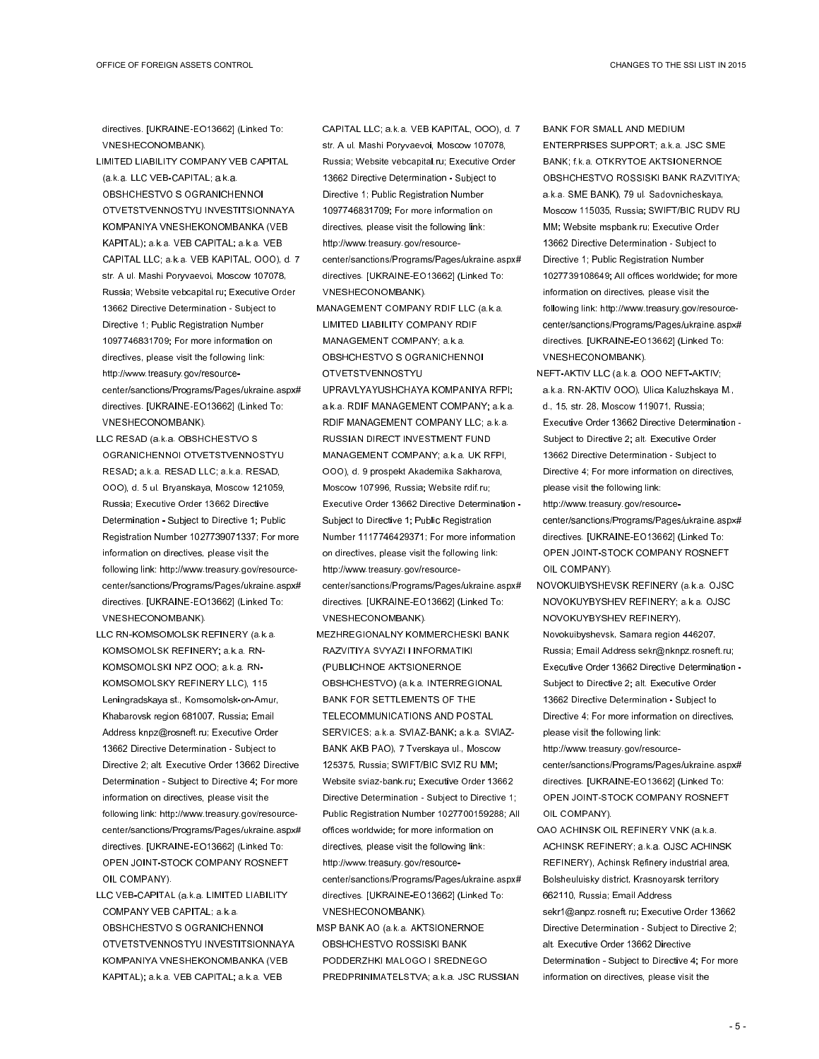directives. [UKRAINE-EO13662] (Linked To: VNESHECONOMBANK).

- LIMITED LIABILITY COMPANY VEB CAPITAL (a.k.a. LLC VEB-CAPITAL; a.k.a. OBSHCHESTVO S OGRANICHENNOI OTVETSTVENNOSTYU INVESTITSIONNAYA KOMPANIYA VNESHEKONOMBANKA (VEB KAPITAL); a.k.a. VEB CAPITAL; a.k.a. VEB CAPITAL LLC; a.k.a. VEB KAPITAL, OOO), d. 7 str. A ul. Mashi Poryvaevoi, Moscow 107078, Russia; Website vebcapital.ru; Executive Order 13662 Directive Determination - Subject to Directive 1; Public Registration Number 1097746831709; For more information on directives, please visit the following link: http://www.treasury.gov/resourcecenter/sanctions/Programs/Pages/ukraine.aspx# directives. [UKRAINE-EO13662] (Linked To: VNESHECONOMBANK).
- LLC RESAD (a.k.a. OBSHCHESTVO S OGRANICHENNOI OTVETSTVENNOSTYU RESAD; a.k.a. RESAD LLC; a.k.a. RESAD, OOO), d. 5 ul. Bryanskaya, Moscow 121059, Russia; Executive Order 13662 Directive Determination - Subject to Directive 1; Public Registration Number 1027739071337; For more information on directives, please visit the following link: http://www.treasury.gov/resourcecenter/sanctions/Programs/Pages/ukraine.aspx# directives. [UKRAINE-EO13662] (Linked To: VNESHECONOMBANK).
- LLC RN-KOMSOMOLSK REFINERY (a.k.a. KOMSOMOLSK REFINERY; a.k.a. RN-KOMSOMOLSKI NPZ OOO; a.k.a. RN-KOMSOMOLSKY REFINERY LLC), 115 Leningradskaya st., Komsomolsk-on-Amur, Khabarovsk region 681007, Russia; Email Address knpz@rosneft.ru; Executive Order 13662 Directive Determination - Subject to Directive 2; alt. Executive Order 13662 Directive Determination - Subject to Directive 4; For more information on directives, please visit the following link: http://www.treasury.gov/resourcecenter/sanctions/Programs/Pages/ukraine.aspx# directives. [UKRAINE-EO13662] (Linked To: OPEN JOINT-STOCK COMPANY ROSNEFT OIL COMPANY).
- LLC VEB-CAPITAL (a.k.a. LIMITED LIABILITY COMPANY VEB CAPITAL; a.k.a. OBSHCHESTVO S OGRANICHENNOI OTVETSTVENNOSTYU INVESTITSIONNAYA KOMPANIYA VNESHEKONOMBANKA (VEB KAPITAL); a.k.a. VEB CAPITAL; a.k.a. VEB

CAPITAL LLC; a.k.a. VEB KAPITAL, OOO), d. 7 str. A ul. Mashi Poryvaevoi, Moscow 107078, Russia; Website vebcapital.ru; Executive Order 13662 Directive Determination - Subject to Directive 1; Public Registration Number 1097746831709; For more information on directives, please visit the following link: http://www.treasury.gov/resourcecenter/sanctions/Programs/Pages/ukraine.aspx#

directives. [UKRAINE-EO13662] (Linked To: VNESHECONOMBANK).

MANAGEMENT COMPANY RDIF LLC (a.k.a. LIMITED LIABILITY COMPANY RDIF MANAGEMENT COMPANY; a.k.a. OBSHCHESTVO S OGRANICHENNOI OTVETSTVENNOSTYU

UPRAVLYAYUSHCHAYA KOMPANIYA RFPI; a.k.a. RDIF MANAGEMENT COMPANY; a.k.a. RDIF MANAGEMENT COMPANY LLC; a.k.a. RUSSIAN DIRECT INVESTMENT FUND MANAGEMENT COMPANY; a.k.a. UK RFPI, OOO), d. 9 prospekt Akademika Sakharova, Moscow 107996, Russia; Website rdif.ru; Executive Order 13662 Directive Determination - Subject to Directive 1; Public Registration Number 1117746429371; For more information on directives, please visit the following link: http://www.treasury.gov/resourcecenter/sanctions/Programs/Pages/ukraine.aspx# directives. [UKRAINE-EO13662] (Linked To: VNESHECONOMBANK).

- MEZHREGIONALNY KOMMERCHESKI BANK RAZVITIYA SVYAZI I INFORMATIKI (PUBLICHNOE AKTSIONERNOE OBSHCHESTVO) (a.k.a. INTERREGIONAL BANK FOR SETTLEMENTS OF THE TELECOMMUNICATIONS AND POSTAL SERVICES; a.k.a. SVIAZ-BANK; a.k.a. SVIAZ-BANK AKB PAO), 7 Tverskaya ul., Moscow 125375, Russia; SWIFT/BIC SVIZ RU MM; Website sviaz-bank.ru; Executive Order 13662 Directive Determination - Subject to Directive 1; Public Registration Number 1027700159288; All offices worldwide; for more information on directives, please visit the following link: http://www.treasury.gov/resourcecenter/sanctions/Programs/Pages/ukraine.aspx# directives. [UKRAINE-EO13662] (Linked To: VNESHECONOMBANK).
- MSP BANK AO (a.k.a. AKTSIONERNOE OBSHCHESTVO ROSSISKI BANK PODDERZHKI MALOGO I SREDNEGO PREDPRINIMATELSTVA; a.k.a. JSC RUSSIAN

BANK FOR SMALL AND MEDIUM ENTERPRISES SUPPORT; a.k.a. JSC SME BANK; f.k.a. OTKRYTOE AKTSIONERNOE OBSHCHESTVO ROSSISKI BANK RAZVITIYA; a.k.a. SME BANK), 79 ul. Sadovnicheskaya, Moscow 115035, Russia; SWIFT/BIC RUDV RU MM; Website mspbank.ru; Executive Order 13662 Directive Determination - Subject to Directive 1; Public Registration Number 1027739108649; All offices worldwide; for more information on directives, please visit the following link: http://www.treasury.gov/resourcecenter/sanctions/Programs/Pages/ukraine.aspx# directives. [UKRAINE-EO13662] (Linked To: VNESHECONOMBANK).

NEFT-AKTIV LLC (a.k.a. OOO NEFT-AKTIV; a.k.a. RN-AKTIV OOO), Ulica Kaluzhskaya M., d., 15, str. 28, Moscow 119071, Russia; Executive Order 13662 Directive Determination - Subject to Directive 2; alt. Executive Order 13662 Directive Determination - Subject to Directive 4; For more information on directives, please visit the following link:

http://www.treasury.gov/resourcecenter/sanctions/Programs/Pages/ukraine.aspx# directives. [UKRAINE-EO13662] (Linked To: OPEN JOINT-STOCK COMPANY ROSNEFT OIL COMPANY).

NOVOKUIBYSHEVSK REFINERY (a.k.a. OJSC NOVOKUYBYSHEV REFINERY; a.k.a. OJSC NOVOKUYBYSHEV REFINERY), Novokuibyshevsk, Samara region 446207, Russia; Email Address sekr@nknpz.rosneft.ru; Executive Order 13662 Directive Determination - Subject to Directive 2; alt. Executive Order 13662 Directive Determination - Subject to Directive 4; For more information on directives, please visit the following link:

http://www.treasury.gov/resourcecenter/sanctions/Programs/Pages/ukraine.aspx# directives. [UKRAINE-EO13662] (Linked To: OPEN JOINT-STOCK COMPANY ROSNEFT OIL COMPANY).

OAO ACHINSK OIL REFINERY VNK (a.k.a. ACHINSK REFINERY; a.k.a. OJSC ACHINSK REFINERY), Achinsk Refinery industrial area, Bolsheuluisky district, Krasnoyarsk territory 662110, Russia; Email Address sekr1@anpz.rosneft.ru; Executive Order 13662 Directive Determination - Subject to Directive 2; alt. Executive Order 13662 Directive Determination - Subject to Directive 4; For more information on directives, please visit the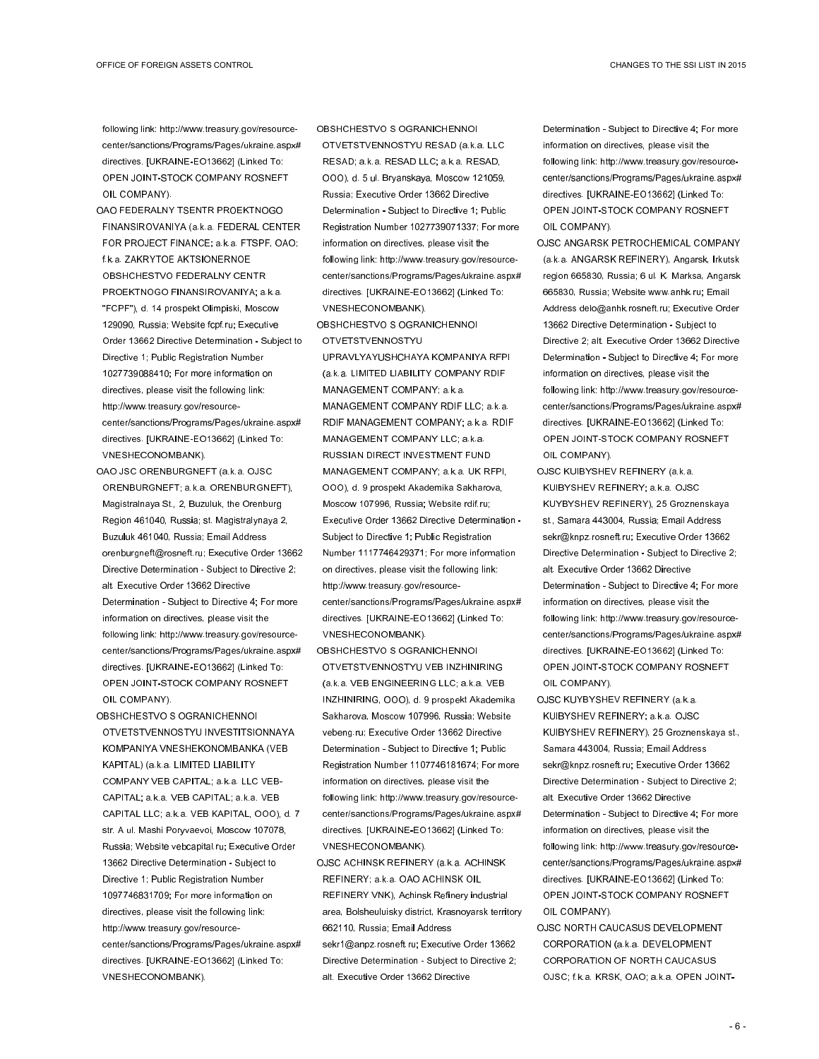following link: http://www.treasury.gov/resourcecenter/sanctions/Programs/Pages/ukraine.aspx# directives. [UKRAINE-EO13662] (Linked To: OPEN JOINT-STOCK COMPANY ROSNEFT OIL COMPANY).

- OAO FEDERALNY TSENTR PROEKTNOGO FINANSIROVANIYA (a.k.a. FEDERAL CENTER FOR PROJECT FINANCE; a.k.a. FTSPF, OAO; fk.a. ZAKRYTOE AKTSIONERNOE OBSHCHESTVO FEDERALNY CENTR PROEKTNOGO FINANSIROVANIYA; a.k.a. "FCPF"), d. 14 prospekt Olimpiski, Moscow 129090, Russia; Website fcpf.ru; Executive Order 13662 Directive Determination - Subject to Directive 1; Public Registration Number 1027739088410; For more information on directives, please visit the following link: http://www.treasury.gov/resourcecenter/sanctions/Programs/Pages/ukraine.aspx# directives. [UKRAINE-EO13662] (Linked To: VNESHECONOMBANK).
- OAO JSC ORENBURGNEFT (a.k.a. OJSC ORENBURGNEFT; a.k.a. ORENBURGNEFT), Magistralnaya St., 2, Buzuluk, the Orenburg Region 461040, Russia; st. Magistralynaya 2, Buzuluk 461040, Russia; Email Address orenburgneft@rosneft.ru; Executive Order 13662 Directive Determination - Subject to Directive 2; alt. Executive Order 13662 Directive Determination - Subject to Directive 4; For more information on directives, please visit the following link: http://www.treasury.gov/resourcecenter/sanctions/Programs/Pages/ukraine.aspx# directives. [UKRAINE-EO13662] (Linked To: OPEN JOINT-STOCK COMPANY ROSNEFT OIL COMPANY).
- OBSHCHESTVO S OGRANICHENNOI OTVETSTVENNOSTYU INVESTITSIONNAYA KOMPANIYA VNESHEKONOMBANKA (VEB KAPITAL) (a.k.a. LIMITED LIABILITY COMPANY VEB CAPITAL; a.k.a. LLC VEB-CAPITAL; a.k.a. VEB CAPITAL; a.k.a. VEB CAPITAL LLC; a.k.a. VEB KAPITAL, OOO), d. 7 str. A ul. Mashi Poryvaevoi, Moscow 107078, Russia; Website vebcapital.ru; Executive Order 13662 Directive Determination - Subject to Directive 1; Public Registration Number 1097746831709; For more information on directives, please visit the following link: http://www.treasury.gov/resourcecenter/sanctions/Programs/Pages/ukraine.aspx# directives. [UKRAINE-EO13662] (Linked To: VNESHECONOMBANK).

OBSHCHESTVO S OGRANICHENNOI OTVETSTVENNOSTYU RESAD (a.k.a. LLC RESAD; a.k.a. RESAD LLC; a.k.a. RESAD, OOO), d. 5 ul. Bryanskaya, Moscow 121059, Russia; Executive Order 13662 Directive Determination - Subject to Directive 1; Public Registration Number 1027739071337; For more information on directives, please visit the following link: http://www.treasury.gov/resourcecenter/sanctions/Programs/Pages/ukraine.aspx# directives. [UKRAINE-EO13662] (Linked To: VNESHECONOMBANK).

OBSHCHESTVO S OGRANICHENNOI OTVETSTVENNOSTYU

UPRAVLYAYUSHCHAYA KOMPANIYA RFPI (a.k.a. LIMITED LIABILITY COMPANY RDIF MANAGEMENT COMPANY; a.k.a. MANAGEMENT COMPANY RDIF LLC; a.k.a. RDIF MANAGEMENT COMPANY; a.k.a. RDIF MANAGEMENT COMPANY LLC; a.k.a. RUSSIAN DIRECT INVESTMENT FUND MANAGEMENT COMPANY; a.k.a. UK RFPI, OOO), d. 9 prospekt Akademika Sakharova, Moscow 107996, Russia; Website rdif.ru; Executive Order 13662 Directive Determination - Subject to Directive 1; Public Registration Number 1117746429371; For more information on directives, please visit the following link: http://www.treasury.gov/resourcecenter/sanctions/Programs/Pages/ukraine.aspx# directives. [UKRAINE-EO13662] (Linked To: VNESHECONOMBANK).

- OBSHCHESTVO S OGRANICHENNOI OTVETSTVENNOSTYU VEB INZHINIRING (a.k.a. VEB ENGINEERING LLC; a.k.a. VEB INZHINIRING, OOO), d. 9 prospekt Akademika Sakharova, Moscow 107996, Russia; Website vebeng.ru; Executive Order 13662 Directive Determination - Subject to Directive 1; Public Registration Number 1107746181674; For more information on directives, please visit the following link: http://www.treasury.gov/resourcecenter/sanctions/Programs/Pages/ukraine.aspx# directives. [UKRAINE-EO13662] (Linked To: VNESHECONOMBANK).
- OJSC ACHINSK REFINERY (a.k.a. ACHINSK REFINERY; a.k.a. OAO ACHINSK OIL REFINERY VNK), Achinsk Refinery industrial area, Bolsheuluisky district, Krasnoyarsk territory 662110, Russia; Email Address sekr1@anpz.rosneft.ru; Executive Order 13662 Directive Determination - Subject to Directive 2; alt. Executive Order 13662 Directive

Determination - Subject to Directive 4; For more information on directives, please visit the following link: http://www.treasury.gov/resourcecenter/sanctions/Programs/Pages/ukraine.aspx# directives. [UKRAINE-EO13662] (Linked To: OPEN JOINT-STOCK COMPANY ROSNEFT OIL COMPANY).

- OJSC ANGARSK PETROCHEMICAL COMPANY (a.k.a. ANGARSK REFINERY), Angarsk, Irkutsk region 665830, Russia; 6 ul. K. Marksa, Angarsk 665830, Russia; Website www.anhk.ru; Email Address delo@anhk.rosneft.ru; Executive Order 13662 Directive Determination - Subject to Directive 2; alt. Executive Order 13662 Directive Determination - Subject to Directive 4; For more information on directives, please visit the following link: http://www.treasury.gov/resourcecenter/sanctions/Programs/Pages/ukraine.aspx# directives. [UKRAINE-EO13662] (Linked To: OPEN JOINT-STOCK COMPANY ROSNEFT OIL COMPANY).
- OJSC KUIBYSHEV REFINERY (a.k.a. KUIBYSHEV REFINERY; a.k.a. OJSC KUYBYSHEV REFINERY), 25 Groznenskaya st., Samara 443004, Russia; Email Address sekr@knpz.rosneft.ru; Executive Order 13662 Directive Determination - Subject to Directive 2; alt. Executive Order 13662 Directive Determination - Subject to Directive 4; For more information on directives, please visit the following link: http://www.treasury.gov/resourcecenter/sanctions/Programs/Pages/ukraine.aspx# directives. [UKRAINE-EO13662] (Linked To: OPEN JOINT-STOCK COMPANY ROSNEFT OIL COMPANY).
- OJSC KUYBYSHEV REFINERY (a.k.a. KUIBYSHEV REFINERY; a.k.a. OJSC KUIBYSHEV REFINERY), 25 Groznenskaya st., Samara 443004, Russia; Email Address sekr@knpz.rosneft.ru; Executive Order 13662 Directive Determination - Subject to Directive 2; alt. Executive Order 13662 Directive Determination - Subject to Directive 4; For more information on directives, please visit the following link: http://www.treasury.gov/resourcecenter/sanctions/Programs/Pages/ukraine.aspx# directives. [UKRAINE-EO13662] (Linked To: OPEN JOINT-STOCK COMPANY ROSNEFT OIL COMPANY).
- OJSC NORTH CAUCASUS DEVELOPMENT CORPORATION (a.k.a. DEVELOPMENT CORPORATION OF NORTH CAUCASUS OJSC; f.k.a. KRSK, OAO; a.k.a. OPEN JOINT-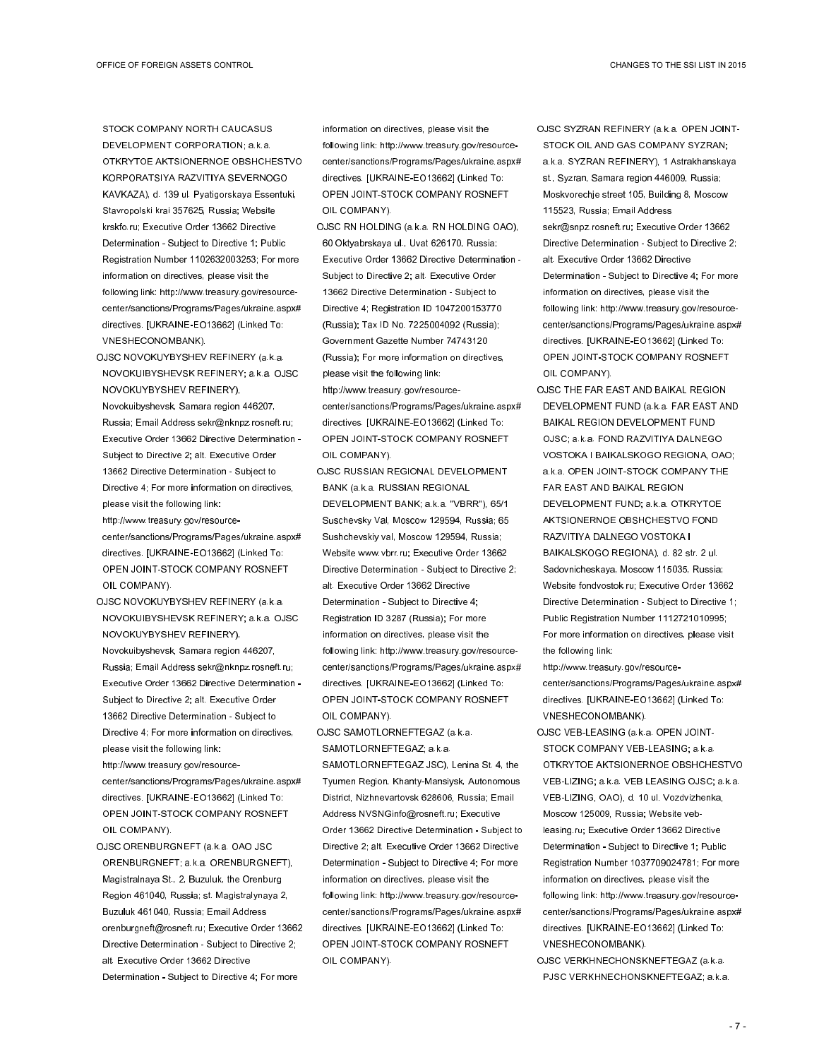STOCK COMPANY NORTH CAUCASUS DEVELOPMENT CORPORATION; a.k.a. OTKRYTOE AKTSIONERNOE OBSHCHESTVO KORPORATSIYA RAZVITIYA SEVERNOGO KAVKAZA), d. 139 ul. Pyatigorskaya Essentuki, Stavropolski krai 357625, Russia; Website krskfo.ru; Executive Order 13662 Directive Determination - Subject to Directive 1; Public Registration Number 1102632003253; For more information on directives, please visit the following link: http://www.treasury.gov/resourcecenter/sanctions/Programs/Pages/ukraine.aspx# directives. [UKRAINE-EO13662] (Linked To: VNESHECONOMBANK).

- OJSC NOVOKUYBYSHEV REFINERY (a.k.a. NOVOKUIBYSHEVSK REFINERY; a.k.a. OJSC NOVOKUYBYSHEV REFINERY), Novokuibyshevsk, Samara region 446207, Russia; Email Address sekr@nknpz.rosneft.ru; Executive Order 13662 Directive Determination - Subject to Directive 2; alt. Executive Order 13662 Directive Determination - Subject to Directive 4; For more information on directives, please visit the following link: http://www.treasury.gov/resourcecenter/sanctions/Programs/Pages/ukraine.aspx# directives. [UKRAINE-EO13662] (Linked To:
- OPEN JOINT-STOCK COMPANY ROSNEFT OIL COMPANY). OJSC NOVOKUYBYSHEV REFINERY (a.k.a.
- NOVOKUIBYSHEVSK REFINERY; a.k.a. OJSC NOVOKUYBYSHEV REFINERY), Novokuibyshevsk, Samara region 446207, Russia; Email Address sekr@nknpz.rosneft.ru; Executive Order 13662 Directive Determination - Subject to Directive 2; alt. Executive Order 13662 Directive Determination - Subject to Directive 4; For more information on directives, please visit the following link: http://www.treasury.gov/resourcecenter/sanctions/Programs/Pages/ukraine.aspx#
- directives. [UKRAINE-EO13662] (Linked To: OPEN JOINT-STOCK COMPANY ROSNEFT OIL COMPANY).
- OJSC ORENBURGNEFT (a.k.a. OAO JSC ORENBURGNEFT; a.k.a. ORENBURGNEFT), Magistralnaya St., 2, Buzuluk, the Orenburg Region 461040, Russia; st. Magistralynaya 2, Buzuluk 461040, Russia; Email Address orenburgneft@rosneft.ru; Executive Order 13662 Directive Determination - Subject to Directive 2; alt. Executive Order 13662 Directive Determination - Subject to Directive 4; For more

information on directives, please visit the following link: http://www.treasury.gov/resourcecenter/sanctions/Programs/Pages/ukraine.aspx# directives. [UKRAINE-EO13662] (Linked To: OPEN JOINT-STOCK COMPANY ROSNEFT OIL COMPANY).

OJSC RN HOLDING (a.k.a. RN HOLDING OAO), 60 Oktyabrskaya ul., Uvat 626170, Russia; Executive Order 13662 Directive Determination - Subject to Directive 2; alt. Executive Order 13662 Directive Determination - Subject to Directive 4; Registration ID 1047200153770 (Russia); Tax ID No. 7225004092 (Russia); Government Gazette Number 74743120 (Russia); For more information on directives, please visit the following link:

http://www.treasury.gov/resourcecenter/sanctions/Programs/Pages/ukraine.aspx# directives. [UKRAINE-EO13662] (Linked To: OPEN JOINT-STOCK COMPANY ROSNEFT OIL COMPANY).

OJSC RUSSIAN REGIONAL DEVELOPMENT BANK (a.k.a. RUSSIAN REGIONAL DEVELOPMENT BANK; a.k.a. "VBRR"), 65/1 Suschevsky Val, Moscow 129594, Russia; 65 Sushchevskiy val, Moscow 129594, Russia; Website www.vbrr.ru; Executive Order 13662 Directive Determination - Subject to Directive 2; alt. Executive Order 13662 Directive Determination - Subject to Directive 4; Registration ID 3287 (Russia); For more information on directives, please visit the following link: http://www.treasury.gov/resourcecenter/sanctions/Programs/Pages/ukraine.aspx# directives. [UKRAINE-EO13662] (Linked To: OPEN JOINT-STOCK COMPANY ROSNEFT OIL COMPANY).

OJSC SAMOTLORNEFTEGAZ (a.k.a. SAMOTLORNEFTEGAZ; a.k.a.

SAMOTLORNEFTEGAZ JSC), Lenina St. 4, the Tyumen Region, Khanty-Mansiysk, Autonomous District, Nizhnevartovsk 628606, Russia; Email Address NVSNGinfo@rosneft.ru; Executive Order 13662 Directive Determination - Subject to Directive 2; alt. Executive Order 13662 Directive Determination - Subject to Directive 4; For more information on directives, please visit the following link: http://www.treasury.gov/resourcecenter/sanctions/Programs/Pages/ukraine.aspx# directives. [UKRAINE-EO13662] (Linked To: OPEN JOINT-STOCK COMPANY ROSNEFT OIL COMPANY).

- OJSC SYZRAN REFINERY (a.k.a. OPEN JOINT-STOCK OIL AND GAS COMPANY SYZRAN; a.k.a. SYZRAN REFINERY), 1 Astrakhanskaya st., Syzran, Samara region 446009, Russia; Moskvorechje street 105, Building 8, Moscow 115523, Russia; Email Address sekr@snpz.rosneft.ru; Executive Order 13662 Directive Determination - Subject to Directive 2; alt. Executive Order 13662 Directive Determination - Subject to Directive 4; For more information on directives, please visit the following link: http://www.treasury.gov/resourcecenter/sanctions/Programs/Pages/ukraine.aspx# directives. [UKRAINE-EO13662] (Linked To: OPEN JOINT-STOCK COMPANY ROSNEFT OIL COMPANY).
- OJSC THE FAR EAST AND BAIKAL REGION DEVELOPMENT FUND (a.k.a. FAR EAST AND BAIKAL REGION DEVELOPMENT FUND OJSC; a.k.a. FOND RAZVITIYA DALNEGO VOSTOKA I BAIKALSKOGO REGIONA, OAO; a.k.a. OPEN JOINT-STOCK COMPANY THE FAR EAST AND BAIKAL REGION DEVELOPMENT FUND; a.k.a. OTKRYTOE AKTSIONERNOE OBSHCHESTVO FOND RAZVITIYA DALNEGO VOSTOKA I BAIKALSKOGO REGIONA), d. 82 str. 2 ul. Sadovnicheskaya, Moscow 115035, Russia; Website fondvostok.ru; Executive Order 13662 Directive Determination - Subject to Directive 1; Public Registration Number 1112721010995; For more information on directives, please visit the following link:

http://www.treasury.gov/resourcecenter/sanctions/Programs/Pages/ukraine.aspx# directives. [UKRAINE-EO13662] (Linked To: VNESHECONOMBANK).

- OJSC VEB-LEASING (a.k.a. OPEN JOINT-STOCK COMPANY VEB-LEASING; a.k.a. OTKRYTOE AKTSIONERNOE OBSHCHESTVO VEB-LIZING; a.k.a. VEB LEASING OJSC; a.k.a. VEB-LIZING, OAO), d. 10 ul. Vozdvizhenka, Moscow 125009, Russia; Website vebleasing.ru; Executive Order 13662 Directive Determination - Subject to Directive 1; Public Registration Number 1037709024781; For more information on directives, please visit the following link: http://www.treasury.gov/resourcecenter/sanctions/Programs/Pages/ukraine.aspx# directives. [UKRAINE-EO13662] (Linked To: VNESHECONOMBANK).
- OJSC VERKHNECHONSKNEFTEGAZ (a.k.a. PJSC VERKHNECHONSKNEFTEGAZ; a.k.a.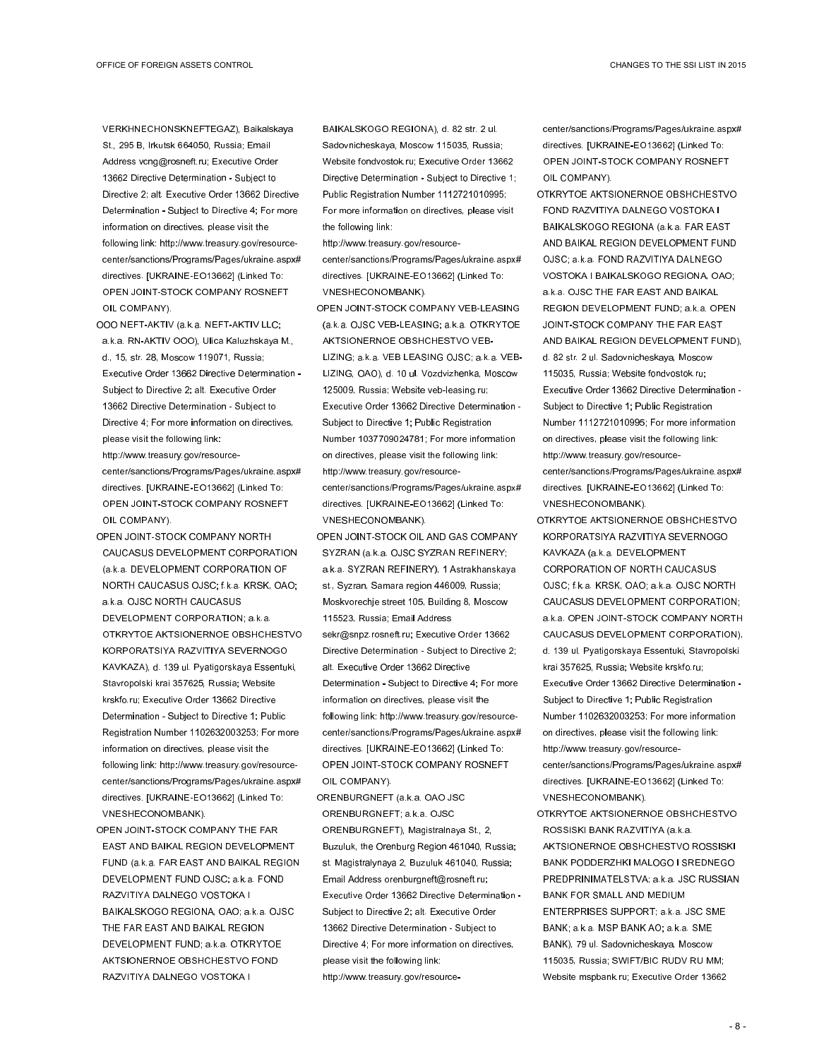VERKHNECHONSKNEFTEGAZ), Baikalskaya St., 295 B, Irkutsk 664050, Russia; Email Address vcng@rosneft.ru; Executive Order 13662 Directive Determination - Subject to Directive 2; alt. Executive Order 13662 Directive Determination - Subject to Directive 4; For more information on directives, please visit the following link: http://www.treasury.gov/resourcecenter/sanctions/Programs/Pages/ukraine.aspx# directives. [UKRAINE-EO13662] (Linked To: OPEN JOINT-STOCK COMPANY ROSNEFT OIL COMPANY).

- OOO NEFT-AKTIV (a.k.a. NEFT-AKTIV LLC; a.k.a. RN-AKTIV OOO), Ulica Kaluzhskaya M., d., 15, str. 28, Moscow 119071, Russia; Executive Order 13662 Directive Determination - Subject to Directive 2; alt. Executive Order 13662 Directive Determination - Subject to Directive 4; For more information on directives, please visit the following link: http://www.treasury.gov/resourcecenter/sanctions/Programs/Pages/ukraine.aspx# directives. [UKRAINE-EO13662] (Linked To:
- OPEN JOINT-STOCK COMPANY ROSNEFT OIL COMPANY). OPEN JOINT-STOCK COMPANY NORTH
- CAUCASUS DEVELOPMENT CORPORATION (a.k.a. DEVELOPMENT CORPORATION OF NORTH CAUCASUS OJSC; f.k.a. KRSK, OAO; a.k.a. OJSC NORTH CAUCASUS DEVELOPMENT CORPORATION; a.k.a. OTKRYTOE AKTSIONERNOE OBSHCHESTVO KORPORATSIYA RAZVITIYA SEVERNOGO KAVKAZA), d. 139 ul. Pyatigorskaya Essentuki, Stavropolski krai 357625, Russia; Website krskfo.ru; Executive Order 13662 Directive Determination - Subject to Directive 1; Public Registration Number 1102632003253; For more information on directives, please visit the following link: http://www.treasury.gov/resourcecenter/sanctions/Programs/Pages/ukraine.aspx# directives. [UKRAINE-EO13662] (Linked To: VNESHECONOMBANK).
- OPEN JOINT-STOCK COMPANY THE FAR EAST AND BAIKAL REGION DEVELOPMENT FUND (a.k.a. FAR EAST AND BAIKAL REGION DEVELOPMENT FUND OJSC; a.k.a. FOND RAZVITIYA DALNEGO VOSTOKA I BAIKALSKOGO REGIONA, OAO; a.k.a. OJSC THE FAR EAST AND BAIKAL REGION DEVELOPMENT FUND; a.k.a. OTKRYTOE AKTSIONERNOE OBSHCHESTVO FOND RAZVITIYA DALNEGO VOSTOKA I

BAIKALSKOGO REGIONA), d. 82 str. 2 ul. Sadovnicheskaya, Moscow 115035, Russia; Website fondvostok.ru; Executive Order 13662 Directive Determination - Subject to Directive 1; Public Registration Number 1112721010995; For more information on directives, please visit the following link:

- http://www.treasury.gov/resource-
- center/sanctions/Programs/Pages/ukraine.aspx# directives. [UKRAINE-EO13662] (Linked To: VNESHECONOMBANK).
- OPEN JOINT-STOCK COMPANY VEB-LEASING (a.k.a. OJSC VEB-LEASING; a.k.a. OTKRYTOE AKTSIONERNOE OBSHCHESTVO VEB-LIZING; a.k.a. VEB LEASING OJSC; a.k.a. VEB-LIZING, OAO), d. 10 ul. Vozdvizhenka, Moscow 125009, Russia; Website veb-leasing.ru; Executive Order 13662 Directive Determination - Subject to Directive 1; Public Registration Number 1037709024781; For more information on directives, please visit the following link: http://www.treasury.gov/resourcecenter/sanctions/Programs/Pages/ukraine.aspx# directives. [UKRAINE-EO13662] (Linked To: VNESHECONOMBANK).
- OPEN JOINT-STOCK OIL AND GAS COMPANY SYZRAN (a.k.a. OJSC SYZRAN REFINERY; a.k.a. SYZRAN REFINERY), 1 Astrakhanskaya st., Syzran, Samara region 446009, Russia; Moskvorechje street 105, Building 8, Moscow 115523, Russia; Email Address sekr@snpz.rosneft.ru; Executive Order 13662
- Directive Determination Subject to Directive 2; alt. Executive Order 13662 Directive Determination - Subject to Directive 4; For more information on directives, please visit the following link: http://www.treasury.gov/resourcecenter/sanctions/Programs/Pages/ukraine.aspx# directives. [UKRAINE-EO13662] (Linked To: OPEN JOINT-STOCK COMPANY ROSNEFT OIL COMPANY).
- ORENBURGNEFT (a.k.a. OAO JSC ORENBURGNEFT; a.k.a. OJSC ORENBURGNEFT), Magistralnaya St., 2, Buzuluk, the Orenburg Region 461040, Russia; st. Magistralynaya 2, Buzuluk 461040, Russia; Email Address orenburgneft@rosneft.ru; Executive Order 13662 Directive Determination - Subject to Directive 2; alt. Executive Order 13662 Directive Determination - Subject to Directive 4; For more information on directives, please visit the following link: http://www.treasury.gov/resource-

center/sanctions/Programs/Pages/ukraine.aspx# directives. [UKRAINE-EO13662] (Linked To: OPEN JOINT-STOCK COMPANY ROSNEFT OIL COMPANY).

- OTKRYTOE AKTSIONERNOE OBSHCHESTVO FOND RAZVITIYA DALNEGO VOSTOKA I BAIKALSKOGO REGIONA (a.k.a. FAR EAST AND BAIKAL REGION DEVELOPMENT FUND OJSC; a.k.a. FOND RAZVITIYA DALNEGO VOSTOKA I BAIKALSKOGO REGIONA, OAO; a.k.a. OJSC THE FAR EAST AND BAIKAL REGION DEVELOPMENT FUND; a.k.a. OPEN JOINT-STOCK COMPANY THE FAR EAST AND BAIKAL REGION DEVELOPMENT FUND), d. 82 str. 2 ul. Sadovnicheskaya, Moscow 115035, Russia; Website fondvostok.ru; Executive Order 13662 Directive Determination - Subject to Directive 1; Public Registration Number 1112721010995; For more information on directives, please visit the following link: http://www.treasury.gov/resourcecenter/sanctions/Programs/Pages/ukraine.aspx# directives. [UKRAINE-EO13662] (Linked To: VNESHECONOMBANK).
- OTKRYTOE AKTSIONERNOE OBSHCHESTVO KORPORATSIYA RAZVITIYA SEVERNOGO KAVKAZA (a.k.a. DEVELOPMENT CORPORATION OF NORTH CAUCASUS OJSC; f.k.a. KRSK, OAO; a.k.a. OJSC NORTH CAUCASUS DEVELOPMENT CORPORATION; a.k.a. OPEN JOINT-STOCK COMPANY NORTH CAUCASUS DEVELOPMENT CORPORATION), d. 139 ul. Pyatigorskaya Essentuki, Stavropolski krai 357625, Russia; Website krskfo.ru; Executive Order 13662 Directive Determination - Subject to Directive 1; Public Registration Number 1102632003253; For more information on directives, please visit the following link: http://www.treasury.gov/resourcecenter/sanctions/Programs/Pages/ukraine.aspx# directives. [UKRAINE-EO13662] (Linked To: VNESHECONOMBANK).
- OTKRYTOE AKTSIONERNOE OBSHCHESTVO ROSSISKI BANK RAZVITIYA (a.k.a. AKTSIONERNOE OBSHCHESTVO ROSSISKI BANK PODDERZHKI MALOGO I SREDNEGO PREDPRINIMATELSTVA; a.k.a. JSC RUSSIAN BANK FOR SMALL AND MEDIUM ENTERPRISES SUPPORT; a.k.a. JSC SME BANK; a.k.a. MSP BANK AO; a.k.a. SME BANK), 79 ul. Sadovnicheskaya, Moscow 115035, Russia; SWIFT/BIC RUDV RU MM; Website mspbank.ru; Executive Order 13662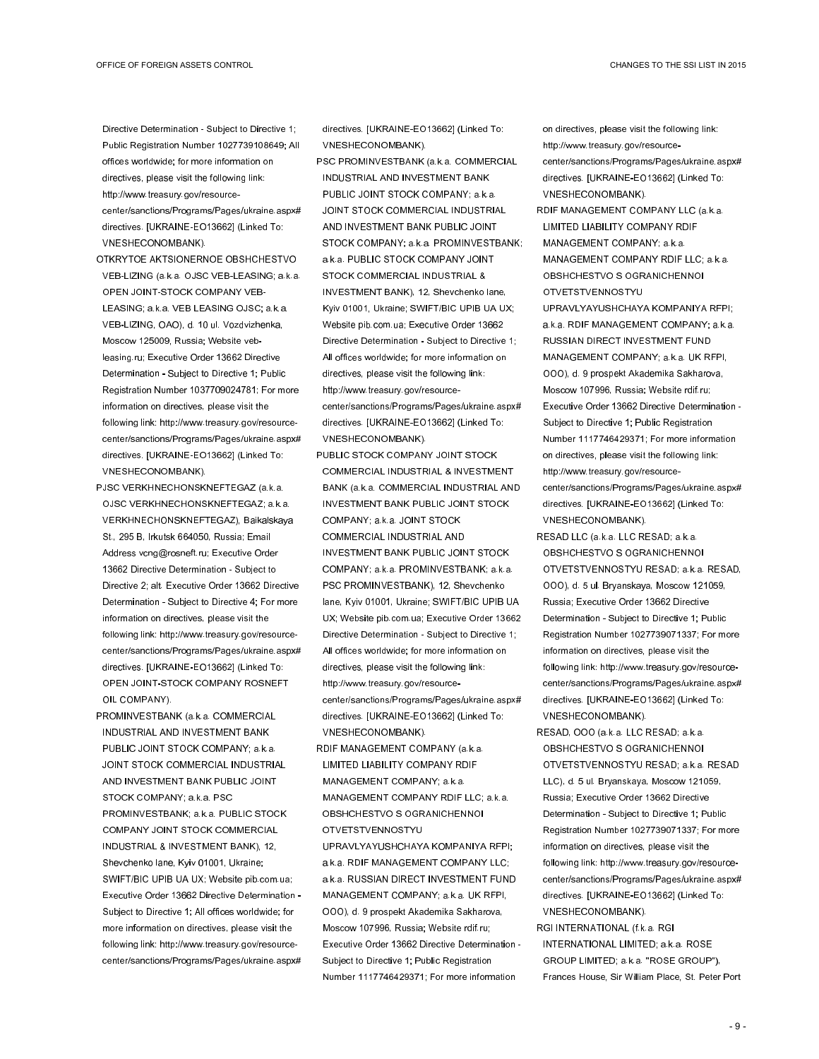Directive Determination - Subject to Directive 1; Public Registration Number 1027739108649; All offices worldwide; for more information on directives, please visit the following link: http://www.treasury.gov/resourcecenter/sanctions/Programs/Pages/ukraine.aspx# directives. [UKRAINE-EO13662] (Linked To: VNESHECONOMBANK).

- OTKRYTOE AKTSIONERNOE OBSHCHESTVO VEB-LIZING (a.k.a. OJSC VEB-LEASING; a.k.a. OPEN JOINT-STOCK COMPANY VEB-LEASING; a.k.a. VEB LEASING OJSC; a.k.a. VEB-LIZING, OAO), d. 10 ul. Vozdvizhenka, Moscow 125009, Russia; Website vebleasing.ru; Executive Order 13662 Directive Determination - Subject to Directive 1; Public Registration Number 1037709024781; For more information on directives, please visit the following link: http://www.treasury.gov/resourcecenter/sanctions/Programs/Pages/ukraine.aspx# directives. [UKRAINE-EO13662] (Linked To: VNESHECONOMBANK).
- PJSC VERKHNECHONSKNEFTEGAZ (a.k.a. OJSC VERKHNECHONSKNEFTEGAZ; a.k.a. VERKHNECHONSKNEFTEGAZ), Baikalskaya St., 295 B, Irkutsk 664050, Russia; Email Address vcng@rosneft.ru; Executive Order 13662 Directive Determination - Subject to Directive 2; alt. Executive Order 13662 Directive Determination - Subject to Directive 4; For more information on directives, please visit the following link: http://www.treasury.gov/resourcecenter/sanctions/Programs/Pages/ukraine.aspx# directives. [UKRAINE-EO13662] (Linked To: OPEN JOINT-STOCK COMPANY ROSNEFT OIL COMPANY).
- PROMINVESTBANK (a.k.a. COMMERCIAL INDUSTRIAL AND INVESTMENT BANK PUBLIC JOINT STOCK COMPANY; a.k.a. JOINT STOCK COMMERCIAL INDUSTRIAL AND INVESTMENT BANK PUBLIC JOINT STOCK COMPANY; a.k.a. PSC PROMINVESTBANK; a.k.a. PUBLIC STOCK COMPANY JOINT STOCK COMMERCIAL INDUSTRIAL & INVESTMENT BANK), 12, Shevchenko lane, Kyiv 01001, Ukraine; SWIFT/BIC UPIB UA UX; Website pib.com.ua; Executive Order 13662 Directive Determination - Subject to Directive 1; All offices worldwide; for more information on directives, please visit the following link: http://www.treasury.gov/resourcecenter/sanctions/Programs/Pages/ukraine.aspx#

directives. [UKRAINE-EO13662] (Linked To: VNESHECONOMBANK).

- PSC PROMINVESTBANK (a.k.a. COMMERCIAL INDUSTRIAL AND INVESTMENT BANK PUBLIC JOINT STOCK COMPANY; a.k.a. JOINT STOCK COMMERCIAL INDUSTRIAL AND INVESTMENT BANK PUBLIC JOINT STOCK COMPANY; a.k.a. PROMINVESTBANK; a.k.a. PUBLIC STOCK COMPANY JOINT STOCK COMMERCIAL INDUSTRIAL & INVESTMENT BANK), 12, Shevchenko lane, Kyiv 01001, Ukraine; SWIFT/BIC UPIB UA UX; Website pib.com.ua; Executive Order 13662 Directive Determination - Subject to Directive 1; All offices worldwide; for more information on directives, please visit the following link: http://www.treasury.gov/resourcecenter/sanctions/Programs/Pages/ukraine.aspx# directives. [UKRAINE-EO13662] (Linked To: VNESHECONOMBANK).
- PUBLIC STOCK COMPANY JOINT STOCK COMMERCIAL INDUSTRIAL & INVESTMENT BANK (a.k.a. COMMERCIAL INDUSTRIAL AND INVESTMENT BANK PUBLIC JOINT STOCK COMPANY; a.k.a. JOINT STOCK COMMERCIAL INDUSTRIAL AND INVESTMENT BANK PUBLIC JOINT STOCK COMPANY; a.k.a. PROMINVESTBANK; a.k.a. PSC PROMINVESTBANK), 12, Shevchenko lane, Kyiv 01001, Ukraine; SWIFT/BIC UPIB UA UX; Website pib.com.ua; Executive Order 13662 Directive Determination - Subject to Directive 1; All offices worldwide; for more information on directives, please visit the following link: http://www.treasury.gov/resourcecenter/sanctions/Programs/Pages/ukraine.aspx# directives. [UKRAINE-EO13662] (Linked To: VNESHECONOMBANK).
- RDIF MANAGEMENT COMPANY (a.k.a. LIMITED LIABILITY COMPANY RDIF MANAGEMENT COMPANY; a.k.a. MANAGEMENT COMPANY RDIF LLC; a.k.a. OBSHCHESTVO S OGRANICHENNOI OTVETSTVENNOSTYU UPRAVLYAYUSHCHAYA KOMPANIYA RFPI; a.k.a. RDIF MANAGEMENT COMPANY LLC; a.k.a. RUSSIAN DIRECT INVESTMENT FUND MANAGEMENT COMPANY; a.k.a. UK RFPI, OOO), d. 9 prospekt Akademika Sakharova, Moscow 107996, Russia; Website rdif.ru; Executive Order 13662 Directive Determination - Subject to Directive 1; Public Registration Number 1117746429371; For more information
- on directives, please visit the following link: http://www.treasury.gov/resourcecenter/sanctions/Programs/Pages/ukraine.aspx# directives. [UKRAINE-EO13662] (Linked To: VNESHECONOMBANK).
- RDIF MANAGEMENT COMPANY LLC (a.k.a. LIMITED LIABILITY COMPANY RDIF MANAGEMENT COMPANY; a.k.a. MANAGEMENT COMPANY RDIF LLC; a.k.a. OBSHCHESTVO S OGRANICHENNOI OTVETSTVENNOSTYU
- UPRAVLYAYUSHCHAYA KOMPANIYA RFPI; a.k.a. RDIF MANAGEMENT COMPANY; a.k.a. RUSSIAN DIRECT INVESTMENT FUND MANAGEMENT COMPANY; a.k.a. UK RFPI, OOO), d. 9 prospekt Akademika Sakharova, Moscow 107996, Russia; Website rdif.ru; Executive Order 13662 Directive Determination - Subject to Directive 1; Public Registration Number 1117746429371; For more information on directives, please visit the following link: http://www.treasury.gov/resourcecenter/sanctions/Programs/Pages/ukraine.aspx# directives. [UKRAINE-EO13662] (Linked To: VNESHECONOMBANK).
- RESAD LLC (a.k.a. LLC RESAD; a.k.a. OBSHCHESTVO S OGRANICHENNOI OTVETSTVENNOSTYU RESAD; a.k.a. RESAD, OOO), d. 5 ul. Bryanskaya, Moscow 121059, Russia; Executive Order 13662 Directive Determination - Subject to Directive 1; Public Registration Number 1027739071337; For more information on directives, please visit the following link: http://www.treasury.gov/resourcecenter/sanctions/Programs/Pages/ukraine.aspx# directives. [UKRAINE-EO13662] (Linked To: VNESHECONOMBANK).
- RESAD, OOO (a.k.a. LLC RESAD; a.k.a. OBSHCHESTVO S OGRANICHENNOI OTVETSTVENNOSTYU RESAD; a.k.a. RESAD LLC), d. 5 ul. Bryanskaya, Moscow 121059, Russia; Executive Order 13662 Directive Determination - Subject to Directive 1; Public Registration Number 1027739071337; For more information on directives, please visit the following link: http://www.treasury.gov/resourcecenter/sanctions/Programs/Pages/ukraine.aspx# directives. [UKRAINE-EO13662] (Linked To: VNESHECONOMBANK).
- RGI INTERNATIONAL (f.k.a. RGI INTERNATIONAL LIMITED; a.k.a. ROSE GROUP LIMITED; a.k.a. "ROSE GROUP"), Frances House, Sir William Place, St. Peter Port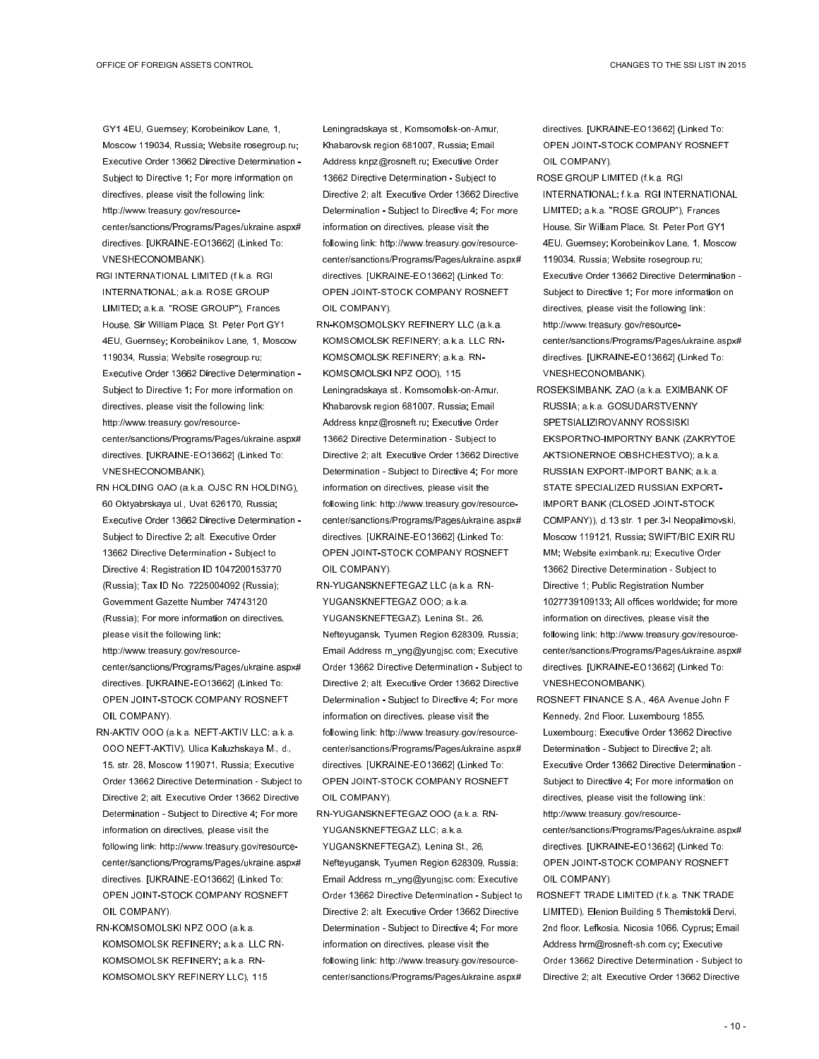GY1 4EU, Guernsey; Korobeinikov Lane, 1, Moscow 119034, Russia; Website rosegroup.ru; Executive Order 13662 Directive Determination - Subject to Directive 1; For more information on directives, please visit the following link: http://www.treasury.gov/resourcecenter/sanctions/Programs/Pages/ukraine.aspx# directives. [UKRAINE-EO13662] (Linked To: VNESHECONOMBANK).

- RGI INTERNATIONAL LIMITED (f.k.a. RGI INTERNATIONAL; a.k.a. ROSE GROUP LIMITED; a.k.a. "ROSE GROUP"), Frances House, Sir William Place, St. Peter Port GY1 4EU, Guernsey; Korobeinikov Lane, 1, Moscow 119034, Russia; Website rosegroup.ru; Executive Order 13662 Directive Determination - Subject to Directive 1; For more information on directives, please visit the following link: http://www.treasury.gov/resourcecenter/sanctions/Programs/Pages/ukraine.aspx# directives. [UKRAINE-EO13662] (Linked To: VNESHECONOMBANK).
- RN HOLDING OAO (a.k.a. OJSC RN HOLDING), 60 Oktyabrskaya ul., Uvat 626170, Russia; Executive Order 13662 Directive Determination - Subject to Directive 2; alt. Executive Order 13662 Directive Determination - Subject to Directive 4; Registration ID 1047200153770 (Russia); Tax ID No. 7225004092 (Russia); Government Gazette Number 74743120 (Russia); For more information on directives, please visit the following link: http://www.treasury.gov/resourcecenter/sanctions/Programs/Pages/ukraine.aspx# directives. [UKRAINE-EO13662] (Linked To: OPEN JOINT-STOCK COMPANY ROSNEFT OIL COMPANY).
- RN-AKTIV OOO (a.k.a. NEFT-AKTIV LLC; a.k.a. OOO NEFT-AKTIV), Ulica Kaluzhskaya M., d., 15, str. 28, Moscow 119071, Russia; Executive Order 13662 Directive Determination - Subject to Directive 2; alt. Executive Order 13662 Directive Determination - Subject to Directive 4; For more information on directives, please visit the following link: http://www.treasury.gov/resourcecenter/sanctions/Programs/Pages/ukraine.aspx# directives. [UKRAINE-EO13662] (Linked To: OPEN JOINT-STOCK COMPANY ROSNEFT OIL COMPANY).
- RN-KOMSOMOLSKI NPZ OOO (a.k.a. KOMSOMOLSK REFINERY; a.k.a. LLC RN-KOMSOMOLSK REFINERY; a.k.a. RN-KOMSOMOLSKY REFINERY LLC), 115

Leningradskaya st., Komsomolsk-on-Amur, Khabarovsk region 681007, Russia; Email Address knpz@rosneft.ru; Executive Order 13662 Directive Determination - Subject to Directive 2; alt. Executive Order 13662 Directive Determination - Subject to Directive 4; For more information on directives, please visit the following link: http://www.treasury.gov/resourcecenter/sanctions/Programs/Pages/ukraine.aspx# directives. [UKRAINE-EO13662] (Linked To: OPEN JOINT-STOCK COMPANY ROSNEFT OIL COMPANY).

- RN-KOMSOMOLSKY REFINERY LLC (a.k.a. KOMSOMOLSK REFINERY; a.k.a. LLC RN-KOMSOMOLSK REFINERY; a.k.a. RN-KOMSOMOLSKI NPZ OOO), 115 Leningradskaya st., Komsomolsk-on-Amur, Khabarovsk region 681007, Russia; Email Address knpz@rosneft.ru; Executive Order 13662 Directive Determination - Subject to Directive 2; alt. Executive Order 13662 Directive Determination - Subject to Directive 4; For more information on directives, please visit the following link: http://www.treasury.gov/resourcecenter/sanctions/Programs/Pages/ukraine.aspx# directives. [UKRAINE-EO13662] (Linked To: OPEN JOINT-STOCK COMPANY ROSNEFT OIL COMPANY).
- RN-YUGANSKNEFTEGAZ LLC (a.k.a. RN-YUGANSKNEFTEGAZ OOO; a.k.a. YUGANSKNEFTEGAZ), Lenina St., 26, Nefteyugansk, Tyumen Region 628309, Russia; Email Address rn\_yng@yungjsc.com; Executive Order 13662 Directive Determination - Subject to Directive 2; alt. Executive Order 13662 Directive Determination - Subject to Directive 4; For more information on directives, please visit the following link: http://www.treasury.gov/resourcecenter/sanctions/Programs/Pages/ukraine.aspx# directives. [UKRAINE-EO13662] (Linked To: OPEN JOINT-STOCK COMPANY ROSNEFT OIL COMPANY).

RN-YUGANSKNEFTEGAZ OOO (a.k.a. RN-YUGANSKNEFTEGAZ LLC; a.k.a. YUGANSKNEFTEGAZ), Lenina St., 26, Nefteyugansk, Tyumen Region 628309, Russia; Email Address rn\_yng@yungjsc.com; Executive Order 13662 Directive Determination - Subject to Directive 2; alt. Executive Order 13662 Directive Determination - Subject to Directive 4; For more information on directives, please visit the following link: http://www.treasury.gov/resourcecenter/sanctions/Programs/Pages/ukraine.aspx#

directives. [UKRAINE-EO13662] (Linked To: OPEN JOINT-STOCK COMPANY ROSNEFT OIL COMPANY).

- ROSE GROUP LIMITED (f.k.a. RGI INTERNATIONAL; f.k.a. RGI INTERNATIONAL LIMITED; a.k.a. "ROSE GROUP"), Frances House, Sir William Place, St. Peter Port GY1 4EU, Guernsey; Korobeinikov Lane, 1, Moscow 119034, Russia; Website rosegroup.ru; Executive Order 13662 Directive Determination - Subject to Directive 1; For more information on directives, please visit the following link: http://www.treasury.gov/resourcecenter/sanctions/Programs/Pages/ukraine.aspx# directives. [UKRAINE-EO13662] (Linked To: VNESHECONOMBANK).
- ROSEKSIMBANK, ZAO (a.k.a. EXIMBANK OF RUSSIA; a.k.a. GOSUDARSTVENNY SPETSIALIZIROVANNY ROSSISKI EKSPORTNO-IMPORTNY BANK (ZAKRYTOE AKTSIONERNOE OBSHCHESTVO); a.k.a. RUSSIAN EXPORT-IMPORT BANK; a.k.a. STATE SPECIALIZED RUSSIAN EXPORT-IMPORT BANK (CLOSED JOINT-STOCK COMPANY)), d.13 str. 1 per.3-I Neopalimovski, Moscow 119121, Russia; SWIFT/BIC EXIR RU MM; Website eximbank.ru; Executive Order 13662 Directive Determination - Subject to Directive 1; Public Registration Number 1027739109133; All offices worldwide; for more information on directives, please visit the following link: http://www.treasury.gov/resourcecenter/sanctions/Programs/Pages/ukraine.aspx# directives. [UKRAINE-EO13662] (Linked To: VNESHECONOMBANK).
- ROSNEFT FINANCE S.A., 46A Avenue John F Kennedy, 2nd Floor, Luxembourg 1855, Luxembourg; Executive Order 13662 Directive Determination - Subject to Directive 2; alt. Executive Order 13662 Directive Determination - Subject to Directive 4; For more information on directives, please visit the following link: http://www.treasury.gov/resourcecenter/sanctions/Programs/Pages/ukraine.aspx# directives. [UKRAINE-EO13662] (Linked To: OPEN JOINT-STOCK COMPANY ROSNEFT OIL COMPANY).
- ROSNEFT TRADE LIMITED (f.k.a. TNK TRADE LIMITED), Elenion Building 5 Themistokli Dervi, 2nd floor, Lefkosia, Nicosia 1066, Cyprus; Email Address hrm@rosneft-sh.com.cy; Executive Order 13662 Directive Determination - Subject to Directive 2; alt. Executive Order 13662 Directive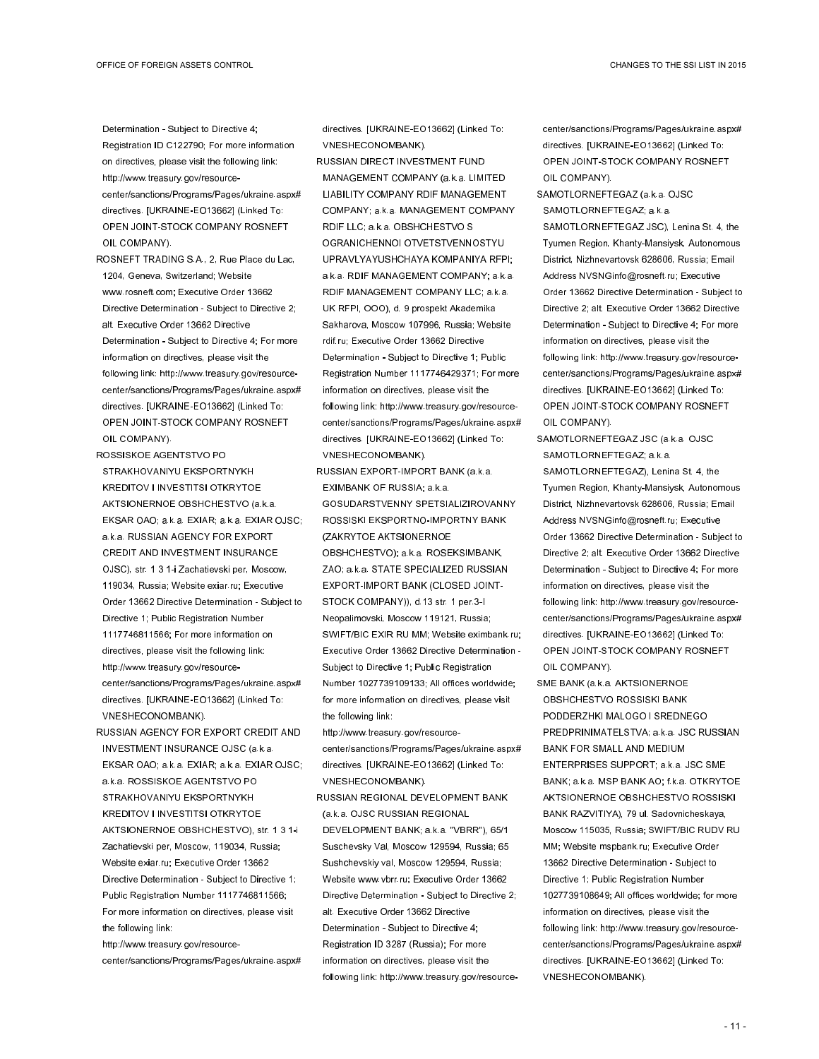Determination - Subject to Directive 4; Registration ID C122790; For more information on directives, please visit the following link: http://www.treasury.gov/resourcecenter/sanctions/Programs/Pages/ukraine.aspx# directives. [UKRAINE-EO13662] (Linked To: OPEN JOINT-STOCK COMPANY ROSNEFT OIL COMPANY).

- ROSNEFT TRADING S.A., 2, Rue Place du Lac, 1204, Geneva, Switzerland; Website www.rosneft.com; Executive Order 13662 Directive Determination - Subject to Directive 2; alt. Executive Order 13662 Directive Determination - Subject to Directive 4; For more information on directives, please visit the following link: http://www.treasury.gov/resourcecenter/sanctions/Programs/Pages/ukraine.aspx# directives. [UKRAINE-EO13662] (Linked To: OPEN JOINT-STOCK COMPANY ROSNEFT OIL COMPANY).
- ROSSISKOE AGENTSTVO PO STRAKHOVANIYU EKSPORTNYKH KREDITOV I INVESTITSI OTKRYTOE AKTSIONERNOE OBSHCHESTVO (a.k.a. EKSAR OAO; a.k.a. EXIAR; a.k.a. EXIAR OJSC; a.k.a. RUSSIAN AGENCY FOR EXPORT CREDIT AND INVESTMENT INSURANCE OJSC), str. 1 3 1-i Zachatievski per, Moscow, 119034, Russia; Website exiar.ru; Executive Order 13662 Directive Determination - Subject to Directive 1; Public Registration Number 1117746811566; For more information on directives, please visit the following link: http://www.treasury.gov/resourcecenter/sanctions/Programs/Pages/ukraine.aspx# directives. [UKRAINE-EO13662] (Linked To: VNESHECONOMBANK).
- RUSSIAN AGENCY FOR EXPORT CREDIT AND INVESTMENT INSURANCE OJSC (a.k.a. EKSAR OAO; a.k.a. EXIAR; a.k.a. EXIAR OJSC; a.k.a. ROSSISKOE AGENTSTVO PO STRAKHOVANIYU EKSPORTNYKH KREDITOV I INVESTITSI OTKRYTOE AKTSIONERNOE OBSHCHESTVO), str. 1 3 1-i Zachatievski per, Moscow, 119034, Russia; Website exiar.ru; Executive Order 13662 Directive Determination - Subject to Directive 1; Public Registration Number 1117746811566; For more information on directives, please visit the following link:

http://www.treasury.gov/resourcecenter/sanctions/Programs/Pages/ukraine.aspx# directives. [UKRAINE-EO13662] (Linked To: VNESHECONOMBANK).

- RUSSIAN DIRECT INVESTMENT FUND MANAGEMENT COMPANY (a.k.a. LIMITED LIABILITY COMPANY RDIF MANAGEMENT COMPANY; a.k.a. MANAGEMENT COMPANY RDIF LLC; a.k.a. OBSHCHESTVO S OGRANICHENNOI OTVETSTVENNOSTYU UPRAVLYAYUSHCHAYA KOMPANIYA RFPI; a.k.a. RDIF MANAGEMENT COMPANY; a.k.a. RDIF MANAGEMENT COMPANY LLC; a.k.a. UK RFPI, OOO), d. 9 prospekt Akademika Sakharova, Moscow 107996, Russia; Website rdif.ru; Executive Order 13662 Directive Determination - Subject to Directive 1; Public Registration Number 1117746429371; For more information on directives, please visit the following link: http://www.treasury.gov/resourcecenter/sanctions/Programs/Pages/ukraine.aspx# directives. [UKRAINE-EO13662] (Linked To: VNESHECONOMBANK).
- RUSSIAN EXPORT-IMPORT BANK (a.k.a. EXIMBANK OF RUSSIA; a.k.a. GOSUDARSTVENNY SPETSIALIZIROVANNY ROSSISKI EKSPORTNO-IMPORTNY BANK (ZAKRYTOE AKTSIONERNOE OBSHCHESTVO); a.k.a. ROSEKSIMBANK, ZAO; a.k.a. STATE SPECIALIZED RUSSIAN EXPORT-IMPORT BANK (CLOSED JOINT-STOCK COMPANY)), d.13 str. 1 per.3-I Neopalimovski, Moscow 119121, Russia; SWIFT/BIC EXIR RU MM; Website eximbank.ru; Executive Order 13662 Directive Determination - Subject to Directive 1; Public Registration Number 1027739109133; All offices worldwide; for more information on directives, please visit the following link:
- http://www.treasury.gov/resourcecenter/sanctions/Programs/Pages/ukraine.aspx# directives. [UKRAINE-EO13662] (Linked To: VNESHECONOMBANK).
- RUSSIAN REGIONAL DEVELOPMENT BANK (a.k.a. OJSC RUSSIAN REGIONAL DEVELOPMENT BANK; a.k.a. "VBRR"), 65/1 Suschevsky Val, Moscow 129594, Russia; 65 Sushchevskiy val, Moscow 129594, Russia; Website www.vbrr.ru; Executive Order 13662 Directive Determination - Subject to Directive 2; alt. Executive Order 13662 Directive Determination - Subject to Directive 4; Registration ID 3287 (Russia); For more information on directives, please visit the following link: http://www.treasury.gov/resource-

center/sanctions/Programs/Pages/ukraine.aspx# directives. [UKRAINE-EO13662] (Linked To: OPEN JOINT-STOCK COMPANY ROSNEFT OIL COMPANY).

SAMOTLORNEFTEGAZ (a.k.a. OJSC SAMOTLORNEFTEGAZ; a.k.a. SAMOTLORNEFTEGAZ JSC), Lenina St. 4, the Tyumen Region, Khanty-Mansiysk, Autonomous District, Nizhnevartovsk 628606, Russia; Email Address NVSNGinfo@rosneft.ru; Executive Order 13662 Directive Determination - Subject to Directive 2; alt. Executive Order 13662 Directive Determination - Subject to Directive 4; For more information on directives, please visit the following link: http://www.treasury.gov/resourcecenter/sanctions/Programs/Pages/ukraine.aspx# directives. [UKRAINE-EO13662] (Linked To: OPEN JOINT-STOCK COMPANY ROSNEFT OIL COMPANY).

- SAMOTLORNEFTEGAZ JSC (a.k.a. OJSC SAMOTLORNEFTEGAZ; a.k.a. SAMOTLORNEFTEGAZ), Lenina St. 4, the Tyumen Region, Khanty-Mansiysk, Autonomous District, Nizhnevartovsk 628606, Russia; Email Address NVSNGinfo@rosneft.ru; Executive Order 13662 Directive Determination - Subject to Directive 2; alt. Executive Order 13662 Directive Determination - Subject to Directive 4; For more information on directives, please visit the following link: http://www.treasury.gov/resourcecenter/sanctions/Programs/Pages/ukraine.aspx# directives. [UKRAINE-EO13662] (Linked To: OPEN JOINT-STOCK COMPANY ROSNEFT OIL COMPANY).
- SME BANK (a.k.a. AKTSIONERNOE OBSHCHESTVO ROSSISKI BANK PODDERZHKI MALOGO I SREDNEGO PREDPRINIMATELSTVA; a.k.a. JSC RUSSIAN BANK FOR SMALL AND MEDIUM ENTERPRISES SUPPORT; a.k.a. JSC SME BANK; a.k.a. MSP BANK AO; f.k.a. OTKRYTOE AKTSIONERNOE OBSHCHESTVO ROSSISKI BANK RAZVITIYA), 79 ul. Sadovnicheskaya, Moscow 115035, Russia; SWIFT/BIC RUDV RU MM; Website mspbank.ru; Executive Order 13662 Directive Determination - Subject to Directive 1; Public Registration Number 1027739108649; All offices worldwide; for more information on directives, please visit the following link: http://www.treasury.gov/resourcecenter/sanctions/Programs/Pages/ukraine.aspx# directives. [UKRAINE-EO13662] (Linked To: VNESHECONOMBANK).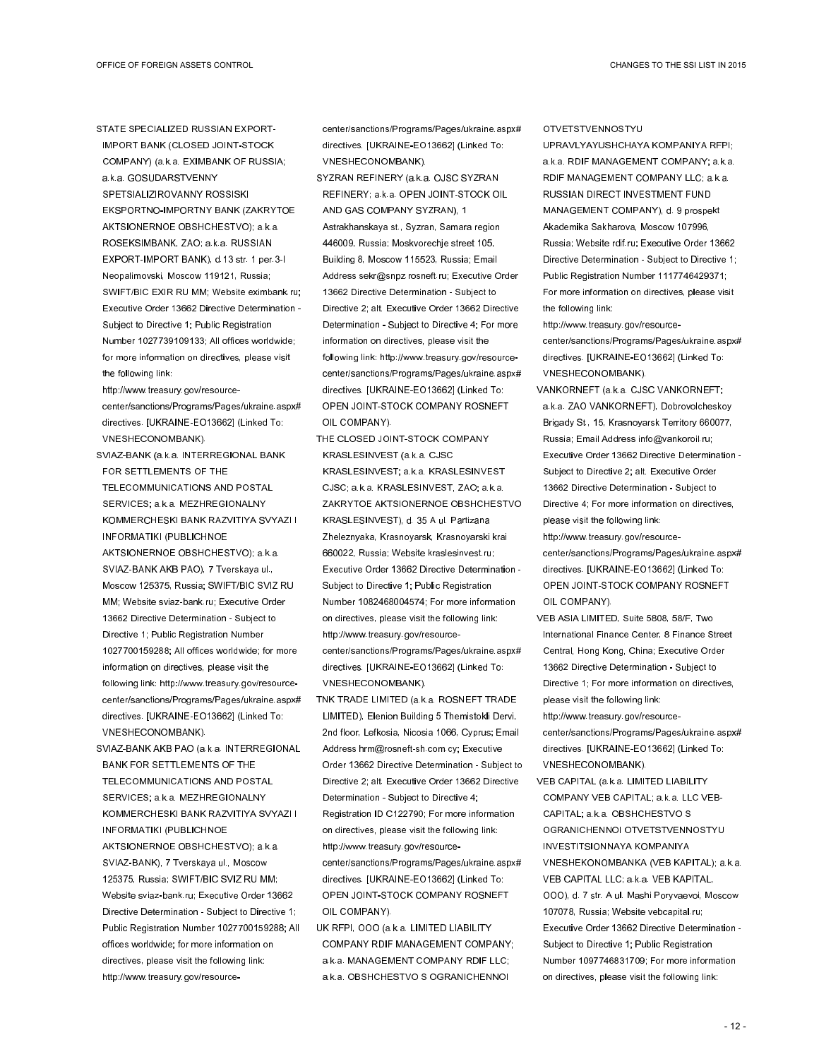STATE SPECIALIZED RUSSIAN EXPORT-IMPORT BANK (CLOSED JOINT-STOCK COMPANY) (a.k.a. EXIMBANK OF RUSSIA; a.k.a. GOSUDARSTVENNY SPETSIALIZIROVANNY ROSSISKI

EKSPORTNO-IMPORTNY BANK (ZAKRYTOE AKTSIONERNOE OBSHCHESTVO); a.k.a. ROSEKSIMBANK, ZAO; a.k.a. RUSSIAN EXPORT-IMPORT BANK), d.13 str. 1 per.3-I Neopalimovski, Moscow 119121, Russia; SWIFT/BIC EXIR RU MM; Website eximbank.ru; Executive Order 13662 Directive Determination - Subject to Directive 1; Public Registration Number 1027739109133; All offices worldwide; for more information on directives, please visit the following link:

http://www.treasury.gov/resourcecenter/sanctions/Programs/Pages/ukraine.aspx# directives. [UKRAINE-EO13662] (Linked To: VNESHECONOMBANK).

- SVIAZ-BANK (a.k.a. INTERREGIONAL BANK FOR SETTLEMENTS OF THE TELECOMMUNICATIONS AND POSTAL SERVICES; a.k.a. MEZHREGIONALNY KOMMERCHESKI BANK RAZVITIYA SVYAZI I INFORMATIKI (PUBLICHNOE AKTSIONERNOE OBSHCHESTVO); a.k.a. SVIAZ-BANK AKB PAO), 7 Tverskaya ul., Moscow 125375, Russia; SWIFT/BIC SVIZ RU MM; Website sviaz-bank.ru; Executive Order 13662 Directive Determination - Subject to Directive 1; Public Registration Number 1027700159288; All offices worldwide; for more information on directives, please visit the following link: http://www.treasury.gov/resourcecenter/sanctions/Programs/Pages/ukraine.aspx# directives. [UKRAINE-EO13662] (Linked To: VNESHECONOMBANK).
- SVIAZ-BANK AKB PAO (a.k.a. INTERREGIONAL BANK FOR SETTLEMENTS OF THE TELECOMMUNICATIONS AND POSTAL SERVICES; a.k.a. MEZHREGIONALNY KOMMERCHESKI BANK RAZVITIYA SVYAZI I INFORMATIKI (PUBLICHNOE AKTSIONERNOE OBSHCHESTVO); a.k.a. SVIAZ-BANK), 7 Tverskaya ul., Moscow 125375, Russia; SWIFT/BIC SVIZ RU MM; Website sviaz-bank.ru; Executive Order 13662 Directive Determination - Subject to Directive 1; Public Registration Number 1027700159288; All offices worldwide; for more information on directives, please visit the following link: http://www.treasury.gov/resource-

center/sanctions/Programs/Pages/ukraine.aspx# directives. [UKRAINE-EO13662] (Linked To: VNESHECONOMBANK).

- SYZRAN REFINERY (a.k.a. OJSC SYZRAN REFINERY; a.k.a. OPEN JOINT-STOCK OIL AND GAS COMPANY SYZRAN), 1 Astrakhanskaya st., Syzran, Samara region 446009, Russia; Moskvorechje street 105, Building 8, Moscow 115523, Russia; Email Address sekr@snpz.rosneft.ru; Executive Order 13662 Directive Determination - Subject to Directive 2; alt. Executive Order 13662 Directive Determination - Subject to Directive 4; For more information on directives, please visit the following link: http://www.treasury.gov/resourcecenter/sanctions/Programs/Pages/ukraine.aspx# directives. [UKRAINE-EO13662] (Linked To: OPEN JOINT-STOCK COMPANY ROSNEFT OIL COMPANY).
- THE CLOSED JOINT-STOCK COMPANY KRASLESINVEST (a.k.a. CJSC KRASLESINVEST; a.k.a. KRASLESINVEST CJSC; a.k.a. KRASLESINVEST, ZAO; a.k.a. ZAKRYTOE AKTSIONERNOE OBSHCHESTVO KRASLESINVEST), d. 35 A ul. Partizana Zheleznyaka, Krasnoyarsk, Krasnoyarski krai 660022, Russia; Website kraslesinvest.ru; Executive Order 13662 Directive Determination - Subject to Directive 1; Public Registration Number 1082468004574; For more information on directives, please visit the following link: http://www.treasury.gov/resourcecenter/sanctions/Programs/Pages/ukraine.aspx# directives. [UKRAINE-EO13662] (Linked To: VNESHECONOMBANK).
- TNK TRADE LIMITED (a.k.a. ROSNEFT TRADE LIMITED), Elenion Building 5 Themistokli Dervi, 2nd floor, Lefkosia, Nicosia 1066, Cyprus; Email Address hrm@rosneft-sh.com.cy; Executive Order 13662 Directive Determination - Subject to Directive 2; alt. Executive Order 13662 Directive Determination - Subject to Directive 4; Registration ID C122790; For more information on directives, please visit the following link: http://www.treasury.gov/resourcecenter/sanctions/Programs/Pages/ukraine.aspx# directives. [UKRAINE-EO13662] (Linked To: OPEN JOINT-STOCK COMPANY ROSNEFT OIL COMPANY).
- UK RFPI, OOO (a.k.a. LIMITED LIABILITY COMPANY RDIF MANAGEMENT COMPANY; a.k.a. MANAGEMENT COMPANY RDIF LLC; a.k.a. OBSHCHESTVO S OGRANICHENNOI

**OTVETSTVENNOSTYU** 

UPRAVLYAYUSHCHAYA KOMPANIYA RFPI; a.k.a. RDIF MANAGEMENT COMPANY; a.k.a. RDIF MANAGEMENT COMPANY LLC; a.k.a. RUSSIAN DIRECT INVESTMENT FUND MANAGEMENT COMPANY), d. 9 prospekt Akademika Sakharova, Moscow 107996, Russia; Website rdif.ru; Executive Order 13662 Directive Determination - Subject to Directive 1; Public Registration Number 1117746429371; For more information on directives, please visit the following link:

http://www.treasury.gov/resourcecenter/sanctions/Programs/Pages/ukraine.aspx# directives. [UKRAINE-EO13662] (Linked To: VNESHECONOMBANK).

- VANKORNEFT (a.k.a. CJSC VANKORNEFT; a.k.a. ZAO VANKORNEFT), Dobrovolcheskoy Brigady St., 15, Krasnoyarsk Territory 660077, Russia; Email Address info@vankoroil.ru; Executive Order 13662 Directive Determination - Subject to Directive 2; alt. Executive Order 13662 Directive Determination - Subject to Directive 4; For more information on directives, please visit the following link: http://www.treasury.gov/resourcecenter/sanctions/Programs/Pages/ukraine.aspx# directives. [UKRAINE-EO13662] (Linked To: OPEN JOINT-STOCK COMPANY ROSNEFT
- OIL COMPANY).
- VEB ASIA LIMITED, Suite 5808, 58/F, Two International Finance Center, 8 Finance Street Central, Hong Kong, China; Executive Order 13662 Directive Determination - Subject to Directive 1; For more information on directives, please visit the following link: http://www.treasury.gov/resourcecenter/sanctions/Programs/Pages/ukraine.aspx# directives. [UKRAINE-EO13662] (Linked To: VNESHECONOMBANK).
- VEB CAPITAL (a.k.a. LIMITED LIABILITY COMPANY VEB CAPITAL; a.k.a. LLC VEB-CAPITAL; a.k.a. OBSHCHESTVO S OGRANICHENNOI OTVETSTVENNOSTYU INVESTITSIONNAYA KOMPANIYA VNESHEKONOMBANKA (VEB KAPITAL); a.k.a. VEB CAPITAL LLC; a.k.a. VEB KAPITAL, OOO), d. 7 str. A ul. Mashi Poryvaevoi, Moscow 107078, Russia; Website vebcapital.ru; Executive Order 13662 Directive Determination - Subject to Directive 1; Public Registration Number 1097746831709; For more information on directives, please visit the following link: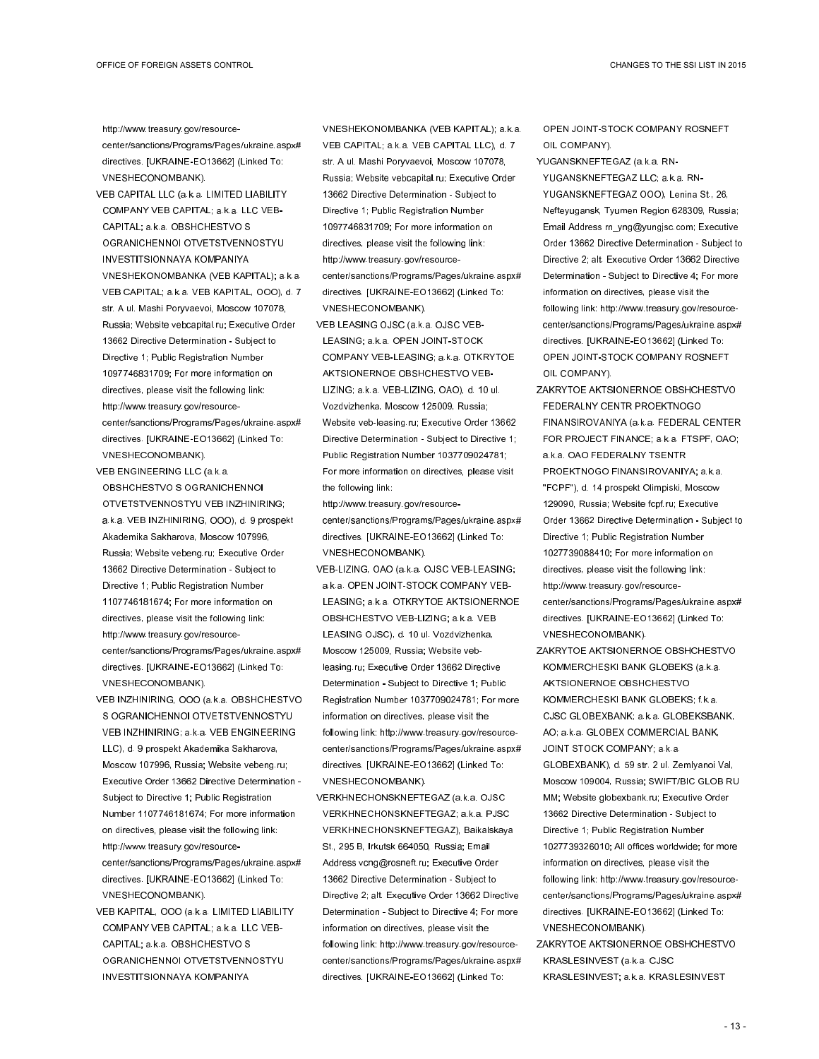http://www.treasury.gov/resourcecenter/sanctions/Programs/Pages/ukraine.aspx# directives. [UKRAINE-EO13662] (Linked To: VNESHECONOMBANK).

- VEB CAPITAL LLC (a.k.a. LIMITED LIABILITY COMPANY VEB CAPITAL; a.k.a. LLC VEB-CAPITAL; a.k.a. OBSHCHESTVO S OGRANICHENNOI OTVETSTVENNOSTYU INVESTITSIONNAYA KOMPANIYA VNESHEKONOMBANKA (VEB KAPITAL); a.k.a. VEB CAPITAL; a.k.a. VEB KAPITAL, OOO), d. 7 str. A ul. Mashi Poryvaevoi, Moscow 107078, Russia; Website vebcapital.ru; Executive Order 13662 Directive Determination - Subject to Directive 1; Public Registration Number 1097746831709; For more information on directives, please visit the following link: http://www.treasury.gov/resourcecenter/sanctions/Programs/Pages/ukraine.aspx# directives. [UKRAINE-EO13662] (Linked To: VNESHECONOMBANK).
- VEB ENGINEERING LLC (a.k.a. OBSHCHESTVO S OGRANICHENNOI OTVETSTVENNOSTYU VEB INZHINIRING; a.k.a. VEB INZHINIRING, OOO), d. 9 prospekt Akademika Sakharova, Moscow 107996, Russia; Website vebeng.ru; Executive Order 13662 Directive Determination - Subject to Directive 1; Public Registration Number 1107746181674; For more information on directives, please visit the following link: http://www.treasury.gov/resourcecenter/sanctions/Programs/Pages/ukraine.aspx# directives. [UKRAINE-EO13662] (Linked To: VNESHECONOMBANK).
- VEB INZHINIRING, OOO (a.k.a. OBSHCHESTVO S OGRANICHENNOI OTVETSTVENNOSTYU VEB INZHINIRING; a.k.a. VEB ENGINEERING LLC), d. 9 prospekt Akademika Sakharova, Moscow 107996, Russia; Website vebeng.ru; Executive Order 13662 Directive Determination - Subject to Directive 1; Public Registration Number 1107746181674; For more information on directives, please visit the following link: http://www.treasury.gov/resourcecenter/sanctions/Programs/Pages/ukraine.aspx# directives. [UKRAINE-EO13662] (Linked To: VNESHECONOMBANK).
- VEB KAPITAL, OOO (a.k.a. LIMITED LIABILITY COMPANY VEB CAPITAL; a.k.a. LLC VEB-CAPITAL; a.k.a. OBSHCHESTVO S OGRANICHENNOI OTVETSTVENNOSTYU INVESTITSIONNAYA KOMPANIYA

VNESHEKONOMBANKA (VEB KAPITAL); a.k.a. VEB CAPITAL; a.k.a. VEB CAPITAL LLC), d. 7 str. A ul. Mashi Poryvaevoi, Moscow 107078, Russia; Website vebcapital.ru; Executive Order 13662 Directive Determination - Subject to Directive 1; Public Registration Number 1097746831709; For more information on directives, please visit the following link: http://www.treasury.gov/resourcecenter/sanctions/Programs/Pages/ukraine.aspx# directives. [UKRAINE-EO13662] (Linked To: VNESHECONOMBANK).

- VEB LEASING OJSC (a.k.a. OJSC VEB-LEASING; a.k.a. OPEN JOINT-STOCK COMPANY VEB-LEASING; a.k.a. OTKRYTOE AKTSIONERNOE OBSHCHESTVO VEB-LIZING; a.k.a. VEB-LIZING, OAO), d. 10 ul. Vozdvizhenka, Moscow 125009, Russia; Website veb-leasing.ru; Executive Order 13662 Directive Determination - Subject to Directive 1; Public Registration Number 1037709024781; For more information on directives, please visit the following link:
- http://www.treasury.gov/resourcecenter/sanctions/Programs/Pages/ukraine.aspx# directives. [UKRAINE-EO13662] (Linked To: VNESHECONOMBANK).
- VEB-LIZING, OAO (a.k.a. OJSC VEB-LEASING; a.k.a. OPEN JOINT-STOCK COMPANY VEB-LEASING; a.k.a. OTKRYTOE AKTSIONERNOE OBSHCHESTVO VEB-LIZING; a.k.a. VEB LEASING OJSC), d. 10 ul. Vozdvizhenka, Moscow 125009, Russia; Website vebleasing.ru; Executive Order 13662 Directive Determination - Subject to Directive 1; Public Registration Number 1037709024781; For more information on directives, please visit the following link: http://www.treasury.gov/resourcecenter/sanctions/Programs/Pages/ukraine.aspx# directives. [UKRAINE-EO13662] (Linked To: VNESHECONOMBANK).
- VERKHNECHONSKNEFTEGAZ (a.k.a. OJSC VERKHNECHONSKNEFTEGAZ; a.k.a. PJSC VERKHNECHONSKNEFTEGAZ), Baikalskaya St., 295 B, Irkutsk 664050, Russia; Email Address vcng@rosneft.ru; Executive Order 13662 Directive Determination - Subject to Directive 2; alt. Executive Order 13662 Directive Determination - Subject to Directive 4; For more information on directives, please visit the following link: http://www.treasury.gov/resourcecenter/sanctions/Programs/Pages/ukraine.aspx# directives. [UKRAINE-EO13662] (Linked To:

OPEN JOINT-STOCK COMPANY ROSNEFT OIL COMPANY).

- YUGANSKNEFTEGAZ (a.k.a. RN-YUGANSKNEFTEGAZ LLC; a.k.a. RN-YUGANSKNEFTEGAZ OOO), Lenina St., 26, Nefteyugansk, Tyumen Region 628309, Russia; Email Address rn\_yng@yungjsc.com; Executive Order 13662 Directive Determination - Subject to Directive 2; alt. Executive Order 13662 Directive Determination - Subject to Directive 4; For more information on directives, please visit the following link: http://www.treasury.gov/resourcecenter/sanctions/Programs/Pages/ukraine.aspx# directives. [UKRAINE-EO13662] (Linked To: OPEN JOINT-STOCK COMPANY ROSNEFT OIL COMPANY).
- ZAKRYTOE AKTSIONERNOE OBSHCHESTVO FEDERALNY CENTR PROEKTNOGO FINANSIROVANIYA (a.k.a. FEDERAL CENTER FOR PROJECT FINANCE; a.k.a. FTSPF, OAO; a.k.a. OAO FEDERALNY TSENTR PROEKTNOGO FINANSIROVANIYA; a.k.a. "FCPF"), d. 14 prospekt Olimpiski, Moscow 129090, Russia; Website fcpf.ru; Executive Order 13662 Directive Determination - Subject to Directive 1; Public Registration Number 1027739088410; For more information on directives, please visit the following link: http://www.treasury.gov/resourcecenter/sanctions/Programs/Pages/ukraine.aspx# directives. [UKRAINE-EO13662] (Linked To: VNESHECONOMBANK).
- ZAKRYTOE AKTSIONERNOE OBSHCHESTVO KOMMERCHESKI BANK GLOBEKS (a.k.a. AKTSIONERNOE OBSHCHESTVO KOMMERCHESKI BANK GLOBEKS; f.k.a. CJSC GLOBEXBANK; a.k.a. GLOBEKSBANK, AO; a.k.a. GLOBEX COMMERCIAL BANK, JOINT STOCK COMPANY; a.k.a. GLOBEXBANK), d. 59 str. 2 ul. Zemlyanoi Val, Moscow 109004, Russia; SWIFT/BIC GLOB RU MM; Website globexbank.ru; Executive Order 13662 Directive Determination - Subject to Directive 1; Public Registration Number 1027739326010; All offices worldwide; for more information on directives, please visit the following link: http://www.treasury.gov/resourcecenter/sanctions/Programs/Pages/ukraine.aspx# directives. [UKRAINE-EO13662] (Linked To: VNESHECONOMBANK).
- ZAKRYTOE AKTSIONERNOE OBSHCHESTVO KRASLESINVEST (a.k.a. CJSC KRASLESINVEST; a.k.a. KRASLESINVEST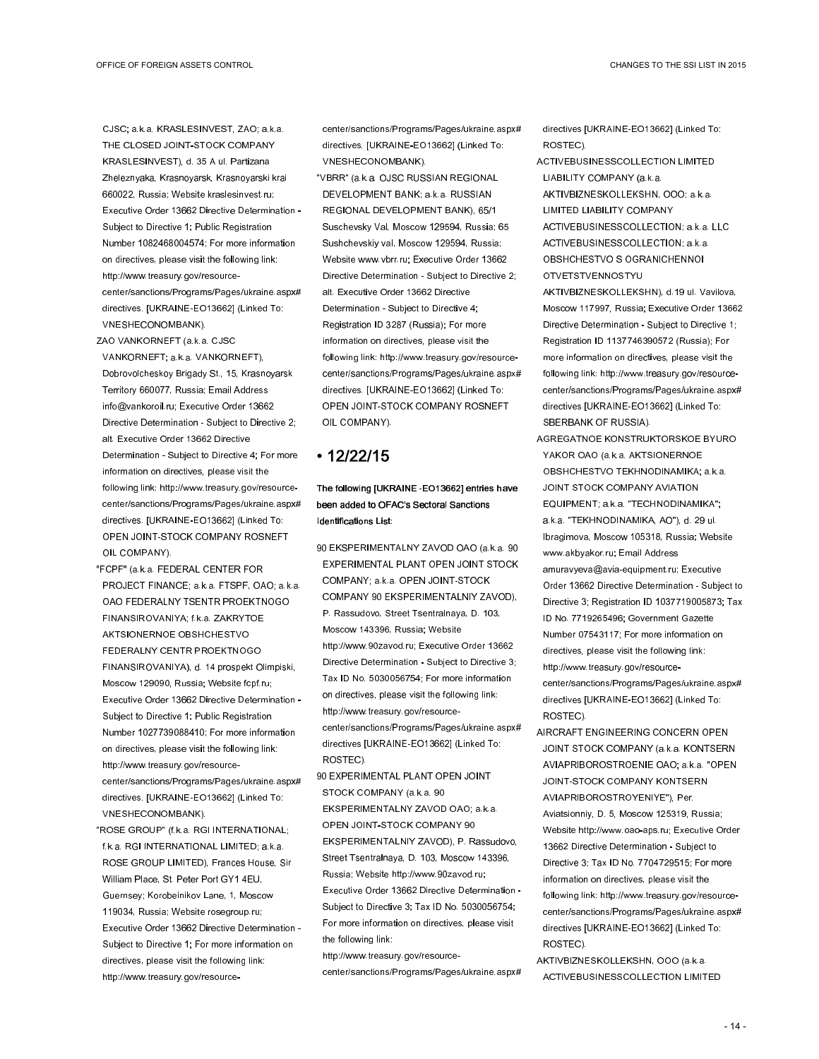CJSC; a.k.a. KRASLESINVEST, ZAO; a.k.a. THE CLOSED JOINT-STOCK COMPANY KRASLESINVEST), d. 35 A ul. Partizana Zheleznyaka, Krasnoyarsk, Krasnoyarski krai 660022, Russia; Website kraslesinvest.ru; Executive Order 13662 Directive Determination - Subject to Directive 1; Public Registration Number 1082468004574; For more information on directives, please visit the following link: http://www.treasury.gov/resourcecenter/sanctions/Programs/Pages/ukraine.aspx# directives. [UKRAINE-EO13662] (Linked To: VNESHECONOMBANK).

- ZAO VANKORNEFT (a.k.a. CJSC VANKORNEFT; a.k.a. VANKORNEFT), Dobrovolcheskoy Brigady St., 15, Krasnoyarsk Territory 660077, Russia; Email Address info@vankoroil.ru; Executive Order 13662 Directive Determination - Subject to Directive 2; alt. Executive Order 13662 Directive Determination - Subject to Directive 4; For more information on directives, please visit the following link: http://www.treasury.gov/resourcecenter/sanctions/Programs/Pages/ukraine.aspx# directives. [UKRAINE-EO13662] (Linked To: OPEN JOINT-STOCK COMPANY ROSNEFT OIL COMPANY).
- "FCPF" (a.k.a. FEDERAL CENTER FOR PROJECT FINANCE; a.k.a. FTSPF, OAO; a.k.a. OAO FEDERALNY TSENTR PROEKTNOGO FINANSIROVANIYA; f.k.a. ZAKRYTOE AKTSIONERNOE OBSHCHESTVO FEDERALNY CENTR PROEKTNOGO FINANSIROVANIYA), d. 14 prospekt Olimpiski, Moscow 129090, Russia; Website fcpf.ru; Executive Order 13662 Directive Determination - Subject to Directive 1; Public Registration Number 1027739088410; For more information on directives, please visit the following link: http://www.treasury.gov/resourcecenter/sanctions/Programs/Pages/ukraine.aspx# directives. [UKRAINE-EO13662] (Linked To: VNESHECONOMBANK).
- "ROSE GROUP" (f.k.a. RGI INTERNATIONAL; f.k.a. RGI INTERNATIONAL LIMITED; a.k.a. ROSE GROUP LIMITED), Frances House, Sir William Place, St. Peter Port GY1 4EU, Guernsey; Korobeinikov Lane, 1, Moscow 119034, Russia; Website rosegroup.ru; Executive Order 13662 Directive Determination - Subject to Directive 1; For more information on directives, please visit the following link: http://www.treasury.gov/resource-

center/sanctions/Programs/Pages/ukraine.aspx# directives. [UKRAINE-EO13662] (Linked To: VNESHECONOMBANK).

"VBRR" (a.k.a. OJSC RUSSIAN REGIONAL DEVELOPMENT BANK; a.k.a. RUSSIAN REGIONAL DEVELOPMENT BANK), 65/1 Suschevsky Val, Moscow 129594, Russia; 65 Sushchevskiy val, Moscow 129594, Russia; Website www.vbrr.ru; Executive Order 13662 Directive Determination - Subject to Directive 2; alt. Executive Order 13662 Directive Determination - Subject to Directive 4; Registration ID 3287 (Russia); For more information on directives, please visit the following link: http://www.treasury.gov/resourcecenter/sanctions/Programs/Pages/ukraine.aspx# directives. [UKRAINE-EO13662] (Linked To: OPEN JOINT-STOCK COMPANY ROSNEFT OIL COMPANY).

## • 12/22/15

The following [UKRAINE-EO13662] entries have been added to OFAC's Sectoral Sanctions Identifications List:

- 90 EKSPERIMENTALNY ZAVOD OAO (a.k.a. 90 EXPERIMENTAL PLANT OPEN JOINT STOCK COMPANY; a.k.a. OPEN JOINT-STOCK COMPANY 90 EKSPERIMENTALNIY ZAVOD), P. Rassudovo, Street Tsentralnaya, D. 103, Moscow 143396, Russia; Website http://www.90zavod.ru; Executive Order 13662 Directive Determination - Subject to Directive 3; Tax ID No. 5030056754; For more information on directives, please visit the following link: http://www.treasury.gov/resourcecenter/sanctions/Programs/Pages/ukraine.aspx# directives [UKRAINE-EO13662] (Linked To: ROSTEC).
- 90 EXPERIMENTAL PLANT OPEN JOINT STOCK COMPANY (a.k.a. 90

EKSPERIMENTALNY ZAVOD OAO; a.k.a. OPEN JOINT-STOCK COMPANY 90 EKSPERIMENTALNIY ZAVOD), P. Rassudovo, Street Tsentralnaya, D. 103, Moscow 143396, Russia; Website http://www.90zavod.ru; Executive Order 13662 Directive Determination - Subject to Directive 3; Tax ID No. 5030056754; For more information on directives, please visit the following link:

http://www.treasury.gov/resource-

center/sanctions/Programs/Pages/ukraine.aspx#

directives [UKRAINE-EO13662] (Linked To: ROSTEC).

- ACTIVEBUSINESSCOLLECTION LIMITED LIABILITY COMPANY (a.k.a. AKTIVBIZNESKOLLEKSHN, OOO; a.k.a.
- LIMITED LIABILITY COMPANY ACTIVEBUSINESSCOLLECTION; a.k.a. LLC ACTIVEBUSINESSCOLLECTION; a.k.a. OBSHCHESTVO S OGRANICHENNOI

OTVETSTVENNOSTYU

AKTIVBIZNESKOLLEKSHN), d.19 ul. Vavilova, Moscow 117997, Russia; Executive Order 13662 Directive Determination - Subject to Directive 1; Registration ID 1137746390572 (Russia); For more information on directives, please visit the following link: http://www.treasury.gov/resourcecenter/sanctions/Programs/Pages/ukraine.aspx# directives [UKRAINE-EO13662] (Linked To: SBERBANK OF RUSSIA).

- AGREGATNOE KONSTRUKTORSKOE BYURO YAKOR OAO (a.k.a. AKTSIONERNOE OBSHCHESTVO TEKHNODINAMIKA; a.k.a. JOINT STOCK COMPANY AVIATION EQUIPMENT; a.k.a. "TECHNODINAMIKA"; a.k.a. "TEKHNODINAMIKA, AO"), d. 29 ul. Ibragimova, Moscow 105318, Russia; Website www.akbyakor.ru; Email Address amuravyeva@avia-equipment.ru; Executive Order 13662 Directive Determination - Subject to Directive 3; Registration ID 1037719005873; Tax ID No. 7719265496; Government Gazette Number 07543117; For more information on directives, please visit the following link: http://www.treasury.gov/resourcecenter/sanctions/Programs/Pages/ukraine.aspx# directives [UKRAINE-EO13662] (Linked To: ROSTEC).
- AIRCRAFT ENGINEERING CONCERN OPEN JOINT STOCK COMPANY (a.k.a. KONTSERN AVIAPRIBOROSTROENIE OAO; a.k.a. "OPEN JOINT-STOCK COMPANY KONTSERN AVIAPRIBOROSTROYENIYE"), Per. Aviatsionniy, D. 5, Moscow 125319, Russia; Website http://www.oao-aps.ru; Executive Order 13662 Directive Determination - Subject to Directive 3; Tax ID No. 7704729515; For more information on directives, please visit the following link: http://www.treasury.gov/resourcecenter/sanctions/Programs/Pages/ukraine.aspx# directives [UKRAINE-EO13662] (Linked To: ROSTEC).
- AKTIVBIZNESKOLLEKSHN, OOO (a.k.a. ACTIVEBUSINESSCOLLECTION LIMITED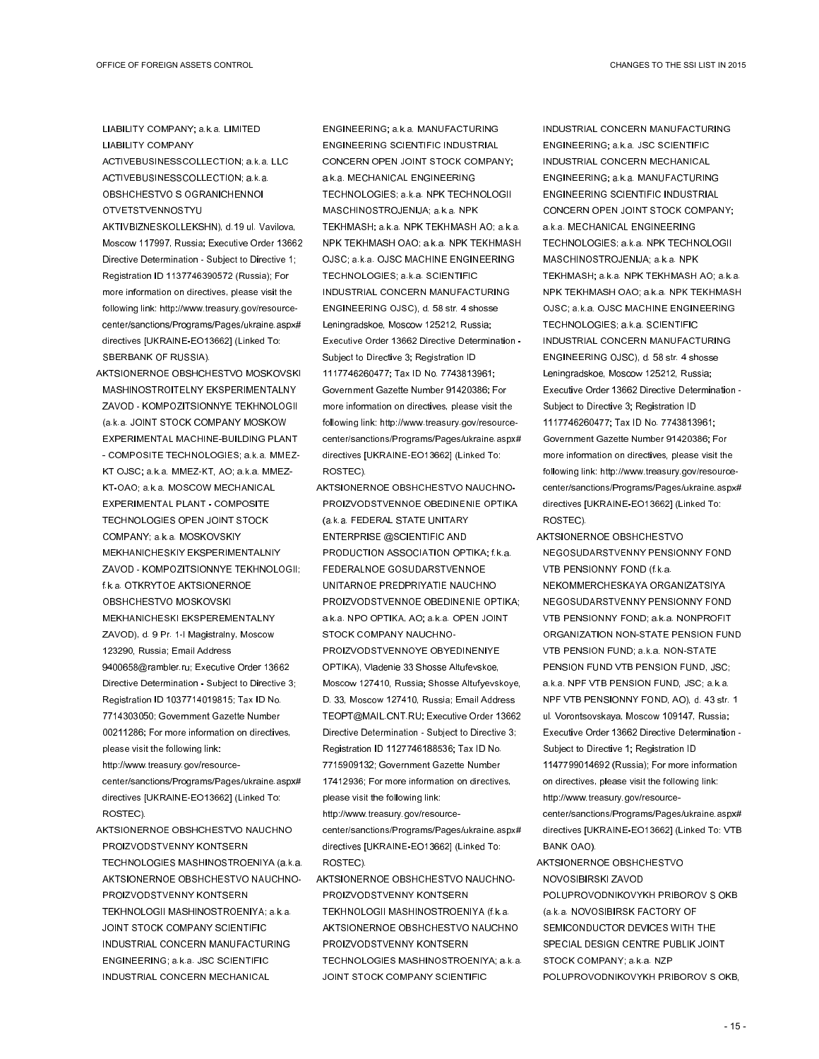LIABILITY COMPANY; a.k.a. LIMITED LIABILITY COMPANY ACTIVEBUSINESSCOLLECTION; a.k.a. LLC ACTIVEBUSINESSCOLLECTION; a.k.a.

- OBSHCHESTVO S OGRANICHENNOI OTVETSTVENNOSTYU
- AKTIVBIZNESKOLLEKSHN), d.19 ul. Vavilova, Moscow 117997, Russia; Executive Order 13662 Directive Determination - Subject to Directive 1; Registration ID 1137746390572 (Russia); For more information on directives, please visit the following link: http://www.treasury.gov/resourcecenter/sanctions/Programs/Pages/ukraine.aspx# directives [UKRAINE-EO13662] (Linked To: SBERBANK OF RUSSIA).
- AKTSIONERNOE OBSHCHESTVO MOSKOVSKI MASHINOSTROITELNY EKSPERIMENTALNY ZAVOD - KOMPOZITSIONNYE TEKHNOLOGII (a.k.a. JOINT STOCK COMPANY MOSKOW EXPERIMENTAL MACHINE-BUILDING PLANT - COMPOSITE TECHNOLOGIES; a.k.a. MMEZ-KT OJSC; a.k.a. MMEZ-KT, AO; a.k.a. MMEZ-KT-OAO; a.k.a. MOSCOW MECHANICAL EXPERIMENTAL PLANT - COMPOSITE TECHNOLOGIES OPEN JOINT STOCK COMPANY; a.k.a. MOSKOVSKIY MEKHANICHESKIY EKSPERIMENTALNIY ZAVOD - KOMPOZITSIONNYE TEKHNOLOGII; f.k.a. OTKRYTOE AKTSIONERNOE OBSHCHESTVO MOSKOVSKI MEKHANICHESKI EKSPEREMENTALNY ZAVOD), d. 9 Pr. 1-I Magistralny, Moscow 123290, Russia; Email Address 9400658@rambler.ru; Executive Order 13662 Directive Determination - Subject to Directive 3; Registration ID 1037714019815; Tax ID No. 7714303050; Government Gazette Number 00211286; For more information on directives, please visit the following link: http://www.treasury.gov/resource-
- center/sanctions/Programs/Pages/ukraine.aspx# directives [UKRAINE-EO13662] (Linked To: ROSTEC).
- AKTSIONERNOE OBSHCHESTVO NAUCHNO PROIZVODSTVENNY KONTSERN TECHNOLOGIES MASHINOSTROENIYA (a.k.a. AKTSIONERNOE OBSHCHESTVO NAUCHNO-PROIZVODSTVENNY KONTSERN TEKHNOLOGII MASHINOSTROENIYA; a.k.a. JOINT STOCK COMPANY SCIENTIFIC INDUSTRIAL CONCERN MANUFACTURING ENGINEERING; a.k.a. JSC SCIENTIFIC INDUSTRIAL CONCERN MECHANICAL

ENGINEERING; a.k.a. MANUFACTURING ENGINEERING SCIENTIFIC INDUSTRIAL CONCERN OPEN JOINT STOCK COMPANY; a.k.a. MECHANICAL ENGINEERING TECHNOLOGIES; a.k.a. NPK TECHNOLOGII MASCHINOSTROJENIJA; a.k.a. NPK TEKHMASH; a.k.a. NPK TEKHMASH AO; a.k.a. NPK TEKHMASH OAO; a.k.a. NPK TEKHMASH OJSC; a.k.a. OJSC MACHINE ENGINEERING TECHNOLOGIES; a.k.a. SCIENTIFIC INDUSTRIAL CONCERN MANUFACTURING ENGINEERING OJSC), d. 58 str. 4 shosse Leningradskoe, Moscow 125212, Russia; Executive Order 13662 Directive Determination - Subject to Directive 3; Registration ID 1117746260477; Tax ID No. 7743813961; Government Gazette Number 91420386; For more information on directives, please visit the following link: http://www.treasury.gov/resourcecenter/sanctions/Programs/Pages/ukraine.aspx# directives [UKRAINE-EO13662] (Linked To: ROSTEC).

- AKTSIONERNOE OBSHCHESTVO NAUCHNO-PROIZVODSTVENNOE OBEDINENIE OPTIKA (a.k.a. FEDERAL STATE UNITARY ENTERPRISE @SCIENTIFIC AND PRODUCTION ASSOCIATION OPTIKA; f.k.a. FEDERALNOE GOSUDARSTVENNOE UNITARNOE PREDPRIYATIE NAUCHNO PROIZVODSTVENNOE OBEDINENIE OPTIKA; a.k.a. NPO OPTIKA, AO; a.k.a. OPEN JOINT STOCK COMPANY NAUCHNO-PROIZVODSTVENNOYE OBYEDINENIYE OPTIKA), Vladenie 33 Shosse Altufevskoe, Moscow 127410, Russia; Shosse Altufyevskoye, D. 33, Moscow 127410, Russia; Email Address TEOPT@MAIL.CNT.RU; Executive Order 13662 Directive Determination - Subject to Directive 3; Registration ID 1127746188536; Tax ID No. 7715909132; Government Gazette Number 17412936; For more information on directives, please visit the following link: http://www.treasury.gov/resourcecenter/sanctions/Programs/Pages/ukraine.aspx# directives [UKRAINE-EO13662] (Linked To: ROSTEC).
- AKTSIONERNOE OBSHCHESTVO NAUCHNO-PROIZVODSTVENNY KONTSERN TEKHNOLOGII MASHINOSTROENIYA (f.k.a. AKTSIONERNOE OBSHCHESTVO NAUCHNO PROIZVODSTVENNY KONTSERN TECHNOLOGIES MASHINOSTROENIYA; a.k.a. JOINT STOCK COMPANY SCIENTIFIC

INDUSTRIAL CONCERN MANUFACTURING ENGINEERING; a.k.a. JSC SCIENTIFIC INDUSTRIAL CONCERN MECHANICAL ENGINEERING; a.k.a. MANUFACTURING ENGINEERING SCIENTIFIC INDUSTRIAL CONCERN OPEN JOINT STOCK COMPANY; a.k.a. MECHANICAL ENGINEERING TECHNOLOGIES; a.k.a. NPK TECHNOLOGII MASCHINOSTROJENIJA; a.k.a. NPK TEKHMASH; a.k.a. NPK TEKHMASH AO; a.k.a. NPK TEKHMASH OAO; a.k.a. NPK TEKHMASH OJSC; a.k.a. OJSC MACHINE ENGINEERING TECHNOLOGIES; a.k.a. SCIENTIFIC INDUSTRIAL CONCERN MANUFACTURING ENGINEERING OJSC), d. 58 str. 4 shosse Leningradskoe, Moscow 125212, Russia; Executive Order 13662 Directive Determination - Subject to Directive 3; Registration ID 1117746260477; Tax ID No. 7743813961; Government Gazette Number 91420386; For more information on directives, please visit the following link: http://www.treasury.gov/resourcecenter/sanctions/Programs/Pages/ukraine.aspx# directives [UKRAINE-EO13662] (Linked To: ROSTEC).

- AKTSIONERNOE OBSHCHESTVO NEGOSUDARSTVENNY PENSIONNY FOND VTB PENSIONNY FOND (f.k.a. NEKOMMERCHESKAYA ORGANIZATSIYA NEGOSUDARSTVENNY PENSIONNY FOND VTB PENSIONNY FOND; a.k.a. NONPROFIT ORGANIZATION NON-STATE PENSION FUND VTB PENSION FUND; a.k.a. NON-STATE PENSION FUND VTB PENSION FUND, JSC; a.k.a. NPF VTB PENSION FUND, JSC; a.k.a. NPF VTB PENSIONNY FOND, AO), d. 43 str. 1 ul. Vorontsovskaya, Moscow 109147, Russia; Executive Order 13662 Directive Determination - Subject to Directive 1; Registration ID 1147799014692 (Russia); For more information on directives, please visit the following link: http://www.treasury.gov/resourcecenter/sanctions/Programs/Pages/ukraine.aspx# directives [UKRAINE-EO13662] (Linked To: VTB BANK OAO).
- AKTSIONERNOE OBSHCHESTVO NOVOSIBIRSKI ZAVOD POLUPROVODNIKOVYKH PRIBOROV S OKB (a.k.a. NOVOSIBIRSK FACTORY OF SEMICONDUCTOR DEVICES WITH THE SPECIAL DESIGN CENTRE PUBLIK JOINT STOCK COMPANY; a.k.a. NZP
- POLUPROVODNIKOVYKH PRIBOROV S OKB,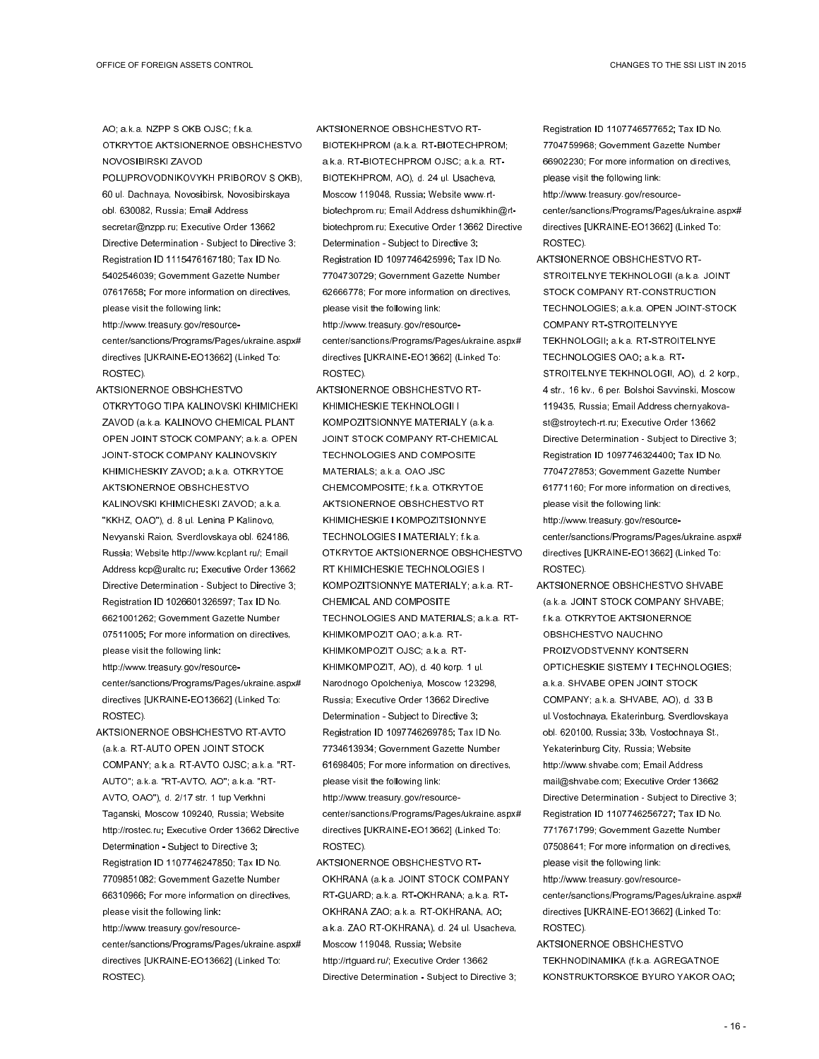AO; a.k.a. NZPP S OKB OJSC; f.k.a. OTKRYTOE AKTSIONERNOE OBSHCHESTVO NOVOSIBIRSKI ZAVOD POLUPROVODNIKOVYKH PRIBOROV S OKB), 60 ul. Dachnaya, Novosibirsk, Novosibirskaya obl. 630082, Russia; Email Address secretar@nzpp.ru; Executive Order 13662 Directive Determination - Subject to Directive 3; Registration ID 1115476167180; Tax ID No. 5402546039; Government Gazette Number 07617658; For more information on directives, please visit the following link: http://www.treasury.gov/resourcecenter/sanctions/Programs/Pages/ukraine.aspx#

directives [UKRAINE-EO13662] (Linked To: ROSTEC).

AKTSIONERNOE OBSHCHESTVO OTKRYTOGO TIPA KALINOVSKI KHIMICHEKI ZAVOD (a.k.a. KALINOVO CHEMICAL PLANT OPEN JOINT STOCK COMPANY; a.k.a. OPEN JOINT-STOCK COMPANY KALINOVSKIY KHIMICHESKIY ZAVOD; a.k.a. OTKRYTOE AKTSIONERNOE OBSHCHESTVO KALINOVSKI KHIMICHESKI ZAVOD; a.k.a. "KKHZ, OAO"), d. 8 ul. Lenina P Kalinovo, Nevyanski Raion, Sverdlovskaya obl. 624186, Russia; Website http://www.kcplant.ru/; Email Address kcp@uraltc.ru; Executive Order 13662 Directive Determination - Subject to Directive 3; Registration ID 1026601326597; Tax ID No. 6621001262; Government Gazette Number 07511005; For more information on directives, please visit the following link: http://www.treasury.gov/resource-

center/sanctions/Programs/Pages/ukraine.aspx# directives [UKRAINE-EO13662] (Linked To: ROSTEC).

AKTSIONERNOE OBSHCHESTVO RT-AVTO (a.k.a. RT-AUTO OPEN JOINT STOCK COMPANY; a.k.a. RT-AVTO OJSC; a.k.a. "RT-AUTO"; a.k.a. "RT-AVTO, AO"; a.k.a. "RT-AVTO, OAO"), d. 2/17 str. 1 tup Verkhni Taganski, Moscow 109240, Russia; Website http://rostec.ru; Executive Order 13662 Directive Determination - Subject to Directive 3; Registration ID 1107746247850; Tax ID No. 7709851082; Government Gazette Number 66310966; For more information on directives, please visit the following link: http://www.treasury.gov/resourcecenter/sanctions/Programs/Pages/ukraine.aspx# directives [UKRAINE-EO13662] (Linked To: ROSTEC).

AKTSIONERNOE OBSHCHESTVO RT-BIOTEKHPROM (a.k.a. RT-BIOTECHPROM; a.k.a. RT-BIOTECHPROM OJSC; a.k.a. RT-BIOTEKHPROM, AO), d. 24 ul. Usacheva, Moscow 119048, Russia; Website www.rtbiotechprom.ru; Email Address dshumikhin@rtbiotechprom.ru; Executive Order 13662 Directive Determination - Subject to Directive 3; Registration ID 1097746425996; Tax ID No. 7704730729; Government Gazette Number 62666778; For more information on directives, please visit the following link: http://www.treasury.gov/resourcecenter/sanctions/Programs/Pages/ukraine.aspx# directives [UKRAINE-EO13662] (Linked To: ROSTEC).

- AKTSIONERNOE OBSHCHESTVO RT-KHIMICHESKIE TEKHNOLOGII I KOMPOZITSIONNYE MATERIALY (a.k.a. JOINT STOCK COMPANY RT-CHEMICAL TECHNOLOGIES AND COMPOSITE MATERIALS; a.k.a. OAO JSC CHEMCOMPOSITE; f.k.a. OTKRYTOE AKTSIONERNOE OBSHCHESTVO RT KHIMICHESKIE I KOMPOZITSIONNYE TECHNOLOGIES I MATERIALY; f.k.a. OTKRYTOE AKTSIONERNOE OBSHCHESTVO RT KHIMICHESKIE TECHNOLOGIES I KOMPOZITSIONNYE MATERIALY; a.k.a. RT-CHEMICAL AND COMPOSITE TECHNOLOGIES AND MATERIALS; a.k.a. RT-KHIMKOMPOZIT OAO; a.k.a. RT-KHIMKOMPOZIT OJSC; a.k.a. RT-KHIMKOMPOZIT, AO), d. 40 korp. 1 ul. Narodnogo Opolcheniya, Moscow 123298, Russia; Executive Order 13662 Directive Determination - Subject to Directive 3; Registration ID 1097746269785; Tax ID No. 7734613934; Government Gazette Number 61698405; For more information on directives, please visit the following link: http://www.treasury.gov/resourcecenter/sanctions/Programs/Pages/ukraine.aspx# directives [UKRAINE-EO13662] (Linked To: ROSTEC).
- AKTSIONERNOE OBSHCHESTVO RT-OKHRANA (a.k.a. JOINT STOCK COMPANY RT-GUARD; a.k.a. RT-OKHRANA; a.k.a. RT-OKHRANA ZAO; a.k.a. RT-OKHRANA, AO; a.k.a. ZAO RT-OKHRANA), d. 24 ul. Usacheva, Moscow 119048, Russia; Website http://rtguard.ru/; Executive Order 13662 Directive Determination - Subject to Directive 3;

Registration ID 1107746577652; Tax ID No. 7704759968; Government Gazette Number 66902230; For more information on directives, please visit the following link:

http://www.treasury.gov/resourcecenter/sanctions/Programs/Pages/ukraine.aspx# directives [UKRAINE-EO13662] (Linked To: ROSTEC).

AKTSIONERNOE OBSHCHESTVO RT-STROITELNYE TEKHNOLOGII (a.k.a. JOINT STOCK COMPANY RT-CONSTRUCTION TECHNOLOGIES; a.k.a. OPEN JOINT-STOCK COMPANY RT-STROITELNYYE TEKHNOLOGII; a.k.a. RT-STROITELNYE TECHNOLOGIES OAO; a.k.a. RT-STROITELNYE TEKHNOLOGII, AO), d. 2 korp., 4 str., 16 kv., 6 per. Bolshoi Savvinski, Moscow 119435, Russia; Email Address chernyakovast@stroytech-rt.ru; Executive Order 13662 Directive Determination - Subject to Directive 3; Registration ID 1097746324400; Tax ID No. 7704727853; Government Gazette Number 61771160; For more information on directives, please visit the following link:

http://www.treasury.gov/resourcecenter/sanctions/Programs/Pages/ukraine.aspx# directives [UKRAINE-EO13662] (Linked To: ROSTEC).

AKTSIONERNOE OBSHCHESTVO SHVABE (a.k.a. JOINT STOCK COMPANY SHVABE; f.k.a. OTKRYTOE AKTSIONERNOE OBSHCHESTVO NAUCHNO PROIZVODSTVENNY KONTSERN OPTICHESKIE SISTEMY I TECHNOLOGIES; a.k.a. SHVABE OPEN JOINT STOCK COMPANY; a.k.a. SHVABE, AO), d. 33 B ul.Vostochnaya, Ekaterinburg, Sverdlovskaya obl. 620100, Russia; 33b, Vostochnaya St., Yekaterinburg City, Russia; Website http://www.shvabe.com; Email Address mail@shvabe.com; Executive Order 13662 Directive Determination - Subject to Directive 3; Registration ID 1107746256727; Tax ID No. 7717671799; Government Gazette Number 07508641; For more information on directives, please visit the following link: http://www.treasury.gov/resource-

center/sanctions/Programs/Pages/ukraine.aspx# directives [UKRAINE-EO13662] (Linked To: ROSTEC).

AKTSIONERNOE OBSHCHESTVO TEKHNODINAMIKA (f.k.a. AGREGATNOE KONSTRUKTORSKOE BYURO YAKOR OAO;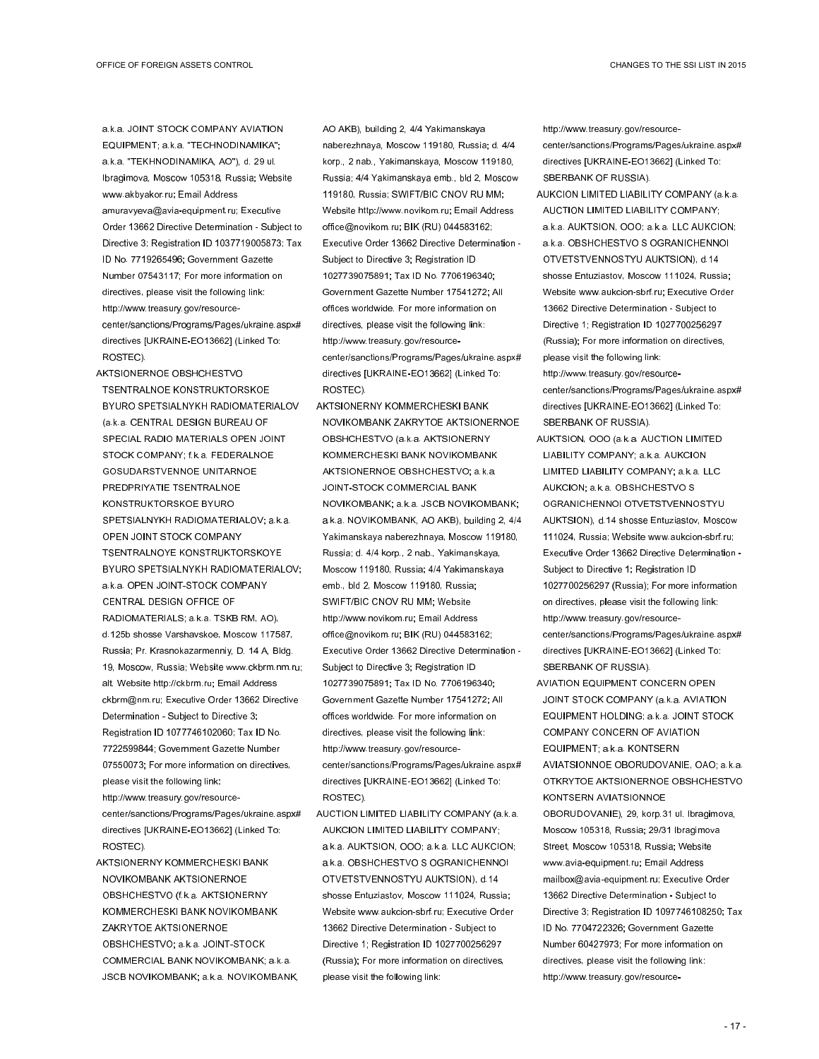a.k.a. JOINT STOCK COMPANY AVIATION EQUIPMENT; a.k.a. "TECHNODINAMIKA"; a.k.a. "TEKHNODINAMIKA, AO"), d. 29 ul. Ibragimova, Moscow 105318, Russia; Website www.akbyakor.ru; Email Address amuravyeva@avia-equipment.ru; Executive Order 13662 Directive Determination - Subject to Directive 3; Registration ID 1037719005873; Tax ID No. 7719265496; Government Gazette Number 07543117; For more information on directives, please visit the following link: http://www.treasury.gov/resourcecenter/sanctions/Programs/Pages/ukraine.aspx# directives [UKRAINE-EO13662] (Linked To: ROSTEC).

AKTSIONERNOE OBSHCHESTVO TSENTRALNOE KONSTRUKTORSKOE BYURO SPETSIALNYKH RADIOMATERIALOV (a.k.a. CENTRAL DESIGN BUREAU OF SPECIAL RADIO MATERIALS OPEN JOINT STOCK COMPANY; f.k.a. FEDERALNOE GOSUDARSTVENNOE UNITARNOE PREDPRIYATIE TSENTRALNOE KONSTRUKTORSKOE BYURO SPETSIALNYKH RADIOMATERIALOV; a.k.a. OPEN JOINT STOCK COMPANY TSENTRALNOYE KONSTRUKTORSKOYE BYURO SPETSIALNYKH RADIOMATERIALOV; a.k.a. OPEN JOINT-STOCK COMPANY CENTRAL DESIGN OFFICE OF RADIOMATERIALS; a.k.a. TSKB RM, AO), d.125b shosse Varshavskoe, Moscow 117587, Russia; Pr. Krasnokazarmenniy, D. 14 A, Bldg. 19, Moscow, Russia; Website www.ckbrm.nm.ru; alt. Website http://ckbrm.ru; Email Address ckbrm@nm.ru; Executive Order 13662 Directive Determination - Subject to Directive 3; Registration ID 1077746102060; Tax ID No. 7722599844; Government Gazette Number 07550073; For more information on directives, please visit the following link: http://www.treasury.gov/resource-

center/sanctions/Programs/Pages/ukraine.aspx# directives [UKRAINE-EO13662] (Linked To: ROSTEC).

AKTSIONERNY KOMMERCHESKI BANK NOVIKOMBANK AKTSIONERNOE OBSHCHESTVO (f.k.a. AKTSIONERNY KOMMERCHESKI BANK NOVIKOMBANK ZAKRYTOE AKTSIONERNOE OBSHCHESTVO; a.k.a. JOINT-STOCK COMMERCIAL BANK NOVIKOMBANK; a.k.a. JSCB NOVIKOMBANK; a.k.a. NOVIKOMBANK, AO AKB), building 2, 4/4 Yakimanskaya naberezhnaya, Moscow 119180, Russia; d. 4/4 korp., 2 nab., Yakimanskaya, Moscow 119180, Russia; 4/4 Yakimanskaya emb., bld 2, Moscow 119180, Russia; SWIFT/BIC CNOV RU MM; Website http://www.novikom.ru; Email Address office@novikom.ru; BIK (RU) 044583162; Executive Order 13662 Directive Determination - Subject to Directive 3; Registration ID 1027739075891; Tax ID No. 7706196340; Government Gazette Number 17541272; All offices worldwide. For more information on directives, please visit the following link: http://www.treasury.gov/resourcecenter/sanctions/Programs/Pages/ukraine.aspx# directives [UKRAINE-EO13662] (Linked To: ROSTEC).

- AKTSIONERNY KOMMERCHESKI BANK NOVIKOMBANK ZAKRYTOE AKTSIONERNOE OBSHCHESTVO (a.k.a. AKTSIONERNY KOMMERCHESKI BANK NOVIKOMBANK AKTSIONERNOE OBSHCHESTVO; a.k.a. JOINT-STOCK COMMERCIAL BANK NOVIKOMBANK; a.k.a. JSCB NOVIKOMBANK; a.k.a. NOVIKOMBANK, AO AKB), building 2, 4/4 Yakimanskaya naberezhnaya, Moscow 119180, Russia; d. 4/4 korp., 2 nab., Yakimanskaya, Moscow 119180, Russia; 4/4 Yakimanskaya emb., bld 2, Moscow 119180, Russia; SWIFT/BIC CNOV RU MM; Website http://www.novikom.ru; Email Address office@novikom.ru; BIK (RU) 044583162; Executive Order 13662 Directive Determination - Subject to Directive 3; Registration ID 1027739075891; Tax ID No. 7706196340; Government Gazette Number 17541272; All offices worldwide. For more information on directives, please visit the following link: http://www.treasury.gov/resourcecenter/sanctions/Programs/Pages/ukraine.aspx# directives [UKRAINE-EO13662] (Linked To: ROSTEC).
- AUCTION LIMITED LIABILITY COMPANY (a.k.a. AUKCION LIMITED LIABILITY COMPANY; a.k.a. AUKTSION, OOO; a.k.a. LLC AUKCION; a.k.a. OBSHCHESTVO S OGRANICHENNOI OTVETSTVENNOSTYU AUKTSION), d.14 shosse Entuziastov, Moscow 111024, Russia; Website www.aukcion-sbrf.ru; Executive Order 13662 Directive Determination - Subject to Directive 1; Registration ID 1027700256297 (Russia); For more information on directives, please visit the following link:

http://www.treasury.gov/resourcecenter/sanctions/Programs/Pages/ukraine.aspx# directives [UKRAINE-EO13662] (Linked To: SBERBANK OF RUSSIA).

- AUKCION LIMITED LIABILITY COMPANY (a.k.a. AUCTION LIMITED LIABILITY COMPANY; a.k.a. AUKTSION, OOO; a.k.a. LLC AUKCION; a.k.a. OBSHCHESTVO S OGRANICHENNOI OTVETSTVENNOSTYU AUKTSION), d.14 shosse Entuziastov, Moscow 111024, Russia; Website www.aukcion-sbrf.ru; Executive Order 13662 Directive Determination - Subject to Directive 1; Registration ID 1027700256297 (Russia); For more information on directives, please visit the following link: http://www.treasury.gov/resourcecenter/sanctions/Programs/Pages/ukraine.aspx# directives [UKRAINE-EO13662] (Linked To:
- AUKTSION, OOO (a.k.a. AUCTION LIMITED LIABILITY COMPANY; a.k.a. AUKCION LIMITED LIABILITY COMPANY; a.k.a. LLC AUKCION; a.k.a. OBSHCHESTVO S OGRANICHENNOI OTVETSTVENNOSTYU AUKTSION), d.14 shosse Entuziastov, Moscow 111024, Russia; Website www.aukcion-sbrf.ru; Executive Order 13662 Directive Determination - Subject to Directive 1; Registration ID 1027700256297 (Russia); For more information on directives, please visit the following link: http://www.treasury.gov/resourcecenter/sanctions/Programs/Pages/ukraine.aspx# directives [UKRAINE-EO13662] (Linked To: SBERBANK OF RUSSIA).

SBERBANK OF RUSSIA).

AVIATION EQUIPMENT CONCERN OPEN JOINT STOCK COMPANY (a.k.a. AVIATION EQUIPMENT HOLDING; a.k.a. JOINT STOCK COMPANY CONCERN OF AVIATION EQUIPMENT; a.k.a. KONTSERN AVIATSIONNOE OBORUDOVANIE, OAO; a.k.a. OTKRYTOE AKTSIONERNOE OBSHCHESTVO KONTSERN AVIATSIONNOE OBORUDOVANIE), 29, korp.31 ul. Ibragimova, Moscow 105318, Russia; 29/31 Ibragimova Street, Moscow 105318, Russia; Website www.avia-equipment.ru; Email Address mailbox@avia-equipment.ru; Executive Order 13662 Directive Determination - Subject to Directive 3; Registration ID 1097746108250; Tax ID No. 7704722326; Government Gazette Number 60427973; For more information on directives, please visit the following link: http://www.treasury.gov/resource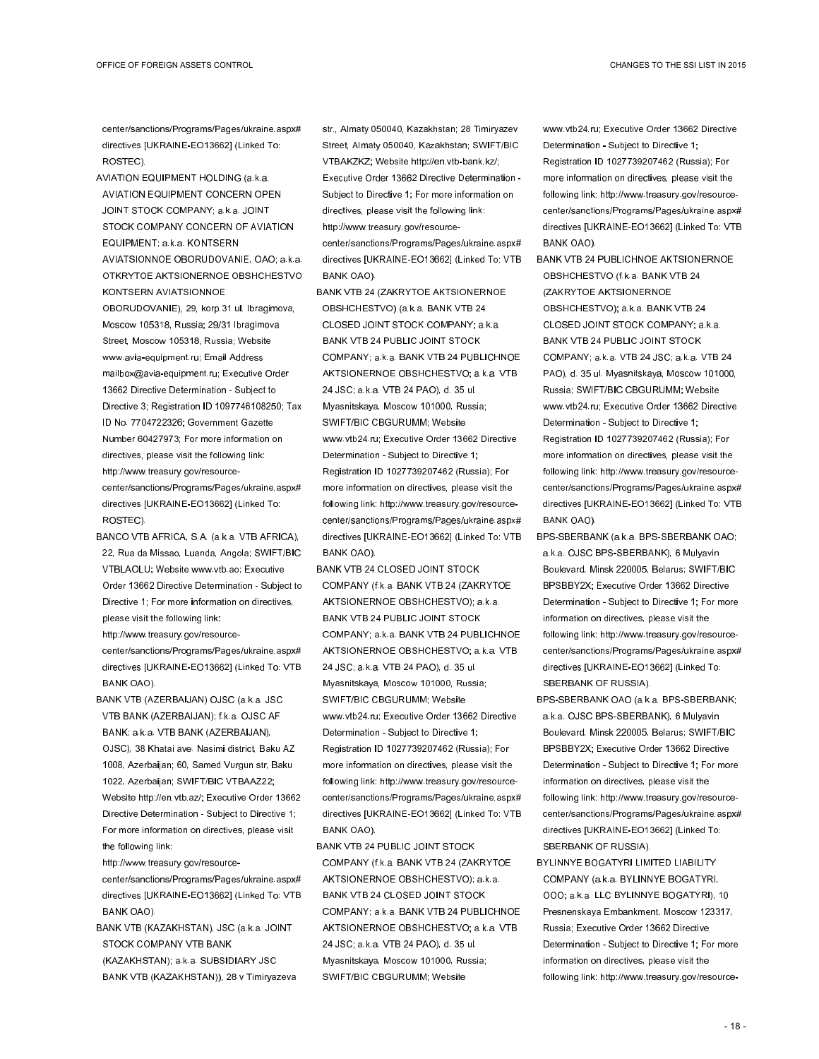center/sanctions/Programs/Pages/ukraine.aspx# directives [UKRAINE-EO13662] (Linked To: ROSTEC).

- AVIATION EQUIPMENT HOLDING (a.k.a. AVIATION EQUIPMENT CONCERN OPEN JOINT STOCK COMPANY; a.k.a. JOINT STOCK COMPANY CONCERN OF AVIATION EQUIPMENT; a.k.a. KONTSERN AVIATSIONNOE OBORUDOVANIE, OAO; a.k.a. OTKRYTOE AKTSIONERNOE OBSHCHESTVO KONTSERN AVIATSIONNOE OBORUDOVANIE), 29, korp.31 ul. Ibragimova, Moscow 105318, Russia; 29/31 Ibragimova Street, Moscow 105318, Russia; Website www.avia-equipment.ru; Email Address mailbox@avia-equipment.ru; Executive Order 13662 Directive Determination - Subject to Directive 3; Registration ID 1097746108250; Tax ID No. 7704722326; Government Gazette Number 60427973; For more information on directives, please visit the following link: http://www.treasury.gov/resourcecenter/sanctions/Programs/Pages/ukraine.aspx# directives [UKRAINE-EO13662] (Linked To: ROSTEC).
- BANCO VTB AFRICA, S.A. (a.k.a. VTB AFRICA), 22, Rua da Missao, Luanda, Angola; SWIFT/BIC VTBLAOLU; Website www.vtb.ao; Executive Order 13662 Directive Determination - Subject to Directive 1; For more information on directives, please visit the following link:
- http://www.treasury.gov/resourcecenter/sanctions/Programs/Pages/ukraine.aspx# directives [UKRAINE-EO13662] (Linked To: VTB BANK OAO).
- BANK VTB (AZERBAIJAN) OJSC (a.k.a. JSC VTB BANK (AZERBAIJAN); f.k.a. OJSC AF BANK; a.k.a. VTB BANK (AZERBAIJAN), OJSC), 38 Khatai ave. Nasimi district, Baku AZ 1008, Azerbaijan; 60, Samed Vurgun str, Baku 1022, Azerbaijan; SWIFT/BIC VTBAAZ22; Website http://en.vtb.az/; Executive Order 13662 Directive Determination - Subject to Directive 1; For more information on directives, please visit the following link:

http://www.treasury.gov/resourcecenter/sanctions/Programs/Pages/ukraine.aspx# directives [UKRAINE-EO13662] (Linked To: VTB BANK OAO).

BANK VTB (KAZAKHSTAN), JSC (a.k.a. JOINT STOCK COMPANY VTB BANK (KAZAKHSTAN); a.k.a. SUBSIDIARY JSC BANK VTB (KAZAKHSTAN)), 28 v Timiryazeva str., Almaty 050040, Kazakhstan; 28 Timiryazev Street, Almaty 050040, Kazakhstan; SWIFT/BIC VTBAKZKZ; Website http://en.vtb-bank.kz/; Executive Order 13662 Directive Determination - Subject to Directive 1; For more information on directives, please visit the following link: http://www.treasury.gov/resourcecenter/sanctions/Programs/Pages/ukraine.aspx# directives [UKRAINE-EO13662] (Linked To: VTB BANK OAO).

BANK VTB 24 (ZAKRYTOE AKTSIONERNOE OBSHCHESTVO) (a.k.a. BANK VTB 24 CLOSED JOINT STOCK COMPANY; a.k.a. BANK VTB 24 PUBLIC JOINT STOCK COMPANY; a.k.a. BANK VTB 24 PUBLICHNOE AKTSIONERNOE OBSHCHESTVO; a.k.a. VTB 24 JSC; a.k.a. VTB 24 PAO), d. 35 ul. Myasnitskaya, Moscow 101000, Russia; SWIFT/BIC CBGURUMM; Website www.vtb24.ru; Executive Order 13662 Directive Determination - Subject to Directive 1; Registration ID 1027739207462 (Russia); For more information on directives, please visit the following link: http://www.treasury.gov/resourcecenter/sanctions/Programs/Pages/ukraine.aspx# directives [UKRAINE-EO13662] (Linked To: VTB BANK OAO).

BANK VTB 24 CLOSED JOINT STOCK COMPANY (f.k.a. BANK VTB 24 (ZAKRYTOE AKTSIONERNOE OBSHCHESTVO); a.k.a. BANK VTB 24 PUBLIC JOINT STOCK COMPANY; a.k.a. BANK VTB 24 PUBLICHNOE AKTSIONERNOE OBSHCHESTVO; a.k.a. VTB 24 JSC; a.k.a. VTB 24 PAO), d. 35 ul. Myasnitskaya, Moscow 101000, Russia; SWIFT/BIC CBGURUMM; Website www.vtb24.ru; Executive Order 13662 Directive Determination - Subject to Directive 1; Registration ID 1027739207462 (Russia); For more information on directives, please visit the following link: http://www.treasury.gov/resourcecenter/sanctions/Programs/Pages/ukraine.aspx# directives [UKRAINE-EO13662] (Linked To: VTB BANK OAO).

BANK VTB 24 PUBLIC JOINT STOCK COMPANY (f.k.a. BANK VTB 24 (ZAKRYTOE AKTSIONERNOE OBSHCHESTVO); a.k.a. BANK VTB 24 CLOSED JOINT STOCK COMPANY; a.k.a. BANK VTB 24 PUBLICHNOE AKTSIONERNOE OBSHCHESTVO; a.k.a. VTB 24 JSC; a.k.a. VTB 24 PAO), d. 35 ul. Myasnitskaya, Moscow 101000, Russia; SWIFT/BIC CBGURUMM; Website

www.vtb24.ru; Executive Order 13662 Directive Determination - Subject to Directive 1; Registration ID 1027739207462 (Russia); For more information on directives, please visit the following link: http://www.treasury.gov/resourcecenter/sanctions/Programs/Pages/ukraine.aspx# directives [UKRAINE-EO13662] (Linked To: VTB BANK OAO).

BANK VTB 24 PUBLICHNOE AKTSIONERNOE OBSHCHESTVO (f.k.a. BANK VTB 24 (ZAKRYTOE AKTSIONERNOE OBSHCHESTVO); a.k.a. BANK VTB 24 CLOSED JOINT STOCK COMPANY; a.k.a. BANK VTB 24 PUBLIC JOINT STOCK COMPANY; a.k.a. VTB 24 JSC; a.k.a. VTB 24 PAO), d. 35 ul. Myasnitskaya, Moscow 101000, Russia; SWIFT/BIC CBGURUMM; Website www.vtb24.ru; Executive Order 13662 Directive Determination - Subject to Directive 1; Registration ID 1027739207462 (Russia); For more information on directives, please visit the following link: http://www.treasury.gov/resourcecenter/sanctions/Programs/Pages/ukraine.aspx# directives [UKRAINE-EO13662] (Linked To: VTB BANK OAO).

BPS-SBERBANK (a.k.a. BPS-SBERBANK OAO; a.k.a. OJSC BPS-SBERBANK), 6 Mulyavin Boulevard, Minsk 220005, Belarus; SWIFT/BIC BPSBBY2X; Executive Order 13662 Directive Determination - Subject to Directive 1; For more information on directives, please visit the following link: http://www.treasury.gov/resourcecenter/sanctions/Programs/Pages/ukraine.aspx# directives [UKRAINE-EO13662] (Linked To: SBERBANK OF RUSSIA).

BPS-SBERBANK OAO (a.k.a. BPS-SBERBANK; a.k.a. OJSC BPS-SBERBANK), 6 Mulyavin Boulevard, Minsk 220005, Belarus; SWIFT/BIC BPSBBY2X; Executive Order 13662 Directive Determination - Subject to Directive 1; For more information on directives, please visit the following link: http://www.treasury.gov/resourcecenter/sanctions/Programs/Pages/ukraine.aspx# directives [UKRAINE-EO13662] (Linked To: SBERBANK OF RUSSIA).

BYLINNYE BOGATYRI LIMITED LIABILITY COMPANY (a.k.a. BYLINNYE BOGATYRI, OOO; a.k.a. LLC BYLINNYE BOGATYRI), 10 Presnenskaya Embankment, Moscow 123317, Russia; Executive Order 13662 Directive Determination - Subject to Directive 1; For more information on directives, please visit the following link: http://www.treasury.gov/resource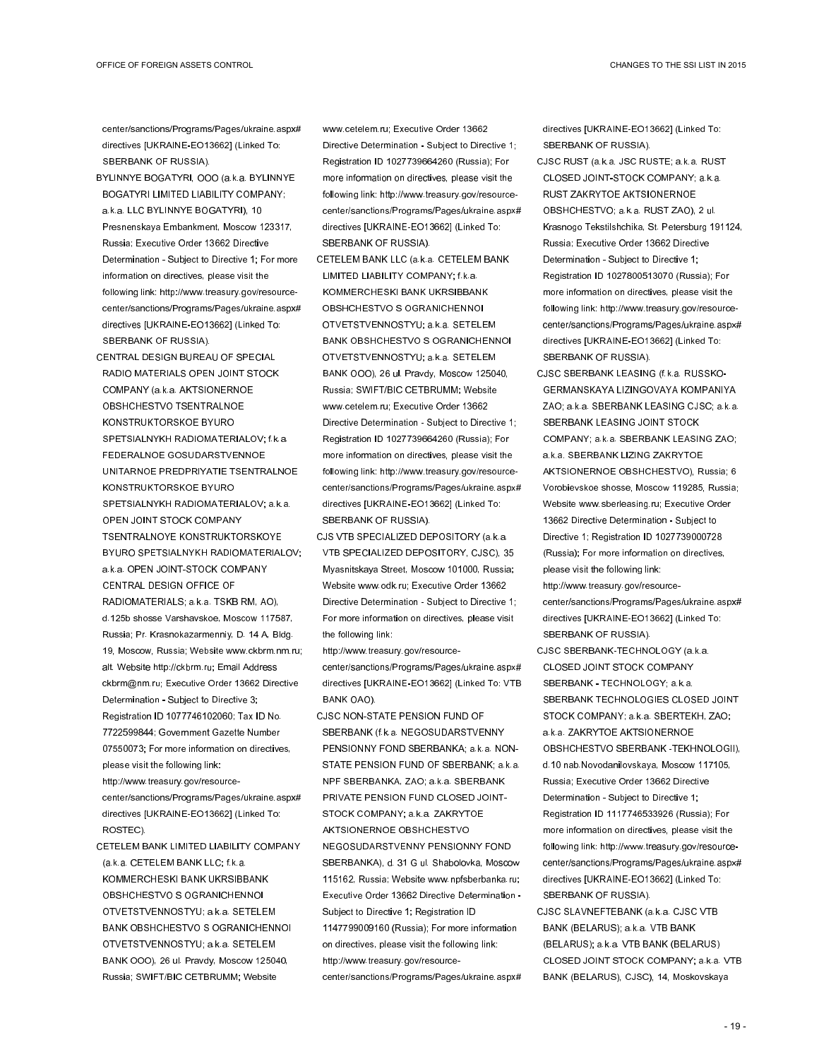center/sanctions/Programs/Pages/ukraine.aspx# directives [UKRAINE-EO13662] (Linked To: SBERBANK OF RUSSIA).

- BYLINNYE BOGATYRI, OOO (a.k.a. BYLINNYE BOGATYRI LIMITED LIABILITY COMPANY; a.k.a. LLC BYLINNYE BOGATYRI), 10 Presnenskaya Embankment, Moscow 123317, Russia; Executive Order 13662 Directive Determination - Subject to Directive 1; For more information on directives, please visit the following link: http://www.treasury.gov/resourcecenter/sanctions/Programs/Pages/ukraine.aspx# directives [UKRAINE-EO13662] (Linked To: SBERBANK OF RUSSIA).
- CENTRAL DESIGN BUREAU OF SPECIAL RADIO MATERIALS OPEN JOINT STOCK COMPANY (a.k.a. AKTSIONERNOE OBSHCHESTVO TSENTRALNOE KONSTRUKTORSKOE BYURO SPETSIALNYKH RADIOMATERIALOV; f.k.a. FEDERALNOE GOSUDARSTVENNOE UNITARNOE PREDPRIYATIE TSENTRALNOE KONSTRUKTORSKOE BYURO SPETSIALNYKH RADIOMATERIALOV; a.k.a. OPEN JOINT STOCK COMPANY TSENTRALNOYE KONSTRUKTORSKOYE BYURO SPETSIALNYKH RADIOMATERIALOV; a.k.a. OPEN JOINT-STOCK COMPANY CENTRAL DESIGN OFFICE OF RADIOMATERIALS; a.k.a. TSKB RM, AO), d.125b shosse Varshavskoe, Moscow 117587, Russia; Pr. Krasnokazarmenniy, D. 14 A, Bldg. 19, Moscow, Russia; Website www.ckbrm.nm.ru; alt. Website http://ckbrm.ru; Email Address ckbrm@nm.ru; Executive Order 13662 Directive Determination - Subject to Directive 3; Registration ID 1077746102060; Tax ID No. 7722599844; Government Gazette Number 07550073; For more information on directives, please visit the following link: http://www.treasury.gov/resource-

center/sanctions/Programs/Pages/ukraine.aspx# directives [UKRAINE-EO13662] (Linked To: ROSTEC).

CETELEM BANK LIMITED LIABILITY COMPANY (a.k.a. CETELEM BANK LLC; f.k.a. KOMMERCHESKI BANK UKRSIBBANK OBSHCHESTVO S OGRANICHENNOI OTVETSTVENNOSTYU; a.k.a. SETELEM BANK OBSHCHESTVO S OGRANICHENNOI OTVETSTVENNOSTYU; a.k.a. SETELEM BANK OOO), 26 ul. Pravdy, Moscow 125040, Russia; SWIFT/BIC CETBRUMM; Website

www.cetelem.ru; Executive Order 13662 Directive Determination - Subject to Directive 1; Registration ID 1027739664260 (Russia); For more information on directives, please visit the following link: http://www.treasury.gov/resourcecenter/sanctions/Programs/Pages/ukraine.aspx# directives [UKRAINE-EO13662] (Linked To: SBERBANK OF RUSSIA).

- CETELEM BANK LLC (a.k.a. CETELEM BANK LIMITED LIABILITY COMPANY; f.k.a. KOMMERCHESKI BANK UKRSIBBANK OBSHCHESTVO S OGRANICHENNOI OTVETSTVENNOSTYU; a.k.a. SETELEM BANK OBSHCHESTVO S OGRANICHENNOI OTVETSTVENNOSTYU; a.k.a. SETELEM BANK OOO), 26 ul. Pravdy, Moscow 125040, Russia; SWIFT/BIC CETBRUMM; Website www.cetelem.ru; Executive Order 13662 Directive Determination - Subject to Directive 1; Registration ID 1027739664260 (Russia); For more information on directives, please visit the following link: http://www.treasury.gov/resourcecenter/sanctions/Programs/Pages/ukraine.aspx# directives [UKRAINE-EO13662] (Linked To: SBERBANK OF RUSSIA).
- CJS VTB SPECIALIZED DEPOSITORY (a.k.a. VTB SPECIALIZED DEPOSITORY, CJSC), 35 Myasnitskaya Street, Moscow 101000, Russia; Website www.odk.ru; Executive Order 13662 Directive Determination - Subject to Directive 1; For more information on directives, please visit the following link:

http://www.treasury.gov/resourcecenter/sanctions/Programs/Pages/ukraine.aspx# directives [UKRAINE-EO13662] (Linked To: VTB BANK OAO).

CJSC NON-STATE PENSION FUND OF SBERBANK (f.k.a. NEGOSUDARSTVENNY PENSIONNY FOND SBERBANKA; a.k.a. NON-STATE PENSION FUND OF SBERBANK; a.k.a. NPF SBERBANKA, ZAO; a.k.a. SBERBANK PRIVATE PENSION FUND CLOSED JOINT-STOCK COMPANY; a.k.a. ZAKRYTOE AKTSIONERNOE OBSHCHESTVO NEGOSUDARSTVENNY PENSIONNY FOND SBERBANKA), d. 31 G ul. Shabolovka, Moscow 115162, Russia; Website www.npfsberbanka.ru; Executive Order 13662 Directive Determination - Subject to Directive 1; Registration ID 1147799009160 (Russia); For more information on directives, please visit the following link: http://www.treasury.gov/resourcecenter/sanctions/Programs/Pages/ukraine.aspx# directives [UKRAINE-EO13662] (Linked To: SBERBANK OF RUSSIA).

- CJSC RUST (a.k.a. JSC RUSTE; a.k.a. RUST CLOSED JOINT-STOCK COMPANY; a.k.a. RUST ZAKRYTOE AKTSIONERNOE OBSHCHESTVO; a.k.a. RUST ZAO), 2 ul. Krasnogo Tekstilshchika, St. Petersburg 191124, Russia; Executive Order 13662 Directive Determination - Subject to Directive 1; Registration ID 1027800513070 (Russia); For more information on directives, please visit the following link: http://www.treasury.gov/resourcecenter/sanctions/Programs/Pages/ukraine.aspx# directives [UKRAINE-EO13662] (Linked To: SBERBANK OF RUSSIA).
- CJSC SBERBANK LEASING (f.k.a. RUSSKO-GERMANSKAYA LIZINGOVAYA KOMPANIYA ZAO; a.k.a. SBERBANK LEASING CJSC; a.k.a. SBERBANK LEASING JOINT STOCK COMPANY; a.k.a. SBERBANK LEASING ZAO; a.k.a. SBERBANK LIZING ZAKRYTOE AKTSIONERNOE OBSHCHESTVO), Russia; 6 Vorobievskoe shosse, Moscow 119285, Russia; Website www.sberleasing.ru; Executive Order 13662 Directive Determination - Subject to Directive 1; Registration ID 1027739000728 (Russia); For more information on directives, please visit the following link: http://www.treasury.gov/resourcecenter/sanctions/Programs/Pages/ukraine.aspx# directives [UKRAINE-EO13662] (Linked To: SBERBANK OF RUSSIA).
- CJSC SBERBANK-TECHNOLOGY (a.k.a. CLOSED JOINT STOCK COMPANY SBERBANK - TECHNOLOGY; a.k.a. SBERBANK TECHNOLOGIES CLOSED JOINT STOCK COMPANY; a.k.a. SBERTEKH, ZAO; a.k.a. ZAKRYTOE AKTSIONERNOE OBSHCHESTVO SBERBANK -TEKHNOLOGII), d.10 nab.Novodanilovskaya, Moscow 117105, Russia; Executive Order 13662 Directive Determination - Subject to Directive 1; Registration ID 1117746533926 (Russia); For more information on directives, please visit the following link: http://www.treasury.gov/resourcecenter/sanctions/Programs/Pages/ukraine.aspx# directives [UKRAINE-EO13662] (Linked To: SBERBANK OF RUSSIA).
- CJSC SLAVNEFTEBANK (a.k.a. CJSC VTB BANK (BELARUS); a.k.a. VTB BANK (BELARUS); a.k.a. VTB BANK (BELARUS) CLOSED JOINT STOCK COMPANY; a.k.a. VTB BANK (BELARUS), CJSC), 14, Moskovskaya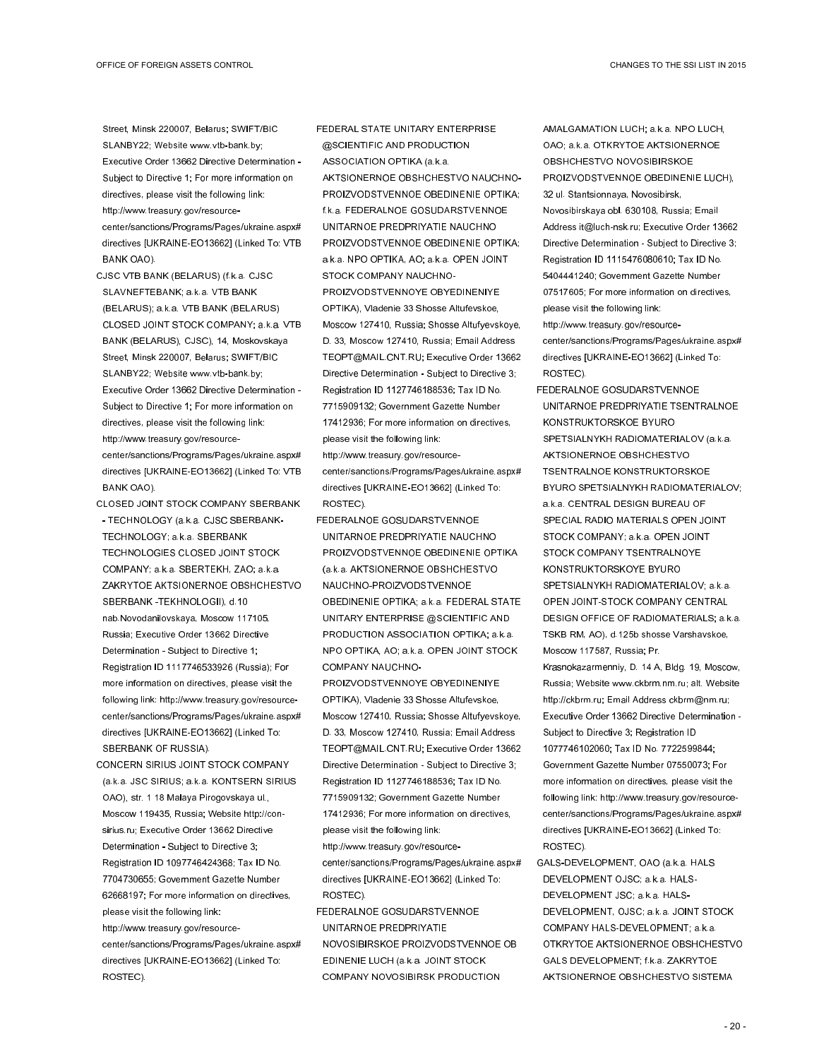Street, Minsk 220007, Belarus; SWIFT/BIC SLANBY22; Website www.vtb-bank.by; Executive Order 13662 Directive Determination - Subject to Directive 1; For more information on directives, please visit the following link: http://www.treasury.gov/resourcecenter/sanctions/Programs/Pages/ukraine.aspx# directives [UKRAINE-EO13662] (Linked To: VTB BANK OAO).

- CJSC VTB BANK (BELARUS) (f.k.a. CJSC SLAVNEFTEBANK; a.k.a. VTB BANK (BELARUS); a.k.a. VTB BANK (BELARUS) CLOSED JOINT STOCK COMPANY; a.k.a. VTB BANK (BELARUS), CJSC), 14, Moskovskaya Street, Minsk 220007, Belarus; SWIFT/BIC SLANBY22; Website www.vtb-bank.by; Executive Order 13662 Directive Determination - Subject to Directive 1; For more information on directives, please visit the following link: http://www.treasury.gov/resourcecenter/sanctions/Programs/Pages/ukraine.aspx# directives [UKRAINE-EO13662] (Linked To: VTB BANK OAO).
- CLOSED JOINT STOCK COMPANY SBERBANK - TECHNOLOGY (a.k.a. CJSC SBERBANK-TECHNOLOGY; a.k.a. SBERBANK TECHNOLOGIES CLOSED JOINT STOCK COMPANY; a.k.a. SBERTEKH, ZAO; a.k.a. ZAKRYTOE AKTSIONERNOE OBSHCHESTVO SBERBANK -TEKHNOLOGII), d.10 nab.Novodanilovskaya, Moscow 117105, Russia; Executive Order 13662 Directive Determination - Subject to Directive 1; Registration ID 1117746533926 (Russia); For more information on directives, please visit the following link: http://www.treasury.gov/resourcecenter/sanctions/Programs/Pages/ukraine.aspx# directives [UKRAINE-EO13662] (Linked To: SBERBANK OF RUSSIA).
- CONCERN SIRIUS JOINT STOCK COMPANY (a.k.a. JSC SIRIUS; a.k.a. KONTSERN SIRIUS OAO), str. 1 18 Malaya Pirogovskaya ul., Moscow 119435, Russia; Website http://consirius.ru; Executive Order 13662 Directive Determination - Subject to Directive 3; Registration ID 1097746424368; Tax ID No. 7704730655; Government Gazette Number 62668197; For more information on directives, please visit the following link: http://www.treasury.gov/resourcecenter/sanctions/Programs/Pages/ukraine.aspx# directives [UKRAINE-EO13662] (Linked To: ROSTEC).

FEDERAL STATE UNITARY ENTERPRISE @SCIENTIFIC AND PRODUCTION ASSOCIATION OPTIKA (a.k.a. AKTSIONERNOE OBSHCHESTVO NAUCHNO-PROIZVODSTVENNOE OBEDINENIE OPTIKA; f.k.a. FEDERALNOE GOSUDARSTVENNOE UNITARNOE PREDPRIYATIE NAUCHNO PROIZVODSTVENNOE OBEDINENIE OPTIKA; a.k.a. NPO OPTIKA, AO; a.k.a. OPEN JOINT STOCK COMPANY NAUCHNO-PROIZVODSTVENNOYE OBYEDINENIYE OPTIKA), Vladenie 33 Shosse Altufevskoe, Moscow 127410, Russia; Shosse Altufyevskoye, D. 33, Moscow 127410, Russia; Email Address TEOPT@MAIL.CNT.RU; Executive Order 13662 Directive Determination - Subject to Directive 3; Registration ID 1127746188536; Tax ID No. 7715909132; Government Gazette Number 17412936; For more information on directives, please visit the following link: http://www.treasury.gov/resourcecenter/sanctions/Programs/Pages/ukraine.aspx# directives [UKRAINE-EO13662] (Linked To:

FEDERALNOE GOSUDARSTVENNOE UNITARNOE PREDPRIYATIE NAUCHNO PROIZVODSTVENNOE OBEDINENIE OPTIKA (a.k.a. AKTSIONERNOE OBSHCHESTVO NAUCHNO-PROIZVODSTVENNOE OBEDINENIE OPTIKA; a.k.a. FEDERAL STATE UNITARY ENTERPRISE @SCIENTIFIC AND PRODUCTION ASSOCIATION OPTIKA; a.k.a. NPO OPTIKA, AO; a.k.a. OPEN JOINT STOCK COMPANY NAUCHNO-

ROSTEC).

- PROIZVODSTVENNOYE OBYEDINENIYE OPTIKA), Vladenie 33 Shosse Altufevskoe, Moscow 127410, Russia; Shosse Altufyevskoye, D. 33, Moscow 127410, Russia; Email Address TEOPT@MAIL.CNT.RU; Executive Order 13662 Directive Determination - Subject to Directive 3; Registration ID 1127746188536; Tax ID No. 7715909132; Government Gazette Number 17412936; For more information on directives, please visit the following link:
- http://www.treasury.gov/resourcecenter/sanctions/Programs/Pages/ukraine.aspx# directives [UKRAINE-EO13662] (Linked To: ROSTEC).
- FEDERALNOE GOSUDARSTVENNOE UNITARNOE PREDPRIYATIE NOVOSIBIRSKOE PROIZVODSTVENNOE OB EDINENIE LUCH (a.k.a. JOINT STOCK COMPANY NOVOSIBIRSK PRODUCTION

AMALGAMATION LUCH; a.k.a. NPO LUCH, OAO; a.k.a. OTKRYTOE AKTSIONERNOE OBSHCHESTVO NOVOSIBIRSKOE PROIZVODSTVENNOE OBEDINENIE LUCH), 32 ul. Stantsionnaya, Novosibirsk, Novosibirskaya obl. 630108, Russia; Email Address it@luch-nsk.ru; Executive Order 13662 Directive Determination - Subject to Directive 3; Registration ID 1115476080610; Tax ID No. 5404441240; Government Gazette Number 07517605; For more information on directives, please visit the following link: http://www.treasury.gov/resourcecenter/sanctions/Programs/Pages/ukraine.aspx# directives [UKRAINE-EO13662] (Linked To:

FEDERALNOE GOSUDARSTVENNOE UNITARNOE PREDPRIYATIE TSENTRALNOE KONSTRUKTORSKOE BYURO SPETSIALNYKH RADIOMATERIALOV (a.k.a. AKTSIONERNOE OBSHCHESTVO TSENTRALNOE KONSTRUKTORSKOE BYURO SPETSIALNYKH RADIOMATERIALOV; a.k.a. CENTRAL DESIGN BUREAU OF SPECIAL RADIO MATERIALS OPEN JOINT STOCK COMPANY; a.k.a. OPEN JOINT STOCK COMPANY TSENTRALNOYE KONSTRUKTORSKOYE BYURO SPETSIALNYKH RADIOMATERIALOV; a.k.a. OPEN JOINT-STOCK COMPANY CENTRAL DESIGN OFFICE OF RADIOMATERIALS; a.k.a. TSKB RM, AO), d.125b shosse Varshavskoe, Moscow 117587, Russia; Pr.

ROSTEC).

- Krasnokazarmenniy, D. 14 A, Bldg. 19, Moscow, Russia; Website www.ckbrm.nm.ru; alt. Website http://ckbrm.ru; Email Address ckbrm@nm.ru; Executive Order 13662 Directive Determination - Subject to Directive 3; Registration ID 1077746102060; Tax ID No. 7722599844; Government Gazette Number 07550073; For more information on directives, please visit the following link: http://www.treasury.gov/resourcecenter/sanctions/Programs/Pages/ukraine.aspx# directives [UKRAINE-EO13662] (Linked To: ROSTEC).
- GALS-DEVELOPMENT, OAO (a.k.a. HALS DEVELOPMENT OJSC; a.k.a. HALS-DEVELOPMENT JSC; a.k.a. HALS-DEVELOPMENT, OJSC; a.k.a. JOINT STOCK COMPANY HALS-DEVELOPMENT; a.k.a. OTKRYTOE AKTSIONERNOE OBSHCHESTVO GALS DEVELOPMENT; f.k.a. ZAKRYTOE AKTSIONERNOE OBSHCHESTVO SISTEMA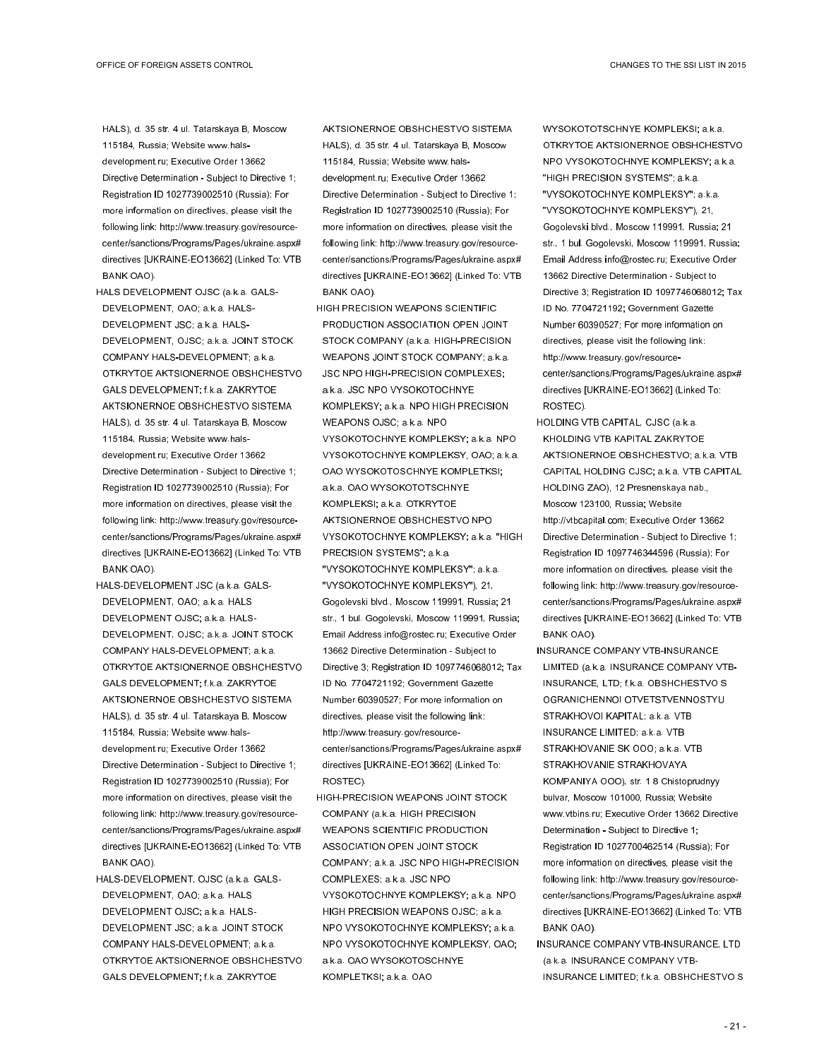HALS), d. 35 str. 4 ul. Tatarskaya B, Moscow 115184, Russia; Website www.halsdevelopment.ru; Executive Order 13662 Directive Determination - Subject to Directive 1; Registration ID 1027739002510 (Russia); For more information on directives, please visit the following link: http://www.treasury.gov/resourcecenter/sanctions/Programs/Pages/ukraine.aspx# directives [UKRAINE-EO13662] (Linked To: VTB BANK OAO).

- HALS DEVELOPMENT OJSC (a.k.a. GALS-DEVELOPMENT, OAO; a.k.a. HALS-DEVELOPMENT JSC; a.k.a. HALS-DEVELOPMENT, OJSC; a.k.a. JOINT STOCK COMPANY HALS-DEVELOPMENT; a.k.a. OTKRYTOE AKTSIONERNOE OBSHCHESTVO GALS DEVELOPMENT; f.k.a. ZAKRYTOE AKTSIONERNOE OBSHCHESTVO SISTEMA HALS), d. 35 str. 4 ul. Tatarskaya B, Moscow 115184, Russia; Website www.halsdevelopment.ru; Executive Order 13662 Directive Determination - Subject to Directive 1; Registration ID 1027739002510 (Russia); For more information on directives, please visit the following link: http://www.treasury.gov/resourcecenter/sanctions/Programs/Pages/ukraine.aspx# directives [UKRAINE-EO13662] (Linked To: VTB BANK OAO).
- HALS-DEVELOPMENT JSC (a.k.a. GALS-DEVELOPMENT, OAO; a.k.a. HALS DEVELOPMENT OJSC; a.k.a. HALS-DEVELOPMENT, OJSC; a.k.a. JOINT STOCK COMPANY HALS-DEVELOPMENT; a.k.a. OTKRYTOE AKTSIONERNOE OBSHCHESTVO GALS DEVELOPMENT; f.k.a. ZAKRYTOE AKTSIONERNOE OBSHCHESTVO SISTEMA HALS), d. 35 str. 4 ul. Tatarskaya B, Moscow 115184, Russia; Website www.halsdevelopment.ru; Executive Order 13662 Directive Determination - Subject to Directive 1; Registration ID 1027739002510 (Russia); For more information on directives, please visit the following link: http://www.treasury.gov/resourcecenter/sanctions/Programs/Pages/ukraine.aspx# directives [UKRAINE-EO13662] (Linked To: VTB BANK OAO).
- HALS-DEVELOPMENT, OJSC (a.k.a. GALS-DEVELOPMENT, OAO; a.k.a. HALS DEVELOPMENT OJSC; a.k.a. HALS-DEVELOPMENT JSC; a.k.a. JOINT STOCK COMPANY HALS-DEVELOPMENT; a.k.a. OTKRYTOE AKTSIONERNOE OBSHCHESTVO GALS DEVELOPMENT; f.k.a. ZAKRYTOE

AKTSIONERNOE OBSHCHESTVO SISTEMA HALS), d. 35 str. 4 ul. Tatarskaya B, Moscow 115184, Russia; Website www.halsdevelopment.ru; Executive Order 13662 Directive Determination - Subject to Directive 1; Registration ID 1027739002510 (Russia); For more information on directives, please visit the following link: http://www.treasury.gov/resourcecenter/sanctions/Programs/Pages/ukraine.aspx# directives [UKRAINE-EO13662] (Linked To: VTB BANK OAO).

HIGH PRECISION WEAPONS SCIENTIFIC PRODUCTION ASSOCIATION OPEN JOINT STOCK COMPANY (a.k.a. HIGH-PRECISION WEAPONS JOINT STOCK COMPANY; a.k.a. JSC NPO HIGH-PRECISION COMPLEXES; a.k.a. JSC NPO VYSOKOTOCHNYE KOMPLEKSY; a.k.a. NPO HIGH PRECISION WEAPONS OJSC; a.k.a. NPO VYSOKOTOCHNYE KOMPLEKSY; a.k.a. NPO VYSOKOTOCHNYE KOMPLEKSY, OAO; a.k.a. OAO WYSOKOTOSCHNYE KOMPLETKSI; a.k.a. OAO WYSOKOTOTSCHNYE KOMPLEKSI; a.k.a. OTKRYTOE AKTSIONERNOE OBSHCHESTVO NPO VYSOKOTOCHNYE KOMPLEKSY; a.k.a. "HIGH PRECISION SYSTEMS"; a.k.a.

"VYSOKOTOCHNYE KOMPLEKSY"; a.k.a. "VYSOKOTOCHNYE KOMPLEKSY"), 21, Gogolevski blvd., Moscow 119991, Russia; 21 str., 1 bul. Gogolevski, Moscow 119991, Russia; Email Address info@rostec.ru; Executive Order 13662 Directive Determination - Subject to Directive 3; Registration ID 1097746068012; Tax ID No. 7704721192; Government Gazette Number 60390527; For more information on directives, please visit the following link: http://www.treasury.gov/resourcecenter/sanctions/Programs/Pages/ukraine.aspx# directives [UKRAINE-EO13662] (Linked To: ROSTEC).

HIGH-PRECISION WEAPONS JOINT STOCK COMPANY (a.k.a. HIGH PRECISION WEAPONS SCIENTIFIC PRODUCTION ASSOCIATION OPEN JOINT STOCK COMPANY; a.k.a. JSC NPO HIGH-PRECISION COMPLEXES; a.k.a. JSC NPO VYSOKOTOCHNYE KOMPLEKSY; a.k.a. NPO HIGH PRECISION WEAPONS OJSC; a.k.a. NPO VYSOKOTOCHNYE KOMPLEKSY; a.k.a. NPO VYSOKOTOCHNYE KOMPLEKSY, OAO; a.k.a. OAO WYSOKOTOSCHNYE KOMPLETKSI; a.k.a. OAO

WYSOKOTOTSCHNYE KOMPLEKSI; a.k.a. OTKRYTOE AKTSIONERNOE OBSHCHESTVO NPO VYSOKOTOCHNYE KOMPLEKSY; a.k.a. "HIGH PRECISION SYSTEMS"; a.k.a. "VYSOKOTOCHNYE KOMPLEKSY"; a.k.a. "VYSOKOTOCHNYE KOMPLEKSY"), 21, Gogolevski blvd., Moscow 119991, Russia; 21 str., 1 bul. Gogolevski, Moscow 119991, Russia; Email Address info@rostec.ru; Executive Order 13662 Directive Determination - Subject to Directive 3; Registration ID 1097746068012; Tax ID No. 7704721192; Government Gazette Number 60390527; For more information on directives, please visit the following link: http://www.treasury.gov/resourcecenter/sanctions/Programs/Pages/ukraine.aspx# directives [UKRAINE-EO13662] (Linked To: ROSTEC).

- HOLDING VTB CAPITAL, CJSC (a.k.a. KHOLDING VTB KAPITAL ZAKRYTOE AKTSIONERNOE OBSHCHESTVO; a.k.a. VTB CAPITAL HOLDING CJSC; a.k.a. VTB CAPITAL HOLDING ZAO), 12 Presnenskaya nab., Moscow 123100, Russia; Website http://vtbcapital.com; Executive Order 13662 Directive Determination - Subject to Directive 1; Registration ID 1097746344596 (Russia); For more information on directives, please visit the following link: http://www.treasury.gov/resourcecenter/sanctions/Programs/Pages/ukraine.aspx# directives [UKRAINE-EO13662] (Linked To: VTB BANK OAO).
- INSURANCE COMPANY VTB-INSURANCE LIMITED (a.k.a. INSURANCE COMPANY VTB-INSURANCE, LTD; f.k.a. OBSHCHESTVO S OGRANICHENNOI OTVETSTVENNOSTYU STRAKHOVOI KAPITAL; a.k.a. VTB INSURANCE LIMITED; a.k.a. VTB STRAKHOVANIE SK OOO; a.k.a. VTB STRAKHOVANIE STRAKHOVAYA KOMPANIYA OOO), str. 1 8 Chistoprudnyy bulvar, Moscow 101000, Russia; Website www.vtbins.ru; Executive Order 13662 Directive Determination - Subject to Directive 1; Registration ID 1027700462514 (Russia); For more information on directives, please visit the following link: http://www.treasury.gov/resourcecenter/sanctions/Programs/Pages/ukraine.aspx# directives [UKRAINE-EO13662] (Linked To: VTB BANK OAO).
- INSURANCE COMPANY VTB-INSURANCE, LTD (a.k.a. INSURANCE COMPANY VTB-INSURANCE LIMITED; f.k.a. OBSHCHESTVO S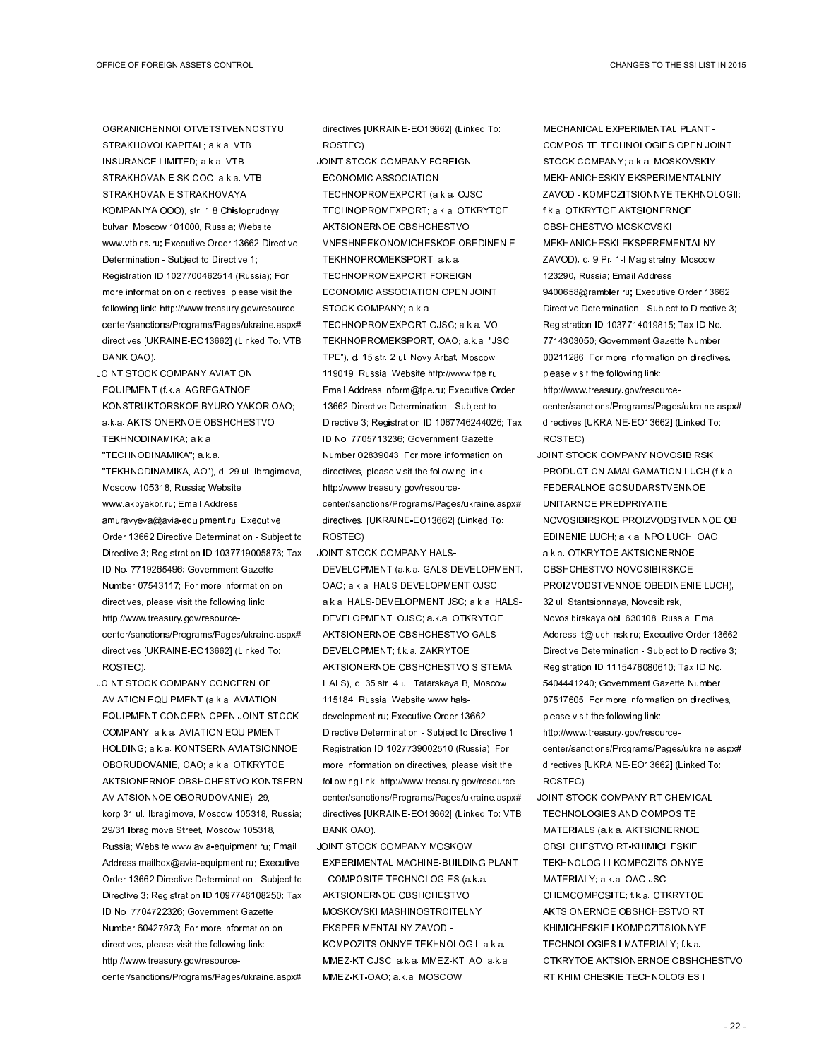OGRANICHENNOI OTVETSTVENNOSTYU STRAKHOVOI KAPITAL; a.k.a. VTB INSURANCE LIMITED; a.k.a. VTB STRAKHOVANIE SK OOO; a.k.a. VTB STRAKHOVANIE STRAKHOVAYA KOMPANIYA OOO), str. 1 8 Chistoprudnyy bulvar, Moscow 101000, Russia; Website www.vtbins.ru; Executive Order 13662 Directive Determination - Subject to Directive 1; Registration ID 1027700462514 (Russia); For more information on directives, please visit the following link: http://www.treasury.gov/resourcecenter/sanctions/Programs/Pages/ukraine.aspx# directives [UKRAINE-EO13662] (Linked To: VTB BANK OAO).

- JOINT STOCK COMPANY AVIATION EQUIPMENT (f.k.a. AGREGATNOE KONSTRUKTORSKOE BYURO YAKOR OAO; a.k.a. AKTSIONERNOE OBSHCHESTVO TEKHNODINAMIKA; a.k.a.
- "TECHNODINAMIKA"; a.k.a.
- "TEKHNODINAMIKA, AO"), d. 29 ul. Ibragimova, Moscow 105318, Russia; Website www.akbyakor.ru; Email Address amuravyeva@avia-equipment.ru; Executive Order 13662 Directive Determination - Subject to Directive 3; Registration ID 1037719005873; Tax ID No. 7719265496; Government Gazette Number 07543117; For more information on directives, please visit the following link: http://www.treasury.gov/resourcecenter/sanctions/Programs/Pages/ukraine.aspx# directives [UKRAINE-EO13662] (Linked To: ROSTEC).
- JOINT STOCK COMPANY CONCERN OF AVIATION EQUIPMENT (a.k.a. AVIATION EQUIPMENT CONCERN OPEN JOINT STOCK COMPANY; a.k.a. AVIATION EQUIPMENT HOLDING; a.k.a. KONTSERN AVIATSIONNOE OBORUDOVANIE, OAO; a.k.a. OTKRYTOE AKTSIONERNOE OBSHCHESTVO KONTSERN AVIATSIONNOE OBORUDOVANIE), 29, korp.31 ul. Ibragimova, Moscow 105318, Russia; 29/31 Ibragimova Street, Moscow 105318, Russia; Website www.avia-equipment.ru; Email Address mailbox@avia-equipment.ru; Executive Order 13662 Directive Determination - Subject to Directive 3; Registration ID 1097746108250; Tax ID No. 7704722326; Government Gazette Number 60427973; For more information on directives, please visit the following link: http://www.treasury.gov/resourcecenter/sanctions/Programs/Pages/ukraine.aspx#

directives [UKRAINE-EO13662] (Linked To: ROSTEC).

JOINT STOCK COMPANY FOREIGN ECONOMIC ASSOCIATION TECHNOPROMEXPORT (a.k.a. OJSC TECHNOPROMEXPORT; a.k.a. OTKRYTOE AKTSIONERNOE OBSHCHESTVO VNESHNEEKONOMICHESKOE OBEDINENIE TEKHNOPROMEKSPORT; a.k.a. TECHNOPROMEXPORT FOREIGN ECONOMIC ASSOCIATION OPEN JOINT STOCK COMPANY; a.k.a. TECHNOPROMEXPORT OJSC; a.k.a. VO TEKHNOPROMEKSPORT, OAO; a.k.a. "JSC TPE"), d. 15 str. 2 ul. Novy Arbat, Moscow 119019, Russia; Website http://www.tpe.ru; Email Address inform@tpe.ru; Executive Order 13662 Directive Determination - Subject to Directive 3; Registration ID 1067746244026; Tax ID No. 7705713236; Government Gazette Number 02839043; For more information on directives, please visit the following link: http://www.treasury.gov/resourcecenter/sanctions/Programs/Pages/ukraine.aspx# directives. [UKRAINE-EO13662] (Linked To: ROSTEC).

JOINT STOCK COMPANY HALS-DEVELOPMENT (a.k.a. GALS-DEVELOPMENT, OAO; a.k.a. HALS DEVELOPMENT OJSC; a.k.a. HALS-DEVELOPMENT JSC; a.k.a. HALS-DEVELOPMENT, OJSC; a.k.a. OTKRYTOE AKTSIONERNOE OBSHCHESTVO GALS DEVELOPMENT; f.k.a. ZAKRYTOE AKTSIONERNOE OBSHCHESTVO SISTEMA HALS), d. 35 str. 4 ul. Tatarskaya B, Moscow 115184, Russia; Website www.halsdevelopment.ru; Executive Order 13662 Directive Determination - Subject to Directive 1; Registration ID 1027739002510 (Russia); For more information on directives, please visit the following link: http://www.treasury.gov/resourcecenter/sanctions/Programs/Pages/ukraine.aspx# directives [UKRAINE-EO13662] (Linked To: VTB BANK OAO).

JOINT STOCK COMPANY MOSKOW EXPERIMENTAL MACHINE-BUILDING PLANT - COMPOSITE TECHNOLOGIES (a.k.a. AKTSIONERNOE OBSHCHESTVO MOSKOVSKI MASHINOSTROITELNY EKSPERIMENTALNY ZAVOD - KOMPOZITSIONNYE TEKHNOLOGII; a.k.a. MMEZ-KT OJSC; a.k.a. MMEZ-KT, AO; a.k.a. MMEZ-KT-OAO; a.k.a. MOSCOW

MECHANICAL EXPERIMENTAL PLANT - COMPOSITE TECHNOLOGIES OPEN JOINT STOCK COMPANY; a.k.a. MOSKOVSKIY MEKHANICHESKIY EKSPERIMENTALNIY ZAVOD - KOMPOZITSIONNYE TEKHNOLOGII; f.k.a. OTKRYTOE AKTSIONERNOE OBSHCHESTVO MOSKOVSKI MEKHANICHESKI EKSPEREMENTALNY ZAVOD), d. 9 Pr. 1-I Magistralny, Moscow 123290, Russia; Email Address 9400658@rambler.ru; Executive Order 13662 Directive Determination - Subject to Directive 3; Registration ID 1037714019815; Tax ID No. 7714303050; Government Gazette Number 00211286; For more information on directives, please visit the following link: http://www.treasury.gov/resource-

- center/sanctions/Programs/Pages/ukraine.aspx# directives [UKRAINE-EO13662] (Linked To: ROSTEC).
- JOINT STOCK COMPANY NOVOSIBIRSK PRODUCTION AMALGAMATION LUCH (f.k.a. FEDERALNOE GOSUDARSTVENNOE UNITARNOE PREDPRIYATIE NOVOSIBIRSKOE PROIZVODSTVENNOE OB EDINENIE LUCH; a.k.a. NPO LUCH, OAO; a.k.a. OTKRYTOE AKTSIONERNOE OBSHCHESTVO NOVOSIBIRSKOE PROIZVODSTVENNOE OBEDINENIE LUCH), 32 ul. Stantsionnaya, Novosibirsk, Novosibirskaya obl. 630108, Russia; Email Address it@luch-nsk.ru; Executive Order 13662 Directive Determination - Subject to Directive 3; Registration ID 1115476080610; Tax ID No. 5404441240; Government Gazette Number 07517605; For more information on directives, please visit the following link: http://www.treasury.gov/resource-

center/sanctions/Programs/Pages/ukraine.aspx# directives [UKRAINE-EO13662] (Linked To: ROSTEC).

JOINT STOCK COMPANY RT-CHEMICAL TECHNOLOGIES AND COMPOSITE MATERIALS (a.k.a. AKTSIONERNOE OBSHCHESTVO RT-KHIMICHESKIE TEKHNOLOGII I KOMPOZITSIONNYE MATERIALY; a.k.a. OAO JSC CHEMCOMPOSITE; f.k.a. OTKRYTOE AKTSIONERNOE OBSHCHESTVO RT KHIMICHESKIE I KOMPOZITSIONNYE TECHNOLOGIES I MATERIALY; f.k.a. OTKRYTOE AKTSIONERNOE OBSHCHESTVO RT KHIMICHESKIE TECHNOLOGIES I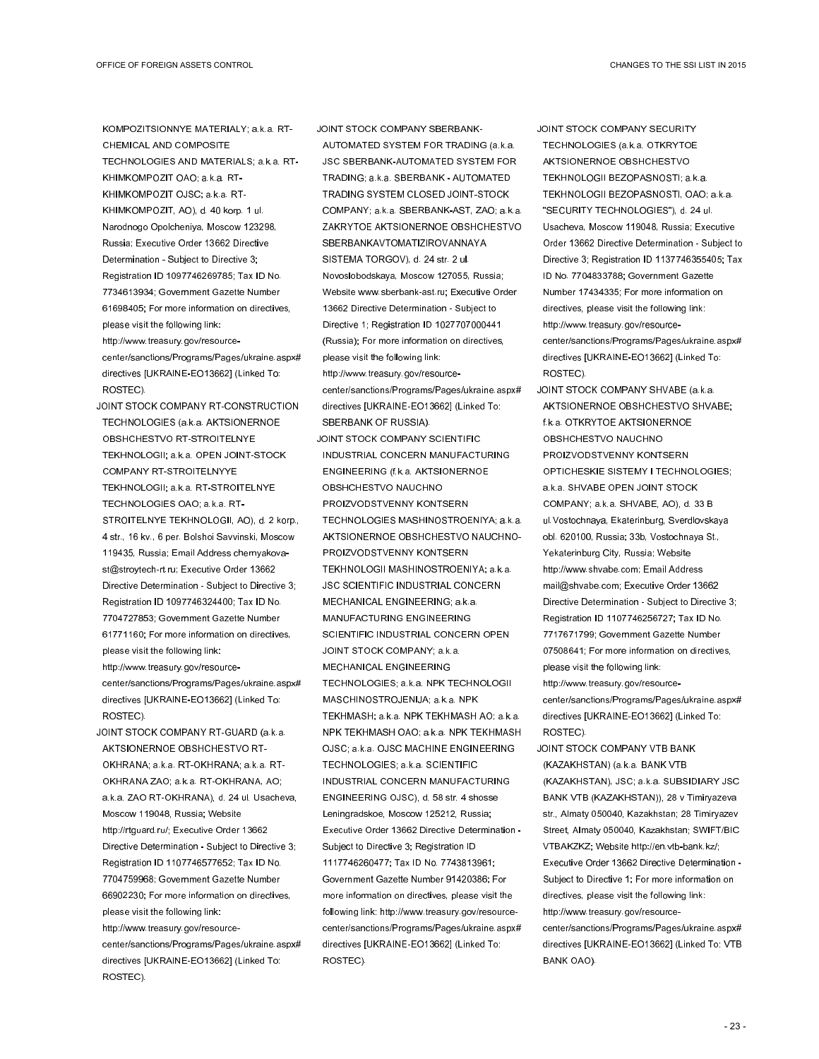KOMPOZITSIONNYE MATERIALY; a.k.a. RT-CHEMICAL AND COMPOSITE TECHNOLOGIES AND MATERIALS; a.k.a. RT-KHIMKOMPOZIT OAO; a.k.a. RT-KHIMKOMPOZIT OJSC; a.k.a. RT-KHIMKOMPOZIT, AO), d. 40 korp. 1 ul. Narodnogo Opolcheniya, Moscow 123298, Russia; Executive Order 13662 Directive Determination - Subject to Directive 3; Registration ID 1097746269785; Tax ID No. 7734613934; Government Gazette Number 61698405; For more information on directives, please visit the following link: http://www.treasury.gov/resourcecenter/sanctions/Programs/Pages/ukraine.aspx# directives [UKRAINE-EO13662] (Linked To: ROSTEC).

- JOINT STOCK COMPANY RT-CONSTRUCTION TECHNOLOGIES (a.k.a. AKTSIONERNOE OBSHCHESTVO RT-STROITELNYE TEKHNOLOGII; a.k.a. OPEN JOINT-STOCK COMPANY RT-STROITELNYYE TEKHNOLOGII; a.k.a. RT-STROITELNYE TECHNOLOGIES OAO; a.k.a. RT-STROITELNYE TEKHNOLOGII, AO), d. 2 korp., 4 str., 16 kv., 6 per. Bolshoi Savvinski, Moscow 119435, Russia; Email Address chernyakovast@stroytech-rt.ru; Executive Order 13662 Directive Determination - Subject to Directive 3; Registration ID 1097746324400; Tax ID No. 7704727853; Government Gazette Number 61771160; For more information on directives, please visit the following link: http://www.treasury.gov/resourcecenter/sanctions/Programs/Pages/ukraine.aspx# directives [UKRAINE-EO13662] (Linked To: ROSTEC).
- JOINT STOCK COMPANY RT-GUARD (a.k.a. AKTSIONERNOE OBSHCHESTVO RT-OKHRANA; a.k.a. RT-OKHRANA; a.k.a. RT-OKHRANA ZAO; a.k.a. RT-OKHRANA, AO; a.k.a. ZAO RT-OKHRANA), d. 24 ul. Usacheva, Moscow 119048, Russia; Website http://rtguard.ru/; Executive Order 13662 Directive Determination - Subject to Directive 3; Registration ID 1107746577652; Tax ID No. 7704759968; Government Gazette Number 66902230; For more information on directives, please visit the following link: http://www.treasury.gov/resourcecenter/sanctions/Programs/Pages/ukraine.aspx# directives [UKRAINE-EO13662] (Linked To: ROSTEC).

JOINT STOCK COMPANY SBERBANK-

AUTOMATED SYSTEM FOR TRADING (a.k.a. JSC SBERBANK-AUTOMATED SYSTEM FOR TRADING; a.k.a. SBERBANK - AUTOMATED TRADING SYSTEM CLOSED JOINT-STOCK COMPANY; a.k.a. SBERBANK-AST, ZAO; a.k.a. ZAKRYTOE AKTSIONERNOE OBSHCHESTVO SBERBANKAVTOMATIZIROVANNAYA SISTEMA TORGOV), d. 24 str. 2 ul. Novoslobodskaya, Moscow 127055, Russia; Website www.sberbank-ast.ru; Executive Order 13662 Directive Determination - Subject to Directive 1; Registration ID 1027707000441 (Russia); For more information on directives, please visit the following link: http://www.treasury.gov/resourcecenter/sanctions/Programs/Pages/ukraine.aspx# directives [UKRAINE-EO13662] (Linked To: SBERBANK OF RUSSIA).

JOINT STOCK COMPANY SCIENTIFIC INDUSTRIAL CONCERN MANUFACTURING ENGINEERING (f.k.a. AKTSIONERNOE OBSHCHESTVO NAUCHNO PROIZVODSTVENNY KONTSERN TECHNOLOGIES MASHINOSTROENIYA; a.k.a. AKTSIONERNOE OBSHCHESTVO NAUCHNO-PROIZVODSTVENNY KONTSERN TEKHNOLOGII MASHINOSTROENIYA; a.k.a. JSC SCIENTIFIC INDUSTRIAL CONCERN MECHANICAL ENGINEERING; a.k.a. MANUFACTURING ENGINEERING SCIENTIFIC INDUSTRIAL CONCERN OPEN JOINT STOCK COMPANY; a.k.a. MECHANICAL ENGINEERING TECHNOLOGIES; a.k.a. NPK TECHNOLOGII MASCHINOSTROJENIJA; a.k.a. NPK TEKHMASH; a.k.a. NPK TEKHMASH AO; a.k.a. NPK TEKHMASH OAO; a.k.a. NPK TEKHMASH OJSC; a.k.a. OJSC MACHINE ENGINEERING TECHNOLOGIES; a.k.a. SCIENTIFIC INDUSTRIAL CONCERN MANUFACTURING ENGINEERING OJSC), d. 58 str. 4 shosse Leningradskoe, Moscow 125212, Russia; Executive Order 13662 Directive Determination - Subject to Directive 3; Registration ID 1117746260477; Tax ID No. 7743813961; Government Gazette Number 91420386; For more information on directives, please visit the following link: http://www.treasury.gov/resourcecenter/sanctions/Programs/Pages/ukraine.aspx# directives [UKRAINE-EO13662] (Linked To: ROSTEC).

JOINT STOCK COMPANY SECURITY TECHNOLOGIES (a.k.a. OTKRYTOE AKTSIONERNOE OBSHCHESTVO TEKHNOLOGII BEZOPASNOSTI; a.k.a. TEKHNOLOGII BEZOPASNOSTI, OAO; a.k.a. "SECURITY TECHNOLOGIES"), d. 24 ul. Usacheva, Moscow 119048, Russia; Executive Order 13662 Directive Determination - Subject to Directive 3; Registration ID 1137746355405; Tax ID No. 7704833788; Government Gazette Number 17434335; For more information on directives, please visit the following link: http://www.treasury.gov/resourcecenter/sanctions/Programs/Pages/ukraine.aspx# directives [UKRAINE-EO13662] (Linked To: ROSTEC).

- JOINT STOCK COMPANY SHVABE (a.k.a. AKTSIONERNOE OBSHCHESTVO SHVABE; f.k.a. OTKRYTOE AKTSIONERNOE OBSHCHESTVO NAUCHNO PROIZVODSTVENNY KONTSERN OPTICHESKIE SISTEMY I TECHNOLOGIES; a.k.a. SHVABE OPEN JOINT STOCK COMPANY; a.k.a. SHVABE, AO), d. 33 B ul.Vostochnaya, Ekaterinburg, Sverdlovskaya obl. 620100, Russia; 33b, Vostochnaya St., Yekaterinburg City, Russia; Website http://www.shvabe.com; Email Address mail@shvabe.com; Executive Order 13662 Directive Determination - Subject to Directive 3; Registration ID 1107746256727; Tax ID No. 7717671799; Government Gazette Number 07508641; For more information on directives, please visit the following link: http://www.treasury.gov/resourcecenter/sanctions/Programs/Pages/ukraine.aspx# directives [UKRAINE-EO13662] (Linked To: ROSTEC).
- JOINT STOCK COMPANY VTB BANK (KAZAKHSTAN) (a.k.a. BANK VTB (KAZAKHSTAN), JSC; a.k.a. SUBSIDIARY JSC BANK VTB (KAZAKHSTAN)), 28 v Timiryazeva str., Almaty 050040, Kazakhstan; 28 Timiryazev Street, Almaty 050040, Kazakhstan; SWIFT/BIC VTBAKZKZ; Website http://en.vtb-bank.kz/; Executive Order 13662 Directive Determination - Subject to Directive 1; For more information on directives, please visit the following link: http://www.treasury.gov/resourcecenter/sanctions/Programs/Pages/ukraine.aspx# directives [UKRAINE-EO13662] (Linked To: VTB BANK OAO).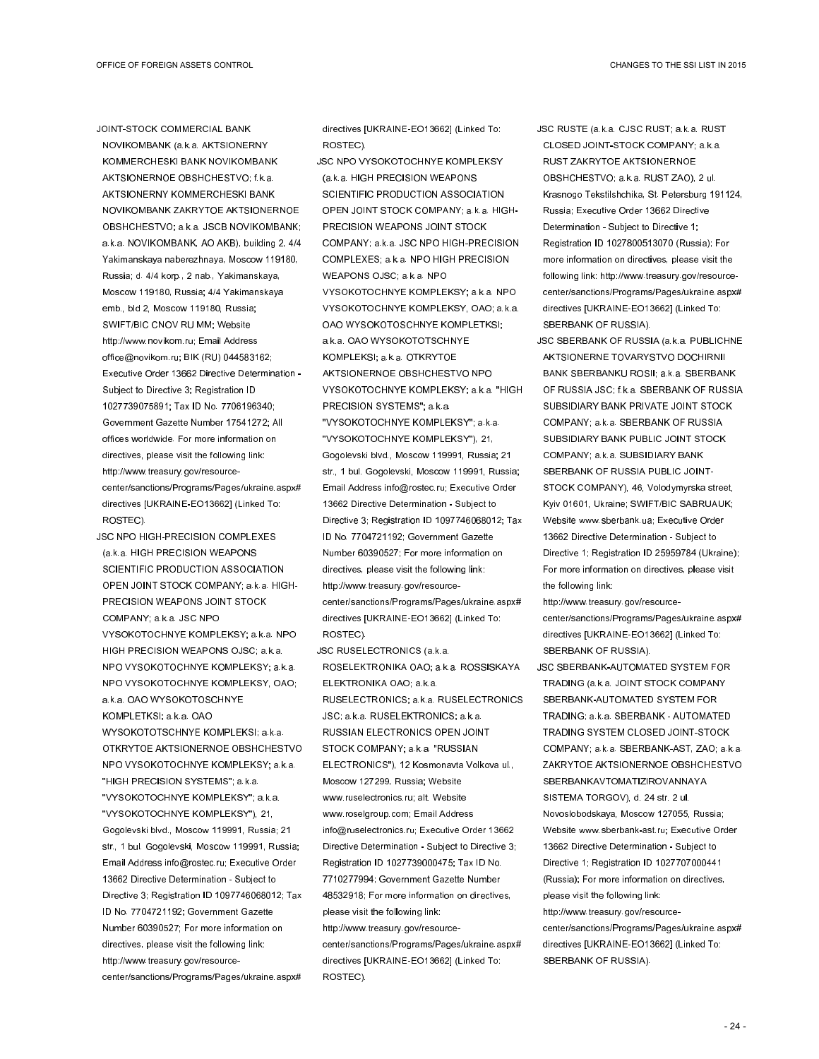JOINT-STOCK COMMERCIAL BANK NOVIKOMBANK (a.k.a. AKTSIONERNY KOMMERCHESKI BANK NOVIKOMBANK AKTSIONERNOE OBSHCHESTVO; f.k.a. AKTSIONERNY KOMMERCHESKI BANK NOVIKOMBANK ZAKRYTOE AKTSIONERNOE OBSHCHESTVO; a.k.a. JSCB NOVIKOMBANK; a.k.a. NOVIKOMBANK, AO AKB), building 2, 4/4 Yakimanskaya naberezhnaya, Moscow 119180, Russia; d. 4/4 korp., 2 nab., Yakimanskaya, Moscow 119180, Russia; 4/4 Yakimanskaya emb., bld 2, Moscow 119180, Russia; SWIFT/BIC CNOV RU MM; Website http://www.novikom.ru; Email Address office@novikom.ru; BIK (RU) 044583162; Executive Order 13662 Directive Determination - Subject to Directive 3; Registration ID 1027739075891; Tax ID No. 7706196340; Government Gazette Number 17541272; All offices worldwide. For more information on directives, please visit the following link: http://www.treasury.gov/resourcecenter/sanctions/Programs/Pages/ukraine.aspx# directives [UKRAINE-EO13662] (Linked To: ROSTEC).

JSC NPO HIGH-PRECISION COMPLEXES (a.k.a. HIGH PRECISION WEAPONS SCIENTIFIC PRODUCTION ASSOCIATION OPEN JOINT STOCK COMPANY; a.k.a. HIGH-PRECISION WEAPONS JOINT STOCK COMPANY; a.k.a. JSC NPO VYSOKOTOCHNYE KOMPLEKSY; a.k.a. NPO HIGH PRECISION WEAPONS OJSC; a.k.a. NPO VYSOKOTOCHNYE KOMPLEKSY; a.k.a. NPO VYSOKOTOCHNYE KOMPLEKSY, OAO; a.k.a. OAO WYSOKOTOSCHNYE KOMPLETKSI; a.k.a. OAO WYSOKOTOTSCHNYE KOMPLEKSI; a.k.a. OTKRYTOE AKTSIONERNOE OBSHCHESTVO NPO VYSOKOTOCHNYE KOMPLEKSY; a.k.a. "HIGH PRECISION SYSTEMS"; a.k.a. "VYSOKOTOCHNYE KOMPLEKSY"; a.k.a. "VYSOKOTOCHNYE KOMPLEKSY"), 21, Gogolevski blvd., Moscow 119991, Russia; 21 str., 1 bul. Gogolevski, Moscow 119991, Russia; Email Address info@rostec.ru; Executive Order 13662 Directive Determination - Subject to Directive 3; Registration ID 1097746068012; Tax ID No. 7704721192; Government Gazette Number 60390527; For more information on directives, please visit the following link: http://www.treasury.gov/resourcecenter/sanctions/Programs/Pages/ukraine.aspx#

directives [UKRAINE-EO13662] (Linked To: ROSTEC).

JSC NPO VYSOKOTOCHNYE KOMPLEKSY (a.k.a. HIGH PRECISION WEAPONS SCIENTIFIC PRODUCTION ASSOCIATION OPEN JOINT STOCK COMPANY; a.k.a. HIGH-PRECISION WEAPONS JOINT STOCK COMPANY; a.k.a. JSC NPO HIGH-PRECISION COMPLEXES; a.k.a. NPO HIGH PRECISION WEAPONS OJSC; a.k.a. NPO VYSOKOTOCHNYE KOMPLEKSY; a.k.a. NPO VYSOKOTOCHNYE KOMPLEKSY, OAO; a.k.a. OAO WYSOKOTOSCHNYE KOMPLETKSI; a.k.a. OAO WYSOKOTOTSCHNYE KOMPLEKSI; a.k.a. OTKRYTOE AKTSIONERNOE OBSHCHESTVO NPO VYSOKOTOCHNYE KOMPLEKSY; a.k.a. "HIGH PRECISION SYSTEMS"; a.k.a. "VYSOKOTOCHNYE KOMPLEKSY"; a.k.a. "VYSOKOTOCHNYE KOMPLEKSY"), 21, Gogolevski blvd., Moscow 119991, Russia; 21 str., 1 bul. Gogolevski, Moscow 119991, Russia; Email Address info@rostec.ru; Executive Order 13662 Directive Determination - Subject to Directive 3; Registration ID 1097746068012; Tax ID No. 7704721192; Government Gazette Number 60390527; For more information on directives, please visit the following link: http://www.treasury.gov/resourcecenter/sanctions/Programs/Pages/ukraine.aspx# directives [UKRAINE-EO13662] (Linked To: ROSTEC).

JSC RUSELECTRONICS (a.k.a. ROSELEKTRONIKA OAO; a.k.a. ROSSISKAYA ELEKTRONIKA OAO; a.k.a. RUSELECTRONICS; a.k.a. RUSELECTRONICS JSC; a.k.a. RUSELEKTRONICS; a.k.a. RUSSIAN ELECTRONICS OPEN JOINT STOCK COMPANY; a.k.a. "RUSSIAN ELECTRONICS"), 12 Kosmonavta Volkova ul., Moscow 127299, Russia; Website www.ruselectronics.ru; alt. Website www.roselgroup.com; Email Address info@ruselectronics.ru; Executive Order 13662 Directive Determination - Subject to Directive 3; Registration ID 1027739000475; Tax ID No. 7710277994; Government Gazette Number 48532918; For more information on directives, please visit the following link: http://www.treasury.gov/resourcecenter/sanctions/Programs/Pages/ukraine.aspx# directives [UKRAINE-EO13662] (Linked To: ROSTEC).

JSC RUSTE (a.k.a. CJSC RUST; a.k.a. RUST CLOSED JOINT-STOCK COMPANY; a.k.a. RUST ZAKRYTOE AKTSIONERNOE OBSHCHESTVO; a.k.a. RUST ZAO), 2 ul. Krasnogo Tekstilshchika, St. Petersburg 191124, Russia; Executive Order 13662 Directive Determination - Subject to Directive 1; Registration ID 1027800513070 (Russia); For more information on directives, please visit the following link: http://www.treasury.gov/resourcecenter/sanctions/Programs/Pages/ukraine.aspx# directives [UKRAINE-EO13662] (Linked To: SBERBANK OF RUSSIA).

JSC SBERBANK OF RUSSIA (a.k.a. PUBLICHNE AKTSIONERNE TOVARYSTVO DOCHIRNII BANK SBERBANKU ROSII; a.k.a. SBERBANK OF RUSSIA JSC; f.k.a. SBERBANK OF RUSSIA SUBSIDIARY BANK PRIVATE JOINT STOCK COMPANY; a.k.a. SBERBANK OF RUSSIA SUBSIDIARY BANK PUBLIC JOINT STOCK COMPANY; a.k.a. SUBSIDIARY BANK SBERBANK OF RUSSIA PUBLIC JOINT-STOCK COMPANY), 46, Volodymyrska street, Kyiv 01601, Ukraine; SWIFT/BIC SABRUAUK; Website www.sberbank.ua; Executive Order 13662 Directive Determination - Subject to Directive 1; Registration ID 25959784 (Ukraine); For more information on directives, please visit the following link:

http://www.treasury.gov/resourcecenter/sanctions/Programs/Pages/ukraine.aspx# directives [UKRAINE-EO13662] (Linked To: SBERBANK OF RUSSIA).

JSC SBERBANK-AUTOMATED SYSTEM FOR TRADING (a.k.a. JOINT STOCK COMPANY SBERBANK-AUTOMATED SYSTEM FOR TRADING; a.k.a. SBERBANK - AUTOMATED TRADING SYSTEM CLOSED JOINT-STOCK COMPANY; a.k.a. SBERBANK-AST, ZAO; a.k.a. ZAKRYTOE AKTSIONERNOE OBSHCHESTVO SBERBANKAVTOMATIZIROVANNAYA SISTEMA TORGOV), d. 24 str. 2 ul. Novoslobodskaya, Moscow 127055, Russia; Website www.sberbank-ast.ru; Executive Order 13662 Directive Determination - Subject to Directive 1; Registration ID 1027707000441 (Russia); For more information on directives, please visit the following link: http://www.treasury.gov/resourcecenter/sanctions/Programs/Pages/ukraine.aspx# directives [UKRAINE-EO13662] (Linked To: SBERBANK OF RUSSIA).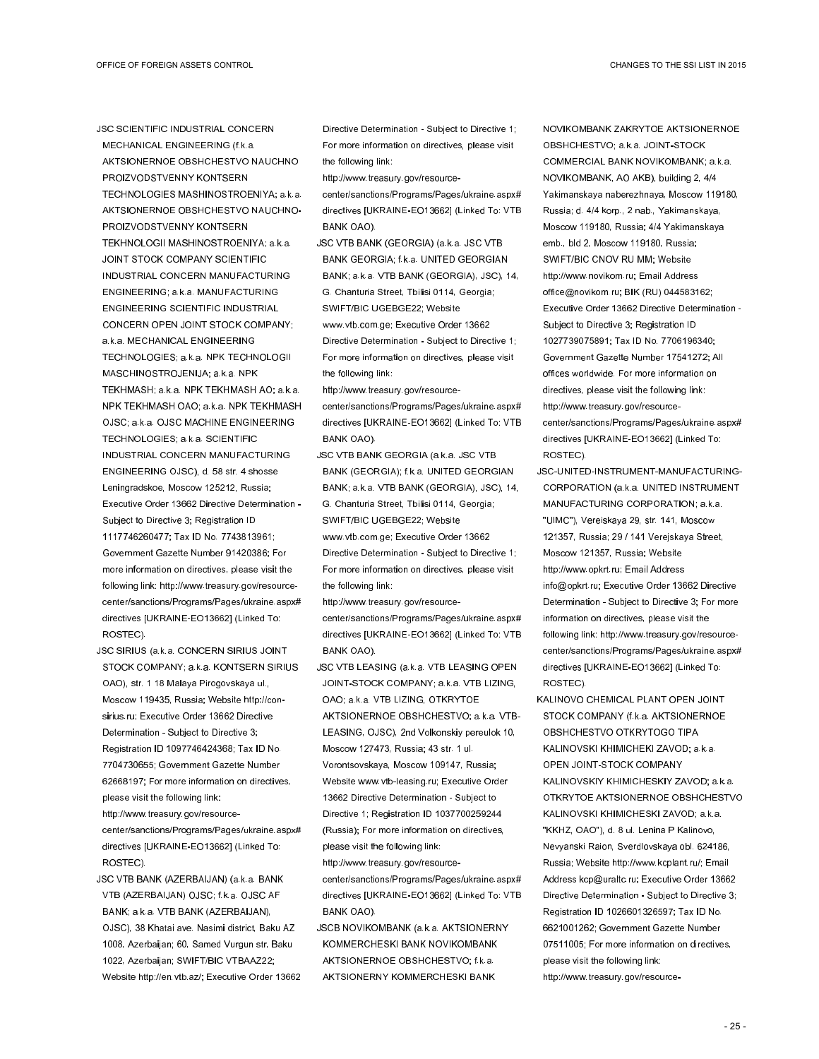JSC SCIENTIFIC INDUSTRIAL CONCERN MECHANICAL ENGINEERING (f.k.a. AKTSIONERNOE OBSHCHESTVO NAUCHNO PROIZVODSTVENNY KONTSERN TECHNOLOGIES MASHINOSTROENIYA; a.k.a. AKTSIONERNOE OBSHCHESTVO NAUCHNO-PROIZVODSTVENNY KONTSERN TEKHNOLOGII MASHINOSTROENIYA; a.k.a. JOINT STOCK COMPANY SCIENTIFIC INDUSTRIAL CONCERN MANUFACTURING ENGINEERING; a.k.a. MANUFACTURING ENGINEERING SCIENTIFIC INDUSTRIAL CONCERN OPEN JOINT STOCK COMPANY; a.k.a. MECHANICAL ENGINEERING TECHNOLOGIES; a.k.a. NPK TECHNOLOGII MASCHINOSTROJENIJA; a.k.a. NPK TEKHMASH; a.k.a. NPK TEKHMASH AO; a.k.a. NPK TEKHMASH OAO; a.k.a. NPK TEKHMASH OJSC; a.k.a. OJSC MACHINE ENGINEERING TECHNOLOGIES; a.k.a. SCIENTIFIC INDUSTRIAL CONCERN MANUFACTURING ENGINEERING OJSC), d. 58 str. 4 shosse Leningradskoe, Moscow 125212, Russia; Executive Order 13662 Directive Determination - Subject to Directive 3; Registration ID 1117746260477; Tax ID No. 7743813961; Government Gazette Number 91420386; For more information on directives, please visit the following link: http://www.treasury.gov/resourcecenter/sanctions/Programs/Pages/ukraine.aspx# directives [UKRAINE-EO13662] (Linked To: ROSTEC).

- JSC SIRIUS (a.k.a. CONCERN SIRIUS JOINT STOCK COMPANY; a.k.a. KONTSERN SIRIUS OAO), str. 1 18 Malaya Pirogovskaya ul., Moscow 119435, Russia; Website http://consirius.ru; Executive Order 13662 Directive Determination - Subject to Directive 3; Registration ID 1097746424368; Tax ID No. 7704730655; Government Gazette Number 62668197; For more information on directives, please visit the following link: http://www.treasury.gov/resourcecenter/sanctions/Programs/Pages/ukraine.aspx# directives [UKRAINE-EO13662] (Linked To:
- JSC VTB BANK (AZERBAIJAN) (a.k.a. BANK VTB (AZERBAIJAN) OJSC; f.k.a. OJSC AF BANK; a.k.a. VTB BANK (AZERBAIJAN), OJSC), 38 Khatai ave. Nasimi district, Baku AZ 1008, Azerbaijan; 60, Samed Vurgun str, Baku 1022, Azerbaijan; SWIFT/BIC VTBAAZ22; Website http://en.vtb.az/; Executive Order 13662

ROSTEC).

Directive Determination - Subject to Directive 1; For more information on directives, please visit the following link:

http://www.treasury.gov/resource-

center/sanctions/Programs/Pages/ukraine.aspx# directives [UKRAINE-EO13662] (Linked To: VTB BANK OAO).

JSC VTB BANK (GEORGIA) (a.k.a. JSC VTB BANK GEORGIA; f.k.a. UNITED GEORGIAN BANK; a.k.a. VTB BANK (GEORGIA), JSC), 14, G. Chanturia Street, Tbilisi 0114, Georgia; SWIFT/BIC UGEBGE22; Website www.vtb.com.ge; Executive Order 13662 Directive Determination - Subject to Directive 1; For more information on directives, please visit the following link:

http://www.treasury.gov/resourcecenter/sanctions/Programs/Pages/ukraine.aspx# directives [UKRAINE-EO13662] (Linked To: VTB BANK OAO).

JSC VTB BANK GEORGIA (a.k.a. JSC VTB BANK (GEORGIA); f.k.a. UNITED GEORGIAN BANK; a.k.a. VTB BANK (GEORGIA), JSC), 14, G. Chanturia Street, Tbilisi 0114, Georgia; SWIFT/BIC UGEBGE22; Website www.vtb.com.ge; Executive Order 13662 Directive Determination - Subject to Directive 1; For more information on directives, please visit the following link:

http://www.treasury.gov/resourcecenter/sanctions/Programs/Pages/ukraine.aspx# directives [UKRAINE-EO13662] (Linked To: VTB BANK OAO).

JSC VTB LEASING (a.k.a. VTB LEASING OPEN JOINT-STOCK COMPANY; a.k.a. VTB LIZING, OAO; a.k.a. VTB LIZING, OTKRYTOE AKTSIONERNOE OBSHCHESTVO; a.k.a. VTB-LEASING, OJSC), 2nd Volkonskiy pereulok 10, Moscow 127473, Russia; 43 str. 1 ul. Vorontsovskaya, Moscow 109147, Russia; Website www.vtb-leasing.ru; Executive Order 13662 Directive Determination - Subject to Directive 1; Registration ID 1037700259244 (Russia); For more information on directives, please visit the following link: http://www.treasury.gov/resource-

center/sanctions/Programs/Pages/ukraine.aspx# directives [UKRAINE-EO13662] (Linked To: VTB BANK OAO).

JSCB NOVIKOMBANK (a.k.a. AKTSIONERNY KOMMERCHESKI BANK NOVIKOMBANK AKTSIONERNOE OBSHCHESTVO; f.k.a. AKTSIONERNY KOMMERCHESKI BANK

NOVIKOMBANK ZAKRYTOE AKTSIONERNOE OBSHCHESTVO; a.k.a. JOINT-STOCK COMMERCIAL BANK NOVIKOMBANK; a.k.a. NOVIKOMBANK, AO AKB), building 2, 4/4 Yakimanskaya naberezhnaya, Moscow 119180, Russia; d. 4/4 korp., 2 nab., Yakimanskaya, Moscow 119180, Russia; 4/4 Yakimanskaya emb., bld 2, Moscow 119180, Russia; SWIFT/BIC CNOV RU MM; Website http://www.novikom.ru; Email Address office@novikom.ru; BIK (RU) 044583162; Executive Order 13662 Directive Determination - Subject to Directive 3; Registration ID 1027739075891; Tax ID No. 7706196340; Government Gazette Number 17541272; All offices worldwide. For more information on directives, please visit the following link: http://www.treasury.gov/resourcecenter/sanctions/Programs/Pages/ukraine.aspx# directives [UKRAINE-EO13662] (Linked To: ROSTEC).

JSC-UNITED-INSTRUMENT-MANUFACTURING-CORPORATION (a.k.a. UNITED INSTRUMENT MANUFACTURING CORPORATION; a.k.a. "UIMC"), Vereiskaya 29, str. 141, Moscow 121357, Russia; 29 / 141 Verejskaya Street, Moscow 121357, Russia; Website http://www.opkrt.ru; Email Address info@opkrt.ru; Executive Order 13662 Directive Determination - Subject to Directive 3; For more information on directives, please visit the following link: http://www.treasury.gov/resourcecenter/sanctions/Programs/Pages/ukraine.aspx# directives [UKRAINE-EO13662] (Linked To: ROSTEC).

KALINOVO CHEMICAL PLANT OPEN JOINT STOCK COMPANY (f.k.a. AKTSIONERNOE OBSHCHESTVO OTKRYTOGO TIPA KALINOVSKI KHIMICHEKI ZAVOD; a.k.a. OPEN JOINT-STOCK COMPANY KALINOVSKIY KHIMICHESKIY ZAVOD; a.k.a. OTKRYTOE AKTSIONERNOE OBSHCHESTVO KALINOVSKI KHIMICHESKI ZAVOD; a.k.a. "KKHZ, OAO"), d. 8 ul. Lenina P Kalinovo, Nevyanski Raion, Sverdlovskaya obl. 624186, Russia; Website http://www.kcplant.ru/; Email Address kcp@uraltc.ru; Executive Order 13662 Directive Determination - Subject to Directive 3; Registration ID 1026601326597; Tax ID No. 6621001262; Government Gazette Number 07511005; For more information on directives, please visit the following link: http://www.treasury.gov/resource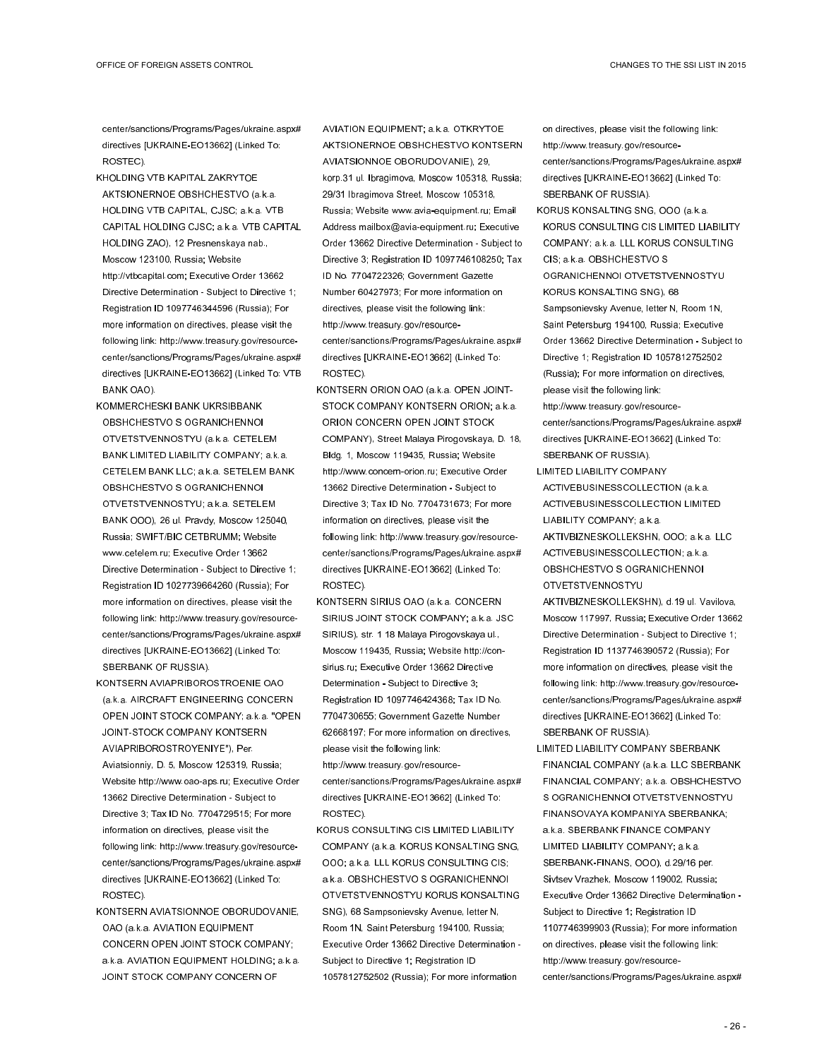center/sanctions/Programs/Pages/ukraine.aspx# directives [UKRAINE-EO13662] (Linked To: ROSTEC).

- KHOLDING VTB KAPITAL ZAKRYTOE AKTSIONERNOE OBSHCHESTVO (a.k.a. HOLDING VTB CAPITAL, CJSC; a.k.a. VTB CAPITAL HOLDING CJSC; a.k.a. VTB CAPITAL HOLDING ZAO), 12 Presnenskaya nab., Moscow 123100, Russia; Website http://vtbcapital.com; Executive Order 13662 Directive Determination - Subject to Directive 1; Registration ID 1097746344596 (Russia); For more information on directives, please visit the following link: http://www.treasury.gov/resourcecenter/sanctions/Programs/Pages/ukraine.aspx# directives [UKRAINE-EO13662] (Linked To: VTB BANK OAO).
- KOMMERCHESKI BANK UKRSIBBANK OBSHCHESTVO S OGRANICHENNOI OTVETSTVENNOSTYU (a.k.a. CETELEM BANK LIMITED LIABILITY COMPANY; a.k.a. CETELEM BANK LLC; a.k.a. SETELEM BANK OBSHCHESTVO S OGRANICHENNOI OTVETSTVENNOSTYU; a.k.a. SETELEM BANK OOO), 26 ul. Pravdy, Moscow 125040, Russia; SWIFT/BIC CETBRUMM; Website www.cetelem.ru; Executive Order 13662 Directive Determination - Subject to Directive 1; Registration ID 1027739664260 (Russia); For more information on directives, please visit the following link: http://www.treasury.gov/resourcecenter/sanctions/Programs/Pages/ukraine.aspx# directives [UKRAINE-EO13662] (Linked To: SBERBANK OF RUSSIA).
- KONTSERN AVIAPRIBOROSTROENIE OAO (a.k.a. AIRCRAFT ENGINEERING CONCERN OPEN JOINT STOCK COMPANY; a.k.a. "OPEN JOINT-STOCK COMPANY KONTSERN AVIAPRIBOROSTROYENIYE"), Per. Aviatsionniy, D. 5, Moscow 125319, Russia; Website http://www.oao-aps.ru; Executive Order 13662 Directive Determination - Subject to Directive 3; Tax ID No. 7704729515; For more information on directives, please visit the following link: http://www.treasury.gov/resourcecenter/sanctions/Programs/Pages/ukraine.aspx# directives [UKRAINE-EO13662] (Linked To: ROSTEC).
- KONTSERN AVIATSIONNOE OBORUDOVANIE, OAO (a.k.a. AVIATION EQUIPMENT CONCERN OPEN JOINT STOCK COMPANY; a.k.a. AVIATION EQUIPMENT HOLDING; a.k.a. JOINT STOCK COMPANY CONCERN OF

AVIATION EQUIPMENT; a.k.a. OTKRYTOE AKTSIONERNOE OBSHCHESTVO KONTSERN AVIATSIONNOE OBORUDOVANIE), 29, korp.31 ul. Ibragimova, Moscow 105318, Russia; 29/31 Ibragimova Street, Moscow 105318, Russia; Website www.avia-equipment.ru; Email Address mailbox@avia-equipment.ru; Executive Order 13662 Directive Determination - Subject to Directive 3; Registration ID 1097746108250; Tax ID No. 7704722326; Government Gazette Number 60427973; For more information on directives, please visit the following link: http://www.treasury.gov/resourcecenter/sanctions/Programs/Pages/ukraine.aspx# directives [UKRAINE-EO13662] (Linked To: ROSTEC).

- KONTSERN ORION OAO (a.k.a. OPEN JOINT-STOCK COMPANY KONTSERN ORION; a.k.a. ORION CONCERN OPEN JOINT STOCK COMPANY), Street Malaya Pirogovskaya, D. 18, Bldg. 1, Moscow 119435, Russia; Website http://www.concern-orion.ru; Executive Order 13662 Directive Determination - Subject to Directive 3; Tax ID No. 7704731673; For more information on directives, please visit the following link: http://www.treasury.gov/resourcecenter/sanctions/Programs/Pages/ukraine.aspx# directives [UKRAINE-EO13662] (Linked To: ROSTEC).
- KONTSERN SIRIUS OAO (a.k.a. CONCERN SIRIUS JOINT STOCK COMPANY; a.k.a. JSC SIRIUS), str. 1 18 Malaya Pirogovskaya ul., Moscow 119435, Russia; Website http://consirius.ru; Executive Order 13662 Directive Determination - Subject to Directive 3; Registration ID 1097746424368; Tax ID No. 7704730655; Government Gazette Number 62668197; For more information on directives, please visit the following link: http://www.treasury.gov/resourcecenter/sanctions/Programs/Pages/ukraine.aspx# directives [UKRAINE-EO13662] (Linked To: ROSTEC).
- KORUS CONSULTING CIS LIMITED LIABILITY COMPANY (a.k.a. KORUS KONSALTING SNG, OOO; a.k.a. LLL KORUS CONSULTING CIS; a.k.a. OBSHCHESTVO S OGRANICHENNOI OTVETSTVENNOSTYU KORUS KONSALTING SNG), 68 Sampsonievsky Avenue, letter N, Room 1N, Saint Petersburg 194100, Russia; Executive Order 13662 Directive Determination - Subject to Directive 1; Registration ID 1057812752502 (Russia); For more information

on directives, please visit the following link: http://www.treasury.gov/resourcecenter/sanctions/Programs/Pages/ukraine.aspx# directives [UKRAINE-EO13662] (Linked To: SBERBANK OF RUSSIA).

- KORUS KONSALTING SNG, OOO (a.k.a. KORUS CONSULTING CIS LIMITED LIABILITY COMPANY; a.k.a. LLL KORUS CONSULTING CIS; a.k.a. OBSHCHESTVO S OGRANICHENNOI OTVETSTVENNOSTYU KORUS KONSALTING SNG), 68 Sampsonievsky Avenue, letter N, Room 1N, Saint Petersburg 194100, Russia; Executive Order 13662 Directive Determination - Subject to Directive 1; Registration ID 1057812752502 (Russia); For more information on directives, please visit the following link: http://www.treasury.gov/resourcecenter/sanctions/Programs/Pages/ukraine.aspx# directives [UKRAINE-EO13662] (Linked To:
- SBERBANK OF RUSSIA). LIMITED LIABILITY COMPANY ACTIVEBUSINESSCOLLECTION (a.k.a. ACTIVEBUSINESSCOLLECTION LIMITED LIABILITY COMPANY; a.k.a. AKTIVBIZNESKOLLEKSHN, OOO; a.k.a. LLC ACTIVEBUSINESSCOLLECTION; a.k.a. OBSHCHESTVO S OGRANICHENNOI OTVETSTVENNOSTYU AKTIVBIZNESKOLLEKSHN), d.19 ul. Vavilova, Moscow 117997, Russia; Executive Order 13662 Directive Determination - Subject to Directive 1; Registration ID 1137746390572 (Russia); For more information on directives, please visit the following link: http://www.treasury.gov/resourcecenter/sanctions/Programs/Pages/ukraine.aspx# directives [UKRAINE-EO13662] (Linked To: SBERBANK OF RUSSIA).
- LIMITED LIABILITY COMPANY SBERBANK FINANCIAL COMPANY (a.k.a. LLC SBERBANK FINANCIAL COMPANY; a.k.a. OBSHCHESTVO S OGRANICHENNOI OTVETSTVENNOSTYU FINANSOVAYA KOMPANIYA SBERBANKA; a.k.a. SBERBANK FINANCE COMPANY LIMITED LIABILITY COMPANY; a.k.a. SBERBANK-FINANS, OOO), d.29/16 per. Sivtsev Vrazhek, Moscow 119002, Russia; Executive Order 13662 Directive Determination - Subject to Directive 1; Registration ID 1107746399903 (Russia); For more information on directives, please visit the following link: http://www.treasury.gov/resourcecenter/sanctions/Programs/Pages/ukraine.aspx#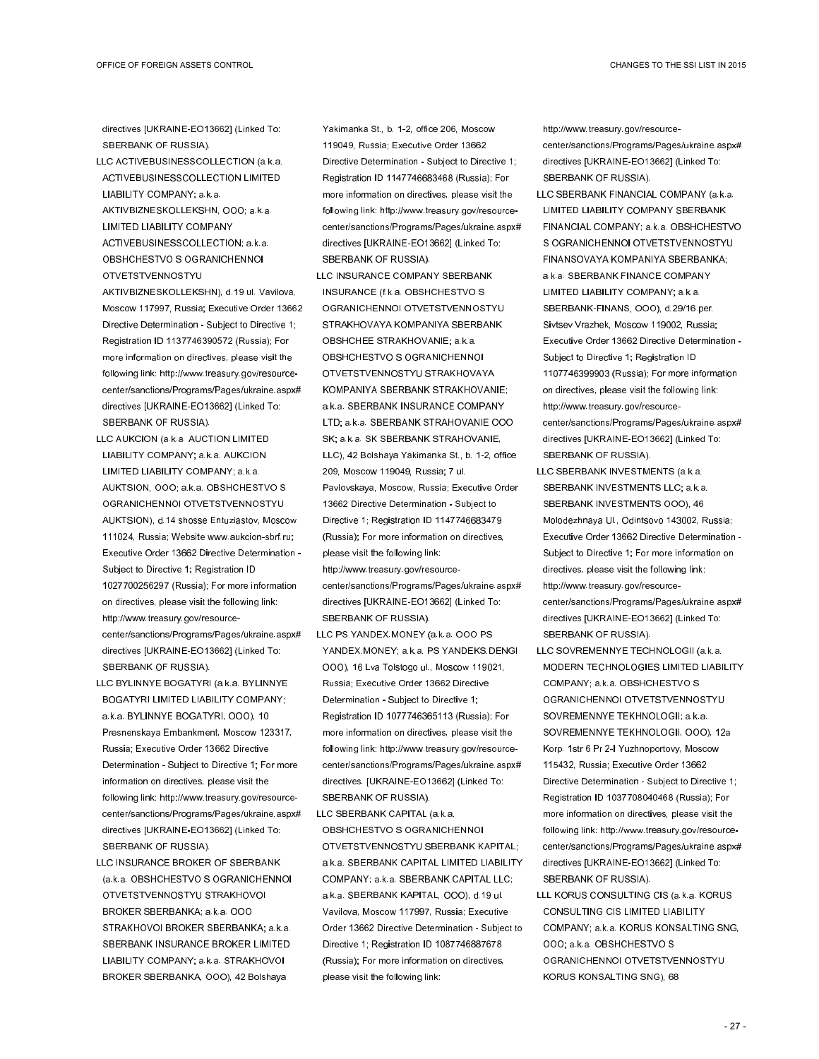directives [UKRAINE-EO13662] (Linked To: SBERBANK OF RUSSIA).

- LLC ACTIVEBUSINESSCOLLECTION (a.k.a. ACTIVEBUSINESSCOLLECTION LIMITED LIABILITY COMPANY; a.k.a. AKTIVBIZNESKOLLEKSHN, OOO; a.k.a. LIMITED LIABILITY COMPANY ACTIVEBUSINESSCOLLECTION; a.k.a.
- OBSHCHESTVO S OGRANICHENNOI OTVETSTVENNOSTYU
- AKTIVBIZNESKOLLEKSHN), d.19 ul. Vavilova, Moscow 117997, Russia; Executive Order 13662 Directive Determination - Subject to Directive 1; Registration ID 1137746390572 (Russia); For more information on directives, please visit the following link: http://www.treasury.gov/resourcecenter/sanctions/Programs/Pages/ukraine.aspx# directives [UKRAINE-EO13662] (Linked To: SBERBANK OF RUSSIA).
- LLC AUKCION (a.k.a. AUCTION LIMITED LIABILITY COMPANY; a.k.a. AUKCION LIMITED LIABILITY COMPANY; a.k.a. AUKTSION, OOO; a.k.a. OBSHCHESTVO S OGRANICHENNOI OTVETSTVENNOSTYU AUKTSION), d.14 shosse Entuziastov, Moscow 111024, Russia; Website www.aukcion-sbrf.ru; Executive Order 13662 Directive Determination - Subject to Directive 1; Registration ID 1027700256297 (Russia); For more information on directives, please visit the following link: http://www.treasury.gov/resourcecenter/sanctions/Programs/Pages/ukraine.aspx# directives [UKRAINE-EO13662] (Linked To: SBERBANK OF RUSSIA).
- LLC BYLINNYE BOGATYRI (a.k.a. BYLINNYE BOGATYRI LIMITED LIABILITY COMPANY; a.k.a. BYLINNYE BOGATYRI, OOO), 10 Presnenskaya Embankment, Moscow 123317, Russia; Executive Order 13662 Directive Determination - Subject to Directive 1; For more information on directives, please visit the following link: http://www.treasury.gov/resourcecenter/sanctions/Programs/Pages/ukraine.aspx# directives [UKRAINE-EO13662] (Linked To: SBERBANK OF RUSSIA).
- LLC INSURANCE BROKER OF SBERBANK (a.k.a. OBSHCHESTVO S OGRANICHENNOI OTVETSTVENNOSTYU STRAKHOVOI BROKER SBERBANKA; a.k.a. OOO STRAKHOVOI BROKER SBERBANKA; a.k.a. SBERBANK INSURANCE BROKER LIMITED LIABILITY COMPANY; a.k.a. STRAKHOVOI BROKER SBERBANKA, OOO), 42 Bolshaya

Yakimanka St., b. 1-2, office 206, Moscow 119049, Russia; Executive Order 13662 Directive Determination - Subject to Directive 1; Registration ID 1147746683468 (Russia); For more information on directives, please visit the following link: http://www.treasury.gov/resourcecenter/sanctions/Programs/Pages/ukraine.aspx# directives [UKRAINE-EO13662] (Linked To: SBERBANK OF RUSSIA).

- LLC INSURANCE COMPANY SBERBANK INSURANCE (f.k.a. OBSHCHESTVO S OGRANICHENNOI OTVETSTVENNOSTYU STRAKHOVAYA KOMPANIYA SBERBANK OBSHCHEE STRAKHOVANIE; a.k.a. OBSHCHESTVO S OGRANICHENNOI OTVETSTVENNOSTYU STRAKHOVAYA KOMPANIYA SBERBANK STRAKHOVANIE; a.k.a. SBERBANK INSURANCE COMPANY LTD; a.k.a. SBERBANK STRAHOVANIE OOO SK; a.k.a. SK SBERBANK STRAHOVANIE, LLC), 42 Bolshaya Yakimanka St., b. 1-2, office 209, Moscow 119049, Russia; 7 ul. Pavlovskaya, Moscow, Russia; Executive Order 13662 Directive Determination - Subject to Directive 1; Registration ID 1147746683479 (Russia); For more information on directives, please visit the following link:
- http://www.treasury.gov/resourcecenter/sanctions/Programs/Pages/ukraine.aspx# directives [UKRAINE-EO13662] (Linked To: SBERBANK OF RUSSIA).
- LLC PS YANDEX.MONEY (a.k.a. OOO PS YANDEX.MONEY: a.k.a. PS YANDEKS.DENGI OOO), 16 Lva Tolstogo ul., Moscow 119021, Russia; Executive Order 13662 Directive Determination - Subject to Directive 1; Registration ID 1077746365113 (Russia); For more information on directives, please visit the following link: http://www.treasury.gov/resourcecenter/sanctions/Programs/Pages/ukraine.aspx# directives. [UKRAINE-EO13662] (Linked To: SBERBANK OF RUSSIA).
- LLC SBERBANK CAPITAL (a.k.a. OBSHCHESTVO S OGRANICHENNOI OTVETSTVENNOSTYU SBERBANK KAPITAL; a.k.a. SBERBANK CAPITAL LIMITED LIABILITY COMPANY; a.k.a. SBERBANK CAPITAL LLC; a.k.a. SBERBANK KAPITAL, OOO), d.19 ul. Vavilova, Moscow 117997, Russia; Executive Order 13662 Directive Determination - Subject to Directive 1; Registration ID 1087746887678 (Russia); For more information on directives, please visit the following link:

http://www.treasury.gov/resourcecenter/sanctions/Programs/Pages/ukraine.aspx# directives [UKRAINE-EO13662] (Linked To: SBERBANK OF RUSSIA).

- LLC SBERBANK FINANCIAL COMPANY (a.k.a. LIMITED LIABILITY COMPANY SBERBANK FINANCIAL COMPANY; a.k.a. OBSHCHESTVO S OGRANICHENNOI OTVETSTVENNOSTYU FINANSOVAYA KOMPANIYA SBERBANKA; a.k.a. SBERBANK FINANCE COMPANY LIMITED LIABILITY COMPANY; a.k.a. SBERBANK-FINANS, OOO), d.29/16 per. Sivtsev Vrazhek, Moscow 119002, Russia; Executive Order 13662 Directive Determination - Subject to Directive 1; Registration ID 1107746399903 (Russia); For more information on directives, please visit the following link: http://www.treasury.gov/resourcecenter/sanctions/Programs/Pages/ukraine.aspx# directives [UKRAINE-EO13662] (Linked To: SBERBANK OF RUSSIA).
- LLC SBERBANK INVESTMENTS (a.k.a. SBERBANK INVESTMENTS LLC; a.k.a. SBERBANK INVESTMENTS OOO), 46 Molodezhnaya Ul., Odintsovo 143002, Russia; Executive Order 13662 Directive Determination - Subject to Directive 1; For more information on directives, please visit the following link: http://www.treasury.gov/resourcecenter/sanctions/Programs/Pages/ukraine.aspx# directives [UKRAINE-EO13662] (Linked To: SBERBANK OF RUSSIA).
- LLC SOVREMENNYE TECHNOLOGII (a.k.a. MODERN TECHNOLOGIES LIMITED LIABILITY COMPANY; a.k.a. OBSHCHESTVO S OGRANICHENNOI OTVETSTVENNOSTYU SOVREMENNYE TEKHNOLOGII; a.k.a. SOVREMENNYE TEKHNOLOGII, OOO), 12a Korp. 1str 6 Pr 2-I Yuzhnoportovy, Moscow 115432, Russia; Executive Order 13662 Directive Determination - Subject to Directive 1; Registration ID 1037708040468 (Russia); For more information on directives, please visit the following link: http://www.treasury.gov/resourcecenter/sanctions/Programs/Pages/ukraine.aspx# directives [UKRAINE-EO13662] (Linked To: SBERBANK OF RUSSIA).
- LLL KORUS CONSULTING CIS (a.k.a. KORUS CONSULTING CIS LIMITED LIABILITY COMPANY; a.k.a. KORUS KONSALTING SNG, OOO; a.k.a. OBSHCHESTVO S OGRANICHENNOI OTVETSTVENNOSTYU KORUS KONSALTING SNG), 68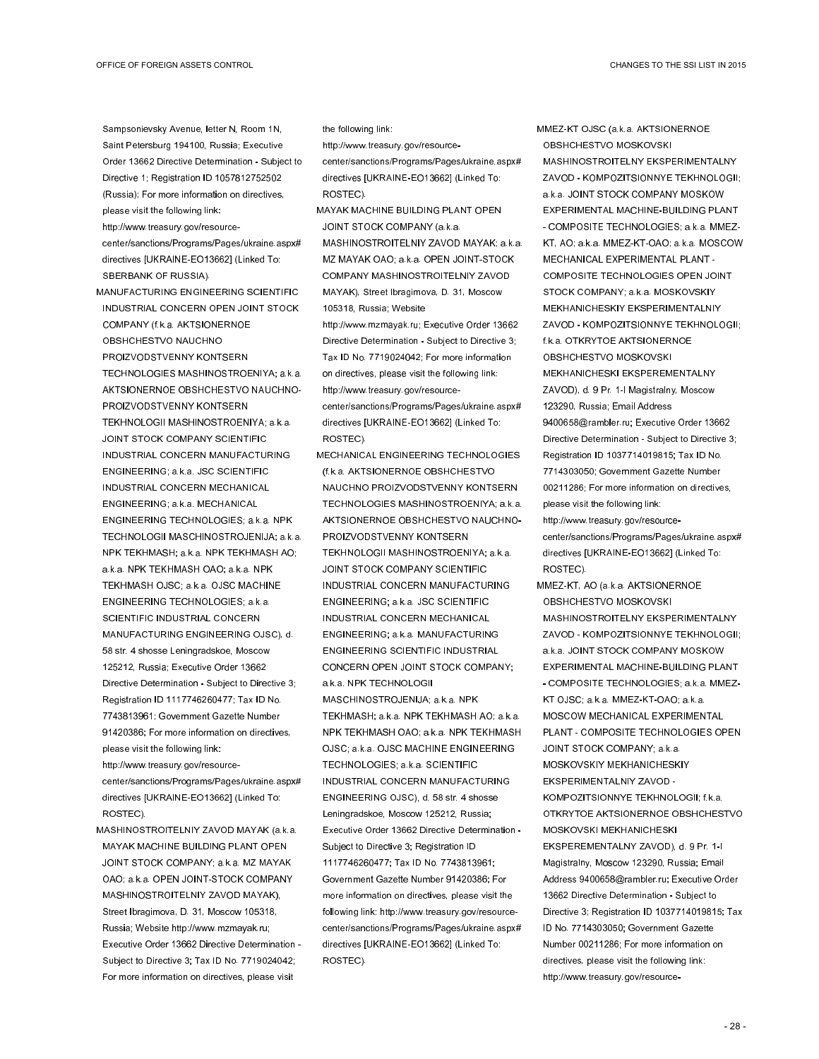Sampsonievsky Avenue, letter N, Room 1N, Saint Petersburg 194100, Russia; Executive Order 13662 Directive Determination - Subject to Directive 1; Registration ID 1057812752502 (Russia); For more information on directives, please visit the following link: http://www.treasury.gov/resourcecenter/sanctions/Programs/Pages/ukraine.aspx#

- directives [UKRAINE-EO13662] (Linked To: SBERBANK OF RUSSIA).
- MANUFACTURING ENGINEERING SCIENTIFIC INDUSTRIAL CONCERN OPEN JOINT STOCK COMPANY (f.k.a. AKTSIONERNOE OBSHCHESTVO NAUCHNO PROIZVODSTVENNY KONTSERN TECHNOLOGIES MASHINOSTROENIYA; a.k.a. AKTSIONERNOE OBSHCHESTVO NAUCHNO-PROIZVODSTVENNY KONTSERN TEKHNOLOGII MASHINOSTROENIYA; a.k.a. JOINT STOCK COMPANY SCIENTIFIC INDUSTRIAL CONCERN MANUFACTURING ENGINEERING; a.k.a. JSC SCIENTIFIC INDUSTRIAL CONCERN MECHANICAL ENGINEERING; a.k.a. MECHANICAL ENGINEERING TECHNOLOGIES; a.k.a. NPK TECHNOLOGII MASCHINOSTROJENIJA; a.k.a. NPK TEKHMASH; a.k.a. NPK TEKHMASH AO; a.k.a. NPK TEKHMASH OAO; a.k.a. NPK TEKHMASH OJSC; a.k.a. OJSC MACHINE ENGINEERING TECHNOLOGIES; a.k.a. SCIENTIFIC INDUSTRIAL CONCERN MANUFACTURING ENGINEERING OJSC), d. 58 str. 4 shosse Leningradskoe, Moscow 125212, Russia; Executive Order 13662 Directive Determination - Subject to Directive 3; Registration ID 1117746260477; Tax ID No. 7743813961; Government Gazette Number 91420386; For more information on directives,

please visit the following link: http://www.treasury.gov/resourcecenter/sanctions/Programs/Pages/ukraine.aspx# directives [UKRAINE-EO13662] (Linked To: ROSTEC).

MASHINOSTROITELNIY ZAVOD MAYAK (a.k.a. MAYAK MACHINE BUILDING PLANT OPEN JOINT STOCK COMPANY; a.k.a. MZ MAYAK OAO; a.k.a. OPEN JOINT-STOCK COMPANY MASHINOSTROITELNIY ZAVOD MAYAK), Street Ibragimova, D. 31, Moscow 105318, Russia; Website http://www.mzmayak.ru; Executive Order 13662 Directive Determination - Subject to Directive 3; Tax ID No. 7719024042; For more information on directives, please visit

the following link:

http://www.treasury.gov/resourcecenter/sanctions/Programs/Pages/ukraine.aspx# directives [UKRAINE-EO13662] (Linked To: ROSTEC).

- MAYAK MACHINE BUILDING PLANT OPEN JOINT STOCK COMPANY (a.k.a. MASHINOSTROITELNIY ZAVOD MAYAK; a.k.a. MZ MAYAK OAO; a.k.a. OPEN JOINT-STOCK COMPANY MASHINOSTROITELNIY ZAVOD MAYAK), Street Ibragimova, D. 31, Moscow 105318, Russia; Website http://www.mzmayak.ru; Executive Order 13662 Directive Determination - Subject to Directive 3; Tax ID No. 7719024042; For more information on directives, please visit the following link: http://www.treasury.gov/resourcecenter/sanctions/Programs/Pages/ukraine.aspx# directives [UKRAINE-EO13662] (Linked To: ROSTEC).
- MECHANICAL ENGINEERING TECHNOLOGIES (f.k.a. AKTSIONERNOE OBSHCHESTVO NAUCHNO PROIZVODSTVENNY KONTSERN TECHNOLOGIES MASHINOSTROENIYA; a.k.a. AKTSIONERNOE OBSHCHESTVO NAUCHNO-PROIZVODSTVENNY KONTSERN TEKHNOLOGII MASHINOSTROENIYA; a.k.a. JOINT STOCK COMPANY SCIENTIFIC INDUSTRIAL CONCERN MANUFACTURING ENGINEERING; a.k.a. JSC SCIENTIFIC INDUSTRIAL CONCERN MECHANICAL ENGINEERING; a.k.a. MANUFACTURING ENGINEERING SCIENTIFIC INDUSTRIAL CONCERN OPEN JOINT STOCK COMPANY; a.k.a. NPK TECHNOLOGII MASCHINOSTROJENIJA; a.k.a. NPK TEKHMASH; a.k.a. NPK TEKHMASH AO; a.k.a. NPK TEKHMASH OAO; a.k.a. NPK TEKHMASH OJSC; a.k.a. OJSC MACHINE ENGINEERING TECHNOLOGIES; a.k.a. SCIENTIFIC INDUSTRIAL CONCERN MANUFACTURING ENGINEERING OJSC), d. 58 str. 4 shosse Leningradskoe, Moscow 125212, Russia; Executive Order 13662 Directive Determination - Subject to Directive 3; Registration ID 1117746260477; Tax ID No. 7743813961; Government Gazette Number 91420386; For more information on directives, please visit the following link: http://www.treasury.gov/resourcecenter/sanctions/Programs/Pages/ukraine.aspx# directives [UKRAINE-EO13662] (Linked To: ROSTEC).

MMEZ-KT OJSC (a.k.a. AKTSIONERNOE OBSHCHESTVO MOSKOVSKI MASHINOSTROITELNY EKSPERIMENTALNY ZAVOD - KOMPOZITSIONNYE TEKHNOLOGII; a.k.a. JOINT STOCK COMPANY MOSKOW EXPERIMENTAL MACHINE-BUILDING PLANT - COMPOSITE TECHNOLOGIES; a.k.a. MMEZ-KT, AO; a.k.a. MMEZ-KT-OAO; a.k.a. MOSCOW MECHANICAL EXPERIMENTAL PLANT - COMPOSITE TECHNOLOGIES OPEN JOINT STOCK COMPANY; a.k.a. MOSKOVSKIY MEKHANICHESKIY EKSPERIMENTALNIY ZAVOD - KOMPOZITSIONNYE TEKHNOLOGII; f.k.a. OTKRYTOE AKTSIONERNOE OBSHCHESTVO MOSKOVSKI MEKHANICHESKI EKSPEREMENTALNY ZAVOD), d. 9 Pr. 1-I Magistralny, Moscow 123290, Russia; Email Address 9400658@rambler.ru; Executive Order 13662 Directive Determination - Subject to Directive 3; Registration ID 1037714019815; Tax ID No. 7714303050; Government Gazette Number 00211286; For more information on directives, please visit the following link: http://www.treasury.gov/resource-

center/sanctions/Programs/Pages/ukraine.aspx# directives [UKRAINE-EO13662] (Linked To: ROSTEC).

MMEZ-KT, AO (a.k.a. AKTSIONERNOE OBSHCHESTVO MOSKOVSKI MASHINOSTROITELNY EKSPERIMENTALNY ZAVOD - KOMPOZITSIONNYE TEKHNOLOGII; a.k.a. JOINT STOCK COMPANY MOSKOW EXPERIMENTAL MACHINE-BUILDING PLANT - COMPOSITE TECHNOLOGIES; a.k.a. MMEZ-KT OJSC; a.k.a. MMEZ-KT-OAO; a.k.a. MOSCOW MECHANICAL EXPERIMENTAL PLANT - COMPOSITE TECHNOLOGIES OPEN JOINT STOCK COMPANY; a.k.a. MOSKOVSKIY MEKHANICHESKIY EKSPERIMENTALNIY ZAVOD - KOMPOZITSIONNYE TEKHNOLOGII; f.k.a. OTKRYTOE AKTSIONERNOE OBSHCHESTVO MOSKOVSKI MEKHANICHESKI EKSPEREMENTALNY ZAVOD), d. 9 Pr. 1-I Magistralny, Moscow 123290, Russia; Email Address 9400658@rambler.ru; Executive Order 13662 Directive Determination - Subject to Directive 3; Registration ID 1037714019815; Tax ID No. 7714303050; Government Gazette Number 00211286; For more information on directives, please visit the following link: http://www.treasury.gov/resource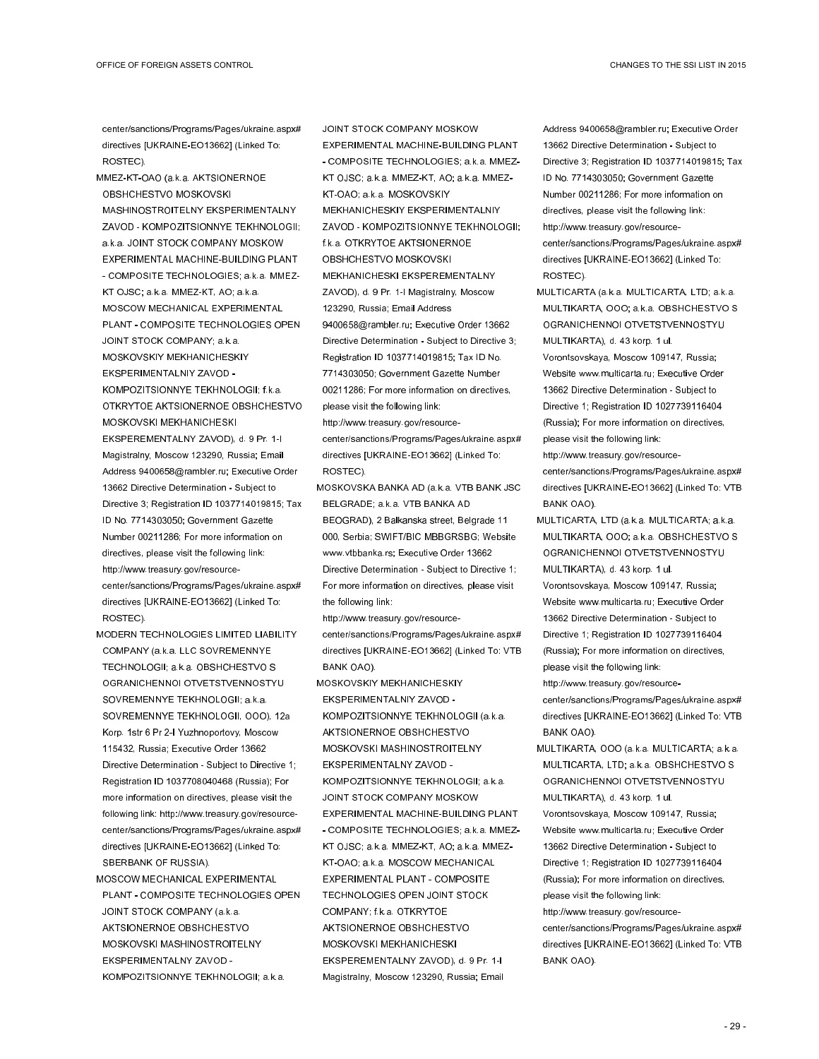center/sanctions/Programs/Pages/ukraine.aspx# directives [UKRAINE-EO13662] (Linked To: ROSTEC).

- MMEZ-KT-OAO (a.k.a. AKTSIONERNOE OBSHCHESTVO MOSKOVSKI MASHINOSTROITELNY EKSPERIMENTALNY ZAVOD - KOMPOZITSIONNYE TEKHNOLOGII; a.k.a. JOINT STOCK COMPANY MOSKOW EXPERIMENTAL MACHINE-BUILDING PLANT - COMPOSITE TECHNOLOGIES; a.k.a. MMEZ-KT OJSC; a.k.a. MMEZ-KT, AO; a.k.a. MOSCOW MECHANICAL EXPERIMENTAL PLANT - COMPOSITE TECHNOLOGIES OPEN JOINT STOCK COMPANY; a.k.a. MOSKOVSKIY MEKHANICHESKIY EKSPERIMENTALNIY ZAVOD - KOMPOZITSIONNYE TEKHNOLOGII; f.k.a. OTKRYTOE AKTSIONERNOE OBSHCHESTVO MOSKOVSKI MEKHANICHESKI EKSPEREMENTALNY ZAVOD), d. 9 Pr. 1-I Magistralny, Moscow 123290, Russia; Email Address 9400658@rambler.ru; Executive Order 13662 Directive Determination - Subject to Directive 3; Registration ID 1037714019815; Tax ID No. 7714303050; Government Gazette Number 00211286; For more information on directives, please visit the following link: http://www.treasury.gov/resourcecenter/sanctions/Programs/Pages/ukraine.aspx# directives [UKRAINE-EO13662] (Linked To: ROSTEC).
- MODERN TECHNOLOGIES LIMITED LIABILITY COMPANY (a.k.a. LLC SOVREMENNYE TECHNOLOGII; a.k.a. OBSHCHESTVO S OGRANICHENNOI OTVETSTVENNOSTYU SOVREMENNYE TEKHNOLOGII; a.k.a. SOVREMENNYE TEKHNOLOGII, OOO), 12a Korp. 1str 6 Pr 2-I Yuzhnoportovy, Moscow 115432, Russia; Executive Order 13662 Directive Determination - Subject to Directive 1; Registration ID 1037708040468 (Russia); For more information on directives, please visit the following link: http://www.treasury.gov/resourcecenter/sanctions/Programs/Pages/ukraine.aspx# directives [UKRAINE-EO13662] (Linked To: SBERBANK OF RUSSIA).
- MOSCOW MECHANICAL EXPERIMENTAL PLANT - COMPOSITE TECHNOLOGIES OPEN JOINT STOCK COMPANY (a.k.a. AKTSIONERNOE OBSHCHESTVO MOSKOVSKI MASHINOSTROITELNY EKSPERIMENTALNY ZAVOD - KOMPOZITSIONNYE TEKHNOLOGII; a.k.a.

JOINT STOCK COMPANY MOSKOW EXPERIMENTAL MACHINE-BUILDING PLANT - COMPOSITE TECHNOLOGIES; a.k.a. MMEZ-KT OJSC; a.k.a. MMEZ-KT, AO; a.k.a. MMEZ-KT-OAO; a.k.a. MOSKOVSKIY MEKHANICHESKIY EKSPERIMENTALNIY ZAVOD - KOMPOZITSIONNYE TEKHNOLOGII; f.k.a. OTKRYTOE AKTSIONERNOE OBSHCHESTVO MOSKOVSKI MEKHANICHESKI EKSPEREMENTALNY ZAVOD), d. 9 Pr. 1-I Magistralny, Moscow 123290, Russia; Email Address 9400658@rambler.ru; Executive Order 13662 Directive Determination - Subject to Directive 3; Registration ID 1037714019815; Tax ID No. 7714303050; Government Gazette Number 00211286; For more information on directives, please visit the following link: http://www.treasury.gov/resource-

center/sanctions/Programs/Pages/ukraine.aspx# directives [UKRAINE-EO13662] (Linked To: ROSTEC).

MOSKOVSKA BANKA AD (a.k.a. VTB BANK JSC BELGRADE; a.k.a. VTB BANKA AD BEOGRAD), 2 Balkanska street, Belgrade 11 000, Serbia; SWIFT/BIC MBBGRSBG; Website www.vtbbanka.rs; Executive Order 13662 Directive Determination - Subject to Directive 1; For more information on directives, please visit the following link:

http://www.treasury.gov/resourcecenter/sanctions/Programs/Pages/ukraine.aspx# directives [UKRAINE-EO13662] (Linked To: VTB BANK OAO).

MOSKOVSKIY MEKHANICHESKIY EKSPERIMENTALNIY ZAVOD - KOMPOZITSIONNYE TEKHNOLOGII (a.k.a. AKTSIONERNOE OBSHCHESTVO MOSKOVSKI MASHINOSTROITELNY EKSPERIMENTALNY ZAVOD - KOMPOZITSIONNYE TEKHNOLOGII; a.k.a. JOINT STOCK COMPANY MOSKOW EXPERIMENTAL MACHINE-BUILDING PLANT - COMPOSITE TECHNOLOGIES; a.k.a. MMEZ-KT OJSC; a.k.a. MMEZ-KT, AO; a.k.a. MMEZ-KT-OAO; a.k.a. MOSCOW MECHANICAL EXPERIMENTAL PLANT - COMPOSITE TECHNOLOGIES OPEN JOINT STOCK COMPANY; f.k.a. OTKRYTOE AKTSIONERNOE OBSHCHESTVO MOSKOVSKI MEKHANICHESKI EKSPEREMENTALNY ZAVOD), d. 9 Pr. 1-I Magistralny, Moscow 123290, Russia; Email

Address 9400658@rambler.ru; Executive Order 13662 Directive Determination - Subject to Directive 3; Registration ID 1037714019815; Tax ID No. 7714303050; Government Gazette Number 00211286; For more information on directives, please visit the following link: http://www.treasury.gov/resourcecenter/sanctions/Programs/Pages/ukraine.aspx# directives [UKRAINE-EO13662] (Linked To: ROSTEC).

MULTICARTA (a.k.a. MULTICARTA, LTD; a.k.a. MULTIKARTA, OOO; a.k.a. OBSHCHESTVO S OGRANICHENNOI OTVETSTVENNOSTYU MULTIKARTA), d. 43 korp. 1 ul. Vorontsovskaya, Moscow 109147, Russia; Website www.multicarta.ru; Executive Order 13662 Directive Determination - Subject to Directive 1; Registration ID 1027739116404 (Russia); For more information on directives, please visit the following link: http://www.treasury.gov/resource-

center/sanctions/Programs/Pages/ukraine.aspx# directives [UKRAINE-EO13662] (Linked To: VTB BANK OAO).

MULTICARTA, LTD (a.k.a. MULTICARTA; a.k.a. MULTIKARTA, OOO; a.k.a. OBSHCHESTVO S OGRANICHENNOI OTVETSTVENNOSTYU MULTIKARTA), d. 43 korp. 1 ul. Vorontsovskaya, Moscow 109147, Russia; Website www.multicarta.ru; Executive Order 13662 Directive Determination - Subject to Directive 1; Registration ID 1027739116404 (Russia); For more information on directives, please visit the following link: http://www.treasury.gov/resourcecenter/sanctions/Programs/Pages/ukraine.aspx#

directives [UKRAINE-EO13662] (Linked To: VTB BANK OAO).

MULTIKARTA, OOO (a.k.a. MULTICARTA; a.k.a. MULTICARTA, LTD; a.k.a. OBSHCHESTVO S OGRANICHENNOI OTVETSTVENNOSTYU MULTIKARTA), d. 43 korp. 1 ul. Vorontsovskaya, Moscow 109147, Russia; Website www.multicarta.ru; Executive Order 13662 Directive Determination - Subject to Directive 1; Registration ID 1027739116404 (Russia); For more information on directives, please visit the following link: http://www.treasury.gov/resourcecenter/sanctions/Programs/Pages/ukraine.aspx# directives [UKRAINE-EO13662] (Linked To: VTB

BANK OAO).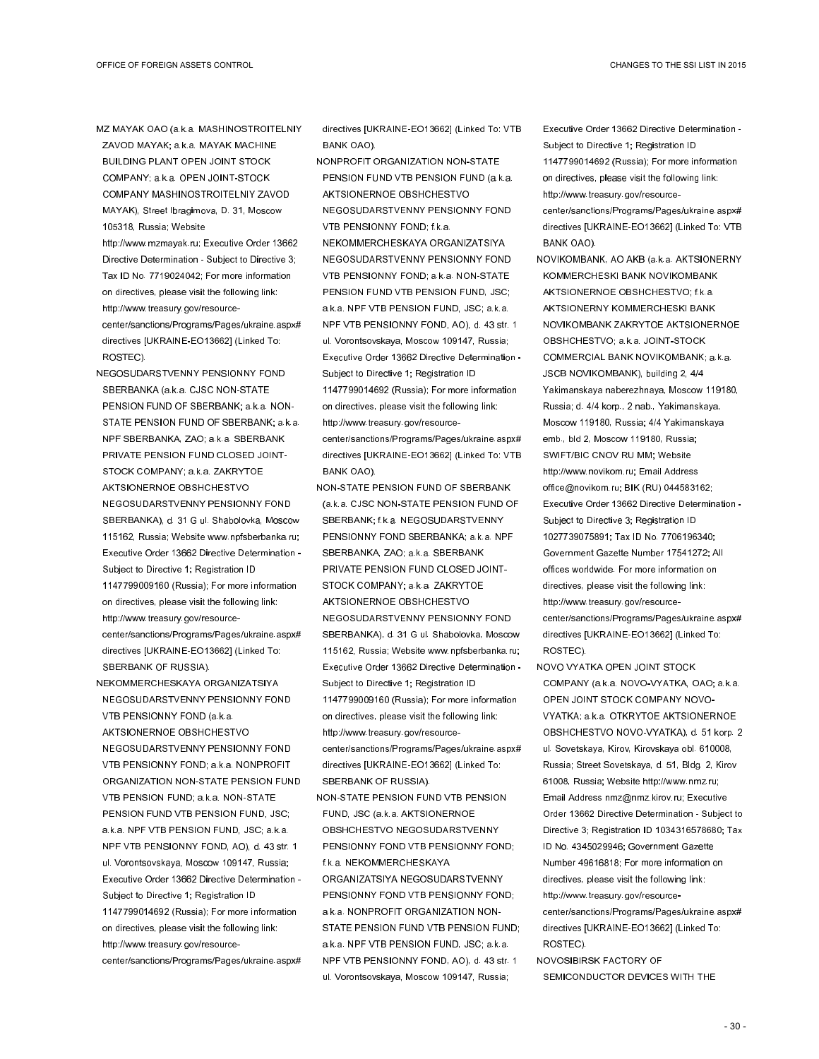- MZ MAYAK OAO (a.k.a. MASHINOSTROITELNIY ZAVOD MAYAK; a.k.a. MAYAK MACHINE BUILDING PLANT OPEN JOINT STOCK COMPANY; a.k.a. OPEN JOINT-STOCK COMPANY MASHINOSTROITELNIY ZAVOD MAYAK), Street Ibragimova, D. 31, Moscow 105318, Russia; Website
- http://www.mzmayak.ru; Executive Order 13662 Directive Determination - Subject to Directive 3; Tax ID No. 7719024042; For more information on directives, please visit the following link: http://www.treasury.gov/resourcecenter/sanctions/Programs/Pages/ukraine.aspx# directives [UKRAINE-EO13662] (Linked To: ROSTEC).
- NEGOSUDARSTVENNY PENSIONNY FOND SBERBANKA (a.k.a. CJSC NON-STATE PENSION FUND OF SBERBANK; a.k.a. NON-STATE PENSION FUND OF SBERBANK; a.k.a. NPF SBERBANKA, ZAO; a.k.a. SBERBANK PRIVATE PENSION FUND CLOSED JOINT-STOCK COMPANY; a.k.a. ZAKRYTOE AKTSIONERNOE OBSHCHESTVO NEGOSUDARSTVENNY PENSIONNY FOND SBERBANKA), d. 31 G ul. Shabolovka, Moscow 115162, Russia; Website www.npfsberbanka.ru; Executive Order 13662 Directive Determination - Subject to Directive 1; Registration ID 1147799009160 (Russia); For more information on directives, please visit the following link: http://www.treasury.gov/resourcecenter/sanctions/Programs/Pages/ukraine.aspx# directives [UKRAINE-EO13662] (Linked To: SBERBANK OF RUSSIA).
- NEKOMMERCHESKAYA ORGANIZATSIYA NEGOSUDARSTVENNY PENSIONNY FOND VTB PENSIONNY FOND (a.k.a. AKTSIONERNOE OBSHCHESTVO NEGOSUDARSTVENNY PENSIONNY FOND VTB PENSIONNY FOND; a.k.a. NONPROFIT ORGANIZATION NON-STATE PENSION FUND VTB PENSION FUND; a.k.a. NON-STATE PENSION FUND VTB PENSION FUND, JSC; a.k.a. NPF VTB PENSION FUND, JSC; a.k.a. NPF VTB PENSIONNY FOND, AO), d. 43 str. 1 ul. Vorontsovskaya, Moscow 109147, Russia; Executive Order 13662 Directive Determination - Subject to Directive 1; Registration ID 1147799014692 (Russia); For more information on directives, please visit the following link: http://www.treasury.gov/resourcecenter/sanctions/Programs/Pages/ukraine.aspx#

directives [UKRAINE-EO13662] (Linked To: VTB BANK OAO).

- NONPROFIT ORGANIZATION NON-STATE PENSION FUND VTB PENSION FUND (a.k.a. AKTSIONERNOE OBSHCHESTVO NEGOSUDARSTVENNY PENSIONNY FOND VTB PENSIONNY FOND; f.k.a.
- NEKOMMERCHESKAYA ORGANIZATSIYA NEGOSUDARSTVENNY PENSIONNY FOND VTB PENSIONNY FOND; a.k.a. NON-STATE PENSION FUND VTB PENSION FUND, JSC; a.k.a. NPF VTB PENSION FUND, JSC; a.k.a. NPF VTB PENSIONNY FOND, AO), d. 43 str. 1 ul. Vorontsovskaya, Moscow 109147, Russia; Executive Order 13662 Directive Determination - Subject to Directive 1; Registration ID
- 1147799014692 (Russia); For more information on directives, please visit the following link: http://www.treasury.gov/resource-
- center/sanctions/Programs/Pages/ukraine.aspx# directives [UKRAINE-EO13662] (Linked To: VTB BANK OAO).
- NON-STATE PENSION FUND OF SBERBANK (a.k.a. CJSC NON-STATE PENSION FUND OF SBERBANK; f.k.a. NEGOSUDARSTVENNY PENSIONNY FOND SBERBANKA; a.k.a. NPF SBERBANKA, ZAO; a.k.a. SBERBANK PRIVATE PENSION FUND CLOSED JOINT-STOCK COMPANY; a.k.a. ZAKRYTOE AKTSIONERNOE OBSHCHESTVO NEGOSUDARSTVENNY PENSIONNY FOND SBERBANKA), d. 31 G ul. Shabolovka, Moscow 115162, Russia; Website www.npfsberbanka.ru; Executive Order 13662 Directive Determination - Subject to Directive 1; Registration ID 1147799009160 (Russia); For more information on directives, please visit the following link: http://www.treasury.gov/resourcecenter/sanctions/Programs/Pages/ukraine.aspx# directives [UKRAINE-EO13662] (Linked To: SBERBANK OF RUSSIA).
- NON-STATE PENSION FUND VTB PENSION FUND, JSC (a.k.a. AKTSIONERNOE OBSHCHESTVO NEGOSUDARSTVENNY PENSIONNY FOND VTB PENSIONNY FOND; f.k.a. NEKOMMERCHESKAYA ORGANIZATSIYA NEGOSUDARSTVENNY PENSIONNY FOND VTB PENSIONNY FOND; a.k.a. NONPROFIT ORGANIZATION NON-STATE PENSION FUND VTB PENSION FUND; a.k.a. NPF VTB PENSION FUND, JSC; a.k.a. NPF VTB PENSIONNY FOND, AO), d. 43 str. 1 ul. Vorontsovskaya, Moscow 109147, Russia;
- Executive Order 13662 Directive Determination Subject to Directive 1; Registration ID 1147799014692 (Russia); For more information on directives, please visit the following link: http://www.treasury.gov/resourcecenter/sanctions/Programs/Pages/ukraine.aspx# directives [UKRAINE-EO13662] (Linked To: VTB
- BANK OAO). NOVIKOMBANK, AO AKB (a.k.a. AKTSIONERNY
- KOMMERCHESKI BANK NOVIKOMBANK AKTSIONERNOE OBSHCHESTVO; f.k.a. AKTSIONERNY KOMMERCHESKI BANK NOVIKOMBANK ZAKRYTOE AKTSIONERNOE OBSHCHESTVO; a.k.a. JOINT-STOCK COMMERCIAL BANK NOVIKOMBANK; a.k.a. JSCB NOVIKOMBANK), building 2, 4/4 Yakimanskaya naberezhnaya, Moscow 119180, Russia; d. 4/4 korp., 2 nab., Yakimanskaya, Moscow 119180, Russia; 4/4 Yakimanskaya emb., bld 2, Moscow 119180, Russia; SWIFT/BIC CNOV RU MM; Website http://www.novikom.ru; Email Address office@novikom.ru; BIK (RU) 044583162; Executive Order 13662 Directive Determination - Subject to Directive 3: Registration ID 1027739075891; Tax ID No. 7706196340; Government Gazette Number 17541272; All offices worldwide. For more information on directives, please visit the following link: http://www.treasury.gov/resourcecenter/sanctions/Programs/Pages/ukraine.aspx# directives [UKRAINE-EO13662] (Linked To: ROSTEC).
- NOVO VYATKA OPEN JOINT STOCK COMPANY (a.k.a. NOVO-VYATKA, OAO; a.k.a. OPEN JOINT STOCK COMPANY NOVO-VYATKA; a.k.a. OTKRYTOE AKTSIONERNOE OBSHCHESTVO NOVO-VYATKA), d. 51 korp. 2 ul. Sovetskaya, Kirov, Kirovskaya obl. 610008, Russia; Street Sovetskaya, d. 51, Bldg. 2, Kirov 61008, Russia; Website http://www.nmz.ru; Email Address nmz@nmz.kirov.ru; Executive Order 13662 Directive Determination - Subject to Directive 3; Registration ID 1034316578680; Tax ID No. 4345029946; Government Gazette Number 49616818; For more information on directives, please visit the following link: http://www.treasury.gov/resourcecenter/sanctions/Programs/Pages/ukraine.aspx# directives [UKRAINE-EO13662] (Linked To: ROSTEC).
- NOVOSIBIRSK FACTORY OF SEMICONDUCTOR DEVICES WITH THE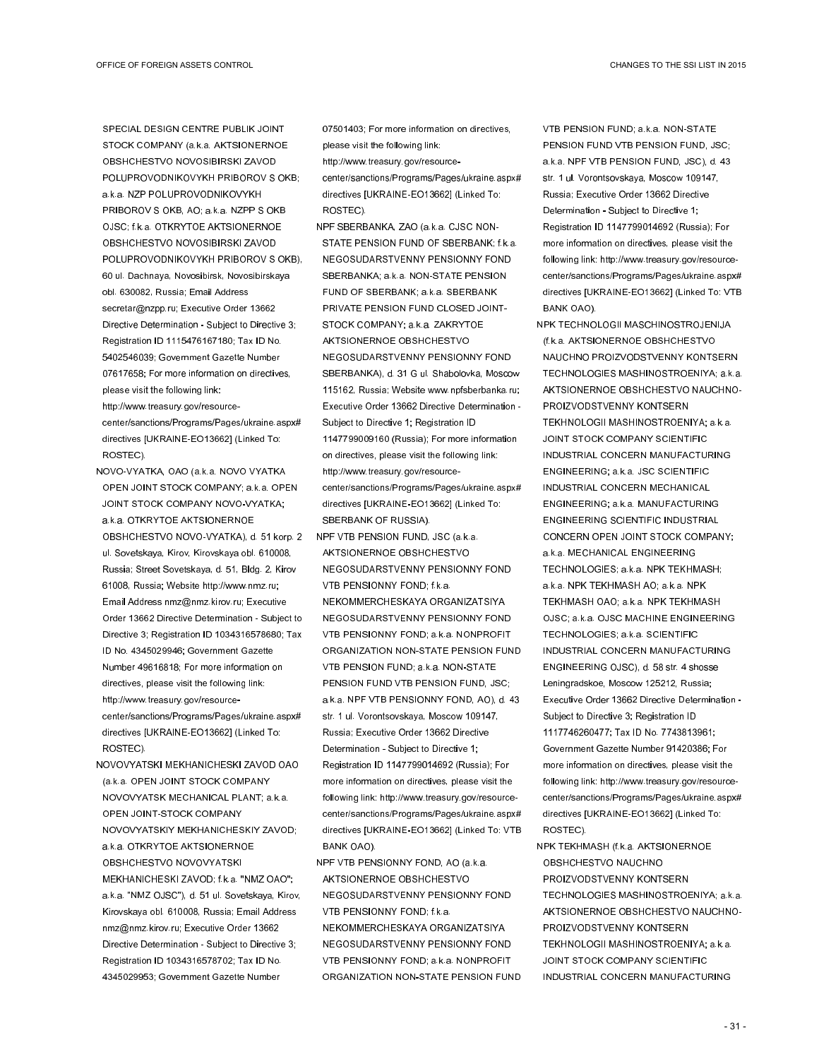SPECIAL DESIGN CENTRE PUBLIK JOINT STOCK COMPANY (a.k.a. AKTSIONERNOE OBSHCHESTVO NOVOSIBIRSKI ZAVOD POLUPROVODNIKOVYKH PRIBOROV S OKB; a.k.a. NZP POLUPROVODNIKOVYKH PRIBOROV S OKB, AO; a.k.a. NZPP S OKB OJSC; f.k.a. OTKRYTOE AKTSIONERNOE OBSHCHESTVO NOVOSIBIRSKI ZAVOD POLUPROVODNIKOVYKH PRIBOROV S OKB), 60 ul. Dachnaya, Novosibirsk, Novosibirskaya obl. 630082, Russia; Email Address secretar@nzpp.ru; Executive Order 13662 Directive Determination - Subject to Directive 3; Registration ID 1115476167180; Tax ID No. 5402546039; Government Gazette Number 07617658; For more information on directives, please visit the following link: http://www.treasury.gov/resourcecenter/sanctions/Programs/Pages/ukraine.aspx# directives [UKRAINE-EO13662] (Linked To:

NOVO-VYATKA, OAO (a.k.a. NOVO VYATKA OPEN JOINT STOCK COMPANY; a.k.a. OPEN JOINT STOCK COMPANY NOVO-VYATKA; a.k.a. OTKRYTOE AKTSIONERNOE OBSHCHESTVO NOVO-VYATKA), d. 51 korp. 2 ul. Sovetskaya, Kirov, Kirovskaya obl. 610008, Russia; Street Sovetskaya, d. 51, Bldg. 2, Kirov 61008, Russia; Website http://www.nmz.ru; Email Address nmz@nmz.kirov.ru; Executive Order 13662 Directive Determination - Subject to Directive 3; Registration ID 1034316578680; Tax ID No. 4345029946; Government Gazette Number 49616818; For more information on directives, please visit the following link: http://www.treasury.gov/resourcecenter/sanctions/Programs/Pages/ukraine.aspx# directives [UKRAINE-EO13662] (Linked To: ROSTEC).

ROSTEC).

NOVOVYATSKI MEKHANICHESKI ZAVOD OAO (a.k.a. OPEN JOINT STOCK COMPANY NOVOVYATSK MECHANICAL PLANT; a.k.a. OPEN JOINT-STOCK COMPANY NOVOVYATSKIY MEKHANICHESKIY ZAVOD; a.k.a. OTKRYTOE AKTSIONERNOE OBSHCHESTVO NOVOVYATSKI MEKHANICHESKI ZAVOD; f.k.a. "NMZ OAO"; a.k.a. "NMZ OJSC"), d. 51 ul. Sovetskaya, Kirov, Kirovskaya obl. 610008, Russia; Email Address nmz@nmz.kirov.ru; Executive Order 13662 Directive Determination - Subject to Directive 3; Registration ID 1034316578702; Tax ID No. 4345029953; Government Gazette Number

07501403; For more information on directives, please visit the following link:

http://www.treasury.gov/resourcecenter/sanctions/Programs/Pages/ukraine.aspx# directives [UKRAINE-EO13662] (Linked To: ROSTEC).

- NPF SBERBANKA, ZAO (a.k.a. CJSC NON-STATE PENSION FUND OF SBERBANK; f.k.a. NEGOSUDARSTVENNY PENSIONNY FOND SBERBANKA; a.k.a. NON-STATE PENSION FUND OF SBERBANK; a.k.a. SBERBANK PRIVATE PENSION FUND CLOSED JOINT-STOCK COMPANY; a.k.a. ZAKRYTOE AKTSIONERNOE OBSHCHESTVO NEGOSUDARSTVENNY PENSIONNY FOND SBERBANKA), d. 31 G ul. Shabolovka, Moscow 115162, Russia; Website www.npfsberbanka.ru; Executive Order 13662 Directive Determination - Subject to Directive 1; Registration ID 1147799009160 (Russia); For more information on directives, please visit the following link: http://www.treasury.gov/resourcecenter/sanctions/Programs/Pages/ukraine.aspx# directives [UKRAINE-EO13662] (Linked To: SBERBANK OF RUSSIA).
- NPF VTB PENSION FUND, JSC (a.k.a. AKTSIONERNOE OBSHCHESTVO NEGOSUDARSTVENNY PENSIONNY FOND VTB PENSIONNY FOND; f.k.a. NEKOMMERCHESKAYA ORGANIZATSIYA NEGOSUDARSTVENNY PENSIONNY FOND VTB PENSIONNY FOND; a.k.a. NONPROFIT ORGANIZATION NON-STATE PENSION FUND VTB PENSION FUND; a.k.a. NON-STATE PENSION FUND VTB PENSION FUND, JSC; a.k.a. NPF VTB PENSIONNY FOND, AO), d. 43 str. 1 ul. Vorontsovskaya, Moscow 109147, Russia; Executive Order 13662 Directive Determination - Subject to Directive 1; Registration ID 1147799014692 (Russia); For more information on directives, please visit the following link: http://www.treasury.gov/resourcecenter/sanctions/Programs/Pages/ukraine.aspx# directives [UKRAINE-EO13662] (Linked To: VTB BANK OAO).

NPF VTB PENSIONNY FOND, AO (a.k.a. AKTSIONERNOE OBSHCHESTVO NEGOSUDARSTVENNY PENSIONNY FOND VTB PENSIONNY FOND; f.k.a.

NEKOMMERCHESKAYA ORGANIZATSIYA NEGOSUDARSTVENNY PENSIONNY FOND VTB PENSIONNY FOND; a.k.a. NONPROFIT ORGANIZATION NON-STATE PENSION FUND VTB PENSION FUND; a.k.a. NON-STATE PENSION FUND VTB PENSION FUND, JSC; a.k.a. NPF VTB PENSION FUND, JSC), d. 43 str. 1 ul. Vorontsovskaya, Moscow 109147, Russia; Executive Order 13662 Directive Determination - Subject to Directive 1; Registration ID 1147799014692 (Russia); For more information on directives, please visit the following link: http://www.treasury.gov/resourcecenter/sanctions/Programs/Pages/ukraine.aspx# directives [UKRAINE-EO13662] (Linked To: VTB BANK OAO).

NPK TECHNOLOGII MASCHINOSTROJENIJA (f.k.a. AKTSIONERNOE OBSHCHESTVO NAUCHNO PROIZVODSTVENNY KONTSERN TECHNOLOGIES MASHINOSTROENIYA; a.k.a. AKTSIONERNOE OBSHCHESTVO NAUCHNO-PROIZVODSTVENNY KONTSERN TEKHNOLOGII MASHINOSTROENIYA; a.k.a. JOINT STOCK COMPANY SCIENTIFIC INDUSTRIAL CONCERN MANUFACTURING ENGINEERING; a.k.a. JSC SCIENTIFIC INDUSTRIAL CONCERN MECHANICAL ENGINEERING; a.k.a. MANUFACTURING ENGINEERING SCIENTIFIC INDUSTRIAL CONCERN OPEN JOINT STOCK COMPANY; a.k.a. MECHANICAL ENGINEERING TECHNOLOGIES; a.k.a. NPK TEKHMASH; a.k.a. NPK TEKHMASH AO; a.k.a. NPK TEKHMASH OAO; a.k.a. NPK TEKHMASH OJSC; a.k.a. OJSC MACHINE ENGINEERING TECHNOLOGIES; a.k.a. SCIENTIFIC INDUSTRIAL CONCERN MANUFACTURING ENGINEERING OJSC), d. 58 str. 4 shosse Leningradskoe, Moscow 125212, Russia; Executive Order 13662 Directive Determination - Subject to Directive 3; Registration ID 1117746260477; Tax ID No. 7743813961; Government Gazette Number 91420386; For more information on directives, please visit the following link: http://www.treasury.gov/resourcecenter/sanctions/Programs/Pages/ukraine.aspx# directives [UKRAINE-EO13662] (Linked To: ROSTEC).

NPK TEKHMASH (f.k.a. AKTSIONERNOE OBSHCHESTVO NAUCHNO PROIZVODSTVENNY KONTSERN TECHNOLOGIES MASHINOSTROENIYA; a.k.a. AKTSIONERNOE OBSHCHESTVO NAUCHNO-PROIZVODSTVENNY KONTSERN TEKHNOLOGII MASHINOSTROENIYA; a.k.a. JOINT STOCK COMPANY SCIENTIFIC INDUSTRIAL CONCERN MANUFACTURING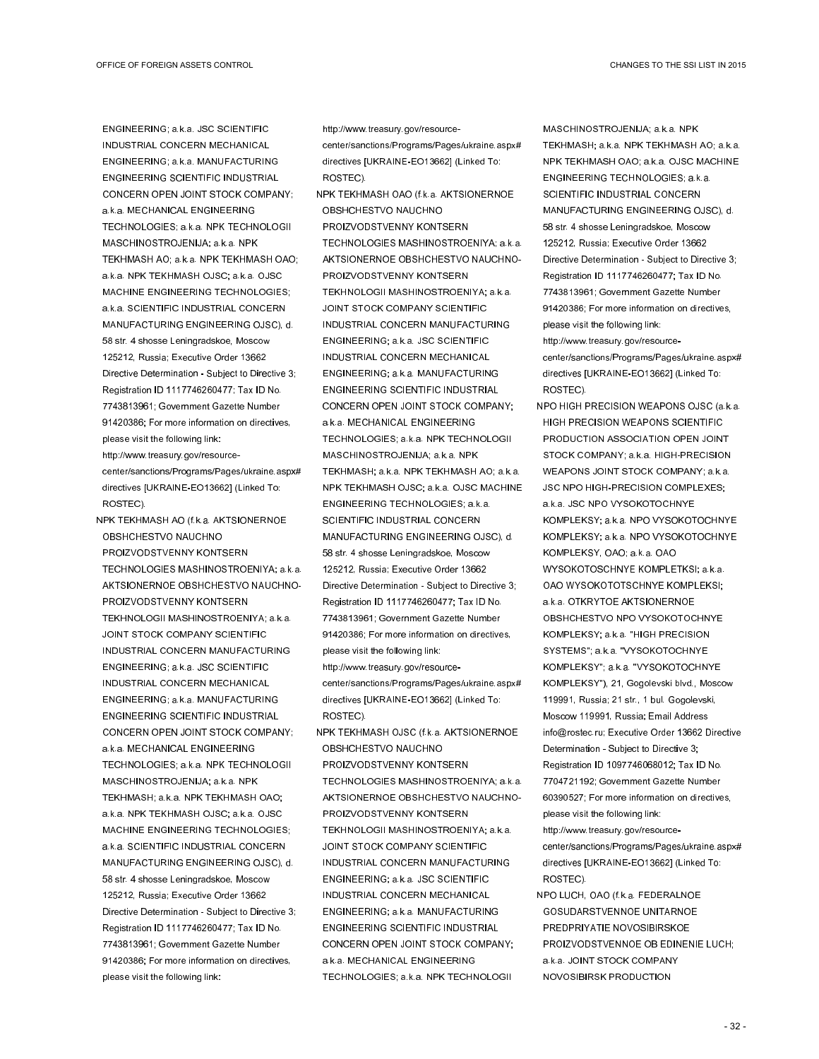ENGINEERING; a.k.a. JSC SCIENTIFIC INDUSTRIAL CONCERN MECHANICAL ENGINEERING; a.k.a. MANUFACTURING ENGINEERING SCIENTIFIC INDUSTRIAL CONCERN OPEN JOINT STOCK COMPANY; a.k.a. MECHANICAL ENGINEERING TECHNOLOGIES; a.k.a. NPK TECHNOLOGII MASCHINOSTROJENIJA; a.k.a. NPK TEKHMASH AO; a.k.a. NPK TEKHMASH OAO; a.k.a. NPK TEKHMASH OJSC; a.k.a. OJSC MACHINE ENGINEERING TECHNOLOGIES; a.k.a. SCIENTIFIC INDUSTRIAL CONCERN MANUFACTURING ENGINEERING OJSC), d. 58 str. 4 shosse Leningradskoe, Moscow 125212, Russia; Executive Order 13662 Directive Determination - Subject to Directive 3; Registration ID 1117746260477; Tax ID No. 7743813961; Government Gazette Number 91420386; For more information on directives, please visit the following link: http://www.treasury.gov/resource-

center/sanctions/Programs/Pages/ukraine.aspx# directives [UKRAINE-EO13662] (Linked To: ROSTEC).

NPK TEKHMASH AO (f.k.a. AKTSIONERNOE OBSHCHESTVO NAUCHNO PROIZVODSTVENNY KONTSERN TECHNOLOGIES MASHINOSTROENIYA; a.k.a. AKTSIONERNOE OBSHCHESTVO NAUCHNO-PROIZVODSTVENNY KONTSERN TEKHNOLOGII MASHINOSTROENIYA; a.k.a. JOINT STOCK COMPANY SCIENTIFIC INDUSTRIAL CONCERN MANUFACTURING ENGINEERING; a.k.a. JSC SCIENTIFIC INDUSTRIAL CONCERN MECHANICAL ENGINEERING; a.k.a. MANUFACTURING ENGINEERING SCIENTIFIC INDUSTRIAL CONCERN OPEN JOINT STOCK COMPANY; a.k.a. MECHANICAL ENGINEERING TECHNOLOGIES; a.k.a. NPK TECHNOLOGII MASCHINOSTROJENIJA; a.k.a. NPK TEKHMASH; a.k.a. NPK TEKHMASH OAO; a.k.a. NPK TEKHMASH OJSC; a.k.a. OJSC MACHINE ENGINEERING TECHNOLOGIES; a.k.a. SCIENTIFIC INDUSTRIAL CONCERN MANUFACTURING ENGINEERING OJSC), d. 58 str. 4 shosse Leningradskoe, Moscow 125212, Russia; Executive Order 13662 Directive Determination - Subject to Directive 3; Registration ID 1117746260477; Tax ID No. 7743813961; Government Gazette Number 91420386; For more information on directives, please visit the following link:

http://www.treasury.gov/resource-

center/sanctions/Programs/Pages/ukraine.aspx# directives [UKRAINE-EO13662] (Linked To: ROSTEC).

NPK TEKHMASH OAO (f.k.a. AKTSIONERNOE OBSHCHESTVO NAUCHNO PROIZVODSTVENNY KONTSERN TECHNOLOGIES MASHINOSTROENIYA; a.k.a. AKTSIONERNOE OBSHCHESTVO NAUCHNO-PROIZVODSTVENNY KONTSERN TEKHNOLOGII MASHINOSTROENIYA; a.k.a. JOINT STOCK COMPANY SCIENTIFIC INDUSTRIAL CONCERN MANUFACTURING ENGINEERING; a.k.a. JSC SCIENTIFIC INDUSTRIAL CONCERN MECHANICAL ENGINEERING; a.k.a. MANUFACTURING ENGINEERING SCIENTIFIC INDUSTRIAL CONCERN OPEN JOINT STOCK COMPANY; a.k.a. MECHANICAL ENGINEERING TECHNOLOGIES; a.k.a. NPK TECHNOLOGII MASCHINOSTROJENIJA; a.k.a. NPK TEKHMASH; a.k.a. NPK TEKHMASH AO; a.k.a. NPK TEKHMASH OJSC; a.k.a. OJSC MACHINE ENGINEERING TECHNOLOGIES; a.k.a. SCIENTIFIC INDUSTRIAL CONCERN MANUFACTURING ENGINEERING OJSC), d. 58 str. 4 shosse Leningradskoe, Moscow 125212, Russia; Executive Order 13662 Directive Determination - Subject to Directive 3; Registration ID 1117746260477; Tax ID No. 7743813961; Government Gazette Number 91420386; For more information on directives, please visit the following link: http://www.treasury.gov/resourcecenter/sanctions/Programs/Pages/ukraine.aspx# directives [UKRAINE-EO13662] (Linked To: ROSTEC).

NPK TEKHMASH OJSC (f.k.a. AKTSIONERNOE OBSHCHESTVO NAUCHNO PROIZVODSTVENNY KONTSERN TECHNOLOGIES MASHINOSTROENIYA; a.k.a. AKTSIONERNOE OBSHCHESTVO NAUCHNO-PROIZVODSTVENNY KONTSERN TEKHNOLOGII MASHINOSTROENIYA; a.k.a. JOINT STOCK COMPANY SCIENTIFIC INDUSTRIAL CONCERN MANUFACTURING ENGINEERING; a.k.a. JSC SCIENTIFIC INDUSTRIAL CONCERN MECHANICAL ENGINEERING; a.k.a. MANUFACTURING ENGINEERING SCIENTIFIC INDUSTRIAL CONCERN OPEN JOINT STOCK COMPANY; a.k.a. MECHANICAL ENGINEERING TECHNOLOGIES; a.k.a. NPK TECHNOLOGII

MASCHINOSTROJENIJA; a.k.a. NPK TEKHMASH; a.k.a. NPK TEKHMASH AO; a.k.a. NPK TEKHMASH OAO; a.k.a. OJSC MACHINE ENGINEERING TECHNOLOGIES; a.k.a. SCIENTIFIC INDUSTRIAL CONCERN MANUFACTURING ENGINEERING OJSC), d. 58 str. 4 shosse Leningradskoe, Moscow 125212, Russia; Executive Order 13662 Directive Determination - Subject to Directive 3; Registration ID 1117746260477; Tax ID No. 7743813961; Government Gazette Number 91420386; For more information on directives, please visit the following link: http://www.treasury.gov/resource-

center/sanctions/Programs/Pages/ukraine.aspx# directives [UKRAINE-EO13662] (Linked To: ROSTEC).

NPO HIGH PRECISION WEAPONS OJSC (a.k.a. HIGH PRECISION WEAPONS SCIENTIFIC PRODUCTION ASSOCIATION OPEN JOINT STOCK COMPANY; a.k.a. HIGH-PRECISION WEAPONS JOINT STOCK COMPANY; a.k.a. JSC NPO HIGH-PRECISION COMPLEXES; a.k.a. JSC NPO VYSOKOTOCHNYE KOMPLEKSY; a.k.a. NPO VYSOKOTOCHNYE KOMPLEKSY; a.k.a. NPO VYSOKOTOCHNYE KOMPLEKSY, OAO; a.k.a. OAO WYSOKOTOSCHNYE KOMPLETKSI; a.k.a. OAO WYSOKOTOTSCHNYE KOMPLEKSI; a.k.a. OTKRYTOE AKTSIONERNOE OBSHCHESTVO NPO VYSOKOTOCHNYE KOMPLEKSY; a.k.a. "HIGH PRECISION SYSTEMS"; a.k.a. "VYSOKOTOCHNYE KOMPLEKSY" a.k.a. "VYSOKOTOCHNYE KOMPLEKSY"), 21, Gogolevski blvd., Moscow 119991, Russia; 21 str., 1 bul. Gogolevski, Moscow 119991, Russia; Email Address info@rostec.ru; Executive Order 13662 Directive Determination - Subject to Directive 3; Registration ID 1097746068012; Tax ID No. 7704721192; Government Gazette Number 60390527; For more information on directives, please visit the following link: http://www.treasury.gov/resourcecenter/sanctions/Programs/Pages/ukraine.aspx#

directives [UKRAINE-EO13662] (Linked To: ROSTEC). NPO LUCH, OAO (f.k.a. FEDERALNOE

GOSUDARSTVENNOE UNITARNOE PREDPRIYATIE NOVOSIBIRSKOE PROIZVODSTVENNOE OB EDINENIE LUCH; a.k.a. JOINT STOCK COMPANY NOVOSIBIRSK PRODUCTION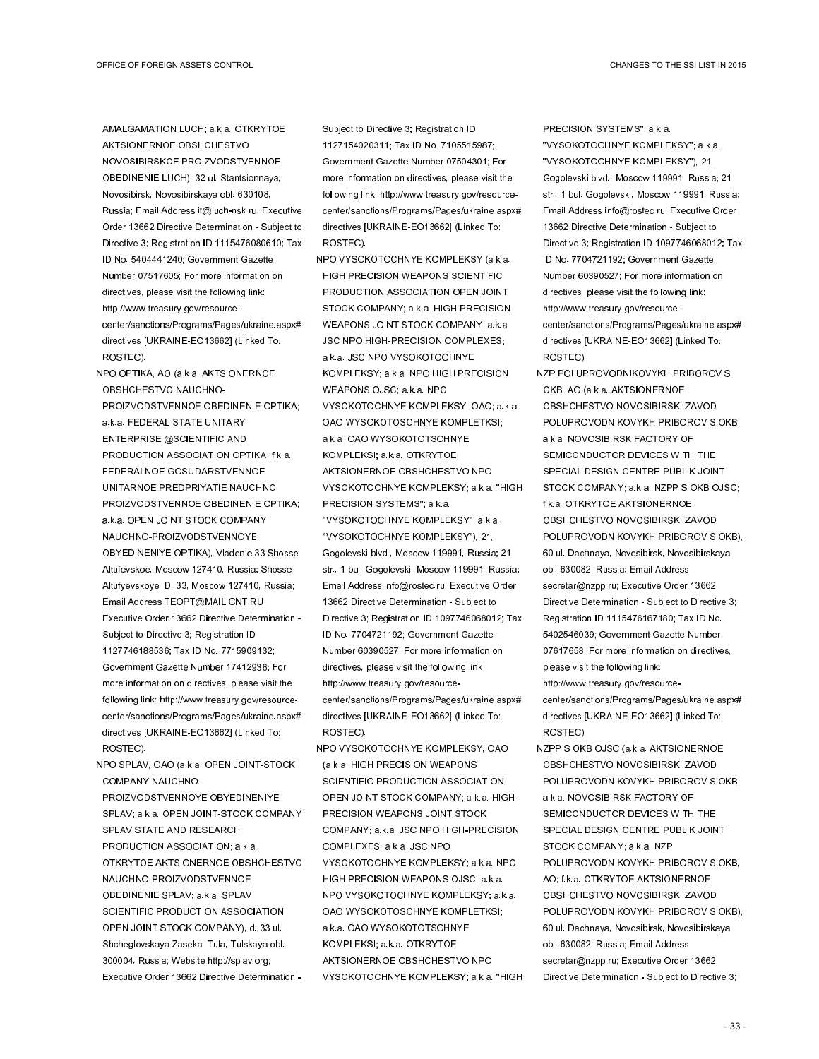AMALGAMATION LUCH; a.k.a. OTKRYTOE AKTSIONERNOE OBSHCHESTVO NOVOSIBIRSKOE PROIZVODSTVENNOE OBEDINENIE LUCH), 32 ul. Stantsionnaya, Novosibirsk, Novosibirskaya obl. 630108, Russia; Email Address it@luch-nsk.ru; Executive Order 13662 Directive Determination - Subject to Directive 3; Registration ID 1115476080610; Tax ID No. 5404441240; Government Gazette Number 07517605; For more information on directives, please visit the following link: http://www.treasury.gov/resourcecenter/sanctions/Programs/Pages/ukraine.aspx# directives [UKRAINE-EO13662] (Linked To: ROSTEC).

- NPO OPTIKA, AO (a.k.a. AKTSIONERNOE OBSHCHESTVO NAUCHNO-PROIZVODSTVENNOE OBEDINENIE OPTIKA; a.k.a. FEDERAL STATE UNITARY ENTERPRISE @SCIENTIFIC AND PRODUCTION ASSOCIATION OPTIKA; f.k.a. FEDERALNOE GOSUDARSTVENNOE UNITARNOE PREDPRIYATIE NAUCHNO PROIZVODSTVENNOE OBEDINENIE OPTIKA; a.k.a. OPEN JOINT STOCK COMPANY NAUCHNO-PROIZVODSTVENNOYE OBYEDINENIYE OPTIKA), Vladenie 33 Shosse Altufevskoe, Moscow 127410, Russia; Shosse Altufyevskoye, D. 33, Moscow 127410, Russia; Email Address TEOPT@MAIL.CNT.RU; Executive Order 13662 Directive Determination - Subject to Directive 3; Registration ID 1127746188536; Tax ID No. 7715909132; Government Gazette Number 17412936; For more information on directives, please visit the following link: http://www.treasury.gov/resourcecenter/sanctions/Programs/Pages/ukraine.aspx# directives [UKRAINE-EO13662] (Linked To: ROSTEC).
- NPO SPLAV, OAO (a.k.a. OPEN JOINT-STOCK COMPANY NAUCHNO-PROIZVODSTVENNOYE OBYEDINENIYE SPLAV; a.k.a. OPEN JOINT-STOCK COMPANY SPLAV STATE AND RESEARCH PRODUCTION ASSOCIATION; a.k.a. OTKRYTOE AKTSIONERNOE OBSHCHESTVO NAUCHNO-PROIZVODSTVENNOE OBEDINENIE SPLAV; a.k.a. SPLAV SCIENTIFIC PRODUCTION ASSOCIATION OPEN JOINT STOCK COMPANY), d. 33 ul. Shcheglovskaya Zaseka, Tula, Tulskaya obl. 300004, Russia; Website http://splav.org; Executive Order 13662 Directive Determination -

Subject to Directive 3; Registration ID 1127154020311; Tax ID No. 7105515987; Government Gazette Number 07504301; For more information on directives, please visit the following link: http://www.treasury.gov/resourcecenter/sanctions/Programs/Pages/ukraine.aspx# directives [UKRAINE-EO13662] (Linked To: ROSTEC).

- NPO VYSOKOTOCHNYE KOMPLEKSY (a.k.a. HIGH PRECISION WEAPONS SCIENTIFIC PRODUCTION ASSOCIATION OPEN JOINT STOCK COMPANY; a.k.a. HIGH-PRECISION WEAPONS JOINT STOCK COMPANY; a.k.a. JSC NPO HIGH-PRECISION COMPLEXES; a.k.a. JSC NPO VYSOKOTOCHNYE KOMPLEKSY; a.k.a. NPO HIGH PRECISION WEAPONS OJSC; a.k.a. NPO VYSOKOTOCHNYE KOMPLEKSY, OAO; a.k.a. OAO WYSOKOTOSCHNYE KOMPLETKSI; a.k.a. OAO WYSOKOTOTSCHNYE KOMPLEKSI; a.k.a. OTKRYTOE AKTSIONERNOE OBSHCHESTVO NPO VYSOKOTOCHNYE KOMPLEKSY; a.k.a. "HIGH PRECISION SYSTEMS"; a.k.a. "VYSOKOTOCHNYE KOMPLEKSY"; a.k.a. "VYSOKOTOCHNYE KOMPLEKSY"), 21, Gogolevski blvd., Moscow 119991, Russia; 21 str., 1 bul. Gogolevski, Moscow 119991, Russia; Email Address info@rostec.ru; Executive Order 13662 Directive Determination - Subject to Directive 3; Registration ID 1097746068012; Tax ID No. 7704721192; Government Gazette Number 60390527; For more information on directives, please visit the following link: http://www.treasury.gov/resourcecenter/sanctions/Programs/Pages/ukraine.aspx# directives [UKRAINE-EO13662] (Linked To: ROSTEC).
- NPO VYSOKOTOCHNYE KOMPLEKSY, OAO (a.k.a. HIGH PRECISION WEAPONS SCIENTIFIC PRODUCTION ASSOCIATION OPEN JOINT STOCK COMPANY; a.k.a. HIGH-PRECISION WEAPONS JOINT STOCK COMPANY; a.k.a. JSC NPO HIGH-PRECISION COMPLEXES; a.k.a. JSC NPO VYSOKOTOCHNYE KOMPLEKSY; a.k.a. NPO HIGH PRECISION WEAPONS OJSC; a.k.a. NPO VYSOKOTOCHNYE KOMPLEKSY; a.k.a. OAO WYSOKOTOSCHNYE KOMPLETKSI; a.k.a. OAO WYSOKOTOTSCHNYE KOMPLEKSI; a.k.a. OTKRYTOE AKTSIONERNOE OBSHCHESTVO NPO VYSOKOTOCHNYE KOMPLEKSY; a.k.a. "HIGH

PRECISION SYSTEMS"; a.k.a. "VYSOKOTOCHNYE KOMPLEKSY"; a.k.a. "VYSOKOTOCHNYE KOMPLEKSY"), 21, Gogolevski blvd., Moscow 119991, Russia; 21 str., 1 bul. Gogolevski, Moscow 119991, Russia; Email Address info@rostec.ru; Executive Order 13662 Directive Determination - Subject to Directive 3; Registration ID 1097746068012; Tax ID No. 7704721192; Government Gazette Number 60390527; For more information on directives, please visit the following link: http://www.treasury.gov/resourcecenter/sanctions/Programs/Pages/ukraine.aspx# directives [UKRAINE-EO13662] (Linked To: ROSTEC).

NZP POLUPROVODNIKOVYKH PRIBOROV S OKB, AO (a.k.a. AKTSIONERNOE OBSHCHESTVO NOVOSIBIRSKI ZAVOD POLUPROVODNIKOVYKH PRIBOROV S OKB; a.k.a. NOVOSIBIRSK FACTORY OF SEMICONDUCTOR DEVICES WITH THE SPECIAL DESIGN CENTRE PUBLIK JOINT STOCK COMPANY; a.k.a. NZPP S OKB OJSC; f.k.a. OTKRYTOE AKTSIONERNOE OBSHCHESTVO NOVOSIBIRSKI ZAVOD POLUPROVODNIKOVYKH PRIBOROV S OKB), 60 ul. Dachnaya, Novosibirsk, Novosibirskaya obl. 630082, Russia; Email Address secretar@nzpp.ru; Executive Order 13662 Directive Determination - Subject to Directive 3; Registration ID 1115476167180; Tax ID No. 5402546039; Government Gazette Number 07617658; For more information on directives, please visit the following link: http://www.treasury.gov/resourcecenter/sanctions/Programs/Pages/ukraine.aspx# directives [UKRAINE-EO13662] (Linked To: ROSTEC).

NZPP S OKB OJSC (a.k.a. AKTSIONERNOE OBSHCHESTVO NOVOSIBIRSKI ZAVOD POLUPROVODNIKOVYKH PRIBOROV S OKB; a.k.a. NOVOSIBIRSK FACTORY OF SEMICONDUCTOR DEVICES WITH THE SPECIAL DESIGN CENTRE PUBLIK JOINT STOCK COMPANY; a.k.a. NZP POLUPROVODNIKOVYKH PRIBOROV S OKB, AO; f.k.a. OTKRYTOE AKTSIONERNOE OBSHCHESTVO NOVOSIBIRSKI ZAVOD POLUPROVODNIKOVYKH PRIBOROV S OKB), 60 ul. Dachnaya, Novosibirsk, Novosibirskaya obl. 630082, Russia; Email Address secretar@nzpp.ru; Executive Order 13662 Directive Determination - Subject to Directive 3;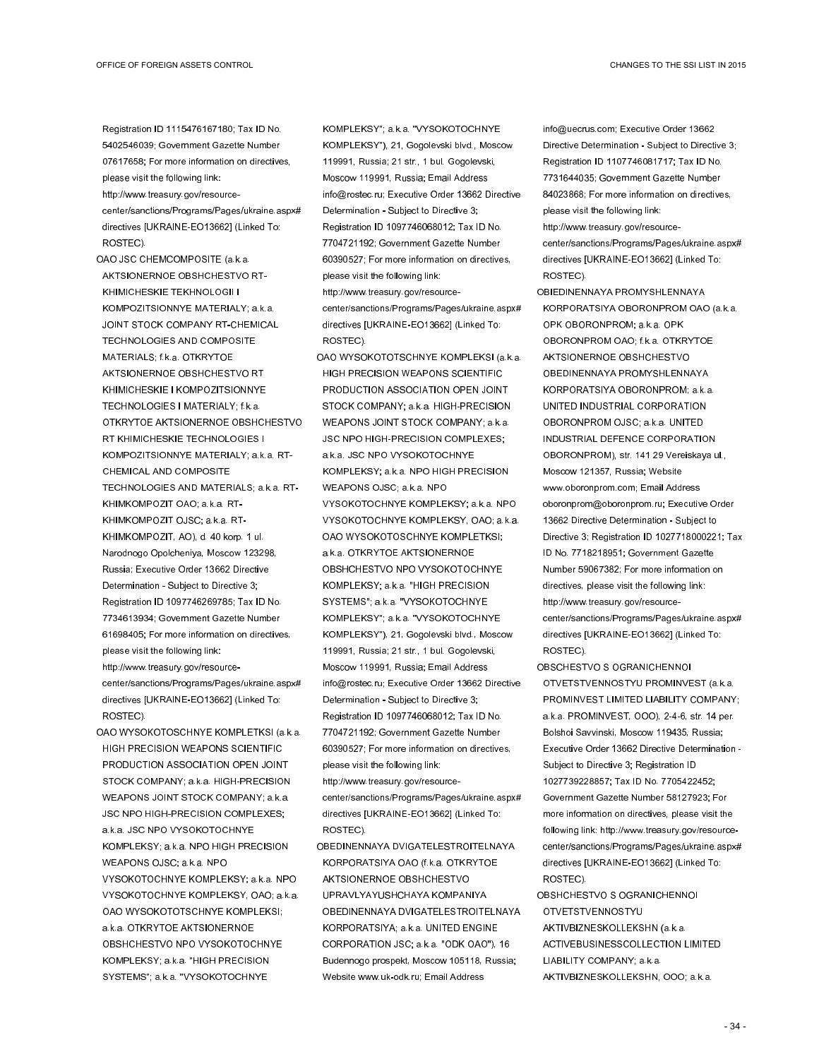Registration ID 1115476167180; Tax ID No. 5402546039; Government Gazette Number 07617658; For more information on directives, please visit the following link:

- http://www.treasury.gov/resourcecenter/sanctions/Programs/Pages/ukraine.aspx# directives [UKRAINE-EO13662] (Linked To: ROSTEC).
- OAO JSC CHEMCOMPOSITE (a.k.a. AKTSIONERNOE OBSHCHESTVO RT-KHIMICHESKIE TEKHNOLOGII I KOMPOZITSIONNYE MATERIALY; a.k.a. JOINT STOCK COMPANY RT-CHEMICAL TECHNOLOGIES AND COMPOSITE MATERIALS; f.k.a. OTKRYTOE AKTSIONERNOE OBSHCHESTVO RT KHIMICHESKIE I KOMPOZITSIONNYE TECHNOLOGIES I MATERIALY; f.k.a. OTKRYTOE AKTSIONERNOE OBSHCHESTVO RT KHIMICHESKIE TECHNOLOGIES I KOMPOZITSIONNYE MATERIALY; a.k.a. RT-CHEMICAL AND COMPOSITE TECHNOLOGIES AND MATERIALS; a.k.a. RT-KHIMKOMPOZIT OAO; a.k.a. RT-KHIMKOMPOZIT OJSC; a.k.a. RT-KHIMKOMPOZIT, AO), d. 40 korp. 1 ul. Narodnogo Opolcheniya, Moscow 123298, Russia; Executive Order 13662 Directive Determination - Subject to Directive 3; Registration ID 1097746269785; Tax ID No. 7734613934; Government Gazette Number 61698405; For more information on directives, please visit the following link: http://www.treasury.gov/resourcecenter/sanctions/Programs/Pages/ukraine.aspx# directives [UKRAINE-EO13662] (Linked To: ROSTEC).
- OAO WYSOKOTOSCHNYE KOMPLETKSI (a.k.a. HIGH PRECISION WEAPONS SCIENTIFIC PRODUCTION ASSOCIATION OPEN JOINT STOCK COMPANY; a.k.a. HIGH-PRECISION WEAPONS JOINT STOCK COMPANY; a.k.a. JSC NPO HIGH-PRECISION COMPLEXES; a.k.a. JSC NPO VYSOKOTOCHNYE KOMPLEKSY; a.k.a. NPO HIGH PRECISION WEAPONS OJSC; a.k.a. NPO VYSOKOTOCHNYE KOMPLEKSY; a.k.a. NPO VYSOKOTOCHNYE KOMPLEKSY, OAO; a.k.a. OAO WYSOKOTOTSCHNYE KOMPLEKSI; a.k.a. OTKRYTOE AKTSIONERNOE OBSHCHESTVO NPO VYSOKOTOCHNYE KOMPLEKSY; a.k.a. "HIGH PRECISION SYSTEMS"; a.k.a. "VYSOKOTOCHNYE

KOMPLEKSY"; a.k.a. "VYSOKOTOCHNYE KOMPLEKSY"), 21, Gogolevski blvd., Moscow 119991, Russia; 21 str., 1 bul. Gogolevski, Moscow 119991, Russia; Email Address info@rostec.ru; Executive Order 13662 Directive Determination - Subject to Directive 3; Registration ID 1097746068012; Tax ID No. 7704721192; Government Gazette Number 60390527; For more information on directives, please visit the following link: http://www.treasury.gov/resourcecenter/sanctions/Programs/Pages/ukraine.aspx# directives [UKRAINE-EO13662] (Linked To: ROSTEC).

- OAO WYSOKOTOTSCHNYE KOMPLEKSI (a.k.a. HIGH PRECISION WEAPONS SCIENTIFIC PRODUCTION ASSOCIATION OPEN JOINT STOCK COMPANY; a.k.a. HIGH-PRECISION WEAPONS JOINT STOCK COMPANY; a.k.a. JSC NPO HIGH-PRECISION COMPLEXES; a.k.a. JSC NPO VYSOKOTOCHNYE KOMPLEKSY; a.k.a. NPO HIGH PRECISION WEAPONS OJSC; a.k.a. NPO VYSOKOTOCHNYE KOMPLEKSY; a.k.a. NPO VYSOKOTOCHNYE KOMPLEKSY, OAO; a.k.a. OAO WYSOKOTOSCHNYE KOMPLETKSI; a.k.a. OTKRYTOE AKTSIONERNOE OBSHCHESTVO NPO VYSOKOTOCHNYE KOMPLEKSY; a.k.a. "HIGH PRECISION SYSTEMS"; a.k.a. "VYSOKOTOCHNYE KOMPLEKSY"; a.k.a. "VYSOKOTOCHNYE KOMPLEKSY"), 21, Gogolevski blvd., Moscow 119991, Russia; 21 str., 1 bul. Gogolevski, Moscow 119991, Russia; Email Address info@rostec.ru; Executive Order 13662 Directive Determination - Subject to Directive 3; Registration ID 1097746068012; Tax ID No. 7704721192; Government Gazette Number 60390527; For more information on directives, please visit the following link:
- http://www.treasury.gov/resourcecenter/sanctions/Programs/Pages/ukraine.aspx# directives [UKRAINE-EO13662] (Linked To: ROSTEC).
- OBEDINENNAYA DVIGATELESTROITELNAYA KORPORATSIYA OAO (f.k.a. OTKRYTOE AKTSIONERNOE OBSHCHESTVO UPRAVLYAYUSHCHAYA KOMPANIYA OBEDINENNAYA DVIGATELESTROITELNAYA KORPORATSIYA; a.k.a. UNITED ENGINE CORPORATION JSC; a.k.a. "ODK OAO"), 16 Budennogo prospekt, Moscow 105118, Russia; Website www.uk-odk.ru; Email Address

info@uecrus.com; Executive Order 13662 Directive Determination - Subject to Directive 3; Registration ID 1107746081717; Tax ID No. 7731644035; Government Gazette Number 84023868; For more information on directives, please visit the following link: http://www.treasury.gov/resourcecenter/sanctions/Programs/Pages/ukraine.aspx# directives [UKRAINE-EO13662] (Linked To: ROSTEC).

- OBIEDINENNAYA PROMYSHLENNAYA KORPORATSIYA OBORONPROM OAO (a.k.a. OPK OBORONPROM; a.k.a. OPK OBORONPROM OAO; f.k.a. OTKRYTOE AKTSIONERNOE OBSHCHESTVO OBEDINENNAYA PROMYSHLENNAYA KORPORATSIYA OBORONPROM; a.k.a. UNITED INDUSTRIAL CORPORATION OBORONPROM OJSC; a.k.a. UNITED INDUSTRIAL DEFENCE CORPORATION OBORONPROM), str. 141 29 Vereiskaya ul., Moscow 121357, Russia; Website www.oboronprom.com; Email Address oboronprom@oboronprom.ru; Executive Order 13662 Directive Determination - Subject to Directive 3; Registration ID 1027718000221; Tax ID No. 7718218951; Government Gazette Number 59067382; For more information on directives, please visit the following link: http://www.treasury.gov/resourcecenter/sanctions/Programs/Pages/ukraine.aspx# directives [UKRAINE-EO13662] (Linked To: ROSTEC).
- OBSCHESTVO S OGRANICHENNOI OTVETSTVENNOSTYU PROMINVEST (a.k.a. PROMINVEST LIMITED LIABILITY COMPANY; a.k.a. PROMINVEST, OOO), 2-4-6, str. 14 per. Bolshoi Savvinski, Moscow 119435, Russia; Executive Order 13662 Directive Determination - Subject to Directive 3; Registration ID 1027739228857; Tax ID No. 7705422452; Government Gazette Number 58127923; For more information on directives, please visit the following link: http://www.treasury.gov/resourcecenter/sanctions/Programs/Pages/ukraine.aspx# directives [UKRAINE-EO13662] (Linked To: ROSTEC).
- OBSHCHESTVO S OGRANICHENNOI OTVETSTVENNOSTYU AKTIVBIZNESKOLLEKSHN (a.k.a. ACTIVEBUSINESSCOLLECTION LIMITED LIABILITY COMPANY; a.k.a. AKTIVBIZNESKOLLEKSHN, OOO; a.k.a.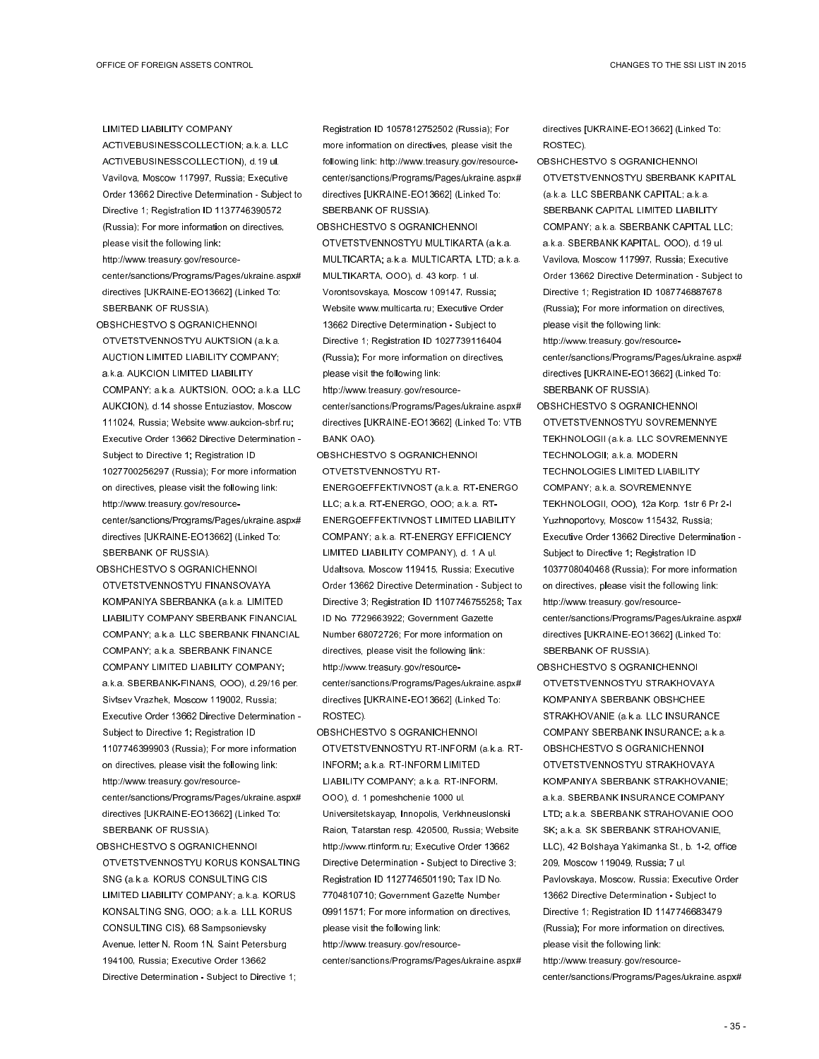LIMITED LIABILITY COMPANY

ACTIVEBUSINESSCOLLECTION; a.k.a. LLC ACTIVEBUSINESSCOLLECTION), d.19 ul. Vavilova, Moscow 117997, Russia; Executive Order 13662 Directive Determination - Subject to Directive 1; Registration ID 1137746390572 (Russia); For more information on directives, please visit the following link:

http://www.treasury.gov/resourcecenter/sanctions/Programs/Pages/ukraine.aspx# directives [UKRAINE-EO13662] (Linked To: SBERBANK OF RUSSIA).

- OBSHCHESTVO S OGRANICHENNOI OTVETSTVENNOSTYU AUKTSION (a.k.a. AUCTION LIMITED LIABILITY COMPANY; a.k.a. AUKCION LIMITED LIABILITY COMPANY; a.k.a. AUKTSION, OOO; a.k.a. LLC AUKCION), d.14 shosse Entuziastov, Moscow 111024, Russia; Website www.aukcion-sbrf.ru; Executive Order 13662 Directive Determination - Subject to Directive 1; Registration ID 1027700256297 (Russia); For more information on directives, please visit the following link: http://www.treasury.gov/resourcecenter/sanctions/Programs/Pages/ukraine.aspx# directives [UKRAINE-EO13662] (Linked To: SBERBANK OF RUSSIA).
- OBSHCHESTVO S OGRANICHENNOI OTVETSTVENNOSTYU FINANSOVAYA KOMPANIYA SBERBANKA (a.k.a. LIMITED LIABILITY COMPANY SBERBANK FINANCIAL COMPANY; a.k.a. LLC SBERBANK FINANCIAL COMPANY; a.k.a. SBERBANK FINANCE COMPANY LIMITED LIABILITY COMPANY; a.k.a. SBERBANK-FINANS, OOO), d.29/16 per. Sivtsev Vrazhek, Moscow 119002, Russia; Executive Order 13662 Directive Determination - Subject to Directive 1; Registration ID 1107746399903 (Russia); For more information on directives, please visit the following link: http://www.treasury.gov/resourcecenter/sanctions/Programs/Pages/ukraine.aspx# directives [UKRAINE-EO13662] (Linked To: SBERBANK OF RUSSIA).
- OBSHCHESTVO S OGRANICHENNOI OTVETSTVENNOSTYU KORUS KONSALTING SNG (a.k.a. KORUS CONSULTING CIS LIMITED LIABILITY COMPANY; a.k.a. KORUS KONSALTING SNG, OOO; a.k.a. LLL KORUS CONSULTING CIS), 68 Sampsonievsky Avenue, letter N, Room 1N, Saint Petersburg 194100, Russia; Executive Order 13662 Directive Determination - Subject to Directive 1;

Registration ID 1057812752502 (Russia); For more information on directives, please visit the following link: http://www.treasury.gov/resourcecenter/sanctions/Programs/Pages/ukraine.aspx# directives [UKRAINE-EO13662] (Linked To: SBERBANK OF RUSSIA).

OBSHCHESTVO S OGRANICHENNOI OTVETSTVENNOSTYU MULTIKARTA (a.k.a. MULTICARTA; a.k.a. MULTICARTA, LTD; a.k.a. MULTIKARTA, OOO), d. 43 korp. 1 ul. Vorontsovskaya, Moscow 109147, Russia; Website www.multicarta.ru; Executive Order 13662 Directive Determination - Subject to Directive 1; Registration ID 1027739116404 (Russia); For more information on directives, please visit the following link:

http://www.treasury.gov/resourcecenter/sanctions/Programs/Pages/ukraine.aspx# directives [UKRAINE-EO13662] (Linked To: VTB BANK OAO).

OBSHCHESTVO S OGRANICHENNOI OTVETSTVENNOSTYU RT-

ENERGOEFFEKTIVNOST (a.k.a. RT-ENERGO LLC; a.k.a. RT-ENERGO, OOO; a.k.a. RT-ENERGOEFFEKTIVNOST LIMITED LIABILITY COMPANY; a.k.a. RT-ENERGY EFFICIENCY LIMITED LIABILITY COMPANY), d. 1 A ul. Udaltsova, Moscow 119415, Russia; Executive Order 13662 Directive Determination - Subject to Directive 3; Registration ID 1107746755258; Tax ID No. 7729663922; Government Gazette Number 68072726; For more information on directives, please visit the following link: http://www.treasury.gov/resourcecenter/sanctions/Programs/Pages/ukraine.aspx# directives [UKRAINE-EO13662] (Linked To: ROSTEC).

OBSHCHESTVO S OGRANICHENNOI OTVETSTVENNOSTYU RT-INFORM (a.k.a. RT-INFORM; a.k.a. RT-INFORM LIMITED LIABILITY COMPANY; a.k.a. RT-INFORM, OOO), d. 1 pomeshchenie 1000 ul. Universitetskayap, Innopolis, Verkhneuslonski Raion, Tatarstan resp. 420500, Russia; Website http://www.rtinform.ru; Executive Order 13662 Directive Determination - Subject to Directive 3; Registration ID 1127746501190; Tax ID No. 7704810710; Government Gazette Number 09911571; For more information on directives, please visit the following link: http://www.treasury.gov/resource-

center/sanctions/Programs/Pages/ukraine.aspx#

directives [UKRAINE-EO13662] (Linked To: ROSTEC).

OBSHCHESTVO S OGRANICHENNOI OTVETSTVENNOSTYU SBERBANK KAPITAL (a.k.a. LLC SBERBANK CAPITAL; a.k.a. SBERBANK CAPITAL LIMITED LIABILITY COMPANY; a.k.a. SBERBANK CAPITAL LLC; a.k.a. SBERBANK KAPITAL, OOO), d.19 ul. Vavilova, Moscow 117997, Russia; Executive Order 13662 Directive Determination - Subject to Directive 1; Registration ID 1087746887678 (Russia); For more information on directives, please visit the following link: http://www.treasury.gov/resourcecenter/sanctions/Programs/Pages/ukraine.aspx#

directives [UKRAINE-EO13662] (Linked To: SBERBANK OF RUSSIA).

- OBSHCHESTVO S OGRANICHENNOI OTVETSTVENNOSTYU SOVREMENNYE TEKHNOLOGII (a.k.a. LLC SOVREMENNYE TECHNOLOGII; a.k.a. MODERN TECHNOLOGIES LIMITED LIABILITY COMPANY; a.k.a. SOVREMENNYE TEKHNOLOGII, OOO), 12a Korp. 1str 6 Pr 2-I Yuzhnoportovy, Moscow 115432, Russia; Executive Order 13662 Directive Determination - Subject to Directive 1; Registration ID 1037708040468 (Russia); For more information on directives, please visit the following link: http://www.treasury.gov/resourcecenter/sanctions/Programs/Pages/ukraine.aspx# directives [UKRAINE-EO13662] (Linked To: SBERBANK OF RUSSIA).
- OBSHCHESTVO S OGRANICHENNOI OTVETSTVENNOSTYU STRAKHOVAYA KOMPANIYA SBERBANK OBSHCHEE STRAKHOVANIE (a.k.a. LLC INSURANCE COMPANY SBERBANK INSURANCE; a.k.a. OBSHCHESTVO S OGRANICHENNOI OTVETSTVENNOSTYU STRAKHOVAYA KOMPANIYA SBERBANK STRAKHOVANIE; a.k.a. SBERBANK INSURANCE COMPANY LTD; a.k.a. SBERBANK STRAHOVANIE OOO SK; a.k.a. SK SBERBANK STRAHOVANIE, LLC), 42 Bolshaya Yakimanka St., b. 1-2, office 209, Moscow 119049, Russia; 7 ul. Pavlovskaya, Moscow, Russia; Executive Order 13662 Directive Determination - Subject to Directive 1; Registration ID 1147746683479 (Russia); For more information on directives, please visit the following link: http://www.treasury.gov/resourcecenter/sanctions/Programs/Pages/ukraine.aspx#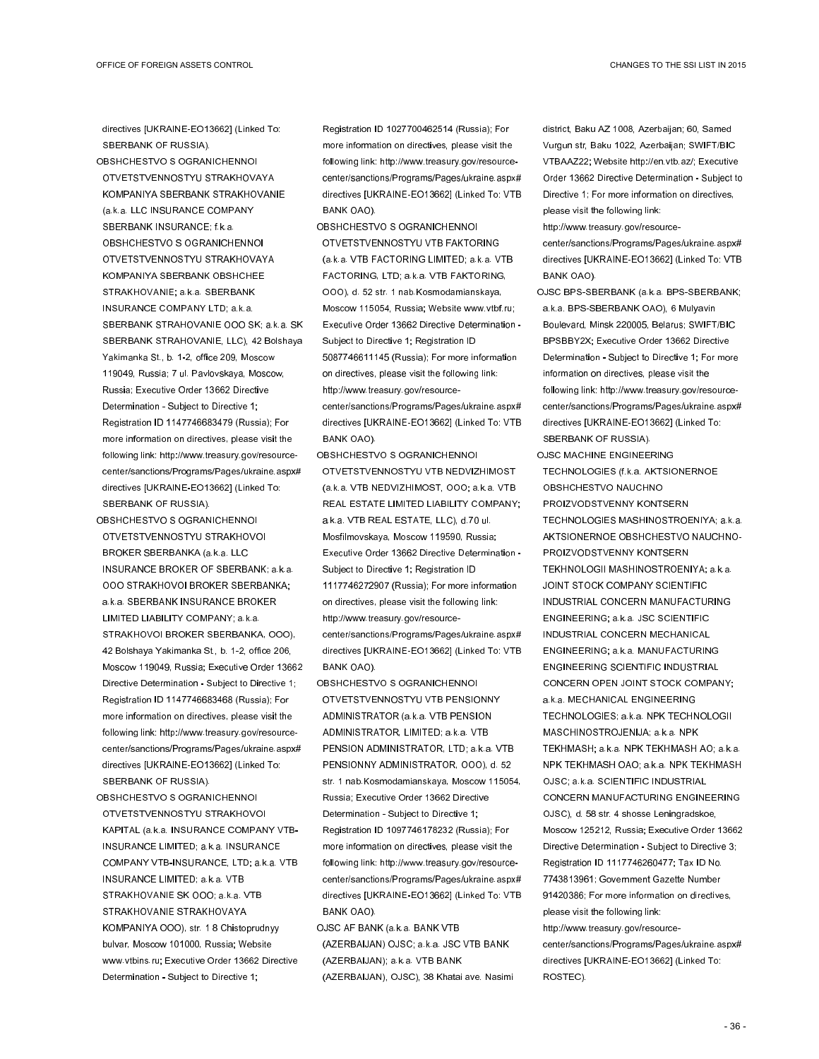directives [UKRAINE-EO13662] (Linked To: SBERBANK OF RUSSIA).

- OBSHCHESTVO S OGRANICHENNOI OTVETSTVENNOSTYU STRAKHOVAYA KOMPANIYA SBERBANK STRAKHOVANIE (a.k.a. LLC INSURANCE COMPANY SBERBANK INSURANCE; f.k.a. OBSHCHESTVO S OGRANICHENNOI OTVETSTVENNOSTYU STRAKHOVAYA KOMPANIYA SBERBANK OBSHCHEE STRAKHOVANIE; a.k.a. SBERBANK INSURANCE COMPANY LTD; a.k.a. SBERBANK STRAHOVANIE OOO SK; a.k.a. SK SBERBANK STRAHOVANIE, LLC), 42 Bolshaya Yakimanka St., b. 1-2, office 209, Moscow 119049, Russia; 7 ul. Pavlovskaya, Moscow, Russia; Executive Order 13662 Directive Determination - Subject to Directive 1; Registration ID 1147746683479 (Russia); For more information on directives, please visit the following link: http://www.treasury.gov/resourcecenter/sanctions/Programs/Pages/ukraine.aspx# directives [UKRAINE-EO13662] (Linked To: SBERBANK OF RUSSIA).
- OBSHCHESTVO S OGRANICHENNOI OTVETSTVENNOSTYU STRAKHOVOI BROKER SBERBANKA (a.k.a. LLC INSURANCE BROKER OF SBERBANK; a.k.a. OOO STRAKHOVOI BROKER SBERBANKA; a.k.a. SBERBANK INSURANCE BROKER LIMITED LIABILITY COMPANY; a.k.a. STRAKHOVOI BROKER SBERBANKA, OOO), 42 Bolshaya Yakimanka St., b. 1-2, office 206, Moscow 119049, Russia; Executive Order 13662 Directive Determination - Subject to Directive 1; Registration ID 1147746683468 (Russia); For more information on directives, please visit the following link: http://www.treasury.gov/resourcecenter/sanctions/Programs/Pages/ukraine.aspx# directives [UKRAINE-EO13662] (Linked To: SBERBANK OF RUSSIA).
- OBSHCHESTVO S OGRANICHENNOI OTVETSTVENNOSTYU STRAKHOVOI KAPITAL (a.k.a. INSURANCE COMPANY VTB-INSURANCE LIMITED; a.k.a. INSURANCE COMPANY VTB-INSURANCE, LTD; a.k.a. VTB INSURANCE LIMITED; a.k.a. VTB STRAKHOVANIE SK OOO; a.k.a. VTB STRAKHOVANIE STRAKHOVAYA KOMPANIYA OOO), str. 1 8 Chistoprudnyy bulvar, Moscow 101000, Russia; Website www.vtbins.ru; Executive Order 13662 Directive Determination - Subject to Directive 1;

Registration ID 1027700462514 (Russia); For more information on directives, please visit the following link: http://www.treasury.gov/resourcecenter/sanctions/Programs/Pages/ukraine.aspx# directives [UKRAINE-EO13662] (Linked To: VTB BANK OAO).

- OBSHCHESTVO S OGRANICHENNOI OTVETSTVENNOSTYU VTB FAKTORING (a.k.a. VTB FACTORING LIMITED; a.k.a. VTB FACTORING, LTD; a.k.a. VTB FAKTORING, OOO), d. 52 str. 1 nab.Kosmodamianskaya, Moscow 115054, Russia; Website www.vtbf.ru; Executive Order 13662 Directive Determination - Subject to Directive 1; Registration ID 5087746611145 (Russia); For more information on directives, please visit the following link: http://www.treasury.gov/resourcecenter/sanctions/Programs/Pages/ukraine.aspx# directives [UKRAINE-EO13662] (Linked To: VTB BANK OAO).
- OBSHCHESTVO S OGRANICHENNOI OTVETSTVENNOSTYU VTB NEDVIZHIMOST (a.k.a. VTB NEDVIZHIMOST, OOO; a.k.a. VTB REAL ESTATE LIMITED LIABILITY COMPANY; a.k.a. VTB REAL ESTATE, LLC), d.70 ul. Mosfilmovskaya, Moscow 119590, Russia; Executive Order 13662 Directive Determination - Subject to Directive 1; Registration ID 1117746272907 (Russia); For more information on directives, please visit the following link: http://www.treasury.gov/resourcecenter/sanctions/Programs/Pages/ukraine.aspx# directives [UKRAINE-EO13662] (Linked To: VTB BANK OAO).
- OBSHCHESTVO S OGRANICHENNOI OTVETSTVENNOSTYU VTB PENSIONNY ADMINISTRATOR (a.k.a. VTB PENSION ADMINISTRATOR, LIMITED; a.k.a. VTB PENSION ADMINISTRATOR, LTD; a.k.a. VTB PENSIONNY ADMINISTRATOR, OOO), d. 52 str. 1 nab.Kosmodamianskaya, Moscow 115054, Russia; Executive Order 13662 Directive Determination - Subject to Directive 1; Registration ID 1097746178232 (Russia); For more information on directives, please visit the following link: http://www.treasury.gov/resourcecenter/sanctions/Programs/Pages/ukraine.aspx# directives [UKRAINE-EO13662] (Linked To: VTB BANK OAO).
- OJSC AF BANK (a.k.a. BANK VTB (AZERBAIJAN) OJSC; a.k.a. JSC VTB BANK (AZERBAIJAN); a.k.a. VTB BANK (AZERBAIJAN), OJSC), 38 Khatai ave. Nasimi

district, Baku AZ 1008, Azerbaijan; 60, Samed Vurgun str, Baku 1022, Azerbaijan; SWIFT/BIC VTBAAZ22; Website http://en.vtb.az/; Executive Order 13662 Directive Determination - Subject to Directive 1; For more information on directives, please visit the following link:

http://www.treasury.gov/resource-

center/sanctions/Programs/Pages/ukraine.aspx# directives [UKRAINE-EO13662] (Linked To: VTB BANK OAO).

OJSC BPS-SBERBANK (a.k.a. BPS-SBERBANK; a.k.a. BPS-SBERBANK OAO), 6 Mulyavin Boulevard, Minsk 220005, Belarus; SWIFT/BIC BPSBBY2X; Executive Order 13662 Directive Determination - Subject to Directive 1; For more information on directives, please visit the following link: http://www.treasury.gov/resourcecenter/sanctions/Programs/Pages/ukraine.aspx# directives [UKRAINE-EO13662] (Linked To: SBERBANK OF RUSSIA).

OJSC MACHINE ENGINEERING TECHNOLOGIES (f.k.a. AKTSIONERNOE OBSHCHESTVO NAUCHNO PROIZVODSTVENNY KONTSERN TECHNOLOGIES MASHINOSTROENIYA; a.k.a. AKTSIONERNOE OBSHCHESTVO NAUCHNO-PROIZVODSTVENNY KONTSERN TEKHNOLOGII MASHINOSTROENIYA; a.k.a. JOINT STOCK COMPANY SCIENTIFIC INDUSTRIAL CONCERN MANUFACTURING ENGINEERING; a.k.a. JSC SCIENTIFIC INDUSTRIAL CONCERN MECHANICAL ENGINEERING; a.k.a. MANUFACTURING ENGINEERING SCIENTIFIC INDUSTRIAL CONCERN OPEN JOINT STOCK COMPANY; a.k.a. MECHANICAL ENGINEERING TECHNOLOGIES; a.k.a. NPK TECHNOLOGII MASCHINOSTROJENIJA; a.k.a. NPK TEKHMASH; a.k.a. NPK TEKHMASH AO; a.k.a. NPK TEKHMASH OAO; a.k.a. NPK TEKHMASH OJSC; a.k.a. SCIENTIFIC INDUSTRIAL CONCERN MANUFACTURING ENGINEERING OJSC), d. 58 str. 4 shosse Leningradskoe, Moscow 125212, Russia; Executive Order 13662 Directive Determination - Subject to Directive 3; Registration ID 1117746260477; Tax ID No. 7743813961; Government Gazette Number 91420386; For more information on directives, please visit the following link: http://www.treasury.gov/resourcecenter/sanctions/Programs/Pages/ukraine.aspx# directives [UKRAINE-EO13662] (Linked To: ROSTEC).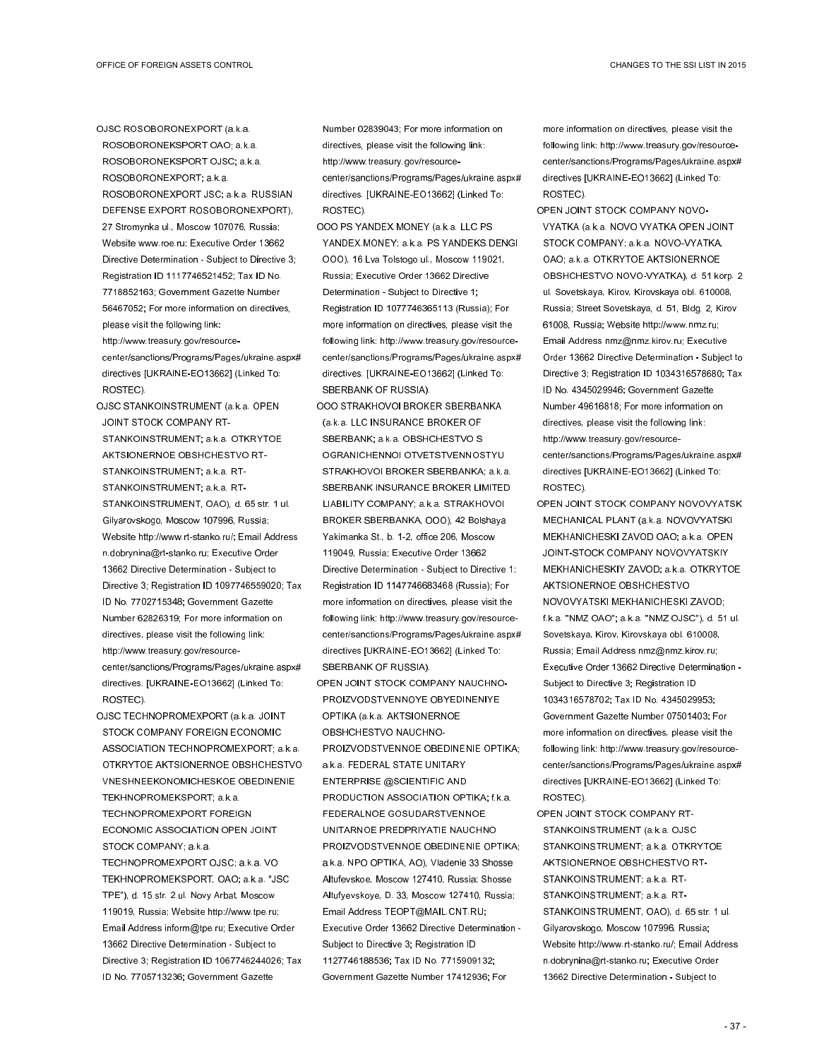OJSC ROSOBORONEXPORT (a.k.a. ROSOBORONEKSPORT OAO; a.k.a.

- ROSOBORONEKSPORT OJSC; a.k.a. ROSOBORONEXPORT; a.k.a.
- ROSOBORONEXPORT JSC; a.k.a. RUSSIAN DEFENSE EXPORT ROSOBORONEXPORT), 27 Stromynka ul., Moscow 107076, Russia; Website www.roe.ru; Executive Order 13662 Directive Determination - Subject to Directive 3; Registration ID 1117746521452; Tax ID No. 7718852163; Government Gazette Number 56467052; For more information on directives, please visit the following link:
- http://www.treasury.gov/resourcecenter/sanctions/Programs/Pages/ukraine.aspx# directives [UKRAINE-EO13662] (Linked To: ROSTEC).
- OJSC STANKOINSTRUMENT (a.k.a. OPEN JOINT STOCK COMPANY RT-STANKOINSTRUMENT; a.k.a. OTKRYTOE AKTSIONERNOE OBSHCHESTVO RT-STANKOINSTRUMENT; a.k.a. RT-STANKOINSTRUMENT; a.k.a. RT-STANKOINSTRUMENT, OAO), d. 65 str. 1 ul. Gilyarovskogo, Moscow 107996, Russia; Website http://www.rt-stanko.ru/; Email Address n.dobrynina@rt-stanko.ru; Executive Order 13662 Directive Determination - Subject to Directive 3; Registration ID 1097746559020; Tax ID No. 7702715348; Government Gazette Number 62826319; For more information on directives, please visit the following link: http://www.treasury.gov/resourcecenter/sanctions/Programs/Pages/ukraine.aspx#
- directives. [UKRAINE-EO13662] (Linked To: ROSTEC). OJSC TECHNOPROMEXPORT (a.k.a. JOINT STOCK COMPANY FOREIGN ECONOMIC
- ASSOCIATION TECHNOPROMEXPORT; a.k.a. OTKRYTOE AKTSIONERNOE OBSHCHESTVO VNESHNEEKONOMICHESKOE OBEDINENIE TEKHNOPROMEKSPORT; a.k.a. TECHNOPROMEXPORT FOREIGN ECONOMIC ASSOCIATION OPEN JOINT STOCK COMPANY; a.k.a.

TECHNOPROMEXPORT OJSC; a.k.a. VO TEKHNOPROMEKSPORT, OAO; a.k.a. "JSC TPE"), d. 15 str. 2 ul. Novy Arbat, Moscow 119019, Russia; Website http://www.tpe.ru; Email Address inform@tpe.ru; Executive Order 13662 Directive Determination - Subject to Directive 3; Registration ID 1067746244026; Tax ID No. 7705713236; Government Gazette

Number 02839043; For more information on directives, please visit the following link: http://www.treasury.gov/resourcecenter/sanctions/Programs/Pages/ukraine.aspx# directives. [UKRAINE-EO13662] (Linked To: ROSTEC).

- OOO PS YANDEX.MONEY (a.k.a. LLC PS YANDEX.MONEY; a.k.a. PS YANDEKS.DENGI OOO), 16 Lva Tolstogo ul., Moscow 119021, Russia; Executive Order 13662 Directive Determination - Subject to Directive 1; Registration ID 1077746365113 (Russia); For more information on directives, please visit the following link: http://www.treasury.gov/resourcecenter/sanctions/Programs/Pages/ukraine.aspx# directives. [UKRAINE-EO13662] (Linked To: SBERBANK OF RUSSIA).
- OOO STRAKHOVOI BROKER SBERBANKA (a.k.a. LLC INSURANCE BROKER OF SBERBANK; a.k.a. OBSHCHESTVO S OGRANICHENNOI OTVETSTVENNOSTYU STRAKHOVOI BROKER SBERBANKA; a.k.a. SBERBANK INSURANCE BROKER LIMITED LIABILITY COMPANY; a.k.a. STRAKHOVOI BROKER SBERBANKA, OOO), 42 Bolshaya Yakimanka St., b. 1-2, office 206, Moscow 119049, Russia; Executive Order 13662 Directive Determination - Subject to Directive 1; Registration ID 1147746683468 (Russia); For more information on directives, please visit the following link: http://www.treasury.gov/resourcecenter/sanctions/Programs/Pages/ukraine.aspx# directives [UKRAINE-EO13662] (Linked To: SBERBANK OF RUSSIA).
- OPEN JOINT STOCK COMPANY NAUCHNO-PROIZVODSTVENNOYE OBYEDINENIYE OPTIKA (a.k.a. AKTSIONERNOE OBSHCHESTVO NAUCHNO-PROIZVODSTVENNOE OBEDINENIE OPTIKA; a.k.a. FEDERAL STATE UNITARY ENTERPRISE @SCIENTIFIC AND PRODUCTION ASSOCIATION OPTIKA; f.k.a. FEDERALNOE GOSUDARSTVENNOE UNITARNOE PREDPRIYATIE NAUCHNO PROIZVODSTVENNOE OBEDINENIE OPTIKA; a.k.a. NPO OPTIKA, AO), Vladenie 33 Shosse Altufevskoe, Moscow 127410, Russia; Shosse Altufyevskoye, D. 33, Moscow 127410, Russia; Email Address TEOPT@MAIL.CNT.RU; Executive Order 13662 Directive Determination - Subject to Directive 3; Registration ID 1127746188536; Tax ID No. 7715909132; Government Gazette Number 17412936; For

more information on directives, please visit the following link: http://www.treasury.gov/resourcecenter/sanctions/Programs/Pages/ukraine.aspx# directives [UKRAINE-EO13662] (Linked To: ROSTEC).

- OPEN JOINT STOCK COMPANY NOVO-VYATKA (a.k.a. NOVO VYATKA OPEN JOINT STOCK COMPANY; a.k.a. NOVO-VYATKA, OAO; a.k.a. OTKRYTOE AKTSIONERNOE OBSHCHESTVO NOVO-VYATKA), d. 51 korp. 2 ul. Sovetskaya, Kirov, Kirovskaya obl. 610008, Russia; Street Sovetskaya, d. 51, Bldg. 2, Kirov 61008, Russia; Website http://www.nmz.ru; Email Address nmz@nmz.kirov.ru; Executive Order 13662 Directive Determination - Subject to Directive 3; Registration ID 1034316578680; Tax ID No. 4345029946; Government Gazette Number 49616818; For more information on directives, please visit the following link: http://www.treasury.gov/resourcecenter/sanctions/Programs/Pages/ukraine.aspx# directives [UKRAINE-EO13662] (Linked To: ROSTEC).
- OPEN JOINT STOCK COMPANY NOVOVYATSK MECHANICAL PLANT (a.k.a. NOVOVYATSKI MEKHANICHESKI ZAVOD OAO; a.k.a. OPEN JOINT-STOCK COMPANY NOVOVYATSKIY MEKHANICHESKIY ZAVOD; a.k.a. OTKRYTOE AKTSIONERNOE OBSHCHESTVO NOVOVYATSKI MEKHANICHESKI ZAVOD; f.k.a. "NMZ OAO"; a.k.a. "NMZ OJSC"), d. 51 ul. Sovetskaya, Kirov, Kirovskaya obl. 610008, Russia; Email Address nmz@nmz.kirov.ru; Executive Order 13662 Directive Determination - Subject to Directive 3; Registration ID 1034316578702; Tax ID No. 4345029953; Government Gazette Number 07501403; For more information on directives, please visit the following link: http://www.treasury.gov/resourcecenter/sanctions/Programs/Pages/ukraine.aspx# directives [UKRAINE-EO13662] (Linked To: ROSTEC).
- OPEN JOINT STOCK COMPANY RT-STANKOINSTRUMENT (a.k.a. OJSC STANKOINSTRUMENT; a.k.a. OTKRYTOE AKTSIONERNOE OBSHCHESTVO RT-STANKOINSTRUMENT; a.k.a. RT-STANKOINSTRUMENT; a.k.a. RT-STANKOINSTRUMENT, OAO), d. 65 str. 1 ul. Gilyarovskogo, Moscow 107996, Russia; Website http://www.rt-stanko.ru/; Email Address n.dobrynina@rt-stanko.ru; Executive Order 13662 Directive Determination - Subject to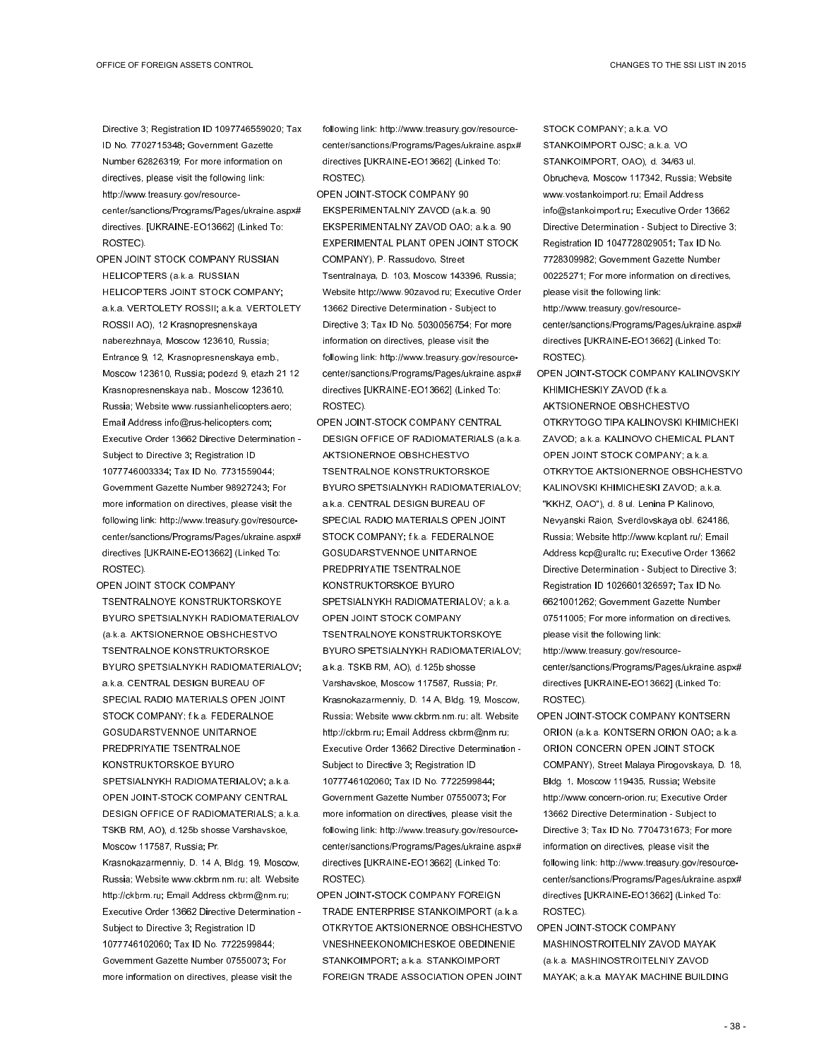Directive 3; Registration ID 1097746559020; Tax ID No. 7702715348; Government Gazette Number 62826319; For more information on directives, please visit the following link: http://www.treasury.gov/resourcecenter/sanctions/Programs/Pages/ukraine.aspx# directives. [UKRAINE-EO13662] (Linked To: ROSTEC).

- OPEN JOINT STOCK COMPANY RUSSIAN HELICOPTERS (a.k.a. RUSSIAN HELICOPTERS JOINT STOCK COMPANY; a.k.a. VERTOLETY ROSSII; a.k.a. VERTOLETY ROSSII AO), 12 Krasnopresnenskaya naberezhnaya, Moscow 123610, Russia; Entrance 9, 12, Krasnopresnenskaya emb., Moscow 123610, Russia; podezd 9, etazh 21 12 Krasnopresnenskaya nab., Moscow 123610, Russia; Website www.russianhelicopters.aero; Email Address info@rus-helicopters.com; Executive Order 13662 Directive Determination - Subject to Directive 3; Registration ID 1077746003334; Tax ID No. 7731559044; Government Gazette Number 98927243; For more information on directives, please visit the following link: http://www.treasury.gov/resourcecenter/sanctions/Programs/Pages/ukraine.aspx# directives [UKRAINE-EO13662] (Linked To: ROSTEC).
- OPEN JOINT STOCK COMPANY TSENTRALNOYE KONSTRUKTORSKOYE BYURO SPETSIALNYKH RADIOMATERIALOV (a.k.a. AKTSIONERNOE OBSHCHESTVO TSENTRALNOE KONSTRUKTORSKOE BYURO SPETSIALNYKH RADIOMATERIALOV; a.k.a. CENTRAL DESIGN BUREAU OF SPECIAL RADIO MATERIALS OPEN JOINT STOCK COMPANY; f.k.a. FEDERALNOE GOSUDARSTVENNOE UNITARNOE PREDPRIYATIE TSENTRALNOE KONSTRUKTORSKOE BYURO SPETSIALNYKH RADIOMATERIALOV; a.k.a. OPEN JOINT-STOCK COMPANY CENTRAL DESIGN OFFICE OF RADIOMATERIALS; a.k.a. TSKB RM, AO), d.125b shosse Varshavskoe, Moscow 117587, Russia; Pr. Krasnokazarmenniy, D. 14 A, Bldg. 19, Moscow, Russia; Website www.ckbrm.nm.ru; alt. Website http://ckbrm.ru; Email Address ckbrm@nm.ru; Executive Order 13662 Directive Determination - Subject to Directive 3; Registration ID 1077746102060; Tax ID No. 7722599844; Government Gazette Number 07550073; For more information on directives, please visit the

following link: http://www.treasury.gov/resourcecenter/sanctions/Programs/Pages/ukraine.aspx# directives [UKRAINE-EO13662] (Linked To: ROSTEC).

- OPEN JOINT-STOCK COMPANY 90 EKSPERIMENTALNIY ZAVOD (a.k.a. 90 EKSPERIMENTALNY ZAVOD OAO; a.k.a. 90 EXPERIMENTAL PLANT OPEN JOINT STOCK COMPANY), P. Rassudovo, Street Tsentralnaya, D. 103, Moscow 143396, Russia; Website http://www.90zavod.ru; Executive Order 13662 Directive Determination - Subject to Directive 3; Tax ID No. 5030056754; For more information on directives, please visit the following link: http://www.treasury.gov/resourcecenter/sanctions/Programs/Pages/ukraine.aspx# directives [UKRAINE-EO13662] (Linked To: ROSTEC).
- OPEN JOINT-STOCK COMPANY CENTRAL DESIGN OFFICE OF RADIOMATERIALS (a.k.a. AKTSIONERNOE OBSHCHESTVO TSENTRALNOE KONSTRUKTORSKOE BYURO SPETSIALNYKH RADIOMATERIALOV; a.k.a. CENTRAL DESIGN BUREAU OF SPECIAL RADIO MATERIALS OPEN JOINT STOCK COMPANY; f.k.a. FEDERALNOE GOSUDARSTVENNOE UNITARNOE PREDPRIYATIE TSENTRALNOE KONSTRUKTORSKOE BYURO SPETSIALNYKH RADIOMATERIALOV; a.k.a. OPEN JOINT STOCK COMPANY TSENTRALNOYE KONSTRUKTORSKOYE BYURO SPETSIALNYKH RADIOMATERIALOV; a.k.a. TSKB RM, AO), d.125b shosse Varshavskoe, Moscow 117587, Russia; Pr. Krasnokazarmenniy, D. 14 A, Bldg. 19, Moscow, Russia; Website www.ckbrm.nm.ru; alt. Website http://ckbrm.ru; Email Address ckbrm@nm.ru; Executive Order 13662 Directive Determination - Subject to Directive 3; Registration ID 1077746102060; Tax ID No. 7722599844; Government Gazette Number 07550073; For more information on directives, please visit the following link: http://www.treasury.gov/resourcecenter/sanctions/Programs/Pages/ukraine.aspx# directives [UKRAINE-EO13662] (Linked To: ROSTEC).
- OPEN JOINT-STOCK COMPANY FOREIGN TRADE ENTERPRISE STANKOIMPORT (a.k.a. OTKRYTOE AKTSIONERNOE OBSHCHESTVO VNESHNEEKONOMICHESKOE OBEDINENIE STANKOIMPORT; a.k.a. STANKOIMPORT FOREIGN TRADE ASSOCIATION OPEN JOINT

STOCK COMPANY; a.k.a. VO STANKOIMPORT OJSC; a.k.a. VO STANKOIMPORT, OAO), d. 34/63 ul. Obrucheva, Moscow 117342, Russia; Website www.vostankoimport.ru; Email Address info@stankoimport.ru; Executive Order 13662 Directive Determination - Subject to Directive 3; Registration ID 1047728029051; Tax ID No. 7728309982; Government Gazette Number 00225271; For more information on directives, please visit the following link: http://www.treasury.gov/resource-

center/sanctions/Programs/Pages/ukraine.aspx# directives [UKRAINE-EO13662] (Linked To: ROSTEC).

- OPEN JOINT-STOCK COMPANY KALINOVSKIY KHIMICHESKIY ZAVOD (f.k.a. AKTSIONERNOE OBSHCHESTVO OTKRYTOGO TIPA KALINOVSKI KHIMICHEKI ZAVOD; a.k.a. KALINOVO CHEMICAL PLANT OPEN JOINT STOCK COMPANY; a.k.a. OTKRYTOE AKTSIONERNOE OBSHCHESTVO KALINOVSKI KHIMICHESKI ZAVOD; a.k.a. "KKHZ, OAO"), d. 8 ul. Lenina P Kalinovo, Nevyanski Raion, Sverdlovskaya obl. 624186, Russia; Website http://www.kcplant.ru/; Email Address kcp@uraltc.ru; Executive Order 13662 Directive Determination - Subject to Directive 3; Registration ID 1026601326597; Tax ID No. 6621001262; Government Gazette Number 07511005; For more information on directives, please visit the following link: http://www.treasury.gov/resourcecenter/sanctions/Programs/Pages/ukraine.aspx#
- ROSTEC). OPEN JOINT-STOCK COMPANY KONTSERN ORION (a.k.a. KONTSERN ORION OAO; a.k.a. ORION CONCERN OPEN JOINT STOCK COMPANY), Street Malaya Pirogovskaya, D. 18, Bldg. 1, Moscow 119435, Russia; Website http://www.concern-orion.ru; Executive Order 13662 Directive Determination - Subject to Directive 3; Tax ID No. 7704731673; For more information on directives, please visit the following link: http://www.treasury.gov/resourcecenter/sanctions/Programs/Pages/ukraine.aspx# directives [UKRAINE-EO13662] (Linked To: ROSTEC).

directives [UKRAINE-EO13662] (Linked To:

OPEN JOINT-STOCK COMPANY MASHINOSTROITELNIY ZAVOD MAYAK (a.k.a. MASHINOSTROITELNIY ZAVOD MAYAK; a.k.a. MAYAK MACHINE BUILDING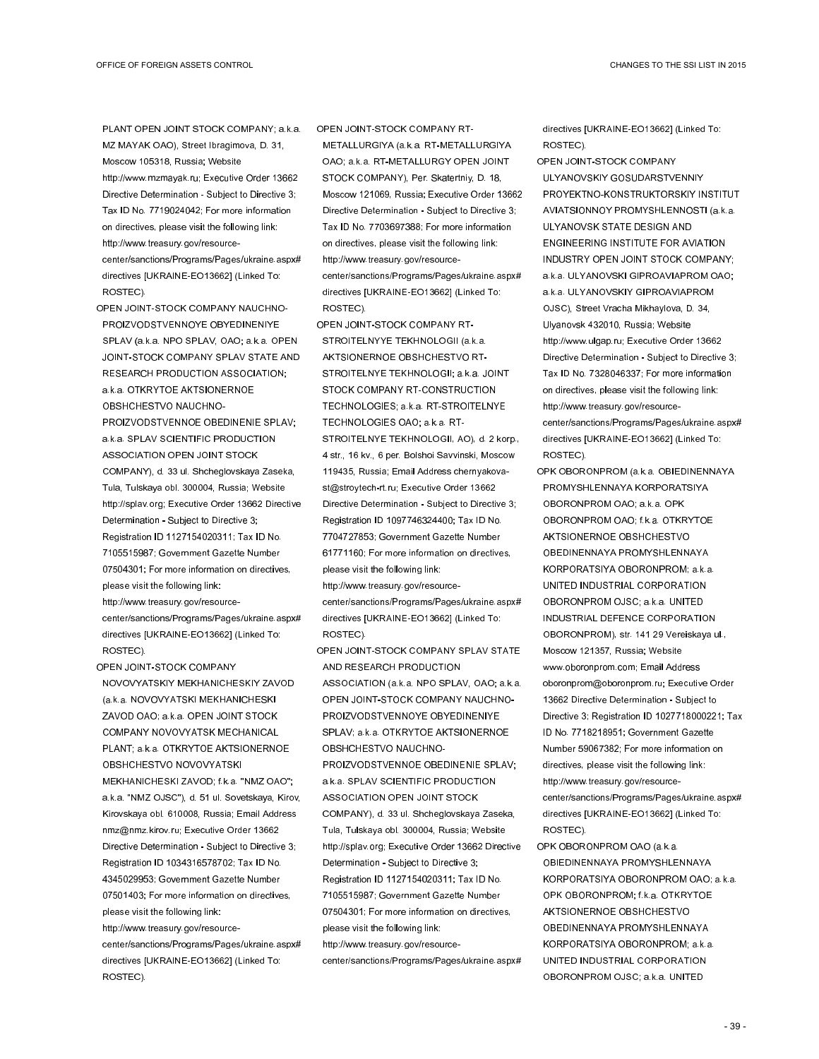PLANT OPEN JOINT STOCK COMPANY; a.k.a. MZ MAYAK OAO), Street Ibragimova, D. 31, Moscow 105318, Russia; Website http://www.mzmayak.ru; Executive Order 13662 Directive Determination - Subject to Directive 3; Tax ID No. 7719024042; For more information on directives, please visit the following link: http://www.treasury.gov/resourcecenter/sanctions/Programs/Pages/ukraine.aspx# directives [UKRAINE-EO13662] (Linked To: ROSTEC).

OPEN JOINT-STOCK COMPANY NAUCHNO-PROIZVODSTVENNOYE OBYEDINENIYE SPLAV (a.k.a. NPO SPLAV, OAO; a.k.a. OPEN JOINT-STOCK COMPANY SPLAV STATE AND RESEARCH PRODUCTION ASSOCIATION; a.k.a. OTKRYTOE AKTSIONERNOE OBSHCHESTVO NAUCHNO-PROIZVODSTVENNOE OBEDINENIE SPLAV; a.k.a. SPLAV SCIENTIFIC PRODUCTION ASSOCIATION OPEN JOINT STOCK COMPANY), d. 33 ul. Shcheglovskaya Zaseka, Tula, Tulskaya obl. 300004, Russia; Website http://splav.org; Executive Order 13662 Directive Determination - Subject to Directive 3; Registration ID 1127154020311; Tax ID No. 7105515987; Government Gazette Number 07504301; For more information on directives, please visit the following link:

http://www.treasury.gov/resourcecenter/sanctions/Programs/Pages/ukraine.aspx# directives [UKRAINE-EO13662] (Linked To: ROSTEC).

OPEN JOINT-STOCK COMPANY NOVOVYATSKIY MEKHANICHESKIY ZAVOD (a.k.a. NOVOVYATSKI MEKHANICHESKI ZAVOD OAO; a.k.a. OPEN JOINT STOCK COMPANY NOVOVYATSK MECHANICAL PLANT; a.k.a. OTKRYTOE AKTSIONERNOE OBSHCHESTVO NOVOVYATSKI MEKHANICHESKI ZAVOD; f.k.a. "NMZ OAO"; a.k.a. "NMZ OJSC"), d. 51 ul. Sovetskaya, Kirov, Kirovskaya obl. 610008, Russia; Email Address nmz@nmz.kirov.ru; Executive Order 13662 Directive Determination - Subject to Directive 3; Registration ID 1034316578702; Tax ID No. 4345029953; Government Gazette Number 07501403; For more information on directives, please visit the following link: http://www.treasury.gov/resourcecenter/sanctions/Programs/Pages/ukraine.aspx# directives [UKRAINE-EO13662] (Linked To: ROSTEC).

OPEN JOINT-STOCK COMPANY RT-

METALLURGIYA (a.k.a. RT-METALLURGIYA OAO; a.k.a. RT-METALLURGY OPEN JOINT STOCK COMPANY), Per. Skatertniy, D. 18, Moscow 121069, Russia; Executive Order 13662 Directive Determination - Subject to Directive 3; Tax ID No. 7703697388; For more information on directives, please visit the following link: http://www.treasury.gov/resourcecenter/sanctions/Programs/Pages/ukraine.aspx# directives [UKRAINE-EO13662] (Linked To: ROSTEC).

OPEN JOINT-STOCK COMPANY RT-STROITELNYYE TEKHNOLOGII (a.k.a. AKTSIONERNOE OBSHCHESTVO RT-STROITELNYE TEKHNOLOGII; a.k.a. JOINT STOCK COMPANY RT-CONSTRUCTION TECHNOLOGIES; a.k.a. RT-STROITELNYE TECHNOLOGIES OAO; a.k.a. RT-STROITELNYE TEKHNOLOGII, AO), d. 2 korp., 4 str., 16 kv., 6 per. Bolshoi Savvinski, Moscow 119435, Russia; Email Address chernyakovast@stroytech-rt.ru; Executive Order 13662 Directive Determination - Subject to Directive 3; Registration ID 1097746324400; Tax ID No. 7704727853; Government Gazette Number 61771160; For more information on directives, please visit the following link:

http://www.treasury.gov/resourcecenter/sanctions/Programs/Pages/ukraine.aspx# directives [UKRAINE-EO13662] (Linked To: ROSTEC).

OPEN JOINT-STOCK COMPANY SPLAV STATE AND RESEARCH PRODUCTION ASSOCIATION (a.k.a. NPO SPLAV, OAO; a.k.a. OPEN JOINT-STOCK COMPANY NAUCHNO-PROIZVODSTVENNOYE OBYEDINENIYE SPLAV; a.k.a. OTKRYTOE AKTSIONERNOE OBSHCHESTVO NAUCHNO-PROIZVODSTVENNOE OBEDINENIE SPLAV; a.k.a. SPLAV SCIENTIFIC PRODUCTION ASSOCIATION OPEN JOINT STOCK COMPANY), d. 33 ul. Shcheglovskaya Zaseka, Tula, Tulskaya obl. 300004, Russia; Website http://splav.org; Executive Order 13662 Directive Determination - Subject to Directive 3; Registration ID 1127154020311; Tax ID No. 7105515987; Government Gazette Number 07504301; For more information on directives, please visit the following link: http://www.treasury.gov/resource-

center/sanctions/Programs/Pages/ukraine.aspx#

directives [UKRAINE-EO13662] (Linked To: ROSTEC).

OPEN JOINT-STOCK COMPANY ULYANOVSKIY GOSUDARSTVENNIY PROYEKTNO-KONSTRUKTORSKIY INSTITUT AVIATSIONNOY PROMYSHLENNOSTI (a.k.a. ULYANOVSK STATE DESIGN AND ENGINEERING INSTITUTE FOR AVIATION INDUSTRY OPEN JOINT STOCK COMPANY; a.k.a. ULYANOVSKI GIPROAVIAPROM OAO; a.k.a. ULYANOVSKIY GIPROAVIAPROM OJSC), Street Vracha Mikhaylova, D. 34, Ulyanovsk 432010, Russia; Website http://www.ulgap.ru; Executive Order 13662 Directive Determination - Subject to Directive 3; Tax ID No. 7328046337; For more information on directives, please visit the following link: http://www.treasury.gov/resourcecenter/sanctions/Programs/Pages/ukraine.aspx# directives [UKRAINE-EO13662] (Linked To: ROSTEC).

- OPK OBORONPROM (a.k.a. OBIEDINENNAYA PROMYSHLENNAYA KORPORATSIYA OBORONPROM OAO; a.k.a. OPK OBORONPROM OAO; f.k.a. OTKRYTOE AKTSIONERNOE OBSHCHESTVO OBEDINENNAYA PROMYSHLENNAYA KORPORATSIYA OBORONPROM; a.k.a. UNITED INDUSTRIAL CORPORATION OBORONPROM OJSC; a.k.a. UNITED INDUSTRIAL DEFENCE CORPORATION OBORONPROM), str. 141 29 Vereiskaya ul., Moscow 121357, Russia; Website www.oboronprom.com; Email Address oboronprom@oboronprom.ru; Executive Order 13662 Directive Determination - Subject to Directive 3; Registration ID 1027718000221; Tax ID No. 7718218951; Government Gazette Number 59067382; For more information on directives, please visit the following link: http://www.treasury.gov/resourcecenter/sanctions/Programs/Pages/ukraine.aspx# directives [UKRAINE-EO13662] (Linked To: ROSTEC).
- OPK OBORONPROM OAO (a.k.a. OBIEDINENNAYA PROMYSHLENNAYA KORPORATSIYA OBORONPROM OAO; a.k.a. OPK OBORONPROM; f.k.a. OTKRYTOE AKTSIONERNOE OBSHCHESTVO OBEDINENNAYA PROMYSHLENNAYA KORPORATSIYA OBORONPROM; a.k.a. UNITED INDUSTRIAL CORPORATION OBORONPROM OJSC; a.k.a. UNITED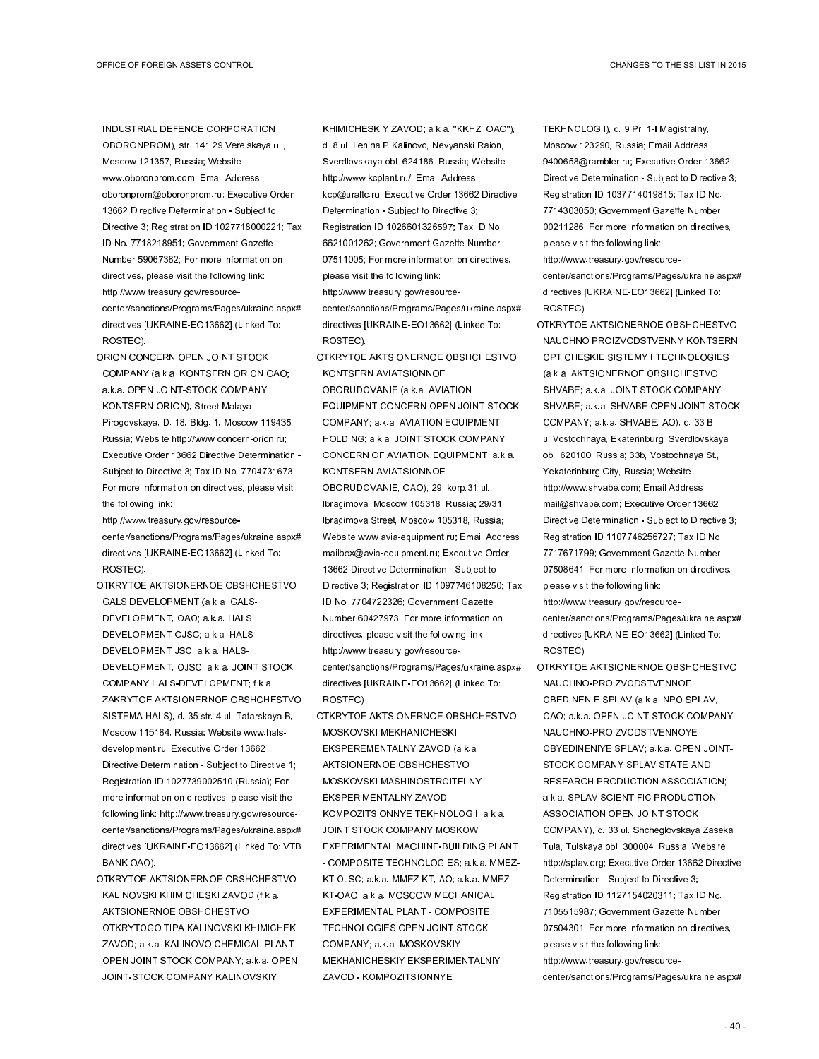INDUSTRIAL DEFENCE CORPORATION OBORONPROM), str. 141 29 Vereiskaya ul., Moscow 121357, Russia; Website www.oboronprom.com; Email Address oboronprom@oboronprom.ru; Executive Order 13662 Directive Determination - Subject to Directive 3; Registration ID 1027718000221; Tax ID No. 7718218951; Government Gazette Number 59067382; For more information on directives, please visit the following link: http://www.treasury.gov/resourcecenter/sanctions/Programs/Pages/ukraine.aspx# directives [UKRAINE-EO13662] (Linked To: ROSTEC).

ORION CONCERN OPEN JOINT STOCK COMPANY (a.k.a. KONTSERN ORION OAO; a.k.a. OPEN JOINT-STOCK COMPANY KONTSERN ORION), Street Malaya Pirogovskaya, D. 18, Bldg. 1, Moscow 119435, Russia; Website http://www.concern-orion.ru; Executive Order 13662 Directive Determination - Subject to Directive 3; Tax ID No. 7704731673; For more information on directives, please visit the following link:

http://www.treasury.gov/resourcecenter/sanctions/Programs/Pages/ukraine.aspx# directives [UKRAINE-EO13662] (Linked To: ROSTEC).

- OTKRYTOE AKTSIONERNOE OBSHCHESTVO GALS DEVELOPMENT (a.k.a. GALS-DEVELOPMENT, OAO; a.k.a. HALS DEVELOPMENT OJSC; a.k.a. HALS-DEVELOPMENT JSC; a.k.a. HALS-DEVELOPMENT, OJSC; a.k.a. JOINT STOCK COMPANY HALS-DEVELOPMENT; f.k.a. ZAKRYTOE AKTSIONERNOE OBSHCHESTVO SISTEMA HALS), d. 35 str. 4 ul. Tatarskaya B, Moscow 115184, Russia; Website www.halsdevelopment.ru; Executive Order 13662 Directive Determination - Subject to Directive 1; Registration ID 1027739002510 (Russia); For more information on directives, please visit the following link: http://www.treasury.gov/resourcecenter/sanctions/Programs/Pages/ukraine.aspx# directives [UKRAINE-EO13662] (Linked To: VTB BANK OAO).
- OTKRYTOE AKTSIONERNOE OBSHCHESTVO KALINOVSKI KHIMICHESKI ZAVOD (f.k.a. AKTSIONERNOE OBSHCHESTVO OTKRYTOGO TIPA KALINOVSKI KHIMICHEKI ZAVOD; a.k.a. KALINOVO CHEMICAL PLANT OPEN JOINT STOCK COMPANY; a.k.a. OPEN JOINT-STOCK COMPANY KALINOVSKIY

KHIMICHESKIY ZAVOD; a.k.a. "KKHZ, OAO"), d. 8 ul. Lenina P Kalinovo, Nevyanski Raion, Sverdlovskaya obl. 624186, Russia; Website http://www.kcplant.ru/; Email Address kcp@uraltc.ru; Executive Order 13662 Directive Determination - Subject to Directive 3; Registration ID 1026601326597; Tax ID No. 6621001262; Government Gazette Number 07511005; For more information on directives, please visit the following link: http://www.treasury.gov/resourcecenter/sanctions/Programs/Pages/ukraine.aspx# directives [UKRAINE-EO13662] (Linked To: ROSTEC).

- OTKRYTOE AKTSIONERNOE OBSHCHESTVO KONTSERN AVIATSIONNOE OBORUDOVANIE (a.k.a. AVIATION EQUIPMENT CONCERN OPEN JOINT STOCK COMPANY; a.k.a. AVIATION EQUIPMENT HOLDING; a.k.a. JOINT STOCK COMPANY CONCERN OF AVIATION EQUIPMENT; a.k.a. KONTSERN AVIATSIONNOE OBORUDOVANIE, OAO), 29, korp.31 ul. Ibragimova, Moscow 105318, Russia; 29/31 Ibragimova Street, Moscow 105318, Russia; Website www.avia-equipment.ru; Email Address mailbox@avia-equipment.ru; Executive Order 13662 Directive Determination - Subject to Directive 3; Registration ID 1097746108250; Tax ID No. 7704722326; Government Gazette Number 60427973; For more information on directives, please visit the following link: http://www.treasury.gov/resourcecenter/sanctions/Programs/Pages/ukraine.aspx# directives [UKRAINE-EO13662] (Linked To: ROSTEC).
- OTKRYTOE AKTSIONERNOE OBSHCHESTVO MOSKOVSKI MEKHANICHESKI EKSPEREMENTALNY ZAVOD (a.k.a. AKTSIONERNOE OBSHCHESTVO MOSKOVSKI MASHINOSTROITELNY EKSPERIMENTALNY ZAVOD - KOMPOZITSIONNYE TEKHNOLOGII; a.k.a. JOINT STOCK COMPANY MOSKOW EXPERIMENTAL MACHINE-BUILDING PLANT - COMPOSITE TECHNOLOGIES; a.k.a. MMEZ-KT OJSC; a.k.a. MMEZ-KT, AO; a.k.a. MMEZ-KT-OAO; a.k.a. MOSCOW MECHANICAL EXPERIMENTAL PLANT - COMPOSITE TECHNOLOGIES OPEN JOINT STOCK COMPANY; a.k.a. MOSKOVSKIY MEKHANICHESKIY EKSPERIMENTALNIY ZAVOD - KOMPOZITSIONNYE

TEKHNOLOGII), d. 9 Pr. 1-I Magistralny, Moscow 123290, Russia; Email Address 9400658@rambler.ru; Executive Order 13662 Directive Determination - Subject to Directive 3; Registration ID 1037714019815; Tax ID No. 7714303050; Government Gazette Number 00211286; For more information on directives, please visit the following link:

http://www.treasury.gov/resourcecenter/sanctions/Programs/Pages/ukraine.aspx# directives [UKRAINE-EO13662] (Linked To: ROSTEC).

OTKRYTOE AKTSIONERNOE OBSHCHESTVO NAUCHNO PROIZVODSTVENNY KONTSERN OPTICHESKIE SISTEMY I TECHNOLOGIES (a.k.a. AKTSIONERNOE OBSHCHESTVO SHVABE; a.k.a. JOINT STOCK COMPANY SHVABE; a.k.a. SHVABE OPEN JOINT STOCK COMPANY; a.k.a. SHVABE, AO), d. 33 B ul.Vostochnaya, Ekaterinburg, Sverdlovskaya obl. 620100, Russia; 33b, Vostochnaya St., Yekaterinburg City, Russia; Website http://www.shvabe.com; Email Address mail@shvabe.com; Executive Order 13662 Directive Determination - Subject to Directive 3; Registration ID 1107746256727; Tax ID No. 7717671799; Government Gazette Number 07508641; For more information on directives, please visit the following link:

http://www.treasury.gov/resourcecenter/sanctions/Programs/Pages/ukraine.aspx# directives [UKRAINE-EO13662] (Linked To: ROSTEC).

OTKRYTOE AKTSIONERNOE OBSHCHESTVO NAUCHNO-PROIZVODSTVENNOE OBEDINENIE SPLAV (a.k.a. NPO SPLAV, OAO; a.k.a. OPEN JOINT-STOCK COMPANY NAUCHNO-PROIZVODSTVENNOYE OBYEDINENIYE SPLAV; a.k.a. OPEN JOINT-STOCK COMPANY SPLAV STATE AND RESEARCH PRODUCTION ASSOCIATION; a.k.a. SPLAV SCIENTIFIC PRODUCTION ASSOCIATION OPEN JOINT STOCK COMPANY), d. 33 ul. Shcheglovskaya Zaseka, Tula, Tulskaya obl. 300004, Russia; Website http://splav.org; Executive Order 13662 Directive Determination - Subject to Directive 3; Registration ID 1127154020311; Tax ID No. 7105515987; Government Gazette Number 07504301; For more information on directives, please visit the following link: http://www.treasury.gov/resourcecenter/sanctions/Programs/Pages/ukraine.aspx#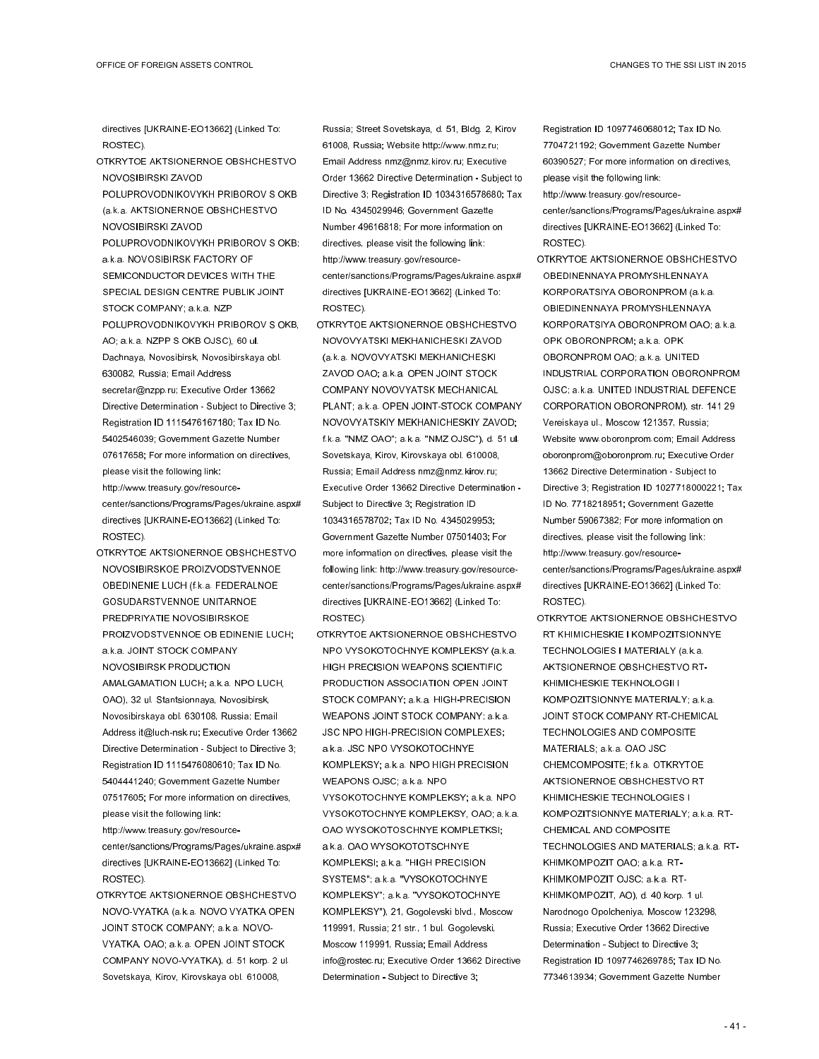directives [UKRAINE-EO13662] (Linked To: ROSTEC).

- OTKRYTOE AKTSIONERNOE OBSHCHESTVO NOVOSIBIRSKI ZAVOD
- POLUPROVODNIKOVYKH PRIBOROV S OKB (a.k.a. AKTSIONERNOE OBSHCHESTVO NOVOSIBIRSKI ZAVOD
- POLUPROVODNIKOVYKH PRIBOROV S OKB; a.k.a. NOVOSIBIRSK FACTORY OF SEMICONDUCTOR DEVICES WITH THE SPECIAL DESIGN CENTRE PUBLIK JOINT STOCK COMPANY; a.k.a. NZP POLUPROVODNIKOVYKH PRIBOROV S OKB, AO; a.k.a. NZPP S OKB OJSC), 60 ul. Dachnaya, Novosibirsk, Novosibirskaya obl. 630082, Russia; Email Address secretar@nzpp.ru; Executive Order 13662 Directive Determination - Subject to Directive 3; Registration ID 1115476167180; Tax ID No. 5402546039; Government Gazette Number 07617658; For more information on directives, please visit the following link:
- http://www.treasury.gov/resourcecenter/sanctions/Programs/Pages/ukraine.aspx# directives [UKRAINE-EO13662] (Linked To: ROSTEC).
- OTKRYTOE AKTSIONERNOE OBSHCHESTVO NOVOSIBIRSKOE PROIZVODSTVENNOE OBEDINENIE LUCH (f.k.a. FEDERALNOE GOSUDARSTVENNOE UNITARNOE PREDPRIYATIE NOVOSIBIRSKOE PROIZVODSTVENNOE OB EDINENIE LUCH; a.k.a. JOINT STOCK COMPANY NOVOSIBIRSK PRODUCTION AMALGAMATION LUCH; a.k.a. NPO LUCH, OAO), 32 ul. Stantsionnaya, Novosibirsk, Novosibirskaya obl. 630108, Russia; Email Address it@luch-nsk.ru; Executive Order 13662 Directive Determination - Subject to Directive 3; Registration ID 1115476080610; Tax ID No. 5404441240; Government Gazette Number 07517605; For more information on directives, please visit the following link:

http://www.treasury.gov/resourcecenter/sanctions/Programs/Pages/ukraine.aspx# directives [UKRAINE-EO13662] (Linked To: ROSTEC).

OTKRYTOE AKTSIONERNOE OBSHCHESTVO NOVO-VYATKA (a.k.a. NOVO VYATKA OPEN JOINT STOCK COMPANY; a.k.a. NOVO-VYATKA, OAO; a.k.a. OPEN JOINT STOCK COMPANY NOVO-VYATKA), d. 51 korp. 2 ul. Sovetskaya, Kirov, Kirovskaya obl. 610008,

Russia; Street Sovetskaya, d. 51, Bldg. 2, Kirov 61008, Russia; Website http://www.nmz.ru; Email Address nmz@nmz.kirov.ru; Executive Order 13662 Directive Determination - Subject to Directive 3; Registration ID 1034316578680; Tax ID No. 4345029946; Government Gazette Number 49616818; For more information on directives, please visit the following link: http://www.treasury.gov/resourcecenter/sanctions/Programs/Pages/ukraine.aspx# directives [UKRAINE-EO13662] (Linked To: ROSTEC).

- OTKRYTOE AKTSIONERNOE OBSHCHESTVO NOVOVYATSKI MEKHANICHESKI ZAVOD (a.k.a. NOVOVYATSKI MEKHANICHESKI ZAVOD OAO; a.k.a. OPEN JOINT STOCK COMPANY NOVOVYATSK MECHANICAL PLANT; a.k.a. OPEN JOINT-STOCK COMPANY NOVOVYATSKIY MEKHANICHESKIY ZAVOD; f.k.a. "NMZ OAO"; a.k.a. "NMZ OJSC"), d. 51 ul. Sovetskaya, Kirov, Kirovskaya obl. 610008, Russia; Email Address nmz@nmz.kirov.ru; Executive Order 13662 Directive Determination - Subject to Directive 3; Registration ID 1034316578702; Tax ID No. 4345029953; Government Gazette Number 07501403; For more information on directives, please visit the following link: http://www.treasury.gov/resourcecenter/sanctions/Programs/Pages/ukraine.aspx# directives [UKRAINE-EO13662] (Linked To: ROSTEC).
- OTKRYTOE AKTSIONERNOE OBSHCHESTVO NPO VYSOKOTOCHNYE KOMPLEKSY (a.k.a. HIGH PRECISION WEAPONS SCIENTIFIC PRODUCTION ASSOCIATION OPEN JOINT STOCK COMPANY; a.k.a. HIGH-PRECISION WEAPONS JOINT STOCK COMPANY; a.k.a. JSC NPO HIGH-PRECISION COMPLEXES; a.k.a. JSC NPO VYSOKOTOCHNYE KOMPLEKSY; a.k.a. NPO HIGH PRECISION WEAPONS OJSC; a.k.a. NPO VYSOKOTOCHNYE KOMPLEKSY; a.k.a. NPO VYSOKOTOCHNYE KOMPLEKSY, OAO; a.k.a. OAO WYSOKOTOSCHNYE KOMPLETKSI; a.k.a. OAO WYSOKOTOTSCHNYE KOMPLEKSI; a.k.a. "HIGH PRECISION SYSTEMS" a.k.a. "VYSOKOTOCHNYE KOMPLEKSY"; a.k.a. "VYSOKOTOCHNYE KOMPLEKSY"), 21, Gogolevski blvd., Moscow 119991, Russia; 21 str., 1 bul. Gogolevski, Moscow 119991, Russia; Email Address info@rostec.ru; Executive Order 13662 Directive Determination - Subject to Directive 3;

Registration ID 1097746068012; Tax ID No. 7704721192; Government Gazette Number 60390527; For more information on directives, please visit the following link:

http://www.treasury.gov/resourcecenter/sanctions/Programs/Pages/ukraine.aspx# directives [UKRAINE-EO13662] (Linked To: ROSTEC).

- OTKRYTOE AKTSIONERNOE OBSHCHESTVO OBEDINENNAYA PROMYSHLENNAYA KORPORATSIYA OBORONPROM (a.k.a. OBIEDINENNAYA PROMYSHLENNAYA KORPORATSIYA OBORONPROM OAO; a.k.a. OPK OBORONPROM; a.k.a. OPK OBORONPROM OAO; a.k.a. UNITED INDUSTRIAL CORPORATION OBORONPROM OJSC; a.k.a. UNITED INDUSTRIAL DEFENCE CORPORATION OBORONPROM), str. 141 29 Vereiskaya ul., Moscow 121357, Russia; Website www.oboronprom.com; Email Address oboronprom@oboronprom.ru; Executive Order 13662 Directive Determination - Subject to Directive 3; Registration ID 1027718000221; Tax ID No. 7718218951; Government Gazette Number 59067382; For more information on directives, please visit the following link: http://www.treasury.gov/resourcecenter/sanctions/Programs/Pages/ukraine.aspx# directives [UKRAINE-EO13662] (Linked To: ROSTEC).
- OTKRYTOE AKTSIONERNOE OBSHCHESTVO RT KHIMICHESKIE I KOMPOZITSIONNYE TECHNOLOGIES I MATERIALY (a.k.a. AKTSIONERNOE OBSHCHESTVO RT-KHIMICHESKIE TEKHNOLOGII I KOMPOZITSIONNYE MATERIALY; a.k.a. JOINT STOCK COMPANY RT-CHEMICAL TECHNOLOGIES AND COMPOSITE MATERIALS; a.k.a. OAO JSC CHEMCOMPOSITE; f.k.a. OTKRYTOE AKTSIONERNOE OBSHCHESTVO RT KHIMICHESKIE TECHNOLOGIES I KOMPOZITSIONNYE MATERIALY; a.k.a. RT-CHEMICAL AND COMPOSITE TECHNOLOGIES AND MATERIALS; a.k.a. RT-KHIMKOMPOZIT OAO; a.k.a. RT-KHIMKOMPOZIT OJSC; a.k.a. RT-KHIMKOMPOZIT, AO), d. 40 korp. 1 ul. Narodnogo Opolcheniya, Moscow 123298, Russia; Executive Order 13662 Directive Determination - Subject to Directive 3; Registration ID 1097746269785; Tax ID No. 7734613934; Government Gazette Number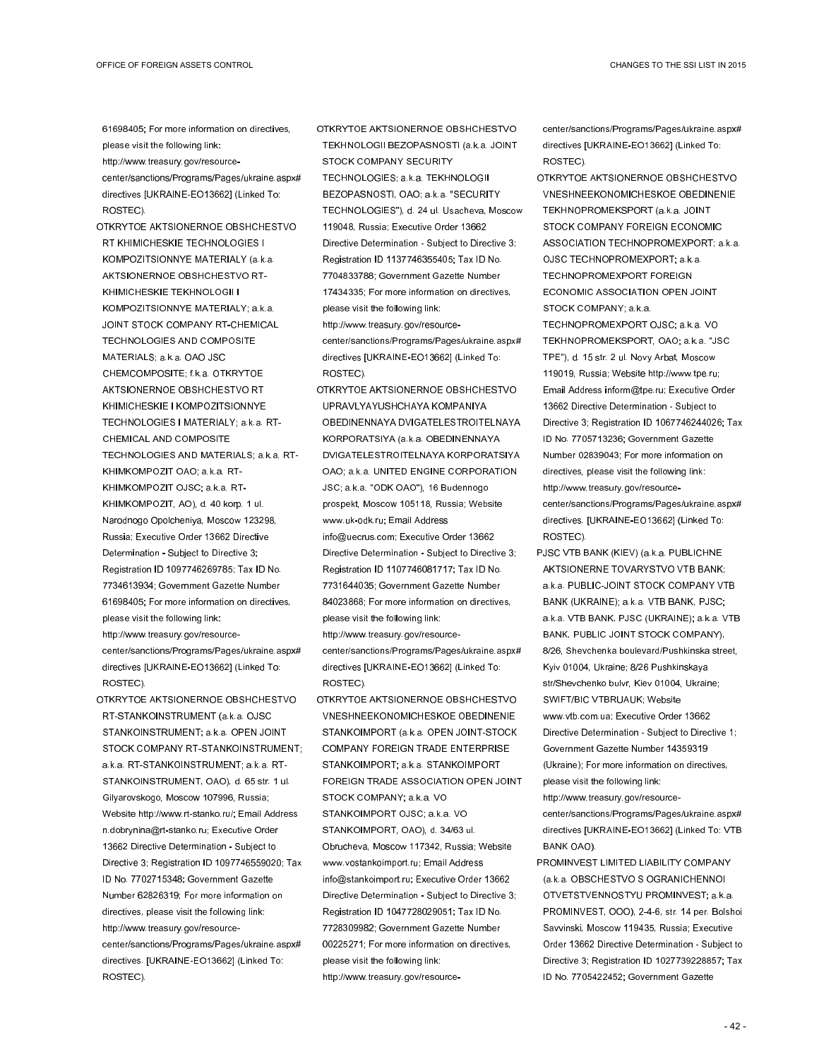61698405; For more information on directives, please visit the following link: http://www.treasury.gov/resource-

center/sanctions/Programs/Pages/ukraine.aspx# directives [UKRAINE-EO13662] (Linked To: ROSTEC).

- OTKRYTOE AKTSIONERNOE OBSHCHESTVO RT KHIMICHESKIE TECHNOLOGIES I KOMPOZITSIONNYE MATERIALY (a.k.a. AKTSIONERNOE OBSHCHESTVO RT-KHIMICHESKIE TEKHNOLOGII I KOMPOZITSIONNYE MATERIALY; a.k.a. JOINT STOCK COMPANY RT-CHEMICAL TECHNOLOGIES AND COMPOSITE MATERIALS; a.k.a. OAO JSC CHEMCOMPOSITE; f.k.a. OTKRYTOE AKTSIONERNOE OBSHCHESTVO RT KHIMICHESKIE I KOMPOZITSIONNYE TECHNOLOGIES I MATERIALY; a.k.a. RT-CHEMICAL AND COMPOSITE TECHNOLOGIES AND MATERIALS; a.k.a. RT-KHIMKOMPOZIT OAO; a.k.a. RT-KHIMKOMPOZIT OJSC; a.k.a. RT-KHIMKOMPOZIT, AO), d. 40 korp. 1 ul. Narodnogo Opolcheniya, Moscow 123298, Russia; Executive Order 13662 Directive Determination - Subject to Directive 3; Registration ID 1097746269785; Tax ID No. 7734613934; Government Gazette Number 61698405; For more information on directives, please visit the following link: http://www.treasury.gov/resourcecenter/sanctions/Programs/Pages/ukraine.aspx# directives [UKRAINE-EO13662] (Linked To:
- OTKRYTOE AKTSIONERNOE OBSHCHESTVO RT-STANKOINSTRUMENT (a.k.a. OJSC STANKOINSTRUMENT; a.k.a. OPEN JOINT STOCK COMPANY RT-STANKOINSTRUMENT; a.k.a. RT-STANKOINSTRUMENT; a.k.a. RT-STANKOINSTRUMENT, OAO), d. 65 str. 1 ul. Gilyarovskogo, Moscow 107996, Russia; Website http://www.rt-stanko.ru/; Email Address n.dobrynina@rt-stanko.ru; Executive Order 13662 Directive Determination - Subject to Directive 3; Registration ID 1097746559020; Tax ID No. 7702715348; Government Gazette Number 62826319; For more information on directives, please visit the following link: http://www.treasury.gov/resourcecenter/sanctions/Programs/Pages/ukraine.aspx# directives. [UKRAINE-EO13662] (Linked To: ROSTEC).

ROSTEC).

OTKRYTOE AKTSIONERNOE OBSHCHESTVO TEKHNOLOGII BEZOPASNOSTI (a.k.a. JOINT STOCK COMPANY SECURITY TECHNOLOGIES; a.k.a. TEKHNOLOGII BEZOPASNOSTI, OAO; a.k.a. "SECURITY TECHNOLOGIES"), d. 24 ul. Usacheva, Moscow 119048, Russia; Executive Order 13662 Directive Determination - Subject to Directive 3; Registration ID 1137746355405; Tax ID No. 7704833788; Government Gazette Number 17434335; For more information on directives, please visit the following link: http://www.treasury.gov/resourcecenter/sanctions/Programs/Pages/ukraine.aspx# directives [UKRAINE-EO13662] (Linked To:

ROSTEC). OTKRYTOE AKTSIONERNOE OBSHCHESTVO UPRAVLYAYUSHCHAYA KOMPANIYA OBEDINENNAYA DVIGATELESTROITELNAYA KORPORATSIYA (a.k.a. OBEDINENNAYA DVIGATELESTROITELNAYA KORPORATSIYA OAO; a.k.a. UNITED ENGINE CORPORATION JSC; a.k.a. "ODK OAO"), 16 Budennogo prospekt, Moscow 105118, Russia; Website www.uk-odk.ru; Email Address info@uecrus.com; Executive Order 13662 Directive Determination - Subject to Directive 3; Registration ID 1107746081717; Tax ID No. 7731644035; Government Gazette Number 84023868; For more information on directives, please visit the following link: http://www.treasury.gov/resourcecenter/sanctions/Programs/Pages/ukraine.aspx# directives [UKRAINE-EO13662] (Linked To: ROSTEC).

OTKRYTOE AKTSIONERNOE OBSHCHESTVO VNESHNEEKONOMICHESKOE OBEDINENIE STANKOIMPORT (a.k.a. OPEN JOINT-STOCK COMPANY FOREIGN TRADE ENTERPRISE STANKOIMPORT; a.k.a. STANKOIMPORT FOREIGN TRADE ASSOCIATION OPEN JOINT STOCK COMPANY; a.k.a. VO STANKOIMPORT OJSC; a.k.a. VO STANKOIMPORT, OAO), d. 34/63 ul. Obrucheva, Moscow 117342, Russia; Website www.vostankoimport.ru; Email Address info@stankoimport.ru; Executive Order 13662 Directive Determination - Subject to Directive 3; Registration ID 1047728029051; Tax ID No. 7728309982; Government Gazette Number 00225271; For more information on directives, please visit the following link: http://www.treasury.gov/resourcecenter/sanctions/Programs/Pages/ukraine.aspx# directives [UKRAINE-EO13662] (Linked To: ROSTEC).

OTKRYTOE AKTSIONERNOE OBSHCHESTVO VNESHNEEKONOMICHESKOE OBEDINENIE TEKHNOPROMEKSPORT (a.k.a. JOINT STOCK COMPANY FOREIGN ECONOMIC ASSOCIATION TECHNOPROMEXPORT; a.k.a. OJSC TECHNOPROMEXPORT; a.k.a. TECHNOPROMEXPORT FOREIGN ECONOMIC ASSOCIATION OPEN JOINT STOCK COMPANY; a.k.a.

TECHNOPROMEXPORT OJSC; a.k.a. VO TEKHNOPROMEKSPORT, OAO; a.k.a. "JSC TPE"), d. 15 str. 2 ul. Novy Arbat, Moscow 119019, Russia; Website http://www.tpe.ru; Email Address inform@tpe.ru; Executive Order 13662 Directive Determination - Subject to Directive 3; Registration ID 1067746244026; Tax ID No. 7705713236; Government Gazette Number 02839043; For more information on directives, please visit the following link: http://www.treasury.gov/resourcecenter/sanctions/Programs/Pages/ukraine.aspx# directives. [UKRAINE-EO13662] (Linked To:

ROSTEC).

PJSC VTB BANK (KIEV) (a.k.a. PUBLICHNE AKTSIONERNE TOVARYSTVO VTB BANK; a.k.a. PUBLIC-JOINT STOCK COMPANY VTB BANK (UKRAINE); a.k.a. VTB BANK, PJSC; a.k.a. VTB BANK, PJSC (UKRAINE); a.k.a. VTB BANK, PUBLIC JOINT STOCK COMPANY), 8/26, Shevchenka boulevard/Pushkinska street, Kyiv 01004, Ukraine; 8/26 Pushkinskaya str/Shevchenko bulvr, Kiev 01004, Ukraine; SWIFT/BIC VTBRUAUK; Website www.vtb.com.ua; Executive Order 13662 Directive Determination - Subject to Directive 1; Government Gazette Number 14359319 (Ukraine); For more information on directives, please visit the following link:

http://www.treasury.gov/resourcecenter/sanctions/Programs/Pages/ukraine.aspx# directives [UKRAINE-EO13662] (Linked To: VTB BANK OAO).

PROMINVEST LIMITED LIABILITY COMPANY (a.k.a. OBSCHESTVO S OGRANICHENNOI OTVETSTVENNOSTYU PROMINVEST; a.k.a. PROMINVEST, OOO), 2-4-6, str. 14 per. Bolshoi Savvinski, Moscow 119435, Russia; Executive Order 13662 Directive Determination - Subject to Directive 3; Registration ID 1027739228857; Tax ID No. 7705422452; Government Gazette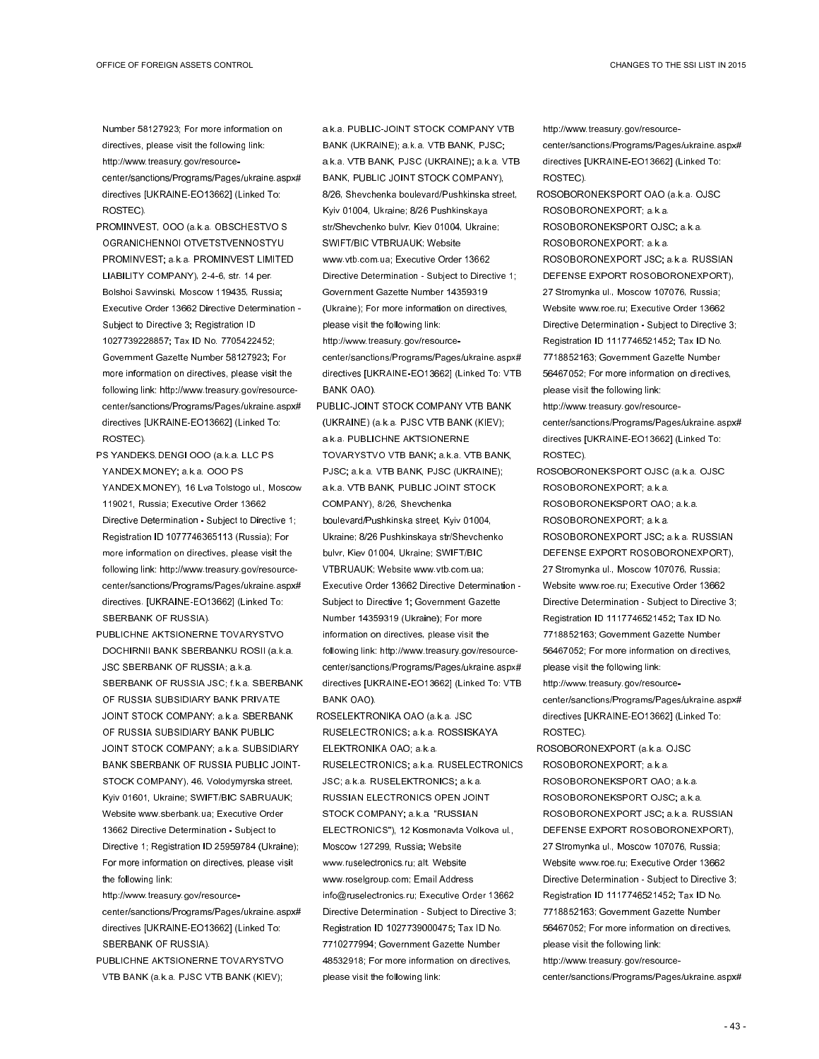Number 58127923; For more information on directives, please visit the following link: http://www.treasury.gov/resourcecenter/sanctions/Programs/Pages/ukraine.aspx# directives [UKRAINE-EO13662] (Linked To: ROSTEC).

- PROMINVEST, OOO (a.k.a. OBSCHESTVO S OGRANICHENNOI OTVETSTVENNOSTYU PROMINVEST; a.k.a. PROMINVEST LIMITED LIABILITY COMPANY), 2-4-6, str. 14 per. Bolshoi Savvinski, Moscow 119435, Russia; Executive Order 13662 Directive Determination - Subject to Directive 3; Registration ID 1027739228857; Tax ID No. 7705422452; Government Gazette Number 58127923; For more information on directives, please visit the following link: http://www.treasury.gov/resourcecenter/sanctions/Programs/Pages/ukraine.aspx# directives [UKRAINE-EO13662] (Linked To: ROSTEC).
- PS YANDEKS.DENGI OOO (a.k.a. LLC PS YANDEX.MONEY; a.k.a. OOO PS YANDEX.MONEY), 16 Lva Tolstogo ul., Moscow 119021, Russia; Executive Order 13662 Directive Determination - Subject to Directive 1; Registration ID 1077746365113 (Russia); For more information on directives, please visit the following link: http://www.treasury.gov/resourcecenter/sanctions/Programs/Pages/ukraine.aspx# directives. [UKRAINE-EO13662] (Linked To: SBERBANK OF RUSSIA).
- PUBLICHNE AKTSIONERNE TOVARYSTVO DOCHIRNII BANK SBERBANKU ROSII (a.k.a. JSC SBERBANK OF RUSSIA; a.k.a. SBERBANK OF RUSSIA JSC; f.k.a. SBERBANK OF RUSSIA SUBSIDIARY BANK PRIVATE JOINT STOCK COMPANY; a.k.a. SBERBANK OF RUSSIA SUBSIDIARY BANK PUBLIC JOINT STOCK COMPANY; a.k.a. SUBSIDIARY BANK SBERBANK OF RUSSIA PUBLIC JOINT-STOCK COMPANY), 46, Volodymyrska street, Kyiv 01601, Ukraine; SWIFT/BIC SABRUAUK; Website www.sberbank.ua; Executive Order 13662 Directive Determination - Subject to Directive 1; Registration ID 25959784 (Ukraine); For more information on directives, please visit the following link:
- http://www.treasury.gov/resourcecenter/sanctions/Programs/Pages/ukraine.aspx# directives [UKRAINE-EO13662] (Linked To: SBERBANK OF RUSSIA).
- PUBLICHNE AKTSIONERNE TOVARYSTVO VTB BANK (a.k.a. PJSC VTB BANK (KIEV);

a.k.a. PUBLIC-JOINT STOCK COMPANY VTB BANK (UKRAINE); a.k.a. VTB BANK, PJSC; a.k.a. VTB BANK, PJSC (UKRAINE); a.k.a. VTB BANK, PUBLIC JOINT STOCK COMPANY), 8/26, Shevchenka boulevard/Pushkinska street, Kyiv 01004, Ukraine; 8/26 Pushkinskaya str/Shevchenko bulvr, Kiev 01004, Ukraine; SWIFT/BIC VTBRUAUK; Website www.vtb.com.ua; Executive Order 13662 Directive Determination - Subject to Directive 1; Government Gazette Number 14359319 (Ukraine); For more information on directives, please visit the following link:

http://www.treasury.gov/resource-

center/sanctions/Programs/Pages/ukraine.aspx# directives [UKRAINE-EO13662] (Linked To: VTB BANK OAO).

PUBLIC-JOINT STOCK COMPANY VTB BANK (UKRAINE) (a.k.a. PJSC VTB BANK (KIEV); a.k.a. PUBLICHNE AKTSIONERNE TOVARYSTVO VTB BANK; a.k.a. VTB BANK, PJSC; a.k.a. VTB BANK, PJSC (UKRAINE); a.k.a. VTB BANK, PUBLIC JOINT STOCK COMPANY), 8/26, Shevchenka boulevard/Pushkinska street, Kyiv 01004, Ukraine; 8/26 Pushkinskaya str/Shevchenko bulvr, Kiev 01004, Ukraine; SWIFT/BIC VTBRUAUK; Website www.vtb.com.ua; Executive Order 13662 Directive Determination - Subject to Directive 1; Government Gazette Number 14359319 (Ukraine); For more information on directives, please visit the following link: http://www.treasury.gov/resourcecenter/sanctions/Programs/Pages/ukraine.aspx# directives [UKRAINE-EO13662] (Linked To: VTB BANK OAO).

ROSELEKTRONIKA OAO (a.k.a. JSC RUSELECTRONICS; a.k.a. ROSSISKAYA ELEKTRONIKA OAO; a.k.a. RUSELECTRONICS; a.k.a. RUSELECTRONICS JSC; a.k.a. RUSELEKTRONICS; a.k.a. RUSSIAN ELECTRONICS OPEN JOINT STOCK COMPANY; a.k.a. "RUSSIAN ELECTRONICS"), 12 Kosmonavta Volkova ul., Moscow 127299, Russia; Website www.ruselectronics.ru; alt. Website www.roselgroup.com; Email Address info@ruselectronics.ru; Executive Order 13662 Directive Determination - Subject to Directive 3; Registration ID 1027739000475; Tax ID No. 7710277994; Government Gazette Number 48532918; For more information on directives, please visit the following link:

http://www.treasury.gov/resourcecenter/sanctions/Programs/Pages/ukraine.aspx# directives [UKRAINE-EO13662] (Linked To: ROSTEC).

ROSOBORONEKSPORT OAO (a.k.a. OJSC ROSOBORONEXPORT; a.k.a. ROSOBORONEKSPORT OJSC; a.k.a. ROSOBORONEXPORT; a.k.a. ROSOBORONEXPORT JSC; a.k.a. RUSSIAN DEFENSE EXPORT ROSOBORONEXPORT), 27 Stromynka ul., Moscow 107076, Russia; Website www.roe.ru; Executive Order 13662 Directive Determination - Subject to Directive 3; Registration ID 1117746521452; Tax ID No. 7718852163; Government Gazette Number 56467052; For more information on directives, please visit the following link: http://www.treasury.gov/resourcecenter/sanctions/Programs/Pages/ukraine.aspx# directives [UKRAINE-EO13662] (Linked To: ROSTEC).

ROSOBORONEKSPORT OJSC (a.k.a. OJSC ROSOBORONEXPORT; a.k.a. ROSOBORONEKSPORT OAO; a.k.a. ROSOBORONEXPORT; a.k.a. ROSOBORONEXPORT JSC; a.k.a. RUSSIAN DEFENSE EXPORT ROSOBORONEXPORT), 27 Stromynka ul., Moscow 107076, Russia; Website www.roe.ru; Executive Order 13662 Directive Determination - Subject to Directive 3; Registration ID 1117746521452; Tax ID No. 7718852163; Government Gazette Number 56467052; For more information on directives, please visit the following link: http://www.treasury.gov/resourcecenter/sanctions/Programs/Pages/ukraine.aspx# directives [UKRAINE-EO13662] (Linked To: ROSTEC).

ROSOBORONEXPORT (a.k.a. OJSC ROSOBORONEXPORT; a.k.a. ROSOBORONEKSPORT OAO; a.k.a. ROSOBORONEKSPORT OJSC; a.k.a. ROSOBORONEXPORT JSC; a.k.a. RUSSIAN DEFENSE EXPORT ROSOBORONEXPORT), 27 Stromynka ul., Moscow 107076, Russia; Website www.roe.ru; Executive Order 13662 Directive Determination - Subject to Directive 3; Registration ID 1117746521452; Tax ID No. 7718852163; Government Gazette Number 56467052; For more information on directives, please visit the following link: http://www.treasury.gov/resourcecenter/sanctions/Programs/Pages/ukraine.aspx#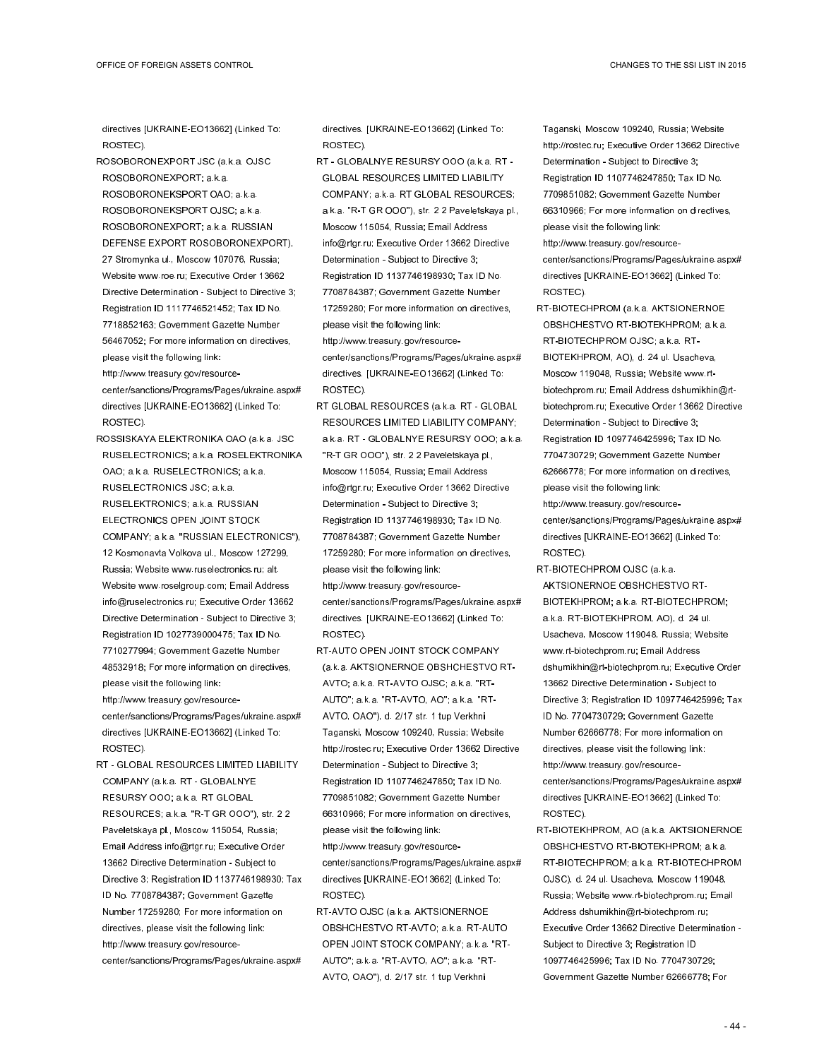directives [UKRAINE-EO13662] (Linked To: ROSTEC).

- ROSOBORONEXPORT JSC (a.k.a. OJSC ROSOBORONEXPORT; a.k.a.
- ROSOBORONEKSPORT OAO; a.k.a. ROSOBORONEKSPORT OJSC; a.k.a. ROSOBORONEXPORT; a.k.a. RUSSIAN DEFENSE EXPORT ROSOBORONEXPORT), 27 Stromynka ul., Moscow 107076, Russia; Website www.roe.ru; Executive Order 13662 Directive Determination - Subject to Directive 3; Registration ID 1117746521452; Tax ID No. 7718852163; Government Gazette Number 56467052; For more information on directives, please visit the following link:
- http://www.treasury.gov/resourcecenter/sanctions/Programs/Pages/ukraine.aspx# directives [UKRAINE-EO13662] (Linked To: ROSTEC).
- ROSSISKAYA ELEKTRONIKA OAO (a.k.a. JSC RUSELECTRONICS; a.k.a. ROSELEKTRONIKA OAO; a.k.a. RUSELECTRONICS; a.k.a. RUSELECTRONICS JSC; a.k.a. RUSELEKTRONICS; a.k.a. RUSSIAN ELECTRONICS OPEN JOINT STOCK COMPANY; a.k.a. "RUSSIAN ELECTRONICS"), 12 Kosmonavta Volkova ul., Moscow 127299, Russia; Website www.ruselectronics.ru; alt. Website www.roselgroup.com; Email Address info@ruselectronics.ru; Executive Order 13662 Directive Determination - Subject to Directive 3; Registration ID 1027739000475; Tax ID No. 7710277994; Government Gazette Number 48532918; For more information on directives,
- please visit the following link: http://www.treasury.gov/resourcecenter/sanctions/Programs/Pages/ukraine.aspx# directives [UKRAINE-EO13662] (Linked To:
- ROSTEC). RT - GLOBAL RESOURCES LIMITED LIABILITY COMPANY (a.k.a. RT - GLOBALNYE RESURSY OOO; a.k.a. RT GLOBAL RESOURCES; a.k.a. "R-T GR OOO"), str. 2 2 Paveletskaya pl., Moscow 115054, Russia; Email Address info@rtgr.ru; Executive Order 13662 Directive Determination - Subject to Directive 3; Registration ID 1137746198930; Tax ID No. 7708784387; Government Gazette Number 17259280; For more information on directives, please visit the following link: http://www.treasury.gov/resourcecenter/sanctions/Programs/Pages/ukraine.aspx#

directives. [UKRAINE-EO13662] (Linked To: ROSTEC).

- RT GLOBALNYE RESURSY OOO (a.k.a. RT GLOBAL RESOURCES LIMITED LIABILITY COMPANY; a.k.a. RT GLOBAL RESOURCES; a.k.a. "R-T GR OOO"), str. 2 2 Paveletskaya pl., Moscow 115054, Russia; Email Address info@rtgr.ru; Executive Order 13662 Directive Determination - Subject to Directive 3; Registration ID 1137746198930; Tax ID No. 7708784387; Government Gazette Number 17259280; For more information on directives, please visit the following link: http://www.treasury.gov/resourcecenter/sanctions/Programs/Pages/ukraine.aspx#
- directives. [UKRAINE-EO13662] (Linked To: ROSTEC).
- RT GLOBAL RESOURCES (a.k.a. RT GLOBAL RESOURCES LIMITED LIABILITY COMPANY; a.k.a. RT - GLOBALNYE RESURSY OOO; a.k.a. "R-T GR OOO"), str. 2 2 Paveletskaya pl., Moscow 115054, Russia; Email Address info@rtgr.ru; Executive Order 13662 Directive Determination - Subject to Directive 3; Registration ID 1137746198930; Tax ID No. 7708784387; Government Gazette Number 17259280; For more information on directives, please visit the following link: http://www.treasury.gov/resourcecenter/sanctions/Programs/Pages/ukraine.aspx# directives. [UKRAINE-EO13662] (Linked To: ROSTEC).
- RT-AUTO OPEN JOINT STOCK COMPANY (a.k.a. AKTSIONERNOE OBSHCHESTVO RT-AVTO; a.k.a. RT-AVTO OJSC; a.k.a. "RT-AUTO"; a.k.a. "RT-AVTO, AO"; a.k.a. "RT-AVTO, OAO"), d. 2/17 str. 1 tup Verkhni Taganski, Moscow 109240, Russia; Website http://rostec.ru; Executive Order 13662 Directive Determination - Subject to Directive 3; Registration ID 1107746247850; Tax ID No. 7709851082; Government Gazette Number 66310966; For more information on directives, please visit the following link: http://www.treasury.gov/resource-
- center/sanctions/Programs/Pages/ukraine.aspx# directives [UKRAINE-EO13662] (Linked To: ROSTEC).
- RT-AVTO OJSC (a.k.a. AKTSIONERNOE OBSHCHESTVO RT-AVTO; a.k.a. RT-AUTO OPEN JOINT STOCK COMPANY; a.k.a. "RT-AUTO"; a.k.a. "RT-AVTO, AO"; a.k.a. "RT-AVTO, OAO"), d. 2/17 str. 1 tup Verkhni
- Taganski, Moscow 109240, Russia; Website http://rostec.ru; Executive Order 13662 Directive Determination - Subject to Directive 3; Registration ID 1107746247850; Tax ID No. 7709851082; Government Gazette Number 66310966; For more information on directives, please visit the following link:
- http://www.treasury.gov/resourcecenter/sanctions/Programs/Pages/ukraine.aspx# directives [UKRAINE-EO13662] (Linked To: ROSTEC).
- RT-BIOTECHPROM (a.k.a. AKTSIONERNOE OBSHCHESTVO RT-BIOTEKHPROM; a.k.a. RT-BIOTECHPROM OJSC; a.k.a. RT-BIOTEKHPROM, AO), d. 24 ul. Usacheva, Moscow 119048, Russia; Website www.rtbiotechprom.ru; Email Address dshumikhin@rtbiotechprom.ru; Executive Order 13662 Directive Determination - Subject to Directive 3; Registration ID 1097746425996; Tax ID No. 7704730729; Government Gazette Number 62666778; For more information on directives, please visit the following link:
- http://www.treasury.gov/resourcecenter/sanctions/Programs/Pages/ukraine.aspx# directives [UKRAINE-EO13662] (Linked To: ROSTEC).
- RT-BIOTECHPROM OJSC (a.k.a. AKTSIONERNOE OBSHCHESTVO RT-BIOTEKHPROM; a.k.a. RT-BIOTECHPROM; a.k.a. RT-BIOTEKHPROM, AO), d. 24 ul. Usacheva, Moscow 119048, Russia; Website www.rt-biotechprom.ru; Email Address dshumikhin@rt-biotechprom.ru; Executive Order 13662 Directive Determination - Subject to Directive 3; Registration ID 1097746425996; Tax ID No. 7704730729; Government Gazette Number 62666778; For more information on directives, please visit the following link: http://www.treasury.gov/resourcecenter/sanctions/Programs/Pages/ukraine.aspx# directives [UKRAINE-EO13662] (Linked To: ROSTEC).
- RT-BIOTEKHPROM, AO (a.k.a. AKTSIONERNOE OBSHCHESTVO RT-BIOTEKHPROM; a.k.a. RT-BIOTECHPROM; a.k.a. RT-BIOTECHPROM OJSC), d. 24 ul. Usacheva, Moscow 119048, Russia; Website www.rt-biotechprom.ru; Email Address dshumikhin@rt-biotechprom.ru; Executive Order 13662 Directive Determination - Subject to Directive 3; Registration ID 1097746425996; Tax ID No. 7704730729; Government Gazette Number 62666778; For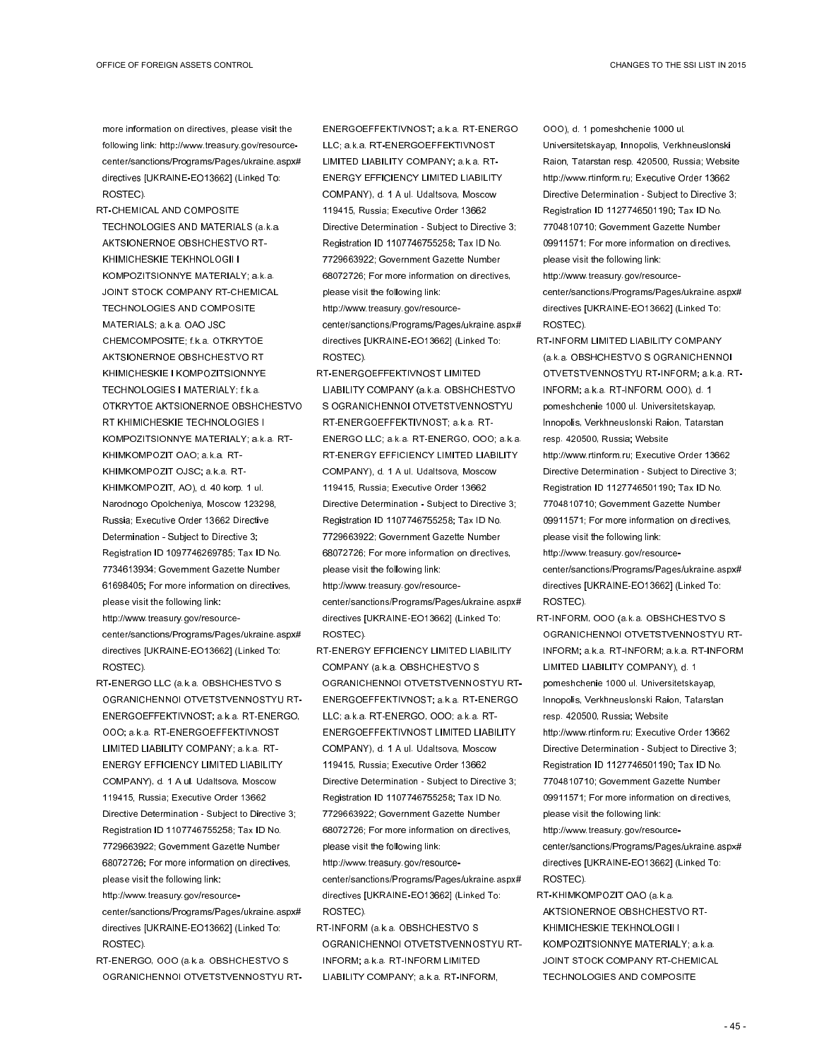more information on directives, please visit the following link: http://www.treasury.gov/resourcecenter/sanctions/Programs/Pages/ukraine.aspx# directives [UKRAINE-EO13662] (Linked To: ROSTEC).

- RT-CHEMICAL AND COMPOSITE TECHNOLOGIES AND MATERIALS (a.k.a. AKTSIONERNOE OBSHCHESTVO RT-KHIMICHESKIE TEKHNOLOGII I KOMPOZITSIONNYE MATERIALY; a.k.a. JOINT STOCK COMPANY RT-CHEMICAL TECHNOLOGIES AND COMPOSITE MATERIALS; a.k.a. OAO JSC CHEMCOMPOSITE; f.k.a. OTKRYTOE AKTSIONERNOE OBSHCHESTVO RT KHIMICHESKIE I KOMPOZITSIONNYE TECHNOLOGIES I MATERIALY; f.k.a. OTKRYTOE AKTSIONERNOE OBSHCHESTVO RT KHIMICHESKIE TECHNOLOGIES I KOMPOZITSIONNYE MATERIALY; a.k.a. RT-KHIMKOMPOZIT OAO; a.k.a. RT-KHIMKOMPOZIT OJSC; a.k.a. RT-KHIMKOMPOZIT, AO), d. 40 korp. 1 ul. Narodnogo Opolcheniya, Moscow 123298, Russia; Executive Order 13662 Directive Determination - Subject to Directive 3; Registration ID 1097746269785; Tax ID No. 7734613934; Government Gazette Number 61698405; For more information on directives, please visit the following link: http://www.treasury.gov/resourcecenter/sanctions/Programs/Pages/ukraine.aspx# directives [UKRAINE-EO13662] (Linked To:
- RT-ENERGO LLC (a.k.a. OBSHCHESTVO S OGRANICHENNOI OTVETSTVENNOSTYU RT-ENERGOEFFEKTIVNOST; a.k.a. RT-ENERGO, OOO; a.k.a. RT-ENERGOEFFEKTIVNOST LIMITED LIABILITY COMPANY; a.k.a. RT-ENERGY EFFICIENCY LIMITED LIABILITY COMPANY), d. 1 A ul. Udaltsova, Moscow 119415, Russia; Executive Order 13662 Directive Determination - Subject to Directive 3; Registration ID 1107746755258; Tax ID No. 7729663922; Government Gazette Number 68072726; For more information on directives, please visit the following link:

ROSTEC).

- http://www.treasury.gov/resourcecenter/sanctions/Programs/Pages/ukraine.aspx# directives [UKRAINE-EO13662] (Linked To: ROSTEC).
- RT-ENERGO, OOO (a.k.a. OBSHCHESTVO S OGRANICHENNOI OTVETSTVENNOSTYU RT-

ENERGOEFFEKTIVNOST; a.k.a. RT-ENERGO LLC; a.k.a. RT-ENERGOEFFEKTIVNOST LIMITED LIABILITY COMPANY; a.k.a. RT-ENERGY EFFICIENCY LIMITED LIABILITY COMPANY), d. 1 A ul. Udaltsova, Moscow 119415, Russia; Executive Order 13662 Directive Determination - Subject to Directive 3; Registration ID 1107746755258; Tax ID No. 7729663922; Government Gazette Number 68072726; For more information on directives, please visit the following link: http://www.treasury.gov/resourcecenter/sanctions/Programs/Pages/ukraine.aspx# directives [UKRAINE-EO13662] (Linked To: ROSTEC).

RT-ENERGOEFFEKTIVNOST LIMITED LIABILITY COMPANY (a.k.a. OBSHCHESTVO S OGRANICHENNOI OTVETSTVENNOSTYU RT-ENERGOEFFEKTIVNOST; a.k.a. RT-ENERGO LLC; a.k.a. RT-ENERGO, OOO; a.k.a. RT-ENERGY EFFICIENCY LIMITED LIABILITY COMPANY), d. 1 A ul. Udaltsova, Moscow 119415, Russia; Executive Order 13662 Directive Determination - Subject to Directive 3; Registration ID 1107746755258; Tax ID No. 7729663922; Government Gazette Number 68072726; For more information on directives, please visit the following link: http://www.treasury.gov/resourcecenter/sanctions/Programs/Pages/ukraine.aspx# directives [UKRAINE-EO13662] (Linked To:

RT-ENERGY EFFICIENCY LIMITED LIABILITY COMPANY (a.k.a. OBSHCHESTVO S OGRANICHENNOI OTVETSTVENNOSTYU RT-ENERGOEFFEKTIVNOST; a.k.a. RT-ENERGO LLC; a.k.a. RT-ENERGO, OOO; a.k.a. RT-ENERGOEFFEKTIVNOST LIMITED LIABILITY COMPANY), d. 1 A ul. Udaltsova, Moscow 119415, Russia; Executive Order 13662 Directive Determination - Subject to Directive 3; Registration ID 1107746755258; Tax ID No. 7729663922; Government Gazette Number 68072726; For more information on directives, please visit the following link: http://www.treasury.gov/resource-

ROSTEC).

center/sanctions/Programs/Pages/ukraine.aspx# directives [UKRAINE-EO13662] (Linked To: ROSTEC).

RT-INFORM (a.k.a. OBSHCHESTVO S OGRANICHENNOI OTVETSTVENNOSTYU RT-INFORM; a.k.a. RT-INFORM LIMITED LIABILITY COMPANY; a.k.a. RT-INFORM,

OOO), d. 1 pomeshchenie 1000 ul. Universitetskayap, Innopolis, Verkhneuslonski Raion, Tatarstan resp. 420500, Russia; Website http://www.rtinform.ru; Executive Order 13662 Directive Determination - Subject to Directive 3; Registration ID 1127746501190; Tax ID No. 7704810710; Government Gazette Number 09911571; For more information on directives, please visit the following link: http://www.treasury.gov/resource-

center/sanctions/Programs/Pages/ukraine.aspx# directives [UKRAINE-EO13662] (Linked To: ROSTEC).

RT-INFORM LIMITED LIABILITY COMPANY (a.k.a. OBSHCHESTVO S OGRANICHENNOI OTVETSTVENNOSTYU RT-INFORM; a.k.a. RT-INFORM; a.k.a. RT-INFORM, OOO), d. 1 pomeshchenie 1000 ul. Universitetskayap, Innopolis, Verkhneuslonski Raion, Tatarstan resp. 420500, Russia; Website http://www.rtinform.ru; Executive Order 13662 Directive Determination - Subject to Directive 3; Registration ID 1127746501190; Tax ID No. 7704810710; Government Gazette Number 09911571; For more information on directives, please visit the following link: http://www.treasury.gov/resource-

center/sanctions/Programs/Pages/ukraine.aspx# directives [UKRAINE-EO13662] (Linked To: ROSTEC).

RT-INFORM, OOO (a.k.a. OBSHCHESTVO S OGRANICHENNOI OTVETSTVENNOSTYU RT-INFORM; a.k.a. RT-INFORM; a.k.a. RT-INFORM LIMITED LIABILITY COMPANY), d. 1 pomeshchenie 1000 ul. Universitetskayap, Innopolis, Verkhneuslonski Raion, Tatarstan resp. 420500, Russia; Website http://www.rtinform.ru; Executive Order 13662 Directive Determination - Subject to Directive 3; Registration ID 1127746501190; Tax ID No. 7704810710; Government Gazette Number 09911571; For more information on directives, please visit the following link:

http://www.treasury.gov/resourcecenter/sanctions/Programs/Pages/ukraine.aspx# directives [UKRAINE-EO13662] (Linked To: ROSTEC).

RT-KHIMKOMPOZIT OAO (a.k.a. AKTSIONERNOE OBSHCHESTVO RT-KHIMICHESKIE TEKHNOLOGII I KOMPOZITSIONNYE MATERIALY; a.k.a. JOINT STOCK COMPANY RT-CHEMICAL TECHNOLOGIES AND COMPOSITE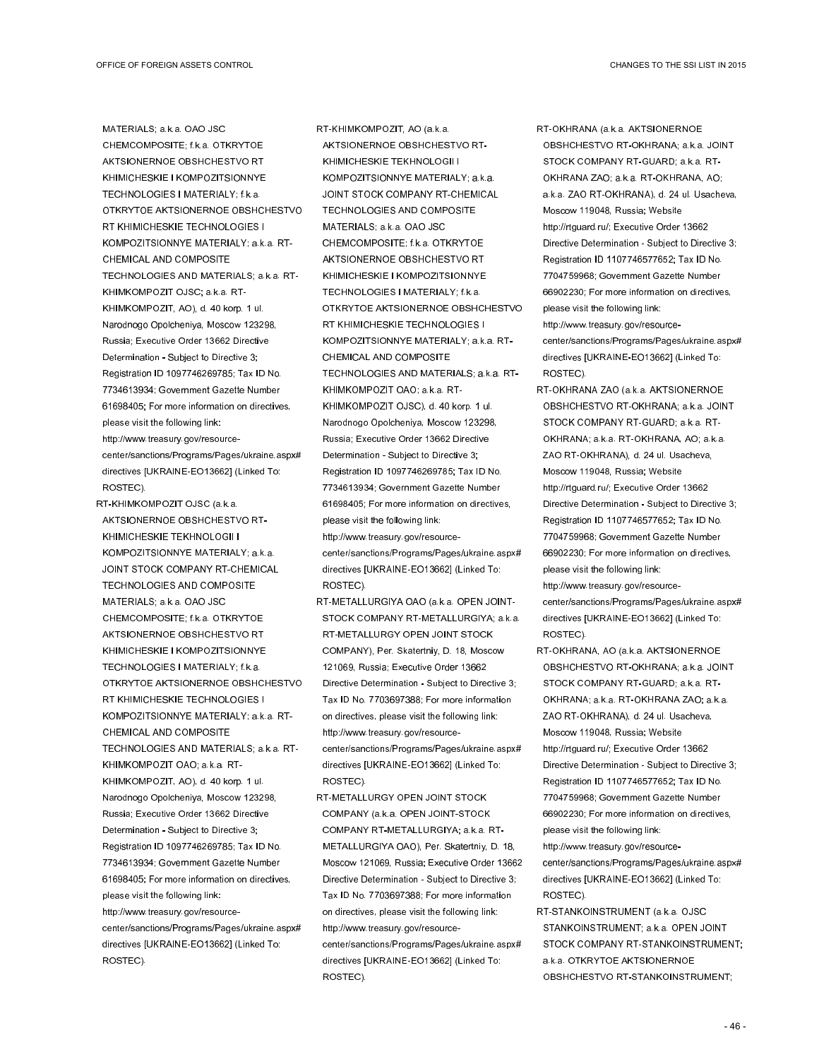MATERIALS; a.k.a. OAO JSC CHEMCOMPOSITE; f.k.a. OTKRYTOE AKTSIONERNOE OBSHCHESTVO RT KHIMICHESKIE I KOMPOZITSIONNYE TECHNOLOGIES I MATERIALY; f.k.a. OTKRYTOE AKTSIONERNOE OBSHCHESTVO RT KHIMICHESKIE TECHNOLOGIES I KOMPOZITSIONNYE MATERIALY; a.k.a. RT-CHEMICAL AND COMPOSITE TECHNOLOGIES AND MATERIALS; a.k.a. RT-KHIMKOMPOZIT OJSC; a.k.a. RT-KHIMKOMPOZIT, AO), d. 40 korp. 1 ul. Narodnogo Opolcheniya, Moscow 123298, Russia; Executive Order 13662 Directive Determination - Subject to Directive 3; Registration ID 1097746269785; Tax ID No. 7734613934; Government Gazette Number 61698405; For more information on directives, please visit the following link: http://www.treasury.gov/resourcecenter/sanctions/Programs/Pages/ukraine.aspx# directives [UKRAINE-EO13662] (Linked To:

ROSTEC).

RT-KHIMKOMPOZIT OJSC (a.k.a. AKTSIONERNOE OBSHCHESTVO RT-KHIMICHESKIE TEKHNOLOGII I KOMPOZITSIONNYE MATERIALY; a.k.a. JOINT STOCK COMPANY RT-CHEMICAL TECHNOLOGIES AND COMPOSITE MATERIALS; a.k.a. OAO JSC CHEMCOMPOSITE; f.k.a. OTKRYTOE AKTSIONERNOE OBSHCHESTVO RT KHIMICHESKIE I KOMPOZITSIONNYE TECHNOLOGIES I MATERIALY; f.k.a. OTKRYTOE AKTSIONERNOE OBSHCHESTVO RT KHIMICHESKIE TECHNOLOGIES I KOMPOZITSIONNYE MATERIALY; a.k.a. RT-CHEMICAL AND COMPOSITE TECHNOLOGIES AND MATERIALS; a.k.a. RT-KHIMKOMPOZIT OAO; a.k.a. RT-KHIMKOMPOZIT, AO), d. 40 korp. 1 ul. Narodnogo Opolcheniya, Moscow 123298, Russia; Executive Order 13662 Directive Determination - Subject to Directive 3; Registration ID 1097746269785; Tax ID No. 7734613934; Government Gazette Number 61698405; For more information on directives, please visit the following link: http://www.treasury.gov/resourcecenter/sanctions/Programs/Pages/ukraine.aspx# directives [UKRAINE-EO13662] (Linked To: ROSTEC).

RT-KHIMKOMPOZIT, AO (a.k.a. AKTSIONERNOE OBSHCHESTVO RT-KHIMICHESKIE TEKHNOLOGII I KOMPOZITSIONNYE MATERIALY; a.k.a. JOINT STOCK COMPANY RT-CHEMICAL TECHNOLOGIES AND COMPOSITE MATERIALS; a.k.a. OAO JSC CHEMCOMPOSITE; f.k.a. OTKRYTOE AKTSIONERNOE OBSHCHESTVO RT KHIMICHESKIE I KOMPOZITSIONNYE TECHNOLOGIES I MATERIALY; f.k.a. OTKRYTOE AKTSIONERNOE OBSHCHESTVO RT KHIMICHESKIE TECHNOLOGIES I KOMPOZITSIONNYE MATERIALY; a.k.a. RT-CHEMICAL AND COMPOSITE TECHNOLOGIES AND MATERIALS; a.k.a. RT-KHIMKOMPOZIT OAO; a.k.a. RT-KHIMKOMPOZIT OJSC), d. 40 korp. 1 ul. Narodnogo Opolcheniya, Moscow 123298, Russia; Executive Order 13662 Directive Determination - Subject to Directive 3; Registration ID 1097746269785; Tax ID No. 7734613934; Government Gazette Number 61698405; For more information on directives, please visit the following link: http://www.treasury.gov/resourcecenter/sanctions/Programs/Pages/ukraine.aspx# directives [UKRAINE-EO13662] (Linked To: ROSTEC).

- RT-METALLURGIYA OAO (a.k.a. OPEN JOINT-STOCK COMPANY RT-METALLURGIYA; a.k.a. RT-METALLURGY OPEN JOINT STOCK COMPANY), Per. Skatertniy, D. 18, Moscow 121069, Russia; Executive Order 13662 Directive Determination - Subject to Directive 3; Tax ID No. 7703697388; For more information on directives, please visit the following link: http://www.treasury.gov/resourcecenter/sanctions/Programs/Pages/ukraine.aspx# directives [UKRAINE-EO13662] (Linked To: ROSTEC).
- RT-METALLURGY OPEN JOINT STOCK COMPANY (a.k.a. OPEN JOINT-STOCK COMPANY RT-METALLURGIYA; a.k.a. RT-METALLURGIYA OAO), Per. Skatertniy, D. 18, Moscow 121069, Russia; Executive Order 13662 Directive Determination - Subject to Directive 3; Tax ID No. 7703697388; For more information on directives, please visit the following link: http://www.treasury.gov/resourcecenter/sanctions/Programs/Pages/ukraine.aspx# directives [UKRAINE-EO13662] (Linked To: ROSTEC).

RT-OKHRANA (a.k.a. AKTSIONERNOE OBSHCHESTVO RT-OKHRANA; a.k.a. JOINT STOCK COMPANY RT-GUARD; a.k.a. RT-OKHRANA ZAO; a.k.a. RT-OKHRANA, AO; a.k.a. ZAO RT-OKHRANA), d. 24 ul. Usacheva, Moscow 119048, Russia; Website http://rtguard.ru/; Executive Order 13662 Directive Determination - Subject to Directive 3; Registration ID 1107746577652; Tax ID No. 7704759968; Government Gazette Number 66902230; For more information on directives, please visit the following link: http://www.treasury.gov/resourcecenter/sanctions/Programs/Pages/ukraine.aspx# directives [UKRAINE-EO13662] (Linked To: ROSTEC).

- RT-OKHRANA ZAO (a.k.a. AKTSIONERNOE OBSHCHESTVO RT-OKHRANA; a.k.a. JOINT STOCK COMPANY RT-GUARD; a.k.a. RT-OKHRANA; a.k.a. RT-OKHRANA, AO; a.k.a. ZAO RT-OKHRANA), d. 24 ul. Usacheva, Moscow 119048, Russia; Website http://rtguard.ru/; Executive Order 13662 Directive Determination - Subject to Directive 3; Registration ID 1107746577652; Tax ID No. 7704759968; Government Gazette Number 66902230; For more information on directives, please visit the following link: http://www.treasury.gov/resourcecenter/sanctions/Programs/Pages/ukraine.aspx# directives [UKRAINE-EO13662] (Linked To:
- RT-OKHRANA, AO (a.k.a. AKTSIONERNOE OBSHCHESTVO RT-OKHRANA; a.k.a. JOINT STOCK COMPANY RT-GUARD; a.k.a. RT-OKHRANA; a.k.a. RT-OKHRANA ZAO; a.k.a. ZAO RT-OKHRANA), d. 24 ul. Usacheva, Moscow 119048, Russia; Website http://rtguard.ru/; Executive Order 13662 Directive Determination - Subject to Directive 3; Registration ID 1107746577652; Tax ID No. 7704759968; Government Gazette Number 66902230; For more information on directives, please visit the following link: http://www.treasury.gov/resource-

ROSTEC).

- center/sanctions/Programs/Pages/ukraine.aspx# directives [UKRAINE-EO13662] (Linked To: ROSTEC).
- RT-STANKOINSTRUMENT (a.k.a. OJSC STANKOINSTRUMENT; a.k.a. OPEN JOINT STOCK COMPANY RT-STANKOINSTRUMENT; a.k.a. OTKRYTOE AKTSIONERNOE OBSHCHESTVO RT-STANKOINSTRUMENT;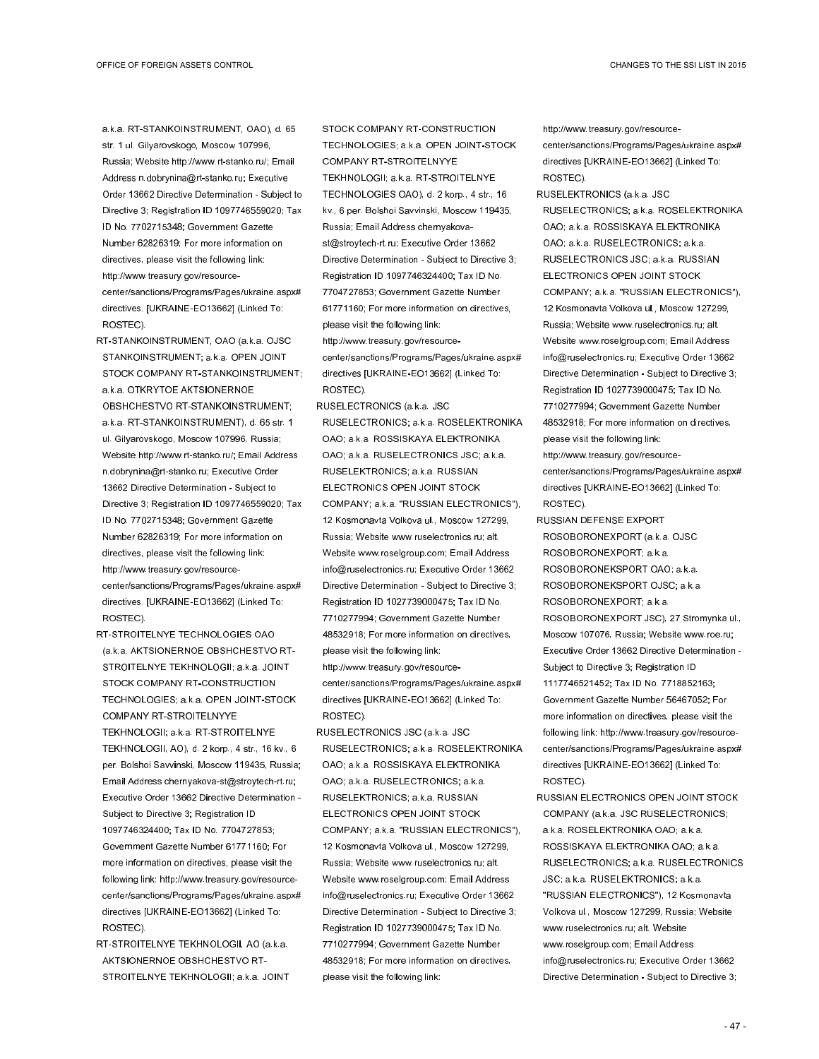a.k.a. RT-STANKOINSTRUMENT, OAO), d. 65 str. 1 ul. Gilyarovskogo, Moscow 107996, Russia; Website http://www.rt-stanko.ru/; Email Address n.dobrynina@rt-stanko.ru; Executive Order 13662 Directive Determination - Subject to Directive 3; Registration ID 1097746559020; Tax ID No. 7702715348; Government Gazette Number 62826319; For more information on directives, please visit the following link: http://www.treasury.gov/resourcecenter/sanctions/Programs/Pages/ukraine.aspx# directives. [UKRAINE-EO13662] (Linked To: ROSTEC).

- RT-STANKOINSTRUMENT, OAO (a.k.a. OJSC STANKOINSTRUMENT; a.k.a. OPEN JOINT STOCK COMPANY RT-STANKOINSTRUMENT; a.k.a. OTKRYTOE AKTSIONERNOE OBSHCHESTVO RT-STANKOINSTRUMENT; a.k.a. RT-STANKOINSTRUMENT), d. 65 str. 1 ul. Gilyarovskogo, Moscow 107996, Russia; Website http://www.rt-stanko.ru/; Email Address n.dobrynina@rt-stanko.ru; Executive Order 13662 Directive Determination - Subject to Directive 3; Registration ID 1097746559020; Tax ID No. 7702715348; Government Gazette Number 62826319; For more information on directives, please visit the following link: http://www.treasury.gov/resourcecenter/sanctions/Programs/Pages/ukraine.aspx# directives. [UKRAINE-EO13662] (Linked To: ROSTEC).
- RT-STROITELNYE TECHNOLOGIES OAO (a.k.a. AKTSIONERNOE OBSHCHESTVO RT-STROITELNYE TEKHNOLOGII; a.k.a. JOINT STOCK COMPANY RT-CONSTRUCTION TECHNOLOGIES; a.k.a. OPEN JOINT-STOCK COMPANY RT-STROITELNYYE TEKHNOLOGII; a.k.a. RT-STROITELNYE TEKHNOLOGII, AO), d. 2 korp., 4 str., 16 kv., 6 per. Bolshoi Savvinski, Moscow 119435, Russia; Email Address chernyakova-st@stroytech-rt.ru; Executive Order 13662 Directive Determination - Subject to Directive 3; Registration ID 1097746324400; Tax ID No. 7704727853; Government Gazette Number 61771160; For more information on directives, please visit the following link: http://www.treasury.gov/resourcecenter/sanctions/Programs/Pages/ukraine.aspx# directives [UKRAINE-EO13662] (Linked To: ROSTEC).
- RT-STROITELNYE TEKHNOLOGII, AO (a.k.a. AKTSIONERNOE OBSHCHESTVO RT-STROITELNYE TEKHNOLOGII; a.k.a. JOINT

STOCK COMPANY RT-CONSTRUCTION TECHNOLOGIES; a.k.a. OPEN JOINT-STOCK COMPANY RT-STROITELNYYE TEKHNOLOGII; a.k.a. RT-STROITELNYE TECHNOLOGIES OAO), d. 2 korp., 4 str., 16 kv., 6 per. Bolshoi Savvinski, Moscow 119435, Russia; Email Address chernyakovast@stroytech-rt.ru; Executive Order 13662 Directive Determination - Subject to Directive 3; Registration ID 1097746324400; Tax ID No. 7704727853; Government Gazette Number 61771160; For more information on directives, please visit the following link: http://www.treasury.gov/resourcecenter/sanctions/Programs/Pages/ukraine.aspx# directives [UKRAINE-EO13662] (Linked To: ROSTEC).

RUSELECTRONICS (a.k.a. JSC RUSELECTRONICS; a.k.a. ROSELEKTRONIKA OAO; a.k.a. ROSSISKAYA ELEKTRONIKA OAO; a.k.a. RUSELECTRONICS JSC; a.k.a. RUSELEKTRONICS; a.k.a. RUSSIAN ELECTRONICS OPEN JOINT STOCK COMPANY; a.k.a. "RUSSIAN ELECTRONICS"), 12 Kosmonavta Volkova ul., Moscow 127299, Russia; Website www.ruselectronics.ru; alt. Website www.roselgroup.com; Email Address info@ruselectronics.ru; Executive Order 13662 Directive Determination - Subject to Directive 3; Registration ID 1027739000475; Tax ID No. 7710277994; Government Gazette Number 48532918; For more information on directives, please visit the following link: http://www.treasury.gov/resourcecenter/sanctions/Programs/Pages/ukraine.aspx# directives [UKRAINE-EO13662] (Linked To: ROSTEC).

RUSELECTRONICS JSC (a.k.a. JSC RUSELECTRONICS; a.k.a. ROSELEKTRONIKA OAO; a.k.a. ROSSISKAYA ELEKTRONIKA OAO; a.k.a. RUSELECTRONICS; a.k.a. RUSELEKTRONICS; a.k.a. RUSSIAN ELECTRONICS OPEN JOINT STOCK COMPANY; a.k.a. "RUSSIAN ELECTRONICS"), 12 Kosmonavta Volkova ul., Moscow 127299, Russia; Website www.ruselectronics.ru; alt. Website www.roselgroup.com; Email Address info@ruselectronics.ru; Executive Order 13662 Directive Determination - Subject to Directive 3; Registration ID 1027739000475; Tax ID No. 7710277994; Government Gazette Number 48532918; For more information on directives, please visit the following link:

http://www.treasury.gov/resourcecenter/sanctions/Programs/Pages/ukraine.aspx# directives [UKRAINE-EO13662] (Linked To: ROSTEC).

RUSELEKTRONICS (a.k.a. JSC RUSELECTRONICS; a.k.a. ROSELEKTRONIKA OAO; a.k.a. ROSSISKAYA ELEKTRONIKA OAO; a.k.a. RUSELECTRONICS; a.k.a. RUSELECTRONICS JSC; a.k.a. RUSSIAN ELECTRONICS OPEN JOINT STOCK COMPANY; a.k.a. "RUSSIAN ELECTRONICS"), 12 Kosmonavta Volkova ul., Moscow 127299, Russia; Website www.ruselectronics.ru; alt. Website www.roselgroup.com; Email Address info@ruselectronics.ru; Executive Order 13662 Directive Determination - Subject to Directive 3; Registration ID 1027739000475; Tax ID No. 7710277994; Government Gazette Number 48532918; For more information on directives, please visit the following link: http://www.treasury.gov/resourcecenter/sanctions/Programs/Pages/ukraine.aspx#

ROSTEC). RUSSIAN DEFENSE EXPORT ROSOBORONEXPORT (a.k.a. OJSC ROSOBORONEXPORT; a.k.a. ROSOBORONEKSPORT OAO; a.k.a. ROSOBORONEKSPORT OJSC; a.k.a. ROSOBORONEXPORT; a.k.a. ROSOBORONEXPORT JSC), 27 Stromynka ul., Moscow 107076, Russia; Website www.roe.ru; Executive Order 13662 Directive Determination - Subject to Directive 3; Registration ID 1117746521452; Tax ID No. 7718852163; Government Gazette Number 56467052; For more information on directives, please visit the following link: http://www.treasury.gov/resourcecenter/sanctions/Programs/Pages/ukraine.aspx# directives [UKRAINE-EO13662] (Linked To: ROSTEC).

directives [UKRAINE-EO13662] (Linked To:

RUSSIAN ELECTRONICS OPEN JOINT STOCK COMPANY (a.k.a. JSC RUSELECTRONICS; a.k.a. ROSELEKTRONIKA OAO; a.k.a. ROSSISKAYA ELEKTRONIKA OAO; a.k.a. RUSELECTRONICS; a.k.a. RUSELECTRONICS JSC; a.k.a. RUSELEKTRONICS; a.k.a. "RUSSIAN ELECTRONICS"), 12 Kosmonavta Volkova ul., Moscow 127299, Russia; Website www.ruselectronics.ru; alt. Website www.roselgroup.com; Email Address info@ruselectronics.ru; Executive Order 13662 Directive Determination - Subject to Directive 3;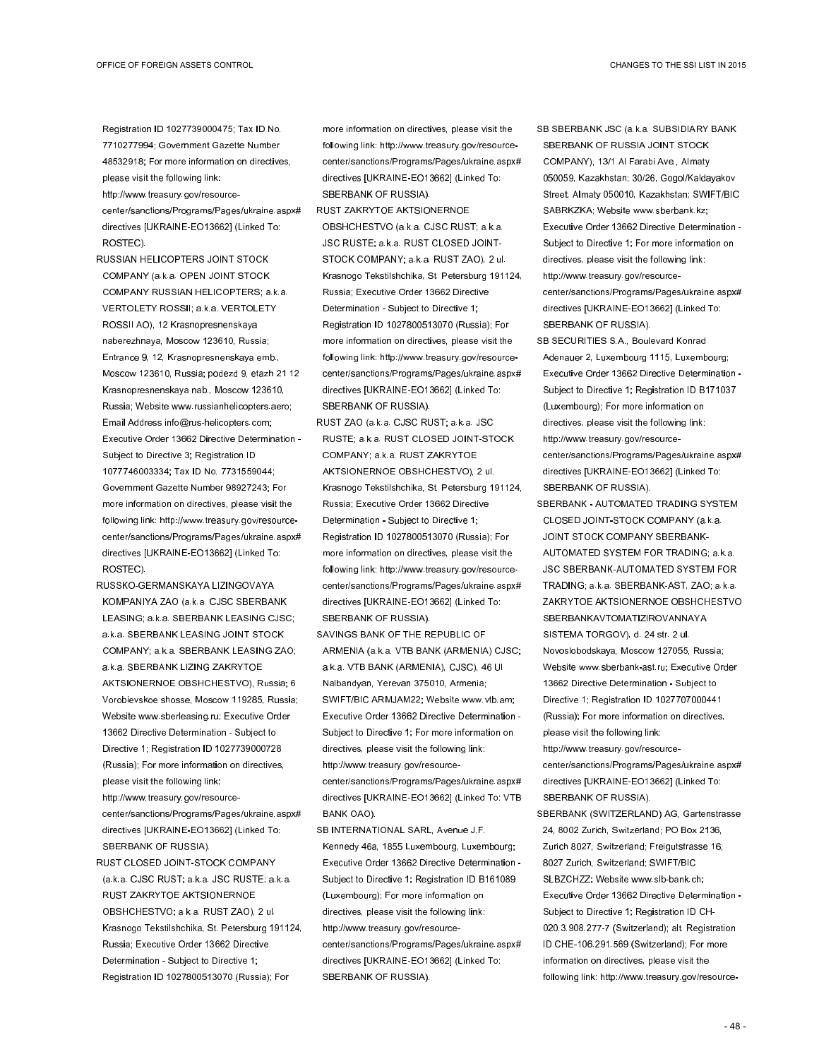Registration ID 1027739000475; Tax ID No. 7710277994; Government Gazette Number 48532918; For more information on directives, please visit the following link:

http://www.treasury.gov/resourcecenter/sanctions/Programs/Pages/ukraine.aspx# directives [UKRAINE-EO13662] (Linked To: ROSTEC).

- RUSSIAN HELICOPTERS JOINT STOCK COMPANY (a.k.a. OPEN JOINT STOCK COMPANY RUSSIAN HELICOPTERS; a.k.a. VERTOLETY ROSSII; a.k.a. VERTOLETY ROSSII AO), 12 Krasnopresnenskaya naberezhnaya, Moscow 123610, Russia; Entrance 9, 12, Krasnopresnenskaya emb., Moscow 123610, Russia; podezd 9, etazh 21 12 Krasnopresnenskaya nab., Moscow 123610, Russia; Website www.russianhelicopters.aero; Email Address info@rus-helicopters.com; Executive Order 13662 Directive Determination - Subject to Directive 3; Registration ID 1077746003334; Tax ID No. 7731559044; Government Gazette Number 98927243; For more information on directives, please visit the following link: http://www.treasury.gov/resourcecenter/sanctions/Programs/Pages/ukraine.aspx# directives [UKRAINE-EO13662] (Linked To: ROSTEC).
- RUSSKO-GERMANSKAYA LIZINGOVAYA KOMPANIYA ZAO (a.k.a. CJSC SBERBANK LEASING; a.k.a. SBERBANK LEASING CJSC; a.k.a. SBERBANK LEASING JOINT STOCK COMPANY; a.k.a. SBERBANK LEASING ZAO; a.k.a. SBERBANK LIZING ZAKRYTOE AKTSIONERNOE OBSHCHESTVO), Russia; 6 Vorobievskoe shosse, Moscow 119285, Russia; Website www.sberleasing.ru; Executive Order 13662 Directive Determination - Subject to Directive 1; Registration ID 1027739000728 (Russia); For more information on directives, please visit the following link: http://www.treasury.gov/resource-

center/sanctions/Programs/Pages/ukraine.aspx# directives [UKRAINE-EO13662] (Linked To: SBERBANK OF RUSSIA).

RUST CLOSED JOINT-STOCK COMPANY (a.k.a. CJSC RUST; a.k.a. JSC RUSTE; a.k.a. RUST ZAKRYTOE AKTSIONERNOE OBSHCHESTVO; a.k.a. RUST ZAO), 2 ul. Krasnogo Tekstilshchika, St. Petersburg 191124, Russia; Executive Order 13662 Directive Determination - Subject to Directive 1; Registration ID 1027800513070 (Russia); For

more information on directives, please visit the following link: http://www.treasury.gov/resourcecenter/sanctions/Programs/Pages/ukraine.aspx# directives [UKRAINE-EO13662] (Linked To: SBERBANK OF RUSSIA).

RUST ZAKRYTOE AKTSIONERNOE OBSHCHESTVO (a.k.a. CJSC RUST; a.k.a. JSC RUSTE; a.k.a. RUST CLOSED JOINT-STOCK COMPANY; a.k.a. RUST ZAO), 2 ul. Krasnogo Tekstilshchika, St. Petersburg 191124, Russia; Executive Order 13662 Directive Determination - Subject to Directive 1; Registration ID 1027800513070 (Russia); For more information on directives, please visit the following link: http://www.treasury.gov/resourcecenter/sanctions/Programs/Pages/ukraine.aspx# directives [UKRAINE-EO13662] (Linked To: SBERBANK OF RUSSIA).

- RUST ZAO (a.k.a. CJSC RUST; a.k.a. JSC RUSTE; a.k.a. RUST CLOSED JOINT-STOCK COMPANY; a.k.a. RUST ZAKRYTOE AKTSIONERNOE OBSHCHESTVO), 2 ul. Krasnogo Tekstilshchika, St. Petersburg 191124, Russia; Executive Order 13662 Directive Determination - Subject to Directive 1; Registration ID 1027800513070 (Russia); For more information on directives, please visit the following link: http://www.treasury.gov/resourcecenter/sanctions/Programs/Pages/ukraine.aspx# directives [UKRAINE-EO13662] (Linked To: SBERBANK OF RUSSIA).
- SAVINGS BANK OF THE REPUBLIC OF ARMENIA (a.k.a. VTB BANK (ARMENIA) CJSC; a.k.a. VTB BANK (ARMENIA), CJSC), 46 Ul Nalbandyan, Yerevan 375010, Armenia; SWIFT/BIC ARMJAM22; Website www.vtb.am; Executive Order 13662 Directive Determination - Subject to Directive 1; For more information on directives, please visit the following link: http://www.treasury.gov/resourcecenter/sanctions/Programs/Pages/ukraine.aspx# directives [UKRAINE-EO13662] (Linked To: VTB BANK OAO).
- SB INTERNATIONAL SARL, Avenue J.F. Kennedy 46a, 1855 Luxembourg, Luxembourg; Executive Order 13662 Directive Determination - Subject to Directive 1; Registration ID B161089 (Luxembourg); For more information on directives, please visit the following link: http://www.treasury.gov/resourcecenter/sanctions/Programs/Pages/ukraine.aspx# directives [UKRAINE-EO13662] (Linked To: SBERBANK OF RUSSIA).
- SB SBERBANK JSC (a.k.a. SUBSIDIARY BANK SBERBANK OF RUSSIA JOINT STOCK COMPANY), 13/1 Al Farabi Ave., Almaty 050059, Kazakhstan; 30/26, Gogol/Kaldayakov Street, Almaty 050010, Kazakhstan; SWIFT/BIC SABRKZKA; Website www.sberbank.kz; Executive Order 13662 Directive Determination - Subject to Directive 1; For more information on directives, please visit the following link: http://www.treasury.gov/resourcecenter/sanctions/Programs/Pages/ukraine.aspx# directives [UKRAINE-EO13662] (Linked To: SBERBANK OF RUSSIA).
- SB SECURITIES S.A., Boulevard Konrad Adenauer 2, Luxembourg 1115, Luxembourg; Executive Order 13662 Directive Determination - Subject to Directive 1; Registration ID B171037 (Luxembourg); For more information on directives, please visit the following link: http://www.treasury.gov/resourcecenter/sanctions/Programs/Pages/ukraine.aspx# directives [UKRAINE-EO13662] (Linked To: SBERBANK OF RUSSIA).
- SBERBANK AUTOMATED TRADING SYSTEM CLOSED JOINT-STOCK COMPANY (a.k.a. JOINT STOCK COMPANY SBERBANK-AUTOMATED SYSTEM FOR TRADING; a.k.a. JSC SBERBANK-AUTOMATED SYSTEM FOR TRADING; a.k.a. SBERBANK-AST, ZAO; a.k.a. ZAKRYTOE AKTSIONERNOE OBSHCHESTVO SBERBANKAVTOMATIZIROVANNAYA SISTEMA TORGOV), d. 24 str. 2 ul. Novoslobodskaya, Moscow 127055, Russia; Website www.sberbank-ast.ru; Executive Order 13662 Directive Determination - Subject to Directive 1; Registration ID 1027707000441 (Russia); For more information on directives, please visit the following link:

http://www.treasury.gov/resourcecenter/sanctions/Programs/Pages/ukraine.aspx# directives [UKRAINE-EO13662] (Linked To: SBERBANK OF RUSSIA).

SBERBANK (SWITZERLAND) AG, Gartenstrasse 24, 8002 Zurich, Switzerland; PO Box 2136, Zurich 8027, Switzerland; Freigutstrasse 16, 8027 Zurich, Switzerland; SWIFT/BIC SLBZCHZZ; Website www.slb-bank.ch; Executive Order 13662 Directive Determination - Subject to Directive 1; Registration ID CH-020.3.908.277-7 (Switzerland); alt. Registration ID CHE-106.291.569 (Switzerland); For more information on directives, please visit the following link: http://www.treasury.gov/resource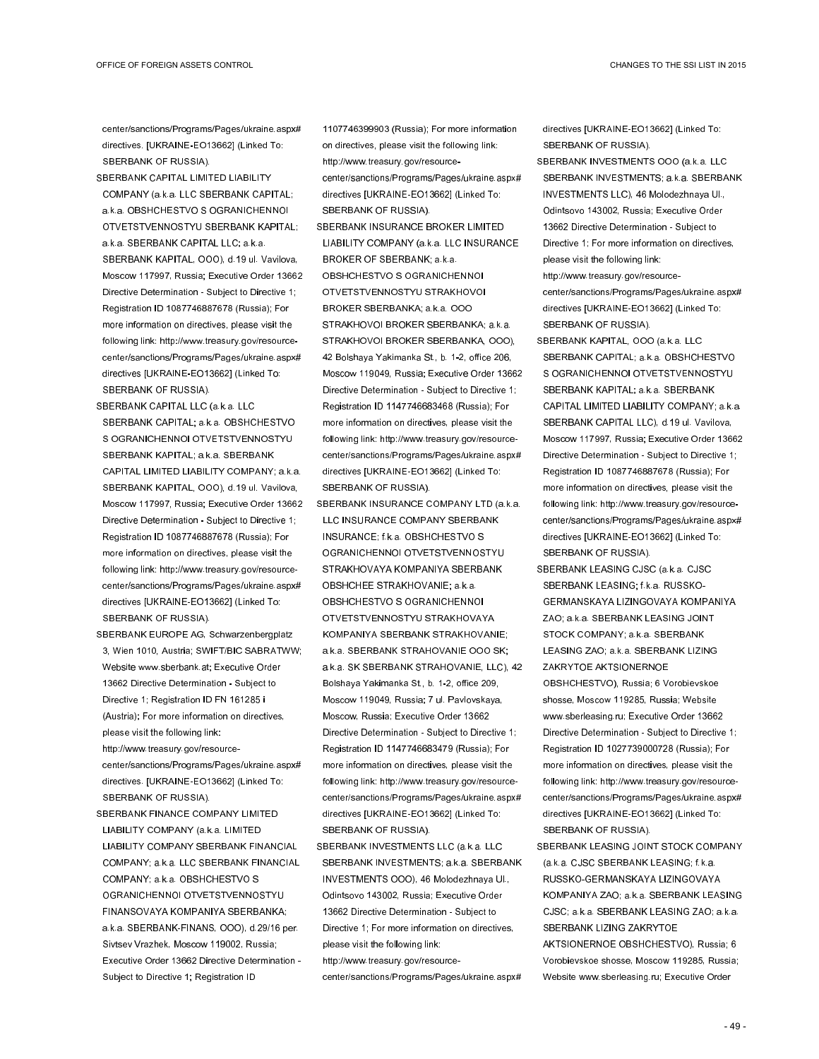center/sanctions/Programs/Pages/ukraine.aspx# directives. [UKRAINE-EO13662] (Linked To: SBERBANK OF RUSSIA).

- SBERBANK CAPITAL LIMITED LIABILITY COMPANY (a.k.a. LLC SBERBANK CAPITAL; a.k.a. OBSHCHESTVO S OGRANICHENNOI OTVETSTVENNOSTYU SBERBANK KAPITAL; a.k.a. SBERBANK CAPITAL LLC; a.k.a. SBERBANK KAPITAL, OOO), d.19 ul. Vavilova, Moscow 117997, Russia; Executive Order 13662 Directive Determination - Subject to Directive 1; Registration ID 1087746887678 (Russia); For more information on directives, please visit the following link: http://www.treasury.gov/resourcecenter/sanctions/Programs/Pages/ukraine.aspx# directives [UKRAINE-EO13662] (Linked To: SBERBANK OF RUSSIA).
- SBERBANK CAPITAL LLC (a.k.a. LLC SBERBANK CAPITAL; a.k.a. OBSHCHESTVO S OGRANICHENNOI OTVETSTVENNOSTYU SBERBANK KAPITAL; a.k.a. SBERBANK CAPITAL LIMITED LIABILITY COMPANY; a.k.a. SBERBANK KAPITAL, OOO), d.19 ul. Vavilova, Moscow 117997, Russia; Executive Order 13662 Directive Determination - Subject to Directive 1; Registration ID 1087746887678 (Russia); For more information on directives, please visit the following link: http://www.treasury.gov/resourcecenter/sanctions/Programs/Pages/ukraine.aspx# directives [UKRAINE-EO13662] (Linked To: SBERBANK OF RUSSIA).
- SBERBANK EUROPE AG, Schwarzenbergplatz 3, Wien 1010, Austria; SWIFT/BIC SABRATWW; Website www.sberbank.at; Executive Order 13662 Directive Determination - Subject to Directive 1; Registration ID FN 161285 i (Austria); For more information on directives, please visit the following link: http://www.treasury.gov/resourcecenter/sanctions/Programs/Pages/ukraine.aspx# directives. [UKRAINE-EO13662] (Linked To:

SBERBANK OF RUSSIA).

SBERBANK FINANCE COMPANY LIMITED LIABILITY COMPANY (a.k.a. LIMITED LIABILITY COMPANY SBERBANK FINANCIAL COMPANY; a.k.a. LLC SBERBANK FINANCIAL COMPANY; a.k.a. OBSHCHESTVO S OGRANICHENNOI OTVETSTVENNOSTYU FINANSOVAYA KOMPANIYA SBERBANKA; a.k.a. SBERBANK-FINANS, OOO), d.29/16 per. Sivtsev Vrazhek, Moscow 119002, Russia; Executive Order 13662 Directive Determination - Subject to Directive 1; Registration ID

1107746399903 (Russia); For more information on directives, please visit the following link: http://www.treasury.gov/resourcecenter/sanctions/Programs/Pages/ukraine.aspx# directives [UKRAINE-EO13662] (Linked To: SBERBANK OF RUSSIA).

- SBERBANK INSURANCE BROKER LIMITED LIABILITY COMPANY (a.k.a. LLC INSURANCE BROKER OF SBERBANK; a.k.a. OBSHCHESTVO S OGRANICHENNOI OTVETSTVENNOSTYU STRAKHOVOI BROKER SBERBANKA; a.k.a. OOO STRAKHOVOI BROKER SBERBANKA; a.k.a. STRAKHOVOI BROKER SBERBANKA, OOO), 42 Bolshaya Yakimanka St., b. 1-2, office 206, Moscow 119049, Russia; Executive Order 13662 Directive Determination - Subject to Directive 1; Registration ID 1147746683468 (Russia); For more information on directives, please visit the following link: http://www.treasury.gov/resourcecenter/sanctions/Programs/Pages/ukraine.aspx# directives [UKRAINE-EO13662] (Linked To: SBERBANK OF RUSSIA).
- SBERBANK INSURANCE COMPANY LTD (a.k.a. LLC INSURANCE COMPANY SBERBANK INSURANCE; f.k.a. OBSHCHESTVO S OGRANICHENNOI OTVETSTVENNOSTYU STRAKHOVAYA KOMPANIYA SBERBANK OBSHCHEE STRAKHOVANIE; a.k.a. OBSHCHESTVO S OGRANICHENNOI OTVETSTVENNOSTYU STRAKHOVAYA KOMPANIYA SBERBANK STRAKHOVANIE; a.k.a. SBERBANK STRAHOVANIE OOO SK; a.k.a. SK SBERBANK STRAHOVANIE, LLC), 42 Bolshaya Yakimanka St., b. 1-2, office 209, Moscow 119049, Russia; 7 ul. Pavlovskaya, Moscow, Russia; Executive Order 13662 Directive Determination - Subject to Directive 1; Registration ID 1147746683479 (Russia); For more information on directives, please visit the following link: http://www.treasury.gov/resourcecenter/sanctions/Programs/Pages/ukraine.aspx# directives [UKRAINE-EO13662] (Linked To: SBERBANK OF RUSSIA).
- SBERBANK INVESTMENTS LLC (a.k.a. LLC SBERBANK INVESTMENTS; a.k.a. SBERBANK INVESTMENTS OOO), 46 Molodezhnaya Ul., Odintsovo 143002, Russia; Executive Order 13662 Directive Determination - Subject to Directive 1; For more information on directives, please visit the following link: http://www.treasury.gov/resourcecenter/sanctions/Programs/Pages/ukraine.aspx#

directives [UKRAINE-EO13662] (Linked To: SBERBANK OF RUSSIA).

- SBERBANK INVESTMENTS OOO (a.k.a. LLC SBERBANK INVESTMENTS; a.k.a. SBERBANK INVESTMENTS LLC), 46 Molodezhnaya Ul., Odintsovo 143002, Russia; Executive Order 13662 Directive Determination - Subject to Directive 1; For more information on directives, please visit the following link: http://www.treasury.gov/resourcecenter/sanctions/Programs/Pages/ukraine.aspx# directives [UKRAINE-EO13662] (Linked To: SBERBANK OF RUSSIA).
- SBERBANK KAPITAL, OOO (a.k.a. LLC SBERBANK CAPITAL; a.k.a. OBSHCHESTVO S OGRANICHENNOI OTVETSTVENNOSTYU SBERBANK KAPITAL; a.k.a. SBERBANK CAPITAL LIMITED LIABILITY COMPANY; a.k.a. SBERBANK CAPITAL LLC), d.19 ul. Vavilova, Moscow 117997, Russia; Executive Order 13662 Directive Determination - Subject to Directive 1; Registration ID 1087746887678 (Russia); For more information on directives, please visit the following link: http://www.treasury.gov/resourcecenter/sanctions/Programs/Pages/ukraine.aspx# directives [UKRAINE-EO13662] (Linked To: SBERBANK OF RUSSIA).
- SBERBANK LEASING CJSC (a.k.a. CJSC SBERBANK LEASING; f.k.a. RUSSKO-GERMANSKAYA LIZINGOVAYA KOMPANIYA ZAO; a.k.a. SBERBANK LEASING JOINT STOCK COMPANY; a.k.a. SBERBANK LEASING ZAO; a.k.a. SBERBANK LIZING ZAKRYTOE AKTSIONERNOE OBSHCHESTVO), Russia; 6 Vorobievskoe shosse, Moscow 119285, Russia; Website www.sberleasing.ru; Executive Order 13662 Directive Determination - Subject to Directive 1; Registration ID 1027739000728 (Russia); For more information on directives, please visit the following link: http://www.treasury.gov/resourcecenter/sanctions/Programs/Pages/ukraine.aspx# directives [UKRAINE-EO13662] (Linked To: SBERBANK OF RUSSIA).
- SBERBANK LEASING JOINT STOCK COMPANY (a.k.a. CJSC SBERBANK LEASING; f.k.a. RUSSKO-GERMANSKAYA LIZINGOVAYA KOMPANIYA ZAO; a.k.a. SBERBANK LEASING CJSC; a.k.a. SBERBANK LEASING ZAO; a.k.a. SBERBANK LIZING ZAKRYTOE AKTSIONERNOE OBSHCHESTVO), Russia; 6 Vorobievskoe shosse, Moscow 119285, Russia; Website www.sberleasing.ru; Executive Order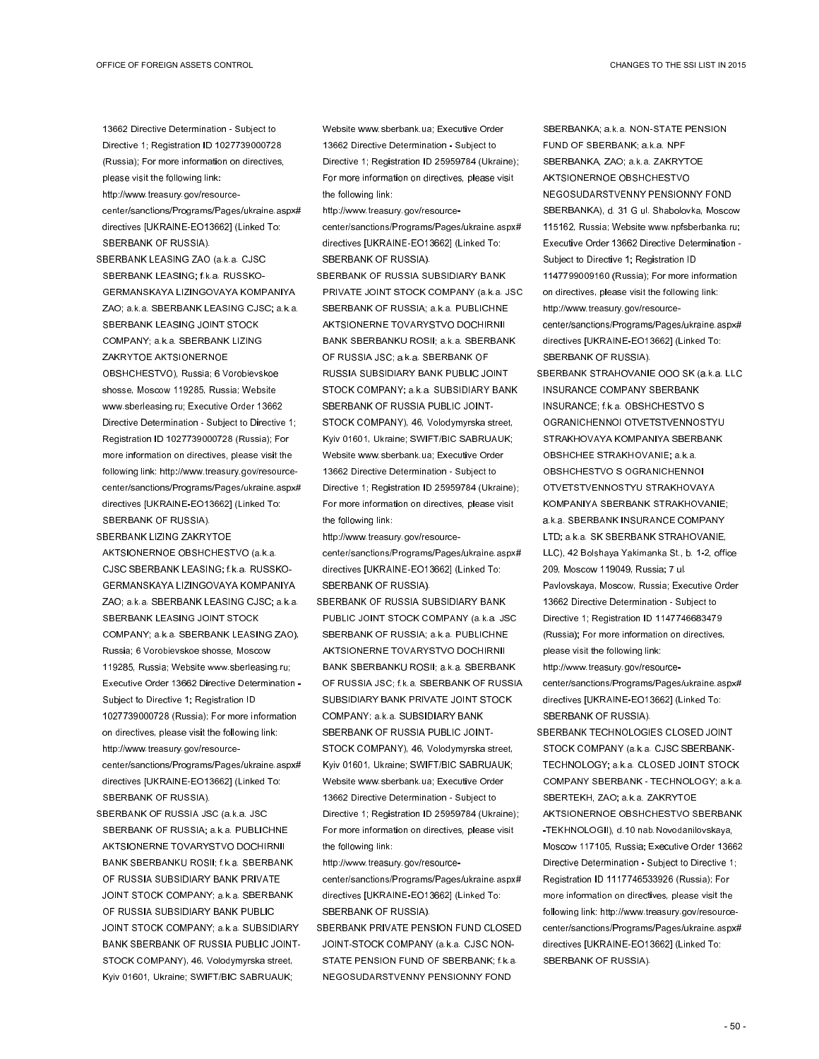13662 Directive Determination - Subject to Directive 1; Registration ID 1027739000728 (Russia); For more information on directives, please visit the following link:

- http://www.treasury.gov/resourcecenter/sanctions/Programs/Pages/ukraine.aspx# directives [UKRAINE-EO13662] (Linked To: SBERBANK OF RUSSIA).
- SBERBANK LEASING ZAO (a.k.a. CJSC SBERBANK LEASING; f.k.a. RUSSKO-GERMANSKAYA LIZINGOVAYA KOMPANIYA ZAO; a.k.a. SBERBANK LEASING CJSC; a.k.a. SBERBANK LEASING JOINT STOCK COMPANY; a.k.a. SBERBANK LIZING ZAKRYTOE AKTSIONERNOE OBSHCHESTVO), Russia; 6 Vorobievskoe shosse, Moscow 119285, Russia; Website www.sberleasing.ru; Executive Order 13662 Directive Determination - Subject to Directive 1; Registration ID 1027739000728 (Russia); For more information on directives, please visit the following link: http://www.treasury.gov/resourcecenter/sanctions/Programs/Pages/ukraine.aspx# directives [UKRAINE-EO13662] (Linked To: SBERBANK OF RUSSIA).
- SBERBANK LIZING ZAKRYTOE AKTSIONERNOE OBSHCHESTVO (a.k.a. CJSC SBERBANK LEASING; f.k.a. RUSSKO-GERMANSKAYA LIZINGOVAYA KOMPANIYA ZAO; a.k.a. SBERBANK LEASING CJSC; a.k.a. SBERBANK LEASING JOINT STOCK COMPANY; a.k.a. SBERBANK LEASING ZAO), Russia; 6 Vorobievskoe shosse, Moscow 119285, Russia; Website www.sberleasing.ru; Executive Order 13662 Directive Determination - Subject to Directive 1; Registration ID 1027739000728 (Russia); For more information on directives, please visit the following link: http://www.treasury.gov/resourcecenter/sanctions/Programs/Pages/ukraine.aspx# directives [UKRAINE-EO13662] (Linked To: SBERBANK OF RUSSIA).
- SBERBANK OF RUSSIA JSC (a.k.a. JSC SBERBANK OF RUSSIA; a.k.a. PUBLICHNE AKTSIONERNE TOVARYSTVO DOCHIRNII BANK SBERBANKU ROSII; f.k.a. SBERBANK OF RUSSIA SUBSIDIARY BANK PRIVATE JOINT STOCK COMPANY; a.k.a. SBERBANK OF RUSSIA SUBSIDIARY BANK PUBLIC JOINT STOCK COMPANY; a.k.a. SUBSIDIARY BANK SBERBANK OF RUSSIA PUBLIC JOINT-STOCK COMPANY), 46, Volodymyrska street, Kyiv 01601, Ukraine; SWIFT/BIC SABRUAUK;

Website www.sberbank.ua; Executive Order 13662 Directive Determination - Subject to Directive 1; Registration ID 25959784 (Ukraine); For more information on directives, please visit the following link:

http://www.treasury.gov/resourcecenter/sanctions/Programs/Pages/ukraine.aspx# directives [UKRAINE-EO13662] (Linked To: SBERBANK OF RUSSIA).

SBERBANK OF RUSSIA SUBSIDIARY BANK PRIVATE JOINT STOCK COMPANY (a.k.a. JSC SBERBANK OF RUSSIA; a.k.a. PUBLICHNE AKTSIONERNE TOVARYSTVO DOCHIRNII BANK SBERBANKU ROSII; a.k.a. SBERBANK OF RUSSIA JSC; a.k.a. SBERBANK OF RUSSIA SUBSIDIARY BANK PUBLIC JOINT STOCK COMPANY; a.k.a. SUBSIDIARY BANK SBERBANK OF RUSSIA PUBLIC JOINT-STOCK COMPANY), 46, Volodymyrska street, Kyiv 01601, Ukraine; SWIFT/BIC SABRUAUK; Website www.sberbank.ua; Executive Order 13662 Directive Determination - Subject to Directive 1; Registration ID 25959784 (Ukraine); For more information on directives, please visit the following link:

http://www.treasury.gov/resourcecenter/sanctions/Programs/Pages/ukraine.aspx# directives [UKRAINE-EO13662] (Linked To: SBERBANK OF RUSSIA).

- SBERBANK OF RUSSIA SUBSIDIARY BANK PUBLIC JOINT STOCK COMPANY (a.k.a. JSC SBERBANK OF RUSSIA; a.k.a. PUBLICHNE AKTSIONERNE TOVARYSTVO DOCHIRNII BANK SBERBANKU ROSII; a.k.a. SBERBANK OF RUSSIA JSC; f.k.a. SBERBANK OF RUSSIA SUBSIDIARY BANK PRIVATE JOINT STOCK COMPANY; a.k.a. SUBSIDIARY BANK SBERBANK OF RUSSIA PUBLIC JOINT-STOCK COMPANY), 46, Volodymyrska street, Kyiv 01601, Ukraine; SWIFT/BIC SABRUAUK; Website www.sberbank.ua; Executive Order 13662 Directive Determination - Subject to Directive 1; Registration ID 25959784 (Ukraine); For more information on directives, please visit the following link:
- http://www.treasury.gov/resourcecenter/sanctions/Programs/Pages/ukraine.aspx# directives [UKRAINE-EO13662] (Linked To: SBERBANK OF RUSSIA).
- SBERBANK PRIVATE PENSION FUND CLOSED JOINT-STOCK COMPANY (a.k.a. CJSC NON-STATE PENSION FUND OF SBERBANK; f.k.a. NEGOSUDARSTVENNY PENSIONNY FOND

SBERBANKA; a.k.a. NON-STATE PENSION FUND OF SBERBANK; a.k.a. NPF SBERBANKA, ZAO; a.k.a. ZAKRYTOE AKTSIONERNOE OBSHCHESTVO NEGOSUDARSTVENNY PENSIONNY FOND SBERBANKA), d. 31 G ul. Shabolovka, Moscow 115162, Russia; Website www.npfsberbanka.ru; Executive Order 13662 Directive Determination - Subject to Directive 1; Registration ID 1147799009160 (Russia); For more information on directives, please visit the following link: http://www.treasury.gov/resourcecenter/sanctions/Programs/Pages/ukraine.aspx# directives [UKRAINE-EO13662] (Linked To: SBERBANK OF RUSSIA).

SBERBANK STRAHOVANIE OOO SK (a.k.a. LLC INSURANCE COMPANY SBERBANK INSURANCE; f.k.a. OBSHCHESTVO S OGRANICHENNOI OTVETSTVENNOSTYU STRAKHOVAYA KOMPANIYA SBERBANK OBSHCHEE STRAKHOVANIE; a.k.a. OBSHCHESTVO S OGRANICHENNOI OTVETSTVENNOSTYU STRAKHOVAYA KOMPANIYA SBERBANK STRAKHOVANIE; a.k.a. SBERBANK INSURANCE COMPANY LTD; a.k.a. SK SBERBANK STRAHOVANIE, LLC), 42 Bolshaya Yakimanka St., b. 1-2, office 209, Moscow 119049, Russia; 7 ul. Pavlovskaya, Moscow, Russia; Executive Order 13662 Directive Determination - Subject to Directive 1; Registration ID 1147746683479 (Russia); For more information on directives, please visit the following link: http://www.treasury.gov/resourcecenter/sanctions/Programs/Pages/ukraine.aspx# directives [UKRAINE-EO13662] (Linked To: SBERBANK OF RUSSIA).

SBERBANK TECHNOLOGIES CLOSED JOINT STOCK COMPANY (a.k.a. CJSC SBERBANK-TECHNOLOGY; a.k.a. CLOSED JOINT STOCK COMPANY SBERBANK - TECHNOLOGY; a.k.a. SBERTEKH, ZAO; a.k.a. ZAKRYTOE AKTSIONERNOE OBSHCHESTVO SBERBANK -TEKHNOLOGII), d.10 nab.Novodanilovskaya, Moscow 117105, Russia; Executive Order 13662 Directive Determination - Subject to Directive 1; Registration ID 1117746533926 (Russia); For more information on directives, please visit the following link: http://www.treasury.gov/resourcecenter/sanctions/Programs/Pages/ukraine.aspx# directives [UKRAINE-EO13662] (Linked To: SBERBANK OF RUSSIA).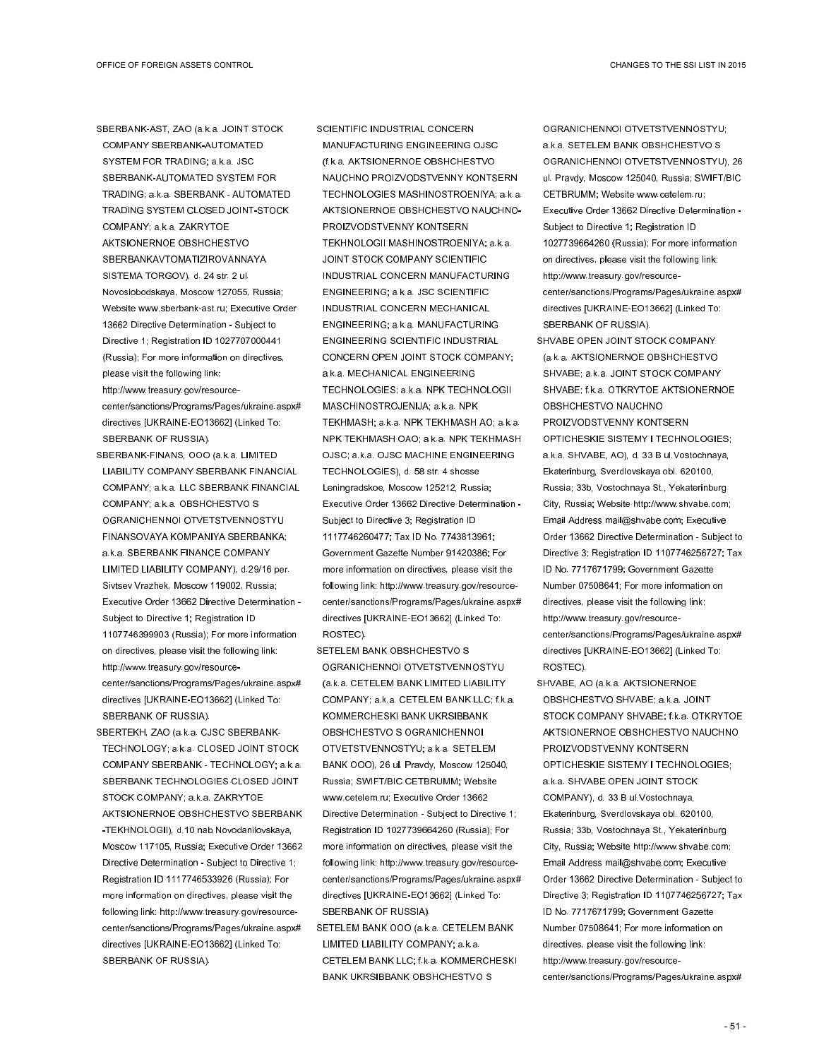SBERBANK-AST, ZAO (a.k.a. JOINT STOCK COMPANY SBERBANK-AUTOMATED SYSTEM FOR TRADING; a.k.a. JSC SBERBANK-AUTOMATED SYSTEM FOR TRADING; a.k.a. SBERBANK - AUTOMATED TRADING SYSTEM CLOSED JOINT-STOCK COMPANY; a.k.a. ZAKRYTOE AKTSIONERNOE OBSHCHESTVO SBERBANKAVTOMATIZIROVANNAYA SISTEMA TORGOV), d. 24 str. 2 ul. Novoslobodskaya, Moscow 127055, Russia; Website www.sberbank-ast.ru; Executive Order 13662 Directive Determination - Subject to Directive 1; Registration ID 1027707000441 (Russia); For more information on directives, please visit the following link: http://www.treasury.gov/resourcecenter/sanctions/Programs/Pages/ukraine.aspx# directives [UKRAINE-EO13662] (Linked To:

SBERBANK-FINANS, OOO (a.k.a. LIMITED LIABILITY COMPANY SBERBANK FINANCIAL COMPANY; a.k.a. LLC SBERBANK FINANCIAL COMPANY; a.k.a. OBSHCHESTVO S OGRANICHENNOI OTVETSTVENNOSTYU FINANSOVAYA KOMPANIYA SBERBANKA; a.k.a. SBERBANK FINANCE COMPANY LIMITED LIABILITY COMPANY), d.29/16 per. Sivtsev Vrazhek, Moscow 119002, Russia; Executive Order 13662 Directive Determination - Subject to Directive 1; Registration ID 1107746399903 (Russia); For more information on directives, please visit the following link: http://www.treasury.gov/resourcecenter/sanctions/Programs/Pages/ukraine.aspx# directives [UKRAINE-EO13662] (Linked To: SBERBANK OF RUSSIA).

SBERBANK OF RUSSIA).

SBERTEKH, ZAO (a.k.a. CJSC SBERBANK-TECHNOLOGY; a.k.a. CLOSED JOINT STOCK COMPANY SBERBANK - TECHNOLOGY; a.k.a. SBERBANK TECHNOLOGIES CLOSED JOINT STOCK COMPANY; a.k.a. ZAKRYTOE AKTSIONERNOE OBSHCHESTVO SBERBANK -TEKHNOLOGII), d.10 nab.Novodanilovskaya, Moscow 117105, Russia; Executive Order 13662 Directive Determination - Subject to Directive 1; Registration ID 1117746533926 (Russia); For more information on directives, please visit the following link: http://www.treasury.gov/resourcecenter/sanctions/Programs/Pages/ukraine.aspx# directives [UKRAINE-EO13662] (Linked To: SBERBANK OF RUSSIA).

SCIENTIFIC INDUSTRIAL CONCERN MANUFACTURING ENGINEERING OJSC (f.k.a. AKTSIONERNOE OBSHCHESTVO NAUCHNO PROIZVODSTVENNY KONTSERN TECHNOLOGIES MASHINOSTROENIYA; a.k.a. AKTSIONERNOE OBSHCHESTVO NAUCHNO-PROIZVODSTVENNY KONTSERN TEKHNOLOGII MASHINOSTROENIYA; a.k.a. JOINT STOCK COMPANY SCIENTIFIC INDUSTRIAL CONCERN MANUFACTURING ENGINEERING; a.k.a. JSC SCIENTIFIC INDUSTRIAL CONCERN MECHANICAL ENGINEERING; a.k.a. MANUFACTURING ENGINEERING SCIENTIFIC INDUSTRIAL CONCERN OPEN JOINT STOCK COMPANY; a.k.a. MECHANICAL ENGINEERING TECHNOLOGIES; a.k.a. NPK TECHNOLOGII MASCHINOSTROJENIJA; a.k.a. NPK TEKHMASH; a.k.a. NPK TEKHMASH AO; a.k.a. NPK TEKHMASH OAO; a.k.a. NPK TEKHMASH OJSC; a.k.a. OJSC MACHINE ENGINEERING TECHNOLOGIES), d. 58 str. 4 shosse Leningradskoe, Moscow 125212, Russia; Executive Order 13662 Directive Determination - Subject to Directive 3; Registration ID 1117746260477; Tax ID No. 7743813961; Government Gazette Number 91420386; For more information on directives, please visit the following link: http://www.treasury.gov/resourcecenter/sanctions/Programs/Pages/ukraine.aspx# directives [UKRAINE-EO13662] (Linked To: ROSTEC).

- SETELEM BANK OBSHCHESTVO S OGRANICHENNOI OTVETSTVENNOSTYU (a.k.a. CETELEM BANK LIMITED LIABILITY COMPANY; a.k.a. CETELEM BANK LLC; f.k.a. KOMMERCHESKI BANK UKRSIBBANK OBSHCHESTVO S OGRANICHENNOI OTVETSTVENNOSTYU; a.k.a. SETELEM BANK OOO), 26 ul. Pravdy, Moscow 125040, Russia; SWIFT/BIC CETBRUMM; Website www.cetelem.ru; Executive Order 13662 Directive Determination - Subject to Directive 1; Registration ID 1027739664260 (Russia); For more information on directives, please visit the following link: http://www.treasury.gov/resourcecenter/sanctions/Programs/Pages/ukraine.aspx# directives [UKRAINE-EO13662] (Linked To: SBERBANK OF RUSSIA).
- SETELEM BANK OOO (a.k.a. CETELEM BANK LIMITED LIABILITY COMPANY; a.k.a. CETELEM BANK LLC; f.k.a. KOMMERCHESKI BANK UKRSIBBANK OBSHCHESTVO S

OGRANICHENNOI OTVETSTVENNOSTYU; a.k.a. SETELEM BANK OBSHCHESTVO S OGRANICHENNOI OTVETSTVENNOSTYU), 26 ul. Pravdy, Moscow 125040, Russia; SWIFT/BIC CETBRUMM; Website www.cetelem.ru; Executive Order 13662 Directive Determination - Subject to Directive 1; Registration ID 1027739664260 (Russia); For more information on directives, please visit the following link: http://www.treasury.gov/resourcecenter/sanctions/Programs/Pages/ukraine.aspx# directives [UKRAINE-EO13662] (Linked To: SBERBANK OF RUSSIA).

- SHVABE OPEN JOINT STOCK COMPANY (a.k.a. AKTSIONERNOE OBSHCHESTVO SHVABE; a.k.a. JOINT STOCK COMPANY SHVABE; f.k.a. OTKRYTOE AKTSIONERNOE OBSHCHESTVO NAUCHNO PROIZVODSTVENNY KONTSERN OPTICHESKIE SISTEMY I TECHNOLOGIES; a.k.a. SHVABE, AO), d. 33 B ul.Vostochnaya, Ekaterinburg, Sverdlovskaya obl. 620100, Russia; 33b, Vostochnaya St., Yekaterinburg City, Russia; Website http://www.shvabe.com; Email Address mail@shvabe.com; Executive Order 13662 Directive Determination - Subject to Directive 3; Registration ID 1107746256727; Tax ID No. 7717671799; Government Gazette Number 07508641; For more information on directives, please visit the following link: http://www.treasury.gov/resourcecenter/sanctions/Programs/Pages/ukraine.aspx# directives [UKRAINE-EO13662] (Linked To: ROSTEC).
- SHVABE, AO (a.k.a. AKTSIONERNOE OBSHCHESTVO SHVABE; a.k.a. JOINT STOCK COMPANY SHVABE; f.k.a. OTKRYTOE AKTSIONERNOE OBSHCHESTVO NAUCHNO PROIZVODSTVENNY KONTSERN OPTICHESKIE SISTEMY I TECHNOLOGIES; a.k.a. SHVABE OPEN JOINT STOCK COMPANY), d. 33 B ul.Vostochnaya, Ekaterinburg, Sverdlovskaya obl. 620100, Russia; 33b, Vostochnaya St., Yekaterinburg City, Russia; Website http://www.shvabe.com; Email Address mail@shvabe.com; Executive Order 13662 Directive Determination - Subject to Directive 3; Registration ID 1107746256727; Tax ID No. 7717671799; Government Gazette Number 07508641; For more information on directives, please visit the following link: http://www.treasury.gov/resourcecenter/sanctions/Programs/Pages/ukraine.aspx#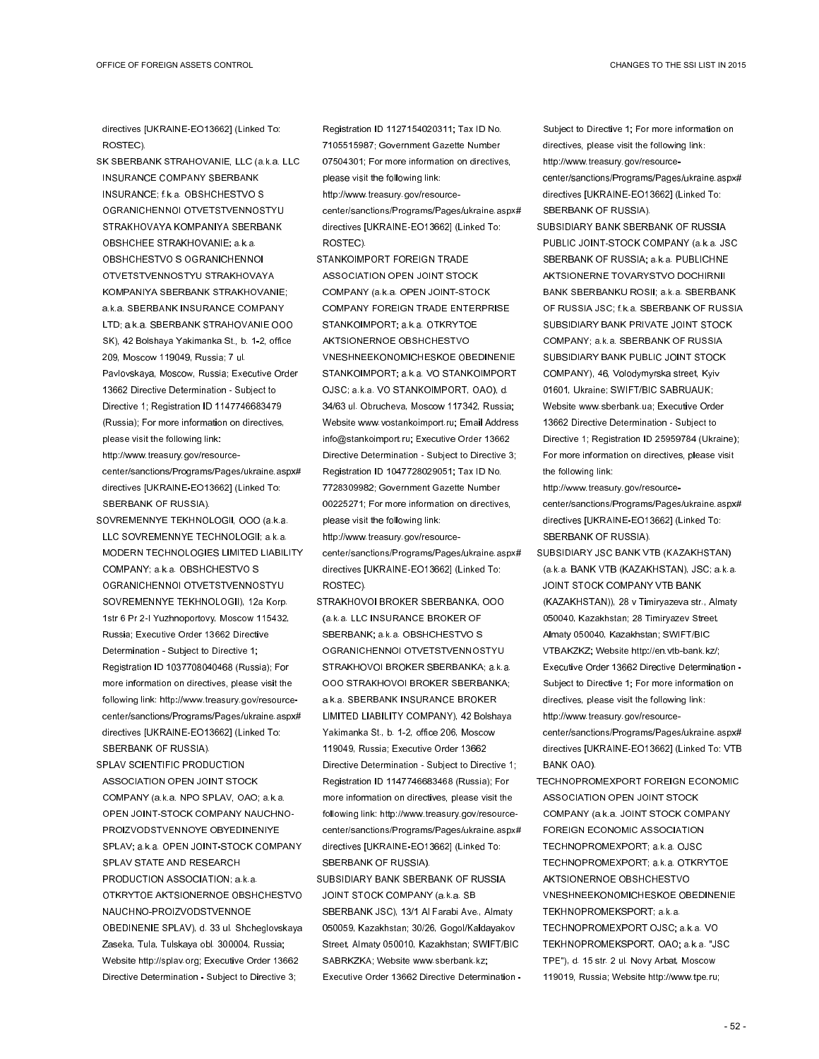directives [UKRAINE-EO13662] (Linked To: ROSTEC).

- SK SBERBANK STRAHOVANIE, LLC (a.k.a. LLC INSURANCE COMPANY SBERBANK INSURANCE; f.k.a. OBSHCHESTVO S OGRANICHENNOI OTVETSTVENNOSTYU STRAKHOVAYA KOMPANIYA SBERBANK OBSHCHEE STRAKHOVANIE; a.k.a. OBSHCHESTVO S OGRANICHENNOI OTVETSTVENNOSTYU STRAKHOVAYA KOMPANIYA SBERBANK STRAKHOVANIE; a.k.a. SBERBANK INSURANCE COMPANY LTD; a.k.a. SBERBANK STRAHOVANIE OOO SK), 42 Bolshaya Yakimanka St., b. 1-2, office 209, Moscow 119049, Russia; 7 ul. Pavlovskaya, Moscow, Russia; Executive Order 13662 Directive Determination - Subject to Directive 1; Registration ID 1147746683479 (Russia); For more information on directives, please visit the following link: http://www.treasury.gov/resourcecenter/sanctions/Programs/Pages/ukraine.aspx# directives [UKRAINE-EO13662] (Linked To:
- SBERBANK OF RUSSIA).
- SOVREMENNYE TEKHNOLOGII, OOO (a.k.a. LLC SOVREMENNYE TECHNOLOGII; a.k.a. MODERN TECHNOLOGIES LIMITED LIABILITY COMPANY; a.k.a. OBSHCHESTVO S OGRANICHENNOI OTVETSTVENNOSTYU SOVREMENNYE TEKHNOLOGII), 12a Korp. 1str 6 Pr 2-I Yuzhnoportovy, Moscow 115432, Russia; Executive Order 13662 Directive Determination - Subject to Directive 1; Registration ID 1037708040468 (Russia); For more information on directives, please visit the following link: http://www.treasury.gov/resourcecenter/sanctions/Programs/Pages/ukraine.aspx# directives [UKRAINE-EO13662] (Linked To: SBERBANK OF RUSSIA).
- SPLAV SCIENTIFIC PRODUCTION ASSOCIATION OPEN JOINT STOCK COMPANY (a.k.a. NPO SPLAV, OAO; a.k.a. OPEN JOINT-STOCK COMPANY NAUCHNO-PROIZVODSTVENNOYE OBYEDINENIYE SPLAV; a.k.a. OPEN JOINT-STOCK COMPANY SPLAV STATE AND RESEARCH PRODUCTION ASSOCIATION; a.k.a. OTKRYTOE AKTSIONERNOE OBSHCHESTVO NAUCHNO-PROIZVODSTVENNOE OBEDINENIE SPLAV), d. 33 ul. Shcheglovskaya Zaseka, Tula, Tulskaya obl. 300004, Russia; Website http://splav.org; Executive Order 13662 Directive Determination - Subject to Directive 3;

Registration ID 1127154020311; Tax ID No. 7105515987; Government Gazette Number 07504301; For more information on directives, please visit the following link: http://www.treasury.gov/resourcecenter/sanctions/Programs/Pages/ukraine.aspx# directives [UKRAINE-EO13662] (Linked To: ROSTEC).

- STANKOIMPORT FOREIGN TRADE ASSOCIATION OPEN JOINT STOCK COMPANY (a.k.a. OPEN JOINT-STOCK COMPANY FOREIGN TRADE ENTERPRISE STANKOIMPORT; a.k.a. OTKRYTOE AKTSIONERNOE OBSHCHESTVO VNESHNEEKONOMICHESKOE OBEDINENIE STANKOIMPORT; a.k.a. VO STANKOIMPORT OJSC; a.k.a. VO STANKOIMPORT, OAO), d. 34/63 ul. Obrucheva, Moscow 117342, Russia; Website www.vostankoimport.ru; Email Address info@stankoimport.ru; Executive Order 13662 Directive Determination - Subject to Directive 3; Registration ID 1047728029051; Tax ID No. 7728309982; Government Gazette Number 00225271; For more information on directives, please visit the following link:
- http://www.treasury.gov/resourcecenter/sanctions/Programs/Pages/ukraine.aspx# directives [UKRAINE-EO13662] (Linked To: ROSTEC).
- STRAKHOVOI BROKER SBERBANKA, OOO (a.k.a. LLC INSURANCE BROKER OF SBERBANK; a.k.a. OBSHCHESTVO S OGRANICHENNOI OTVETSTVENNOSTYU STRAKHOVOI BROKER SBERBANKA; a.k.a. OOO STRAKHOVOI BROKER SBERBANKA; a.k.a. SBERBANK INSURANCE BROKER LIMITED LIABILITY COMPANY), 42 Bolshaya Yakimanka St., b. 1-2, office 206, Moscow 119049, Russia; Executive Order 13662 Directive Determination - Subject to Directive 1; Registration ID 1147746683468 (Russia); For more information on directives, please visit the following link: http://www.treasury.gov/resourcecenter/sanctions/Programs/Pages/ukraine.aspx# directives [UKRAINE-EO13662] (Linked To: SBERBANK OF RUSSIA).
- SUBSIDIARY BANK SBERBANK OF RUSSIA JOINT STOCK COMPANY (a.k.a. SB SBERBANK JSC), 13/1 Al Farabi Ave., Almaty 050059, Kazakhstan; 30/26, Gogol/Kaldayakov Street, Almaty 050010, Kazakhstan; SWIFT/BIC SABRKZKA; Website www.sberbank.kz; Executive Order 13662 Directive Determination -

Subject to Directive 1; For more information on directives, please visit the following link: http://www.treasury.gov/resourcecenter/sanctions/Programs/Pages/ukraine.aspx# directives [UKRAINE-EO13662] (Linked To: SBERBANK OF RUSSIA).

SUBSIDIARY BANK SBERBANK OF RUSSIA PUBLIC JOINT-STOCK COMPANY (a.k.a. JSC SBERBANK OF RUSSIA; a.k.a. PUBLICHNE AKTSIONERNE TOVARYSTVO DOCHIRNII BANK SBERBANKU ROSII; a.k.a. SBERBANK OF RUSSIA JSC; f.k.a. SBERBANK OF RUSSIA SUBSIDIARY BANK PRIVATE JOINT STOCK COMPANY; a.k.a. SBERBANK OF RUSSIA SUBSIDIARY BANK PUBLIC JOINT STOCK COMPANY), 46, Volodymyrska street, Kyiv 01601, Ukraine; SWIFT/BIC SABRUAUK; Website www.sberbank.ua; Executive Order 13662 Directive Determination - Subject to Directive 1; Registration ID 25959784 (Ukraine); For more information on directives, please visit the following link:

http://www.treasury.gov/resourcecenter/sanctions/Programs/Pages/ukraine.aspx# directives [UKRAINE-EO13662] (Linked To: SBERBANK OF RUSSIA).

- SUBSIDIARY JSC BANK VTB (KAZAKHSTAN) (a.k.a. BANK VTB (KAZAKHSTAN), JSC; a.k.a. JOINT STOCK COMPANY VTB BANK (KAZAKHSTAN)), 28 v Timiryazeva str., Almaty 050040, Kazakhstan; 28 Timiryazev Street, Almaty 050040, Kazakhstan; SWIFT/BIC VTBAKZKZ; Website http://en.vtb-bank.kz/; Executive Order 13662 Directive Determination - Subject to Directive 1; For more information on directives, please visit the following link: http://www.treasury.gov/resourcecenter/sanctions/Programs/Pages/ukraine.aspx# directives [UKRAINE-EO13662] (Linked To: VTB BANK OAO).
- TECHNOPROMEXPORT FOREIGN ECONOMIC ASSOCIATION OPEN JOINT STOCK COMPANY (a.k.a. JOINT STOCK COMPANY FOREIGN ECONOMIC ASSOCIATION TECHNOPROMEXPORT; a.k.a. OJSC TECHNOPROMEXPORT; a.k.a. OTKRYTOE AKTSIONERNOE OBSHCHESTVO VNESHNEEKONOMICHESKOE OBEDINENIE TEKHNOPROMEKSPORT; a.k.a. TECHNOPROMEXPORT OJSC; a.k.a. VO TEKHNOPROMEKSPORT, OAO; a.k.a. "JSC TPE"), d. 15 str. 2 ul. Novy Arbat, Moscow 119019, Russia; Website http://www.tpe.ru;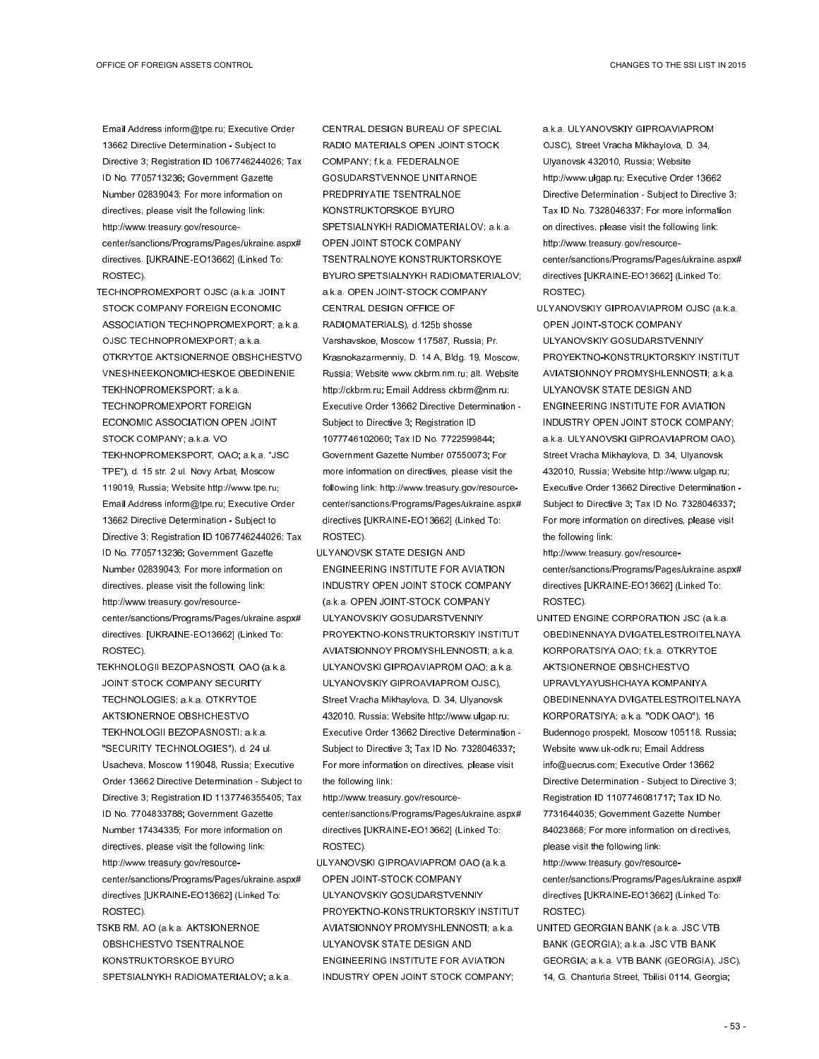Email Address inform@tpe.ru; Executive Order 13662 Directive Determination - Subject to Directive 3; Registration ID 1067746244026; Tax ID No. 7705713236; Government Gazette Number 02839043; For more information on directives, please visit the following link: http://www.treasury.gov/resourcecenter/sanctions/Programs/Pages/ukraine.aspx# directives. [UKRAINE-EO13662] (Linked To: ROSTEC).

- TECHNOPROMEXPORT OJSC (a.k.a. JOINT STOCK COMPANY FOREIGN ECONOMIC ASSOCIATION TECHNOPROMEXPORT; a.k.a. OJSC TECHNOPROMEXPORT; a.k.a. OTKRYTOE AKTSIONERNOE OBSHCHESTVO VNESHNEEKONOMICHESKOE OBEDINENIE TEKHNOPROMEKSPORT; a.k.a. TECHNOPROMEXPORT FOREIGN ECONOMIC ASSOCIATION OPEN JOINT STOCK COMPANY; a.k.a. VO TEKHNOPROMEKSPORT, OAO; a.k.a. "JSC TPE"), d. 15 str. 2 ul. Novy Arbat, Moscow 119019, Russia; Website http://www.tpe.ru; Email Address inform@tpe.ru; Executive Order 13662 Directive Determination - Subject to Directive 3; Registration ID 1067746244026; Tax ID No. 7705713236; Government Gazette Number 02839043; For more information on directives, please visit the following link: http://www.treasury.gov/resourcecenter/sanctions/Programs/Pages/ukraine.aspx# directives. [UKRAINE-EO13662] (Linked To:
- TEKHNOLOGII BEZOPASNOSTI, OAO (a.k.a. JOINT STOCK COMPANY SECURITY TECHNOLOGIES; a.k.a. OTKRYTOE AKTSIONERNOE OBSHCHESTVO TEKHNOLOGII BEZOPASNOSTI; a.k.a. "SECURITY TECHNOLOGIES"), d. 24 ul. Usacheva, Moscow 119048, Russia; Executive Order 13662 Directive Determination - Subject to Directive 3; Registration ID 1137746355405; Tax ID No. 7704833788; Government Gazette Number 17434335; For more information on directives, please visit the following link: http://www.treasury.gov/resourcecenter/sanctions/Programs/Pages/ukraine.aspx# directives [UKRAINE-EO13662] (Linked To: ROSTEC).

ROSTEC).

TSKB RM, AO (a.k.a. AKTSIONERNOE OBSHCHESTVO TSENTRALNOE KONSTRUKTORSKOE BYURO SPETSIALNYKH RADIOMATERIALOV; a.k.a. CENTRAL DESIGN BUREAU OF SPECIAL RADIO MATERIALS OPEN JOINT STOCK COMPANY; f.k.a. FEDERALNOE GOSUDARSTVENNOE UNITARNOE PREDPRIYATIE TSENTRALNOE KONSTRUKTORSKOE BYURO SPETSIALNYKH RADIOMATERIALOV; a.k.a. OPEN JOINT STOCK COMPANY TSENTRALNOYE KONSTRUKTORSKOYE BYURO SPETSIALNYKH RADIOMATERIALOV; a.k.a. OPEN JOINT-STOCK COMPANY CENTRAL DESIGN OFFICE OF RADIOMATERIALS), d.125b shosse Varshavskoe, Moscow 117587, Russia; Pr. Krasnokazarmenniy, D. 14 A, Bldg. 19, Moscow, Russia; Website www.ckbrm.nm.ru; alt. Website http://ckbrm.ru; Email Address ckbrm@nm.ru; Executive Order 13662 Directive Determination - Subject to Directive 3; Registration ID 1077746102060; Tax ID No. 7722599844; Government Gazette Number 07550073; For more information on directives, please visit the following link: http://www.treasury.gov/resourcecenter/sanctions/Programs/Pages/ukraine.aspx# directives [UKRAINE-EO13662] (Linked To: ROSTEC).

ULYANOVSK STATE DESIGN AND ENGINEERING INSTITUTE FOR AVIATION INDUSTRY OPEN JOINT STOCK COMPANY (a.k.a. OPEN JOINT-STOCK COMPANY ULYANOVSKIY GOSUDARSTVENNIY PROYEKTNO-KONSTRUKTORSKIY INSTITUT AVIATSIONNOY PROMYSHLENNOSTI; a.k.a. ULYANOVSKI GIPROAVIAPROM OAO; a.k.a. ULYANOVSKIY GIPROAVIAPROM OJSC), Street Vracha Mikhaylova, D. 34, Ulyanovsk 432010, Russia; Website http://www.ulgap.ru; Executive Order 13662 Directive Determination - Subject to Directive 3; Tax ID No. 7328046337; For more information on directives, please visit the following link:

http://www.treasury.gov/resourcecenter/sanctions/Programs/Pages/ukraine.aspx# directives [UKRAINE-EO13662] (Linked To: ROSTEC).

ULYANOVSKI GIPROAVIAPROM OAO (a.k.a. OPEN JOINT-STOCK COMPANY ULYANOVSKIY GOSUDARSTVENNIY PROYEKTNO-KONSTRUKTORSKIY INSTITUT AVIATSIONNOY PROMYSHLENNOSTI; a.k.a. ULYANOVSK STATE DESIGN AND ENGINEERING INSTITUTE FOR AVIATION INDUSTRY OPEN JOINT STOCK COMPANY;

a.k.a. ULYANOVSKIY GIPROAVIAPROM OJSC), Street Vracha Mikhaylova, D. 34, Ulyanovsk 432010, Russia; Website http://www.ulgap.ru; Executive Order 13662 Directive Determination - Subject to Directive 3; Tax ID No. 7328046337. For more information on directives, please visit the following link: http://www.treasury.gov/resourcecenter/sanctions/Programs/Pages/ukraine.aspx# directives [UKRAINE-EO13662] (Linked To: ROSTEC).

ULYANOVSKIY GIPROAVIAPROM OJSC (a.k.a. OPEN JOINT-STOCK COMPANY ULYANOVSKIY GOSUDARSTVENNIY PROYEKTNO-KONSTRUKTORSKIY INSTITUT AVIATSIONNOY PROMYSHLENNOSTI; a.k.a. ULYANOVSK STATE DESIGN AND ENGINEERING INSTITUTE FOR AVIATION INDUSTRY OPEN JOINT STOCK COMPANY; a.k.a. ULYANOVSKI GIPROAVIAPROM OAO), Street Vracha Mikhaylova, D. 34, Ulyanovsk 432010, Russia; Website http://www.ulgap.ru; Executive Order 13662 Directive Determination - Subject to Directive 3; Tax ID No. 7328046337; For more information on directives, please visit the following link:

http://www.treasury.gov/resource-

center/sanctions/Programs/Pages/ukraine.aspx# directives [UKRAINE-EO13662] (Linked To: ROSTEC).

UNITED ENGINE CORPORATION JSC (a.k.a. OBEDINENNAYA DVIGATELESTROITELNAYA KORPORATSIYA OAO; f.k.a. OTKRYTOE AKTSIONERNOE OBSHCHESTVO UPRAVLYAYUSHCHAYA KOMPANIYA OBEDINENNAYA DVIGATELESTROITELNAYA KORPORATSIYA; a.k.a. "ODK OAO"), 16 Budennogo prospekt, Moscow 105118, Russia; Website www.uk-odk.ru; Email Address info@uecrus.com; Executive Order 13662 Directive Determination - Subject to Directive 3; Registration ID 1107746081717; Tax ID No. 7731644035; Government Gazette Number 84023868; For more information on directives, please visit the following link: http://www.treasury.gov/resource-

center/sanctions/Programs/Pages/ukraine.aspx# directives [UKRAINE-EO13662] (Linked To: ROSTEC).

UNITED GEORGIAN BANK (a.k.a. JSC VTB BANK (GEORGIA); a.k.a. JSC VTB BANK GEORGIA; a.k.a. VTB BANK (GEORGIA), JSC), 14, G. Chanturia Street, Tbilisi 0114, Georgia;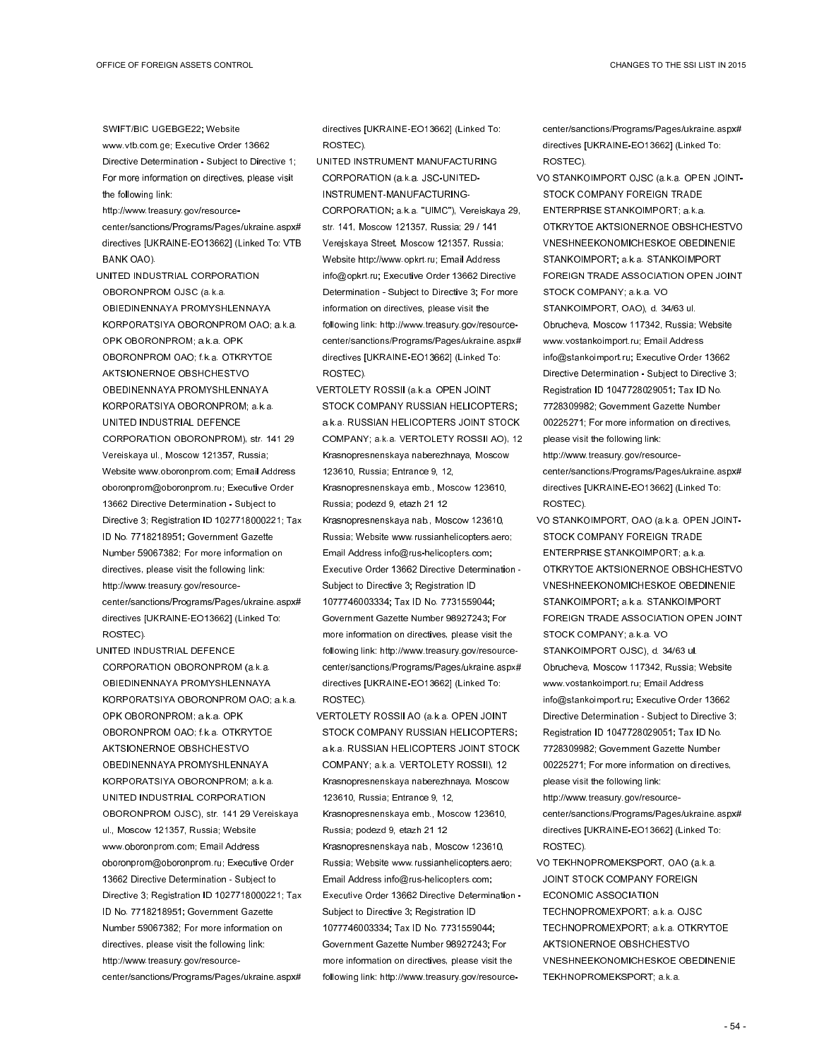- SWIFT/BIC UGEBGE22; Website www.vtb.com.ge; Executive Order 13662 Directive Determination - Subject to Directive 1; For more information on directives, please visit
- the following link: http://www.treasury.gov/resourcecenter/sanctions/Programs/Pages/ukraine.aspx#
- directives [UKRAINE-EO13662] (Linked To: VTB BANK OAO).
- UNITED INDUSTRIAL CORPORATION OBORONPROM OJSC (a.k.a. OBIEDINENNAYA PROMYSHLENNAYA KORPORATSIYA OBORONPROM OAO; a.k.a. OPK OBORONPROM; a.k.a. OPK OBORONPROM OAO; f.k.a. OTKRYTOE AKTSIONERNOE OBSHCHESTVO OBEDINENNAYA PROMYSHLENNAYA KORPORATSIYA OBORONPROM; a.k.a. UNITED INDUSTRIAL DEFENCE CORPORATION OBORONPROM), str. 141 29 Vereiskaya ul., Moscow 121357, Russia; Website www.oboronprom.com; Email Address oboronprom@oboronprom.ru; Executive Order 13662 Directive Determination - Subject to Directive 3; Registration ID 1027718000221; Tax ID No. 7718218951; Government Gazette Number 59067382; For more information on directives, please visit the following link: http://www.treasury.gov/resourcecenter/sanctions/Programs/Pages/ukraine.aspx# directives [UKRAINE-EO13662] (Linked To: ROSTEC).
- UNITED INDUSTRIAL DEFENCE CORPORATION OBORONPROM (a.k.a. OBIEDINENNAYA PROMYSHLENNAYA KORPORATSIYA OBORONPROM OAO; a.k.a. OPK OBORONPROM; a.k.a. OPK OBORONPROM OAO; f.k.a. OTKRYTOE AKTSIONERNOE OBSHCHESTVO OBEDINENNAYA PROMYSHLENNAYA KORPORATSIYA OBORONPROM; a.k.a. UNITED INDUSTRIAL CORPORATION OBORONPROM OJSC), str. 141 29 Vereiskaya ul., Moscow 121357, Russia; Website www.oboronprom.com; Email Address oboronprom@oboronprom.ru; Executive Order 13662 Directive Determination - Subject to Directive 3; Registration ID 1027718000221; Tax ID No. 7718218951; Government Gazette Number 59067382; For more information on directives, please visit the following link: http://www.treasury.gov/resourcecenter/sanctions/Programs/Pages/ukraine.aspx#

directives [UKRAINE-EO13662] (Linked To: ROSTEC).

- UNITED INSTRUMENT MANUFACTURING CORPORATION (a.k.a. JSC-UNITED-INSTRUMENT-MANUFACTURING-CORPORATION; a.k.a. "UIMC"), Vereiskaya 29, str. 141, Moscow 121357, Russia; 29 / 141 Verejskaya Street, Moscow 121357, Russia; Website http://www.opkrt.ru; Email Address info@opkrt.ru; Executive Order 13662 Directive Determination - Subject to Directive 3; For more information on directives, please visit the following link: http://www.treasury.gov/resourcecenter/sanctions/Programs/Pages/ukraine.aspx# directives [UKRAINE-EO13662] (Linked To: ROSTEC).
- VERTOLETY ROSSII (a.k.a. OPEN JOINT STOCK COMPANY RUSSIAN HELICOPTERS; a.k.a. RUSSIAN HELICOPTERS JOINT STOCK COMPANY; a.k.a. VERTOLETY ROSSII AO), 12 Krasnopresnenskaya naberezhnaya, Moscow 123610, Russia; Entrance 9, 12, Krasnopresnenskaya emb., Moscow 123610, Russia; podezd 9, etazh 21 12 Krasnopresnenskaya nab., Moscow 123610, Russia; Website www.russianhelicopters.aero; Email Address info@rus-helicopters.com; Executive Order 13662 Directive Determination - Subject to Directive 3; Registration ID 1077746003334; Tax ID No. 7731559044; Government Gazette Number 98927243; For more information on directives, please visit the following link: http://www.treasury.gov/resourcecenter/sanctions/Programs/Pages/ukraine.aspx# directives [UKRAINE-EO13662] (Linked To: ROSTEC).
- VERTOLETY ROSSII AO (a.k.a. OPEN JOINT STOCK COMPANY RUSSIAN HELICOPTERS: a.k.a. RUSSIAN HELICOPTERS JOINT STOCK COMPANY; a.k.a. VERTOLETY ROSSII), 12 Krasnopresnenskaya naberezhnaya, Moscow 123610, Russia; Entrance 9, 12, Krasnopresnenskaya emb., Moscow 123610, Russia; podezd 9, etazh 21 12 Krasnopresnenskaya nab., Moscow 123610, Russia; Website www.russianhelicopters.aero; Email Address info@rus-helicopters.com; Executive Order 13662 Directive Determination - Subject to Directive 3; Registration ID 1077746003334; Tax ID No. 7731559044; Government Gazette Number 98927243; For more information on directives, please visit the following link: http://www.treasury.gov/resource-

center/sanctions/Programs/Pages/ukraine.aspx# directives [UKRAINE-EO13662] (Linked To: ROSTEC).

- VO STANKOIMPORT OJSC (a.k.a. OPEN JOINT-STOCK COMPANY FOREIGN TRADE ENTERPRISE STANKOIMPORT; a.k.a. OTKRYTOE AKTSIONERNOE OBSHCHESTVO VNESHNEEKONOMICHESKOE OBEDINENIE STANKOIMPORT; a.k.a. STANKOIMPORT FOREIGN TRADE ASSOCIATION OPEN JOINT STOCK COMPANY; a.k.a. VO STANKOIMPORT, OAO), d. 34/63 ul. Obrucheva, Moscow 117342, Russia; Website www.vostankoimport.ru; Email Address info@stankoimport.ru; Executive Order 13662 Directive Determination - Subject to Directive 3; Registration ID 1047728029051; Tax ID No. 7728309982; Government Gazette Number 00225271; For more information on directives, please visit the following link:
- http://www.treasury.gov/resourcecenter/sanctions/Programs/Pages/ukraine.aspx# directives [UKRAINE-EO13662] (Linked To: ROSTEC).
- VO STANKOIMPORT, OAO (a.k.a. OPEN JOINT-STOCK COMPANY FOREIGN TRADE ENTERPRISE STANKOIMPORT; a.k.a. OTKRYTOE AKTSIONERNOE OBSHCHESTVO VNESHNEEKONOMICHESKOE OBEDINENIE STANKOIMPORT; a.k.a. STANKOIMPORT FOREIGN TRADE ASSOCIATION OPEN JOINT STOCK COMPANY; a.k.a. VO STANKOIMPORT OJSC), d. 34/63 ul. Obrucheva, Moscow 117342, Russia; Website www.vostankoimport.ru; Email Address info@stankoimport.ru; Executive Order 13662 Directive Determination - Subject to Directive 3; Registration ID 1047728029051; Tax ID No. 7728309982; Government Gazette Number 00225271; For more information on directives, please visit the following link: http://www.treasury.gov/resource-
- center/sanctions/Programs/Pages/ukraine.aspx# directives [UKRAINE-EO13662] (Linked To: ROSTEC).
- VO TEKHNOPROMEKSPORT, OAO (a.k.a. JOINT STOCK COMPANY FOREIGN ECONOMIC ASSOCIATION TECHNOPROMEXPORT; a.k.a. OJSC TECHNOPROMEXPORT; a.k.a. OTKRYTOE AKTSIONERNOE OBSHCHESTVO VNESHNEEKONOMICHESKOE OBEDINENIE TEKHNOPROMEKSPORT; a.k.a.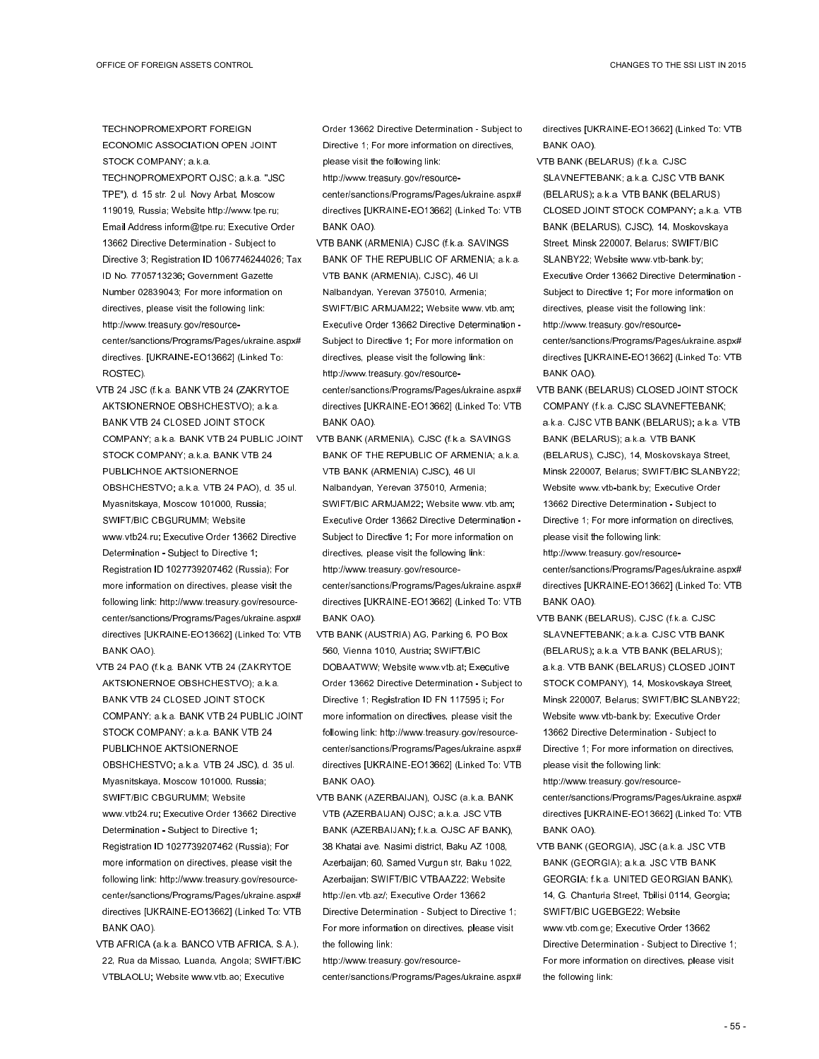TECHNOPROMEXPORT FOREIGN ECONOMIC ASSOCIATION OPEN JOINT STOCK COMPANY; a.k.a.

- TECHNOPROMEXPORT OJSC; a.k.a. "JSC TPE"), d. 15 str. 2 ul. Novy Arbat, Moscow 119019, Russia; Website http://www.tpe.ru; Email Address inform@tpe.ru; Executive Order 13662 Directive Determination - Subject to Directive 3; Registration ID 1067746244026; Tax ID No. 7705713236; Government Gazette Number 02839043; For more information on directives, please visit the following link: http://www.treasury.gov/resourcecenter/sanctions/Programs/Pages/ukraine.aspx# directives. [UKRAINE-EO13662] (Linked To: ROSTEC).
- VTB 24 JSC (f.k.a. BANK VTB 24 (ZAKRYTOE AKTSIONERNOE OBSHCHESTVO); a.k.a. BANK VTB 24 CLOSED JOINT STOCK COMPANY; a.k.a. BANK VTB 24 PUBLIC JOINT STOCK COMPANY; a.k.a. BANK VTB 24 PUBLICHNOE AKTSIONERNOE OBSHCHESTVO; a.k.a. VTB 24 PAO), d. 35 ul. Myasnitskaya, Moscow 101000, Russia; SWIFT/BIC CBGURUMM; Website www.vtb24.ru; Executive Order 13662 Directive Determination - Subject to Directive 1; Registration ID 1027739207462 (Russia); For more information on directives, please visit the following link: http://www.treasury.gov/resourcecenter/sanctions/Programs/Pages/ukraine.aspx# directives [UKRAINE-EO13662] (Linked To: VTB BANK OAO).
- VTB 24 PAO (f.k.a. BANK VTB 24 (ZAKRYTOE AKTSIONERNOE OBSHCHESTVO); a.k.a. BANK VTB 24 CLOSED JOINT STOCK COMPANY; a.k.a. BANK VTB 24 PUBLIC JOINT STOCK COMPANY; a.k.a. BANK VTB 24 PUBLICHNOE AKTSIONERNOE OBSHCHESTVO; a.k.a. VTB 24 JSC), d. 35 ul. Myasnitskaya, Moscow 101000, Russia; SWIFT/BIC CBGURUMM; Website www.vtb24.ru; Executive Order 13662 Directive Determination - Subject to Directive 1; Registration ID 1027739207462 (Russia); For more information on directives, please visit the following link: http://www.treasury.gov/resourcecenter/sanctions/Programs/Pages/ukraine.aspx# directives [UKRAINE-EO13662] (Linked To: VTB BANK OAO).
- VTB AFRICA (a.k.a. BANCO VTB AFRICA, S.A.), 22, Rua da Missao, Luanda, Angola; SWIFT/BIC VTBLAOLU; Website www.vtb.ao; Executive

Order 13662 Directive Determination - Subject to Directive 1; For more information on directives, please visit the following link: http://www.treasury.gov/resource-

center/sanctions/Programs/Pages/ukraine.aspx# directives [UKRAINE-EO13662] (Linked To: VTB BANK OAO).

- VTB BANK (ARMENIA) CJSC (f.k.a. SAVINGS BANK OF THE REPUBLIC OF ARMENIA; a.k.a. VTB BANK (ARMENIA), CJSC), 46 Ul Nalbandyan, Yerevan 375010, Armenia; SWIFT/BIC ARMJAM22; Website www.vtb.am; Executive Order 13662 Directive Determination - Subject to Directive 1; For more information on directives, please visit the following link: http://www.treasury.gov/resourcecenter/sanctions/Programs/Pages/ukraine.aspx# directives [UKRAINE-EO13662] (Linked To: VTB BANK OAO).
- VTB BANK (ARMENIA), CJSC (f.k.a. SAVINGS BANK OF THE REPUBLIC OF ARMENIA; a.k.a. VTB BANK (ARMENIA) CJSC), 46 Ul Nalbandyan, Yerevan 375010, Armenia; SWIFT/BIC ARMJAM22; Website www.vtb.am; Executive Order 13662 Directive Determination - Subject to Directive 1; For more information on directives, please visit the following link: http://www.treasury.gov/resourcecenter/sanctions/Programs/Pages/ukraine.aspx# directives [UKRAINE-EO13662] (Linked To: VTB BANK OAO).
- VTB BANK (AUSTRIA) AG, Parking 6, PO Box 560, Vienna 1010, Austria; SWIFT/BIC DOBAATWW; Website www.vtb.at; Executive Order 13662 Directive Determination - Subject to Directive 1; Registration ID FN 117595 i; For more information on directives, please visit the following link: http://www.treasury.gov/resourcecenter/sanctions/Programs/Pages/ukraine.aspx# directives [UKRAINE-EO13662] (Linked To: VTB BANK OAO).
- VTB BANK (AZERBAIJAN), OJSC (a.k.a. BANK VTB (AZERBAIJAN) OJSC; a.k.a. JSC VTB BANK (AZERBAIJAN); f.k.a. OJSC AF BANK), 38 Khatai ave. Nasimi district, Baku AZ 1008, Azerbaijan; 60, Samed Vurgun str, Baku 1022, Azerbaijan; SWIFT/BIC VTBAAZ22; Website http://en.vtb.az/; Executive Order 13662 Directive Determination - Subject to Directive 1; For more information on directives, please visit the following link:

http://www.treasury.gov/resourcecenter/sanctions/Programs/Pages/ukraine.aspx# directives [UKRAINE-EO13662] (Linked To: VTB BANK OAO).

- VTB BANK (BELARUS) (f.k.a. CJSC SLAVNEFTEBANK; a.k.a. CJSC VTB BANK (BELARUS); a.k.a. VTB BANK (BELARUS) CLOSED JOINT STOCK COMPANY; a.k.a. VTB BANK (BELARUS), CJSC), 14, Moskovskaya Street, Minsk 220007, Belarus; SWIFT/BIC SLANBY22; Website www.vtb-bank.by; Executive Order 13662 Directive Determination - Subject to Directive 1; For more information on directives, please visit the following link: http://www.treasury.gov/resourcecenter/sanctions/Programs/Pages/ukraine.aspx# directives [UKRAINE-EO13662] (Linked To: VTB BANK OAO).
- VTB BANK (BELARUS) CLOSED JOINT STOCK COMPANY (f.k.a. CJSC SLAVNEFTEBANK; a.k.a. CJSC VTB BANK (BELARUS); a.k.a. VTB BANK (BELARUS); a.k.a. VTB BANK (BELARUS), CJSC), 14, Moskovskaya Street, Minsk 220007, Belarus; SWIFT/BIC SLANBY22; Website www.vtb-bank.by; Executive Order 13662 Directive Determination - Subject to Directive 1; For more information on directives, please visit the following link: http://www.treasury.gov/resource-

center/sanctions/Programs/Pages/ukraine.aspx# directives [UKRAINE-EO13662] (Linked To: VTB BANK OAO).

VTB BANK (BELARUS), CJSC (f.k.a. CJSC SLAVNEFTEBANK; a.k.a. CJSC VTB BANK (BELARUS); a.k.a. VTB BANK (BELARUS); a.k.a. VTB BANK (BELARUS) CLOSED JOINT STOCK COMPANY), 14, Moskovskaya Street, Minsk 220007, Belarus; SWIFT/BIC SLANBY22; Website www.vtb-bank.by; Executive Order 13662 Directive Determination - Subject to Directive 1; For more information on directives, please visit the following link: http://www.treasury.gov/resource-

center/sanctions/Programs/Pages/ukraine.aspx# directives [UKRAINE-EO13662] (Linked To: VTB BANK OAO).

VTB BANK (GEORGIA), JSC (a.k.a. JSC VTB BANK (GEORGIA); a.k.a. JSC VTB BANK GEORGIA; f.k.a. UNITED GEORGIAN BANK), 14, G. Chanturia Street, Tbilisi 0114, Georgia; SWIFT/BIC UGEBGE22; Website www.vtb.com.ge; Executive Order 13662 Directive Determination - Subject to Directive 1; For more information on directives, please visit the following link: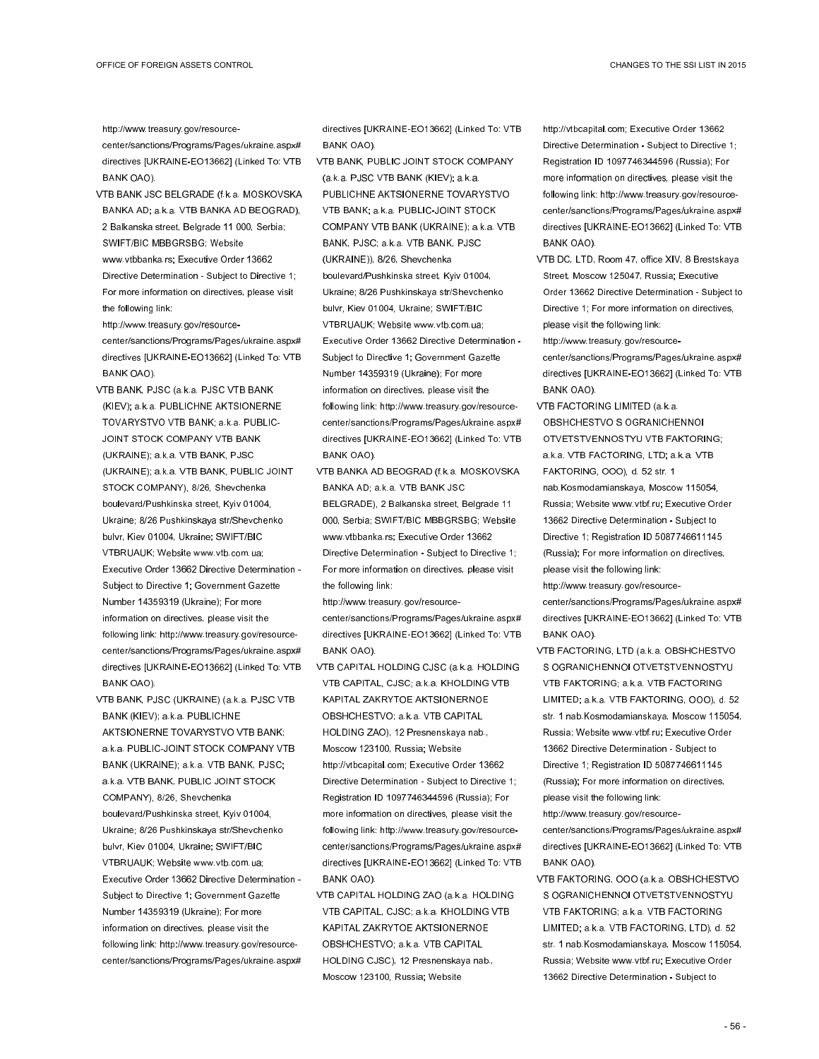http://www.treasury.gov/resourcecenter/sanctions/Programs/Pages/ukraine.aspx# directives [UKRAINE-EO13662] (Linked To: VTB BANK OAO).

- VTB BANK JSC BELGRADE (f.k.a. MOSKOVSKA BANKA AD; a.k.a. VTB BANKA AD BEOGRAD), 2 Balkanska street, Belgrade 11 000, Serbia; SWIFT/BIC MBBGRSBG; Website www.vtbbanka.rs; Executive Order 13662 Directive Determination - Subject to Directive 1;
- For more information on directives, please visit the following link:
- http://www.treasury.gov/resourcecenter/sanctions/Programs/Pages/ukraine.aspx# directives [UKRAINE-EO13662] (Linked To: VTB BANK OAO).
- VTB BANK, PJSC (a.k.a. PJSC VTB BANK (KIEV); a.k.a. PUBLICHNE AKTSIONERNE TOVARYSTVO VTB BANK; a.k.a. PUBLIC-JOINT STOCK COMPANY VTB BANK (UKRAINE); a.k.a. VTB BANK, PJSC (UKRAINE); a.k.a. VTB BANK, PUBLIC JOINT STOCK COMPANY), 8/26, Shevchenka boulevard/Pushkinska street, Kyiv 01004, Ukraine; 8/26 Pushkinskaya str/Shevchenko bulvr, Kiev 01004, Ukraine; SWIFT/BIC VTBRUAUK; Website www.vtb.com.ua;
- Executive Order 13662 Directive Determination Subject to Directive 1; Government Gazette Number 14359319 (Ukraine); For more information on directives, please visit the following link: http://www.treasury.gov/resourcecenter/sanctions/Programs/Pages/ukraine.aspx# directives [UKRAINE-EO13662] (Linked To: VTB BANK OAO).
- VTB BANK, PJSC (UKRAINE) (a.k.a. PJSC VTB BANK (KIEV); a.k.a. PUBLICHNE AKTSIONERNE TOVARYSTVO VTB BANK; a.k.a. PUBLIC-JOINT STOCK COMPANY VTB BANK (UKRAINE); a.k.a. VTB BANK, PJSC; a.k.a. VTB BANK, PUBLIC JOINT STOCK COMPANY), 8/26, Shevchenka boulevard/Pushkinska street, Kyiv 01004, Ukraine; 8/26 Pushkinskaya str/Shevchenko bulvr, Kiev 01004, Ukraine; SWIFT/BIC VTBRUAUK; Website www.vtb.com.ua; Executive Order 13662 Directive Determination - Subject to Directive 1; Government Gazette Number 14359319 (Ukraine); For more information on directives, please visit the following link: http://www.treasury.gov/resource-

center/sanctions/Programs/Pages/ukraine.aspx#

directives [UKRAINE-EO13662] (Linked To: VTB BANK OAO).

- VTB BANK, PUBLIC JOINT STOCK COMPANY (a.k.a. PJSC VTB BANK (KIEV); a.k.a. PUBLICHNE AKTSIONERNE TOVARYSTVO VTB BANK; a.k.a. PUBLIC-JOINT STOCK COMPANY VTB BANK (UKRAINE); a.k.a. VTB BANK, PJSC; a.k.a. VTB BANK, PJSC (UKRAINE)), 8/26, Shevchenka boulevard/Pushkinska street, Kyiv 01004, Ukraine; 8/26 Pushkinskaya str/Shevchenko bulvr, Kiev 01004, Ukraine; SWIFT/BIC VTBRUAUK; Website www.vtb.com.ua; Executive Order 13662 Directive Determination - Subject to Directive 1; Government Gazette Number 14359319 (Ukraine); For more information on directives, please visit the following link: http://www.treasury.gov/resourcecenter/sanctions/Programs/Pages/ukraine.aspx# directives [UKRAINE-EO13662] (Linked To: VTB BANK OAO).
- VTB BANKA AD BEOGRAD (f.k.a. MOSKOVSKA BANKA AD; a.k.a. VTB BANK JSC
- BELGRADE), 2 Balkanska street, Belgrade 11 000, Serbia; SWIFT/BIC MBBGRSBG; Website www.vtbbanka.rs; Executive Order 13662 Directive Determination - Subject to Directive 1; For more information on directives, please visit the following link:
- http://www.treasury.gov/resourcecenter/sanctions/Programs/Pages/ukraine.aspx# directives [UKRAINE-EO13662] (Linked To: VTB BANK OAO).
- VTB CAPITAL HOLDING CJSC (a.k.a. HOLDING VTB CAPITAL, CJSC; a.k.a. KHOLDING VTB KAPITAL ZAKRYTOE AKTSIONERNOE OBSHCHESTVO; a.k.a. VTB CAPITAL HOLDING ZAO), 12 Presnenskaya nab., Moscow 123100, Russia; Website http://vtbcapital.com; Executive Order 13662 Directive Determination - Subject to Directive 1; Registration ID 1097746344596 (Russia); For more information on directives, please visit the following link: http://www.treasury.gov/resourcecenter/sanctions/Programs/Pages/ukraine.aspx# directives [UKRAINE-EO13662] (Linked To: VTB BANK OAO).
- VTB CAPITAL HOLDING ZAO (a.k.a. HOLDING VTB CAPITAL, CJSC; a.k.a. KHOLDING VTB KAPITAL ZAKRYTOE AKTSIONERNOE OBSHCHESTVO; a.k.a. VTB CAPITAL HOLDING CJSC), 12 Presnenskaya nab., Moscow 123100, Russia; Website

http://vtbcapital.com; Executive Order 13662 Directive Determination - Subject to Directive 1; Registration ID 1097746344596 (Russia); For more information on directives, please visit the following link: http://www.treasury.gov/resourcecenter/sanctions/Programs/Pages/ukraine.aspx# directives [UKRAINE-EO13662] (Linked To: VTB BANK OAO).

- VTB DC, LTD, Room 47, office XIV, 8 Brestskaya Street, Moscow 125047, Russia; Executive Order 13662 Directive Determination - Subject to Directive 1; For more information on directives, please visit the following link:
- http://www.treasury.gov/resourcecenter/sanctions/Programs/Pages/ukraine.aspx# directives [UKRAINE-EO13662] (Linked To: VTB BANK OAO).
- VTB FACTORING LIMITED (a.k.a. OBSHCHESTVO S OGRANICHENNOI OTVETSTVENNOSTYU VTB FAKTORING; a.k.a. VTB FACTORING, LTD; a.k.a. VTB FAKTORING, OOO), d. 52 str. 1 nab.Kosmodamianskaya, Moscow 115054, Russia; Website www.vtbf.ru; Executive Order 13662 Directive Determination - Subject to Directive 1; Registration ID 5087746611145 (Russia); For more information on directives, please visit the following link: http://www.treasury.gov/resourcecenter/sanctions/Programs/Pages/ukraine.aspx# directives [UKRAINE-EO13662] (Linked To: VTB BANK OAO).
- VTB FACTORING, LTD (a.k.a. OBSHCHESTVO S OGRANICHENNOI OTVETSTVENNOSTYU VTB FAKTORING; a.k.a. VTB FACTORING LIMITED; a.k.a. VTB FAKTORING, OOO), d. 52 str. 1 nab.Kosmodamianskaya, Moscow 115054, Russia; Website www.vtbf.ru; Executive Order 13662 Directive Determination - Subject to Directive 1; Registration ID 5087746611145 (Russia); For more information on directives, please visit the following link:
- http://www.treasury.gov/resourcecenter/sanctions/Programs/Pages/ukraine.aspx# directives [UKRAINE-EO13662] (Linked To: VTB BANK OAO).
- VTB FAKTORING, OOO (a.k.a. OBSHCHESTVO S OGRANICHENNOI OTVETSTVENNOSTYU VTB FAKTORING; a.k.a. VTB FACTORING LIMITED; a.k.a. VTB FACTORING, LTD), d. 52 str. 1 nab.Kosmodamianskaya, Moscow 115054, Russia; Website www.vtbf.ru; Executive Order 13662 Directive Determination - Subject to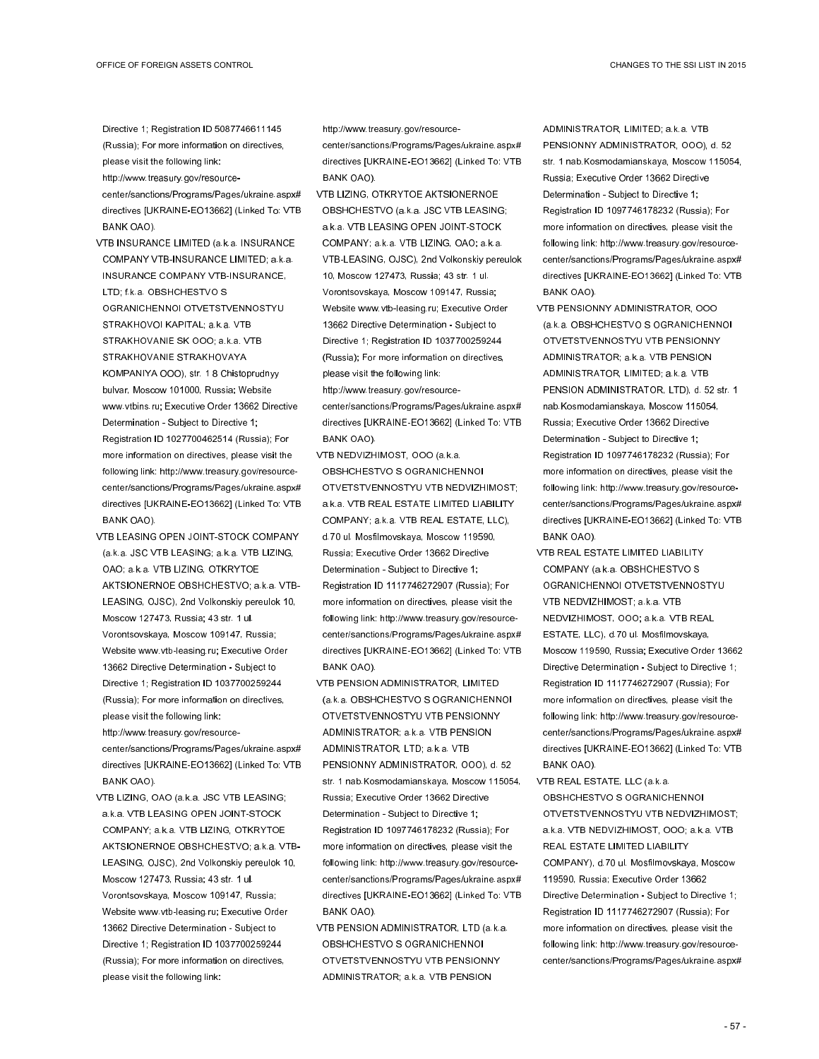Directive 1; Registration ID 5087746611145 (Russia); For more information on directives, please visit the following link:

http://www.treasury.gov/resource-

center/sanctions/Programs/Pages/ukraine.aspx# directives [UKRAINE-EO13662] (Linked To: VTB BANK OAO).

- VTB INSURANCE LIMITED (a.k.a. INSURANCE COMPANY VTB-INSURANCE LIMITED; a.k.a. INSURANCE COMPANY VTB-INSURANCE, LTD; f.k.a. OBSHCHESTVO S OGRANICHENNOI OTVETSTVENNOSTYU STRAKHOVOI KAPITAL; a.k.a. VTB STRAKHOVANIE SK OOO; a.k.a. VTB STRAKHOVANIE STRAKHOVAYA KOMPANIYA OOO), str. 1 8 Chistoprudnyy bulvar, Moscow 101000, Russia; Website www.vtbins.ru; Executive Order 13662 Directive Determination - Subject to Directive 1; Registration ID 1027700462514 (Russia); For more information on directives, please visit the following link: http://www.treasury.gov/resourcecenter/sanctions/Programs/Pages/ukraine.aspx# directives [UKRAINE-EO13662] (Linked To: VTB BANK OAO).
- VTB LEASING OPEN JOINT-STOCK COMPANY (a.k.a. JSC VTB LEASING; a.k.a. VTB LIZING, OAO; a.k.a. VTB LIZING, OTKRYTOE AKTSIONERNOE OBSHCHESTVO; a.k.a. VTB-LEASING, OJSC), 2nd Volkonskiy pereulok 10, Moscow 127473, Russia; 43 str. 1 ul. Vorontsovskaya, Moscow 109147, Russia; Website www.vtb-leasing.ru; Executive Order 13662 Directive Determination - Subject to Directive 1; Registration ID 1037700259244 (Russia); For more information on directives, please visit the following link: http://www.treasury.gov/resourcecenter/sanctions/Programs/Pages/ukraine.aspx# directives [UKRAINE-EO13662] (Linked To: VTB BANK OAO).
- VTB LIZING, OAO (a.k.a. JSC VTB LEASING; a.k.a. VTB LEASING OPEN JOINT-STOCK COMPANY; a.k.a. VTB LIZING, OTKRYTOE AKTSIONERNOE OBSHCHESTVO; a.k.a. VTB-LEASING, OJSC), 2nd Volkonskiy pereulok 10, Moscow 127473, Russia; 43 str. 1 ul. Vorontsovskaya, Moscow 109147, Russia; Website www.vtb-leasing.ru; Executive Order 13662 Directive Determination - Subject to Directive 1; Registration ID 1037700259244 (Russia); For more information on directives, please visit the following link:

http://www.treasury.gov/resource-

center/sanctions/Programs/Pages/ukraine.aspx# directives [UKRAINE-EO13662] (Linked To: VTB BANK OAO).

VTB LIZING, OTKRYTOE AKTSIONERNOE OBSHCHESTVO (a.k.a. JSC VTB LEASING; a.k.a. VTB LEASING OPEN JOINT-STOCK COMPANY; a.k.a. VTB LIZING, OAO; a.k.a. VTB-LEASING, OJSC), 2nd Volkonskiy pereulok 10, Moscow 127473, Russia; 43 str. 1 ul. Vorontsovskaya, Moscow 109147, Russia; Website www.vtb-leasing.ru; Executive Order 13662 Directive Determination - Subject to Directive 1; Registration ID 1037700259244 (Russia); For more information on directives, please visit the following link:

http://www.treasury.gov/resourcecenter/sanctions/Programs/Pages/ukraine.aspx# directives [UKRAINE-EO13662] (Linked To: VTB BANK OAO).

VTB NEDVIZHIMOST, OOO (a.k.a. OBSHCHESTVO S OGRANICHENNOI OTVETSTVENNOSTYU VTB NEDVIZHIMOST; a.k.a. VTB REAL ESTATE LIMITED LIABILITY COMPANY; a.k.a. VTB REAL ESTATE, LLC), d.70 ul. Mosfilmovskaya, Moscow 119590, Russia; Executive Order 13662 Directive Determination - Subject to Directive 1; Registration ID 1117746272907 (Russia); For more information on directives, please visit the following link: http://www.treasury.gov/resourcecenter/sanctions/Programs/Pages/ukraine.aspx# directives [UKRAINE-EO13662] (Linked To: VTB BANK OAO).

- VTB PENSION ADMINISTRATOR, LIMITED (a.k.a. OBSHCHESTVO S OGRANICHENNOI OTVETSTVENNOSTYU VTB PENSIONNY ADMINISTRATOR; a.k.a. VTB PENSION ADMINISTRATOR, LTD; a.k.a. VTB PENSIONNY ADMINISTRATOR, OOO), d. 52 str. 1 nab.Kosmodamianskaya, Moscow 115054, Russia; Executive Order 13662 Directive Determination - Subject to Directive 1; Registration ID 1097746178232 (Russia); For more information on directives, please visit the following link: http://www.treasury.gov/resourcecenter/sanctions/Programs/Pages/ukraine.aspx# directives [UKRAINE-EO13662] (Linked To: VTB BANK OAO).
- VTB PENSION ADMINISTRATOR, LTD (a.k.a. OBSHCHESTVO S OGRANICHENNOI OTVETSTVENNOSTYU VTB PENSIONNY ADMINISTRATOR; a.k.a. VTB PENSION

ADMINISTRATOR, LIMITED; a.k.a. VTB PENSIONNY ADMINISTRATOR, OOO), d. 52 str. 1 nab.Kosmodamianskaya, Moscow 115054, Russia; Executive Order 13662 Directive Determination - Subject to Directive 1; Registration ID 1097746178232 (Russia); For more information on directives, please visit the following link: http://www.treasury.gov/resourcecenter/sanctions/Programs/Pages/ukraine.aspx# directives [UKRAINE-EO13662] (Linked To: VTB BANK OAO).

- VTB PENSIONNY ADMINISTRATOR, OOO (a.k.a. OBSHCHESTVO S OGRANICHENNOI OTVETSTVENNOSTYU VTB PENSIONNY ADMINISTRATOR; a.k.a. VTB PENSION ADMINISTRATOR, LIMITED; a.k.a. VTB PENSION ADMINISTRATOR, LTD), d. 52 str. 1 nab.Kosmodamianskaya, Moscow 115054, Russia; Executive Order 13662 Directive Determination - Subject to Directive 1; Registration ID 1097746178232 (Russia); For more information on directives, please visit the following link: http://www.treasury.gov/resourcecenter/sanctions/Programs/Pages/ukraine.aspx# directives [UKRAINE-EO13662] (Linked To: VTB BANK OAO).
- VTB REAL ESTATE LIMITED LIABILITY COMPANY (a.k.a. OBSHCHESTVO S OGRANICHENNOI OTVETSTVENNOSTYU VTB NEDVIZHIMOST; a.k.a. VTB NEDVIZHIMOST, OOO; a.k.a. VTB REAL ESTATE, LLC), d.70 ul. Mosfilmovskaya, Moscow 119590, Russia; Executive Order 13662 Directive Determination - Subject to Directive 1; Registration ID 1117746272907 (Russia); For more information on directives, please visit the following link: http://www.treasury.gov/resourcecenter/sanctions/Programs/Pages/ukraine.aspx# directives [UKRAINE-EO13662] (Linked To: VTB BANK OAO).
- VTB REAL ESTATE, LLC (a.k.a. OBSHCHESTVO S OGRANICHENNOI OTVETSTVENNOSTYU VTB NEDVIZHIMOST; a.k.a. VTB NEDVIZHIMOST, OOO; a.k.a. VTB REAL ESTATE LIMITED LIABILITY COMPANY), d.70 ul. Mosfilmovskaya, Moscow 119590, Russia; Executive Order 13662 Directive Determination - Subject to Directive 1; Registration ID 1117746272907 (Russia); For more information on directives, please visit the following link: http://www.treasury.gov/resourcecenter/sanctions/Programs/Pages/ukraine.aspx#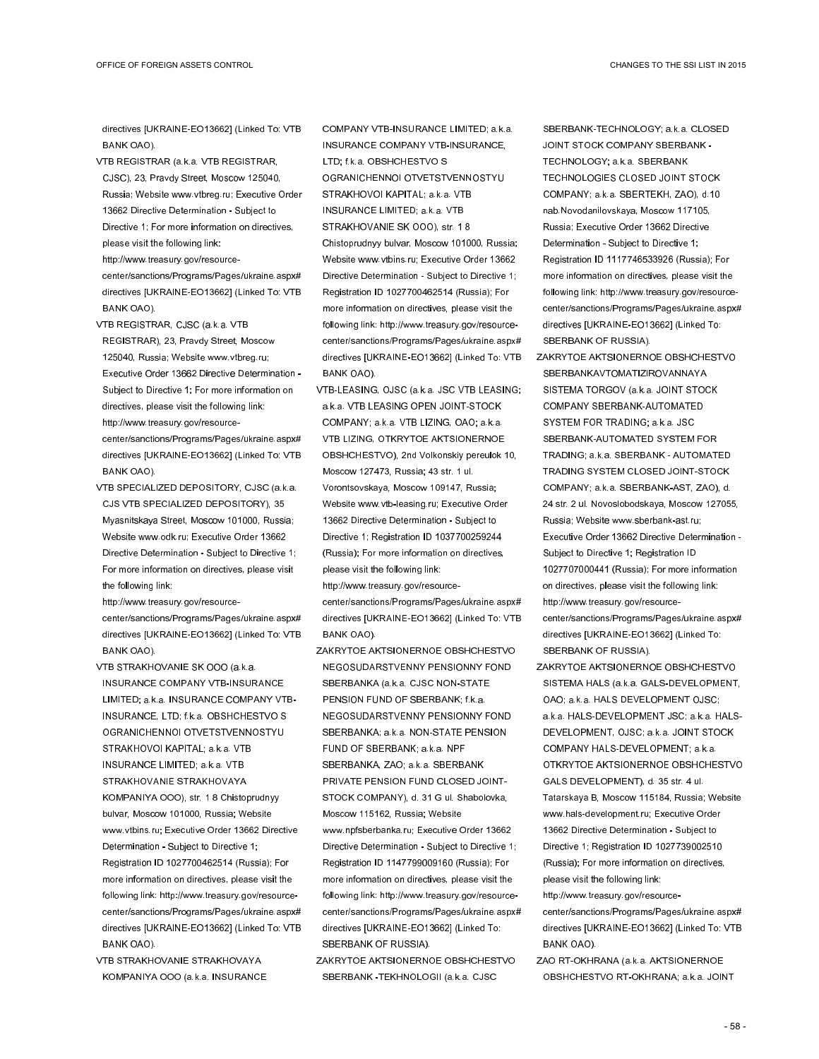directives [UKRAINE-EO13662] (Linked To: VTB BANK OAO).

VTB REGISTRAR (a.k.a. VTB REGISTRAR, CJSC), 23, Pravdy Street, Moscow 125040, Russia; Website www.vtbreg.ru; Executive Order 13662 Directive Determination - Subject to Directive 1; For more information on directives, please visit the following link:

http://www.treasury.gov/resourcecenter/sanctions/Programs/Pages/ukraine.aspx# directives [UKRAINE-EO13662] (Linked To: VTB BANK OAO).

- VTB REGISTRAR, CJSC (a.k.a. VTB REGISTRAR), 23, Pravdy Street, Moscow 125040, Russia; Website www.vtbreg.ru; Executive Order 13662 Directive Determination - Subject to Directive 1; For more information on directives, please visit the following link: http://www.treasury.gov/resourcecenter/sanctions/Programs/Pages/ukraine.aspx# directives [UKRAINE-EO13662] (Linked To: VTB BANK OAO).
- VTB SPECIALIZED DEPOSITORY, CJSC (a.k.a. CJS VTB SPECIALIZED DEPOSITORY), 35 Myasnitskaya Street, Moscow 101000, Russia; Website www.odk.ru; Executive Order 13662 Directive Determination - Subject to Directive 1; For more information on directives, please visit the following link:

http://www.treasury.gov/resourcecenter/sanctions/Programs/Pages/ukraine.aspx# directives [UKRAINE-EO13662] (Linked To: VTB BANK OAO).

- VTB STRAKHOVANIE SK OOO (a.k.a. INSURANCE COMPANY VTB-INSURANCE LIMITED; a.k.a. INSURANCE COMPANY VTB-INSURANCE, LTD; f.k.a. OBSHCHESTVO S OGRANICHENNOI OTVETSTVENNOSTYU STRAKHOVOI KAPITAL; a.k.a. VTB INSURANCE LIMITED; a.k.a. VTB STRAKHOVANIE STRAKHOVAYA KOMPANIYA OOO), str. 1 8 Chistoprudnyy bulvar, Moscow 101000, Russia; Website www.vtbins.ru; Executive Order 13662 Directive Determination - Subject to Directive 1; Registration ID 1027700462514 (Russia); For more information on directives, please visit the following link: http://www.treasury.gov/resourcecenter/sanctions/Programs/Pages/ukraine.aspx# directives [UKRAINE-EO13662] (Linked To: VTB BANK OAO).
- VTB STRAKHOVANIE STRAKHOVAYA KOMPANIYA OOO (a.k.a. INSURANCE

COMPANY VTB-INSURANCE LIMITED; a.k.a. INSURANCE COMPANY VTB-INSURANCE, LTD; f.k.a. OBSHCHESTVO S OGRANICHENNOI OTVETSTVENNOSTYU STRAKHOVOI KAPITAL; a.k.a. VTB INSURANCE LIMITED; a.k.a. VTB STRAKHOVANIE SK OOO), str. 1 8 Chistoprudnyy bulvar, Moscow 101000, Russia; Website www.vtbins.ru; Executive Order 13662 Directive Determination - Subject to Directive 1; Registration ID 1027700462514 (Russia); For more information on directives, please visit the following link: http://www.treasury.gov/resourcecenter/sanctions/Programs/Pages/ukraine.aspx# directives [UKRAINE-EO13662] (Linked To: VTB BANK OAO).

VTB-LEASING, OJSC (a.k.a. JSC VTB LEASING; a.k.a. VTB LEASING OPEN JOINT-STOCK COMPANY; a.k.a. VTB LIZING, OAO; a.k.a. VTB LIZING, OTKRYTOE AKTSIONERNOE OBSHCHESTVO), 2nd Volkonskiy pereulok 10, Moscow 127473, Russia; 43 str. 1 ul. Vorontsovskaya, Moscow 109147, Russia; Website www.vtb-leasing.ru; Executive Order 13662 Directive Determination - Subject to Directive 1; Registration ID 1037700259244 (Russia); For more information on directives, please visit the following link: http://www.treasury.gov/resource-

center/sanctions/Programs/Pages/ukraine.aspx# directives [UKRAINE-EO13662] (Linked To: VTB BANK OAO).

ZAKRYTOE AKTSIONERNOE OBSHCHESTVO NEGOSUDARSTVENNY PENSIONNY FOND SBERBANKA (a.k.a. CJSC NON-STATE PENSION FUND OF SBERBANK; f.k.a. NEGOSUDARSTVENNY PENSIONNY FOND SBERBANKA; a.k.a. NON-STATE PENSION FUND OF SBERBANK; a.k.a. NPF SBERBANKA, ZAO; a.k.a. SBERBANK PRIVATE PENSION FUND CLOSED JOINT-STOCK COMPANY), d. 31 G ul. Shabolovka, Moscow 115162, Russia; Website www.npfsberbanka.ru; Executive Order 13662 Directive Determination - Subject to Directive 1; Registration ID 1147799009160 (Russia); For more information on directives, please visit the following link: http://www.treasury.gov/resourcecenter/sanctions/Programs/Pages/ukraine.aspx# directives [UKRAINE-EO13662] (Linked To: SBERBANK OF RUSSIA).

ZAKRYTOE AKTSIONERNOE OBSHCHESTVO SBERBANK -TEKHNOLOGII (a.k.a. CJSC

SBERBANK-TECHNOLOGY; a.k.a. CLOSED JOINT STOCK COMPANY SBERBANK - TECHNOLOGY; a.k.a. SBERBANK TECHNOLOGIES CLOSED JOINT STOCK COMPANY; a.k.a. SBERTEKH, ZAO), d.10 nab.Novodanilovskaya, Moscow 117105, Russia; Executive Order 13662 Directive Determination - Subject to Directive 1; Registration ID 1117746533926 (Russia); For more information on directives, please visit the following link: http://www.treasury.gov/resourcecenter/sanctions/Programs/Pages/ukraine.aspx# directives [UKRAINE-EO13662] (Linked To: SBERBANK OF RUSSIA).

- ZAKRYTOE AKTSIONERNOE OBSHCHESTVO SBERBANKAVTOMATIZIROVANNAYA SISTEMA TORGOV (a.k.a. JOINT STOCK COMPANY SBERBANK-AUTOMATED SYSTEM FOR TRADING; a.k.a. JSC SBERBANK-AUTOMATED SYSTEM FOR TRADING; a.k.a. SBERBANK - AUTOMATED TRADING SYSTEM CLOSED JOINT-STOCK COMPANY; a.k.a. SBERBANK-AST, ZAO), d. 24 str. 2 ul. Novoslobodskaya, Moscow 127055, Russia; Website www.sberbank-ast.ru; Executive Order 13662 Directive Determination - Subject to Directive 1; Registration ID 1027707000441 (Russia); For more information on directives, please visit the following link: http://www.treasury.gov/resourcecenter/sanctions/Programs/Pages/ukraine.aspx# directives [UKRAINE-EO13662] (Linked To: SBERBANK OF RUSSIA).
- ZAKRYTOE AKTSIONERNOE OBSHCHESTVO SISTEMA HALS (a.k.a. GALS-DEVELOPMENT, OAO; a.k.a. HALS DEVELOPMENT OJSC; a.k.a. HALS-DEVELOPMENT JSC; a.k.a. HALS-DEVELOPMENT, OJSC; a.k.a. JOINT STOCK COMPANY HALS-DEVELOPMENT; a.k.a. OTKRYTOE AKTSIONERNOE OBSHCHESTVO GALS DEVELOPMENT), d. 35 str. 4 ul. Tatarskaya B, Moscow 115184, Russia; Website www.hals-development.ru; Executive Order 13662 Directive Determination - Subject to Directive 1; Registration ID 1027739002510 (Russia); For more information on directives, please visit the following link:
- http://www.treasury.gov/resourcecenter/sanctions/Programs/Pages/ukraine.aspx# directives [UKRAINE-EO13662] (Linked To: VTB BANK OAO).
- ZAO RT-OKHRANA (a.k.a. AKTSIONERNOE OBSHCHESTVO RT-OKHRANA; a.k.a. JOINT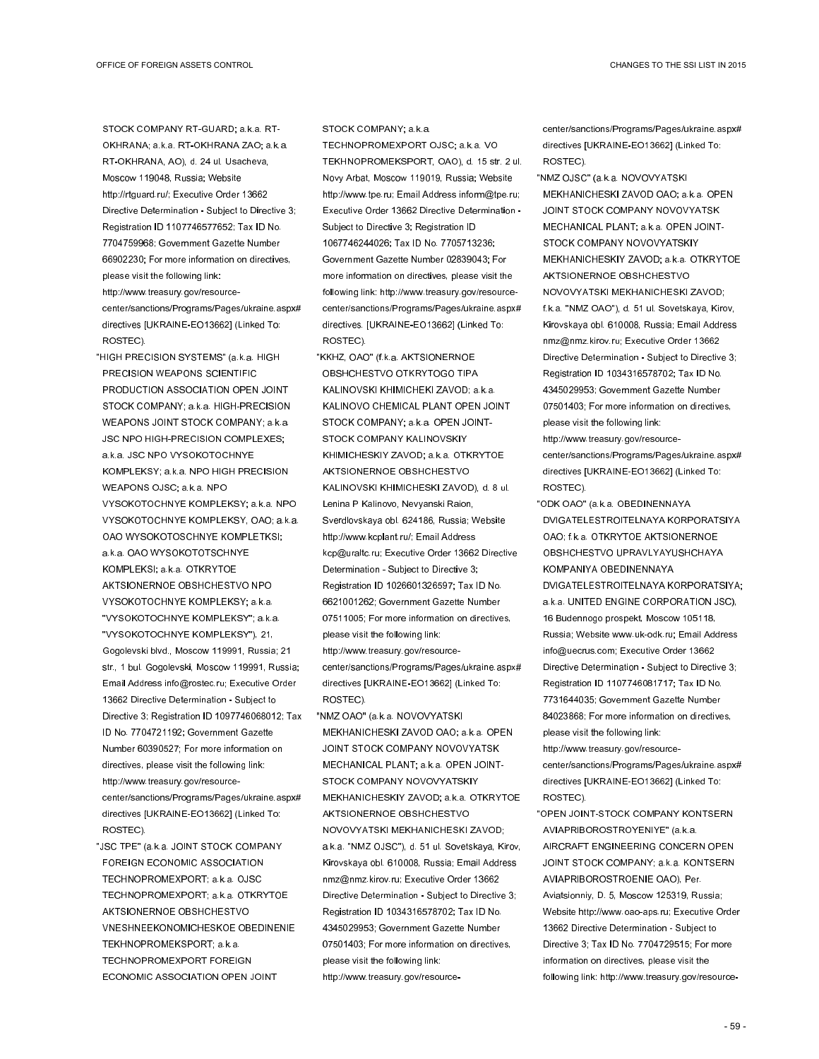STOCK COMPANY RT-GUARD; a.k.a. RT-OKHRANA; a.k.a. RT-OKHRANA ZAO; a.k.a. RT-OKHRANA, AO), d. 24 ul. Usacheva, Moscow 119048, Russia; Website http://rtguard.ru/; Executive Order 13662 Directive Determination - Subject to Directive 3; Registration ID 1107746577652; Tax ID No. 7704759968; Government Gazette Number 66902230; For more information on directives, please visit the following link: http://www.treasury.gov/resourcecenter/sanctions/Programs/Pages/ukraine.aspx# directives [UKRAINE-EO13662] (Linked To: ROSTEC).

- "HIGH PRECISION SYSTEMS" (a.k.a. HIGH PRECISION WEAPONS SCIENTIFIC PRODUCTION ASSOCIATION OPEN JOINT STOCK COMPANY; a.k.a. HIGH-PRECISION WEAPONS JOINT STOCK COMPANY; a.k.a. JSC NPO HIGH-PRECISION COMPLEXES; a.k.a. JSC NPO VYSOKOTOCHNYE KOMPLEKSY; a.k.a. NPO HIGH PRECISION WEAPONS OJSC; a.k.a. NPO VYSOKOTOCHNYE KOMPLEKSY; a.k.a. NPO VYSOKOTOCHNYE KOMPLEKSY, OAO; a.k.a. OAO WYSOKOTOSCHNYE KOMPLETKSI; a.k.a. OAO WYSOKOTOTSCHNYE KOMPLEKSI; a.k.a. OTKRYTOE AKTSIONERNOE OBSHCHESTVO NPO VYSOKOTOCHNYE KOMPLEKSY; a.k.a. "VYSOKOTOCHNYE KOMPLEKSY"; a.k.a. "VYSOKOTOCHNYE KOMPLEKSY"), 21, Gogolevski blvd., Moscow 119991, Russia; 21 str., 1 bul. Gogolevski, Moscow 119991, Russia; Email Address info@rostec.ru; Executive Order 13662 Directive Determination - Subject to Directive 3; Registration ID 1097746068012; Tax ID No. 7704721192; Government Gazette Number 60390527; For more information on directives, please visit the following link: http://www.treasury.gov/resourcecenter/sanctions/Programs/Pages/ukraine.aspx# directives [UKRAINE-EO13662] (Linked To: ROSTEC).
- "JSC TPE" (a.k.a. JOINT STOCK COMPANY FOREIGN ECONOMIC ASSOCIATION TECHNOPROMEXPORT; a.k.a. OJSC TECHNOPROMEXPORT; a.k.a. OTKRYTOE AKTSIONERNOE OBSHCHESTVO VNESHNEEKONOMICHESKOE OBEDINENIE TEKHNOPROMEKSPORT; a.k.a. TECHNOPROMEXPORT FOREIGN ECONOMIC ASSOCIATION OPEN JOINT

## STOCK COMPANY; a.k.a.

TECHNOPROMEXPORT OJSC; a.k.a. VO TEKHNOPROMEKSPORT, OAO), d. 15 str. 2 ul. Novy Arbat, Moscow 119019, Russia; Website http://www.tpe.ru; Email Address inform@tpe.ru; Executive Order 13662 Directive Determination - Subject to Directive 3; Registration ID 1067746244026; Tax ID No. 7705713236; Government Gazette Number 02839043; For more information on directives, please visit the following link: http://www.treasury.gov/resourcecenter/sanctions/Programs/Pages/ukraine.aspx# directives. [UKRAINE-EO13662] (Linked To: ROSTEC).

- "KKHZ, OAO" (f.k.a. AKTSIONERNOE OBSHCHESTVO OTKRYTOGO TIPA KALINOVSKI KHIMICHEKI ZAVOD; a.k.a. KALINOVO CHEMICAL PLANT OPEN JOINT STOCK COMPANY; a.k.a. OPEN JOINT-STOCK COMPANY KALINOVSKIY KHIMICHESKIY ZAVOD; a.k.a. OTKRYTOE AKTSIONERNOE OBSHCHESTVO KALINOVSKI KHIMICHESKI ZAVOD), d. 8 ul. Lenina P Kalinovo, Nevyanski Raion, Sverdlovskaya obl. 624186, Russia; Website http://www.kcplant.ru/; Email Address kcp@uraltc.ru; Executive Order 13662 Directive Determination - Subject to Directive 3; Registration ID 1026601326597; Tax ID No. 6621001262; Government Gazette Number 07511005; For more information on directives, please visit the following link: http://www.treasury.gov/resourcecenter/sanctions/Programs/Pages/ukraine.aspx# directives [UKRAINE-EO13662] (Linked To: ROSTEC).
- "NMZ OAO" (a.k.a. NOVOVYATSKI MEKHANICHESKI ZAVOD OAO; a.k.a. OPEN JOINT STOCK COMPANY NOVOVYATSK MECHANICAL PLANT; a.k.a. OPEN JOINT-STOCK COMPANY NOVOVYATSKIY MEKHANICHESKIY ZAVOD; a.k.a. OTKRYTOE AKTSIONERNOE OBSHCHESTVO NOVOVYATSKI MEKHANICHESKI ZAVOD; a.k.a. "NMZ OJSC"), d. 51 ul. Sovetskaya, Kirov, Kirovskaya obl. 610008, Russia; Email Address nmz@nmz.kirov.ru; Executive Order 13662 Directive Determination - Subject to Directive 3; Registration ID 1034316578702; Tax ID No. 4345029953; Government Gazette Number 07501403; For more information on directives, please visit the following link: http://www.treasury.gov/resource-

center/sanctions/Programs/Pages/ukraine.aspx# directives [UKRAINE-EO13662] (Linked To: ROSTEC).

"NMZ OJSC" (a.k.a. NOVOVYATSKI MEKHANICHESKI ZAVOD OAO; a.k.a. OPEN JOINT STOCK COMPANY NOVOVYATSK MECHANICAL PLANT; a.k.a. OPEN JOINT-STOCK COMPANY NOVOVYATSKIY MEKHANICHESKIY ZAVOD; a.k.a. OTKRYTOE AKTSIONERNOE OBSHCHESTVO NOVOVYATSKI MEKHANICHESKI ZAVOD; f.k.a. "NMZ OAO"), d. 51 ul. Sovetskaya, Kirov, Kirovskaya obl. 610008, Russia; Email Address nmz@nmz.kirov.ru; Executive Order 13662 Directive Determination - Subject to Directive 3; Registration ID 1034316578702; Tax ID No. 4345029953; Government Gazette Number 07501403; For more information on directives, please visit the following link:

http://www.treasury.gov/resourcecenter/sanctions/Programs/Pages/ukraine.aspx# directives [UKRAINE-EO13662] (Linked To: ROSTEC).

"ODK OAO" (a.k.a. OBEDINENNAYA DVIGATELESTROITELNAYA KORPORATSIYA OAO; f.k.a. OTKRYTOE AKTSIONERNOE OBSHCHESTVO UPRAVLYAYUSHCHAYA KOMPANIYA OBEDINENNAYA DVIGATELESTROITELNAYA KORPORATSIYA; a.k.a. UNITED ENGINE CORPORATION JSC), 16 Budennogo prospekt, Moscow 105118, Russia; Website www.uk-odk.ru; Email Address info@uecrus.com; Executive Order 13662 Directive Determination - Subject to Directive 3; Registration ID 1107746081717; Tax ID No. 7731644035; Government Gazette Number 84023868; For more information on directives, please visit the following link:

http://www.treasury.gov/resourcecenter/sanctions/Programs/Pages/ukraine.aspx# directives [UKRAINE-EO13662] (Linked To: ROSTEC).

"OPEN JOINT-STOCK COMPANY KONTSERN AVIAPRIBOROSTROYENIYE" (a.k.a. AIRCRAFT ENGINEERING CONCERN OPEN JOINT STOCK COMPANY; a.k.a. KONTSERN AVIAPRIBOROSTROENIE OAO), Per. Aviatsionniy, D. 5, Moscow 125319, Russia; Website http://www.oao-aps.ru; Executive Order 13662 Directive Determination - Subject to Directive 3; Tax ID No. 7704729515; For more information on directives, please visit the following link: http://www.treasury.gov/resource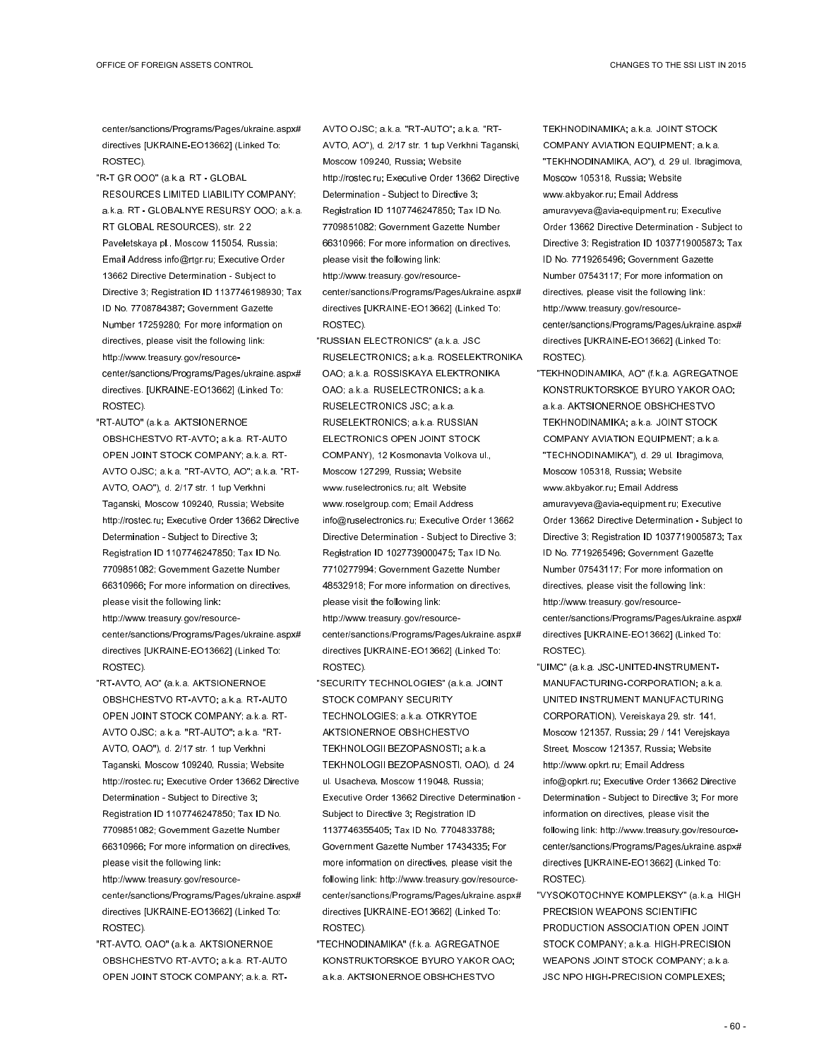center/sanctions/Programs/Pages/ukraine.aspx# directives [UKRAINE-EO13662] (Linked To: ROSTEC).

- "R-T GR OOO" (a.k.a. RT GLOBAL RESOURCES LIMITED LIABILITY COMPANY; a.k.a. RT - GLOBALNYE RESURSY OOO; a.k.a. RT GLOBAL RESOURCES), str. 2 2 Paveletskaya pl., Moscow 115054, Russia; Email Address info@rtgr.ru; Executive Order 13662 Directive Determination - Subject to Directive 3; Registration ID 1137746198930; Tax ID No. 7708784387; Government Gazette Number 17259280; For more information on directives, please visit the following link: http://www.treasury.gov/resourcecenter/sanctions/Programs/Pages/ukraine.aspx# directives. [UKRAINE-EO13662] (Linked To: ROSTEC).
- "RT-AUTO" (a.k.a. AKTSIONERNOE OBSHCHESTVO RT-AVTO; a.k.a. RT-AUTO OPEN JOINT STOCK COMPANY; a.k.a. RT-AVTO OJSC; a.k.a. "RT-AVTO, AO"; a.k.a. "RT-AVTO, OAO"), d. 2/17 str. 1 tup Verkhni Taganski, Moscow 109240, Russia; Website http://rostec.ru; Executive Order 13662 Directive Determination - Subject to Directive 3; Registration ID 1107746247850; Tax ID No. 7709851082; Government Gazette Number 66310966; For more information on directives, please visit the following link: http://www.treasury.gov/resource-

center/sanctions/Programs/Pages/ukraine.aspx# directives [UKRAINE-EO13662] (Linked To: ROSTEC).

- "RT-AVTO, AO" (a.k.a. AKTSIONERNOE OBSHCHESTVO RT-AVTO; a.k.a. RT-AUTO OPEN JOINT STOCK COMPANY; a.k.a. RT-AVTO OJSC; a.k.a. "RT-AUTO"; a.k.a. "RT-AVTO, OAO"), d. 2/17 str. 1 tup Verkhni Taganski, Moscow 109240, Russia; Website http://rostec.ru; Executive Order 13662 Directive Determination - Subject to Directive 3; Registration ID 1107746247850; Tax ID No. 7709851082; Government Gazette Number 66310966; For more information on directives, please visit the following link:
- http://www.treasury.gov/resourcecenter/sanctions/Programs/Pages/ukraine.aspx# directives [UKRAINE-EO13662] (Linked To: ROSTEC).
- "RT-AVTO, OAO" (a.k.a. AKTSIONERNOE OBSHCHESTVO RT-AVTO; a.k.a. RT-AUTO OPEN JOINT STOCK COMPANY; a.k.a. RT-

AVTO OJSC; a.k.a. "RT-AUTO"; a.k.a. "RT-AVTO, AO"), d. 2/17 str. 1 tup Verkhni Taganski, Moscow 109240, Russia; Website http://rostec.ru; Executive Order 13662 Directive Determination - Subject to Directive 3; Registration ID 1107746247850; Tax ID No. 7709851082; Government Gazette Number 66310966; For more information on directives, please visit the following link: http://www.treasury.gov/resourcecenter/sanctions/Programs/Pages/ukraine.aspx# directives [UKRAINE-EO13662] (Linked To:

- ROSTEC). "RUSSIAN ELECTRONICS" (a.k.a. JSC RUSELECTRONICS; a.k.a. ROSELEKTRONIKA OAO; a.k.a. ROSSISKAYA ELEKTRONIKA OAO; a.k.a. RUSELECTRONICS; a.k.a. RUSELECTRONICS JSC; a.k.a. RUSELEKTRONICS; a.k.a. RUSSIAN ELECTRONICS OPEN JOINT STOCK COMPANY), 12 Kosmonavta Volkova ul., Moscow 127299, Russia; Website www.ruselectronics.ru; alt. Website www.roselgroup.com; Email Address info@ruselectronics.ru; Executive Order 13662 Directive Determination - Subject to Directive 3; Registration ID 1027739000475; Tax ID No. 7710277994; Government Gazette Number 48532918; For more information on directives, please visit the following link: http://www.treasury.gov/resourcecenter/sanctions/Programs/Pages/ukraine.aspx#
- directives [UKRAINE-EO13662] (Linked To: ROSTEC).
- "SECURITY TECHNOLOGIES" (a.k.a. JOINT STOCK COMPANY SECURITY TECHNOLOGIES; a.k.a. OTKRYTOE AKTSIONERNOE OBSHCHESTVO TEKHNOLOGII BEZOPASNOSTI; a.k.a. TEKHNOLOGII BEZOPASNOSTI, OAO), d. 24 ul. Usacheva, Moscow 119048, Russia; Executive Order 13662 Directive Determination - Subject to Directive 3; Registration ID 1137746355405; Tax ID No. 7704833788; Government Gazette Number 17434335; For more information on directives, please visit the following link: http://www.treasury.gov/resourcecenter/sanctions/Programs/Pages/ukraine.aspx# directives [UKRAINE-EO13662] (Linked To: ROSTEC).
- "TECHNODINAMIKA" (f.k.a. AGREGATNOE KONSTRUKTORSKOE BYURO YAKOR OAO; a.k.a. AKTSIONERNOE OBSHCHESTVO

TEKHNODINAMIKA; a.k.a. JOINT STOCK COMPANY AVIATION EQUIPMENT; a.k.a. "TEKHNODINAMIKA, AO"), d. 29 ul. Ibragimova, Moscow 105318, Russia; Website www.akbyakor.ru; Email Address amuravyeva@avia-equipment.ru; Executive Order 13662 Directive Determination - Subject to Directive 3; Registration ID 1037719005873; Tax ID No. 7719265496; Government Gazette Number 07543117; For more information on directives, please visit the following link: http://www.treasury.gov/resourcecenter/sanctions/Programs/Pages/ukraine.aspx# directives [UKRAINE-EO13662] (Linked To: ROSTEC).

- "TEKHNODINAMIKA, AO" (f.k.a. AGREGATNOE KONSTRUKTORSKOE BYURO YAKOR OAO; a.k.a. AKTSIONERNOE OBSHCHESTVO TEKHNODINAMIKA; a.k.a. JOINT STOCK COMPANY AVIATION EQUIPMENT; a.k.a. "TECHNODINAMIKA"), d. 29 ul. Ibragimova, Moscow 105318, Russia; Website www.akbyakor.ru; Email Address amuravyeva@avia-equipment.ru; Executive Order 13662 Directive Determination - Subject to Directive 3; Registration ID 1037719005873; Tax ID No. 7719265496; Government Gazette Number 07543117; For more information on directives, please visit the following link: http://www.treasury.gov/resourcecenter/sanctions/Programs/Pages/ukraine.aspx# directives [UKRAINE-EO13662] (Linked To: ROSTEC).
- "UIMC" (a.k.a. JSC-UNITED-INSTRUMENT-MANUFACTURING-CORPORATION; a.k.a. UNITED INSTRUMENT MANUFACTURING CORPORATION), Vereiskaya 29, str. 141, Moscow 121357, Russia; 29 / 141 Verejskaya Street, Moscow 121357, Russia; Website http://www.opkrt.ru; Email Address info@opkrt.ru; Executive Order 13662 Directive Determination - Subject to Directive 3; For more information on directives, please visit the following link: http://www.treasury.gov/resourcecenter/sanctions/Programs/Pages/ukraine.aspx# directives [UKRAINE-EO13662] (Linked To: ROSTEC).
- "VYSOKOTOCHNYE KOMPLEKSY" (a.k.a. HIGH PRECISION WEAPONS SCIENTIFIC PRODUCTION ASSOCIATION OPEN JOINT STOCK COMPANY; a.k.a. HIGH-PRECISION WEAPONS JOINT STOCK COMPANY; a.k.a. JSC NPO HIGH-PRECISION COMPLEXES;